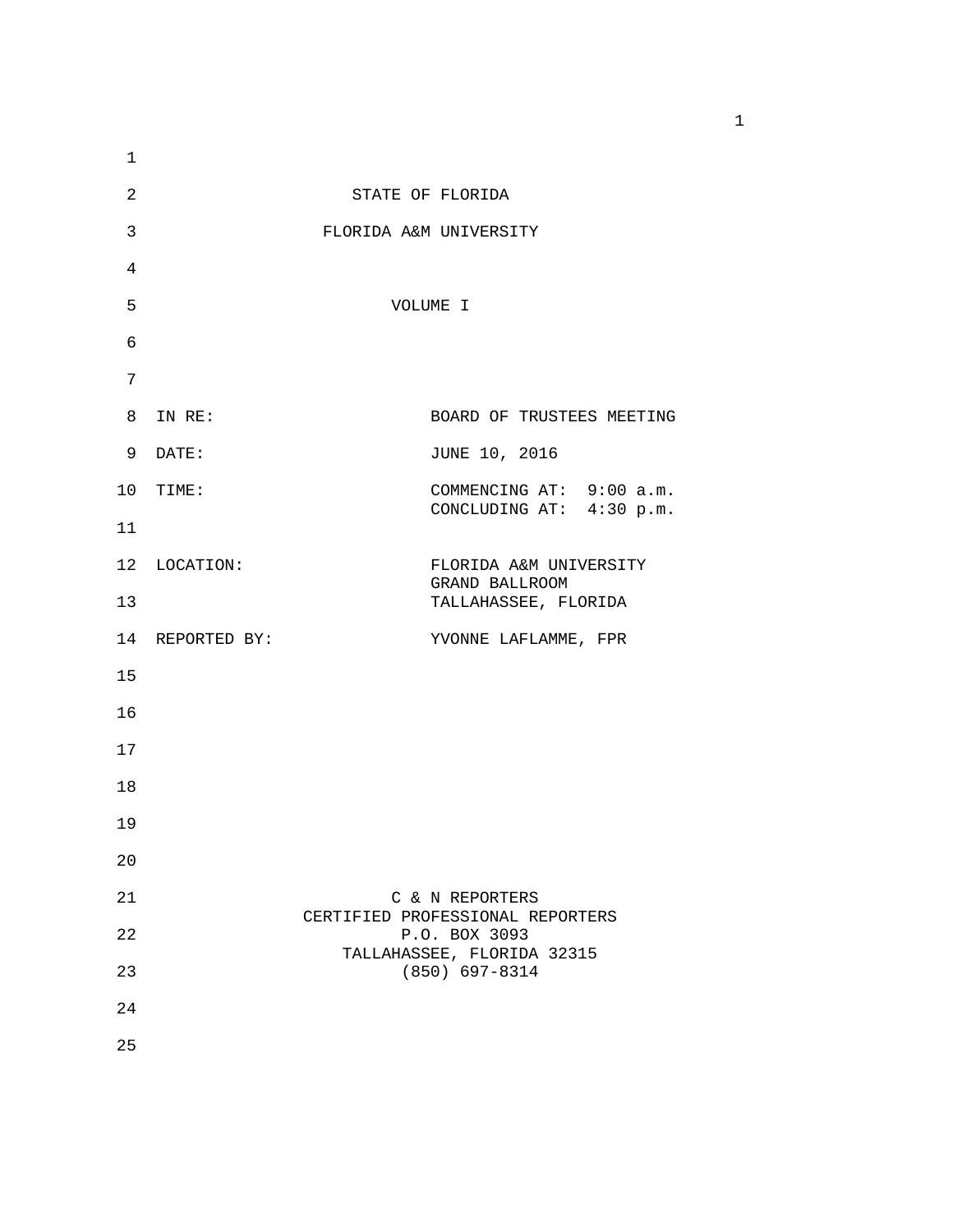| $\mathbf{1}$ |                 |                                                      |
|--------------|-----------------|------------------------------------------------------|
| 2            |                 | STATE OF FLORIDA                                     |
| 3            |                 | FLORIDA A&M UNIVERSITY                               |
| 4            |                 |                                                      |
| 5            |                 | VOLUME I                                             |
| 6            |                 |                                                      |
| 7            |                 |                                                      |
|              | 8 IN RE:        | BOARD OF TRUSTEES MEETING                            |
|              | 9 DATE:         | JUNE 10, 2016                                        |
|              | 10 TIME:        | COMMENCING AT: 9:00 a.m.<br>CONCLUDING AT: 4:30 p.m. |
| 11           |                 |                                                      |
|              | 12 LOCATION:    | FLORIDA A&M UNIVERSITY<br>GRAND BALLROOM             |
| 13           |                 | TALLAHASSEE, FLORIDA                                 |
|              | 14 REPORTED BY: | YVONNE LAFLAMME, FPR                                 |
| 15           |                 |                                                      |
| 16           |                 |                                                      |
| 17           |                 |                                                      |
| 18           |                 |                                                      |
| 19           |                 |                                                      |
| 20           |                 |                                                      |
| 21           |                 | C & N REPORTERS<br>CERTIFIED PROFESSIONAL REPORTERS  |
| 22           |                 | P.O. BOX 3093<br>TALLAHASSEE, FLORIDA 32315          |
| 23           |                 | $(850) 697 - 8314$                                   |
| 24           |                 |                                                      |
| 25           |                 |                                                      |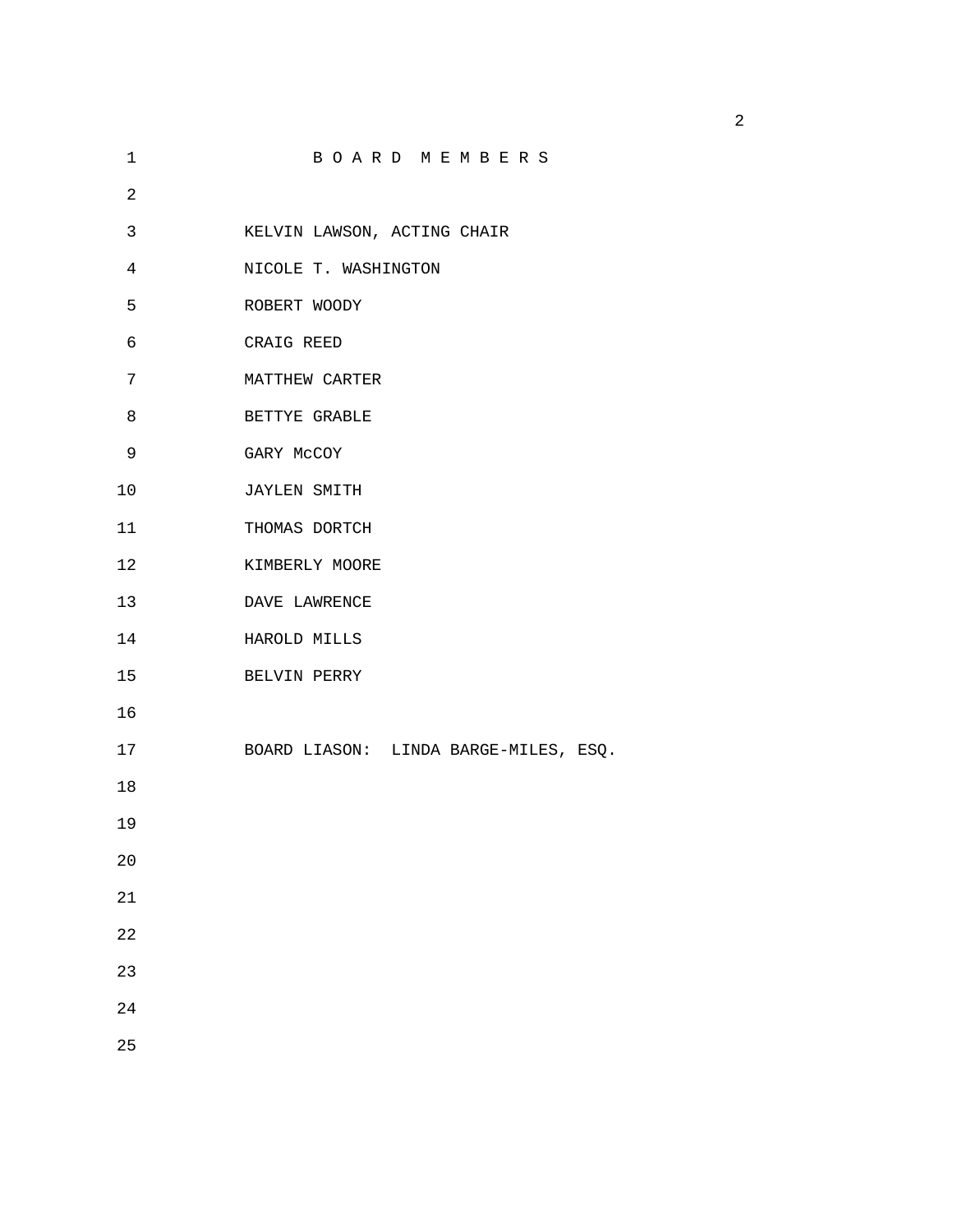| 1          | BOARD MEMBERS                         |
|------------|---------------------------------------|
| $\sqrt{2}$ |                                       |
| 3          | KELVIN LAWSON, ACTING CHAIR           |
| 4          | NICOLE T. WASHINGTON                  |
| 5          | ROBERT WOODY                          |
| 6          | CRAIG REED                            |
| 7          | MATTHEW CARTER                        |
| 8          | BETTYE GRABLE                         |
| 9          | GARY MCCOY                            |
| 10         | <b>JAYLEN SMITH</b>                   |
| 11         | THOMAS DORTCH                         |
| 12         | KIMBERLY MOORE                        |
| 13         | DAVE LAWRENCE                         |
| 14         | HAROLD MILLS                          |
| 15         | BELVIN PERRY                          |
| 16         |                                       |
| $17$       | BOARD LIASON: LINDA BARGE-MILES, ESQ. |
| 18         |                                       |
| 19         |                                       |
| 20         |                                       |
| 21         |                                       |
| 22         |                                       |
| 23         |                                       |
| 24         |                                       |
| 25         |                                       |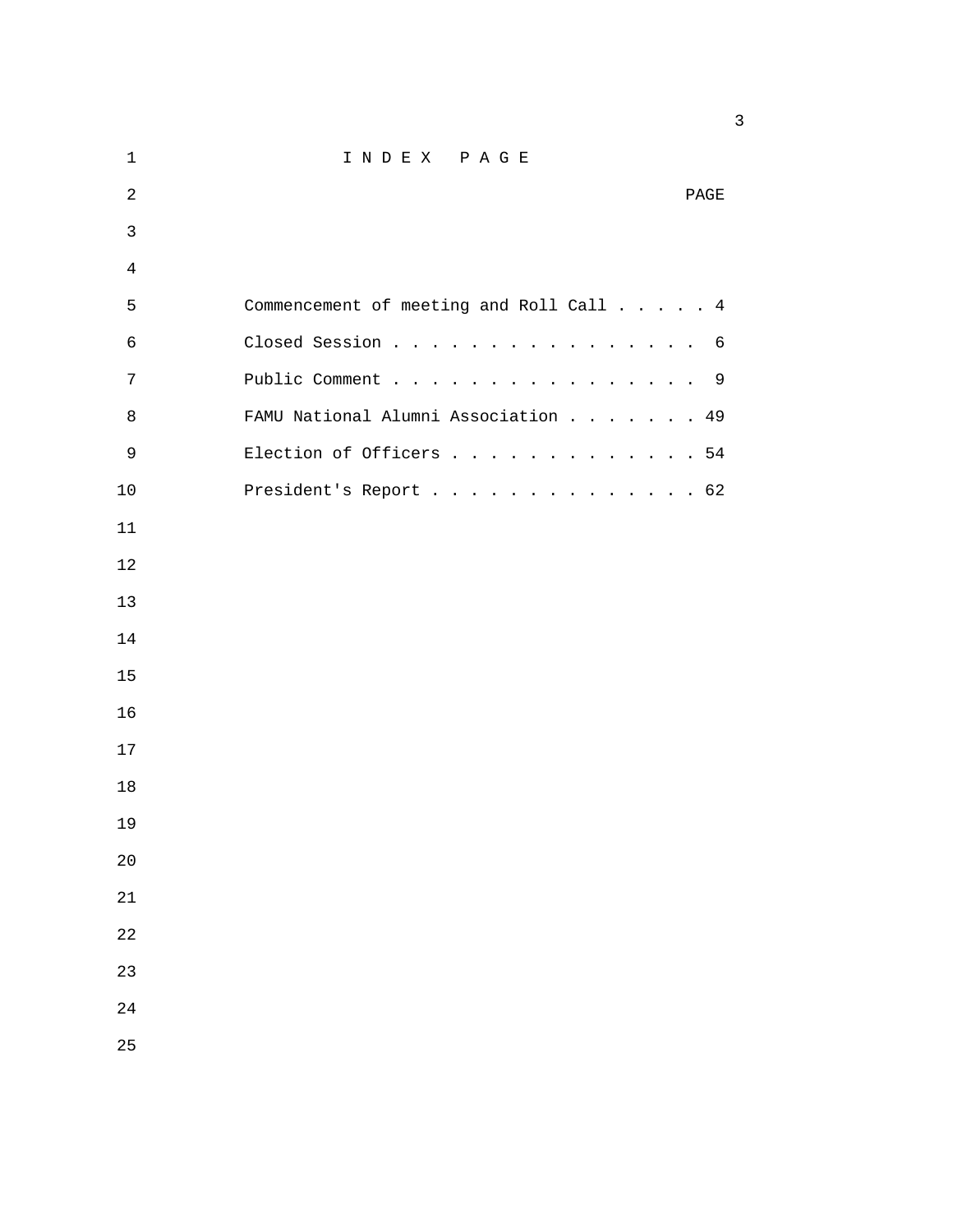| 1              | INDEX PAGE                              |
|----------------|-----------------------------------------|
| $\overline{2}$ | PAGE                                    |
| $\mathfrak{Z}$ |                                         |
| 4              |                                         |
| 5              | Commencement of meeting and Roll Call 4 |
| 6              | Closed Session<br>6                     |
| 7              | Public Comment 9                        |
| 8              | FAMU National Alumni Association<br>49  |
| 9              | Election of Officers 54                 |
| 10             | President's Report 62                   |
| 11             |                                         |
| 12             |                                         |
| 13             |                                         |
| 14             |                                         |
| 15             |                                         |
| 16             |                                         |
| 17             |                                         |
| 18             |                                         |
| 19             |                                         |
| 20             |                                         |
| 21             |                                         |
| 22             |                                         |
| 23             |                                         |
| 24             |                                         |
| 25             |                                         |

 $\sim$  3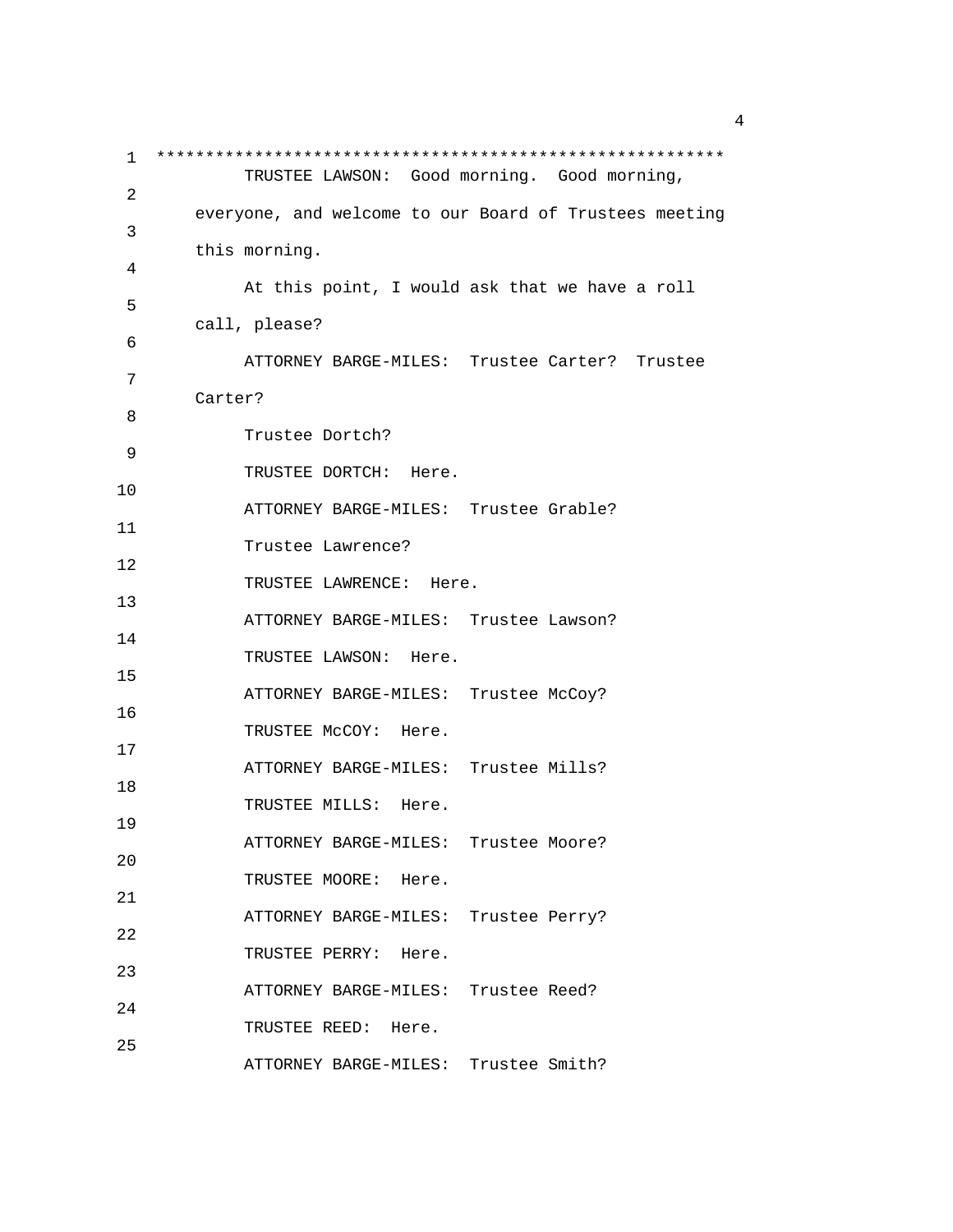1 \*\*\*\*\*\*\*\*\*\*\*\*\*\*\*\*\*\*\*\*\*\*\*\*\*\*\*\*\*\*\*\*\*\*\*\*\*\*\*\*\*\*\*\*\*\*\*\*\*\*\*\*\*\*\*\*\*\* TRUSTEE LAWSON: Good morning. Good morning, 2 everyone, and welcome to our Board of Trustees meeting 3 this morning. 4 At this point, I would ask that we have a roll 5 call, please? 6 ATTORNEY BARGE-MILES: Trustee Carter? Trustee 7 Carter? 8 Trustee Dortch? 9 TRUSTEE DORTCH: Here. 10 ATTORNEY BARGE-MILES: Trustee Grable? 11 Trustee Lawrence? 12 TRUSTEE LAWRENCE: Here. 13 ATTORNEY BARGE-MILES: Trustee Lawson? 14 TRUSTEE LAWSON: Here. 15 ATTORNEY BARGE-MILES: Trustee McCoy? 16 TRUSTEE McCOY: Here. 17 ATTORNEY BARGE-MILES: Trustee Mills? 18 TRUSTEE MILLS: Here. 19 ATTORNEY BARGE-MILES: Trustee Moore? 20 TRUSTEE MOORE: Here. 21 ATTORNEY BARGE-MILES: Trustee Perry? 22 TRUSTEE PERRY: Here. 23 ATTORNEY BARGE-MILES: Trustee Reed? 24 TRUSTEE REED: Here. 25 ATTORNEY BARGE-MILES: Trustee Smith?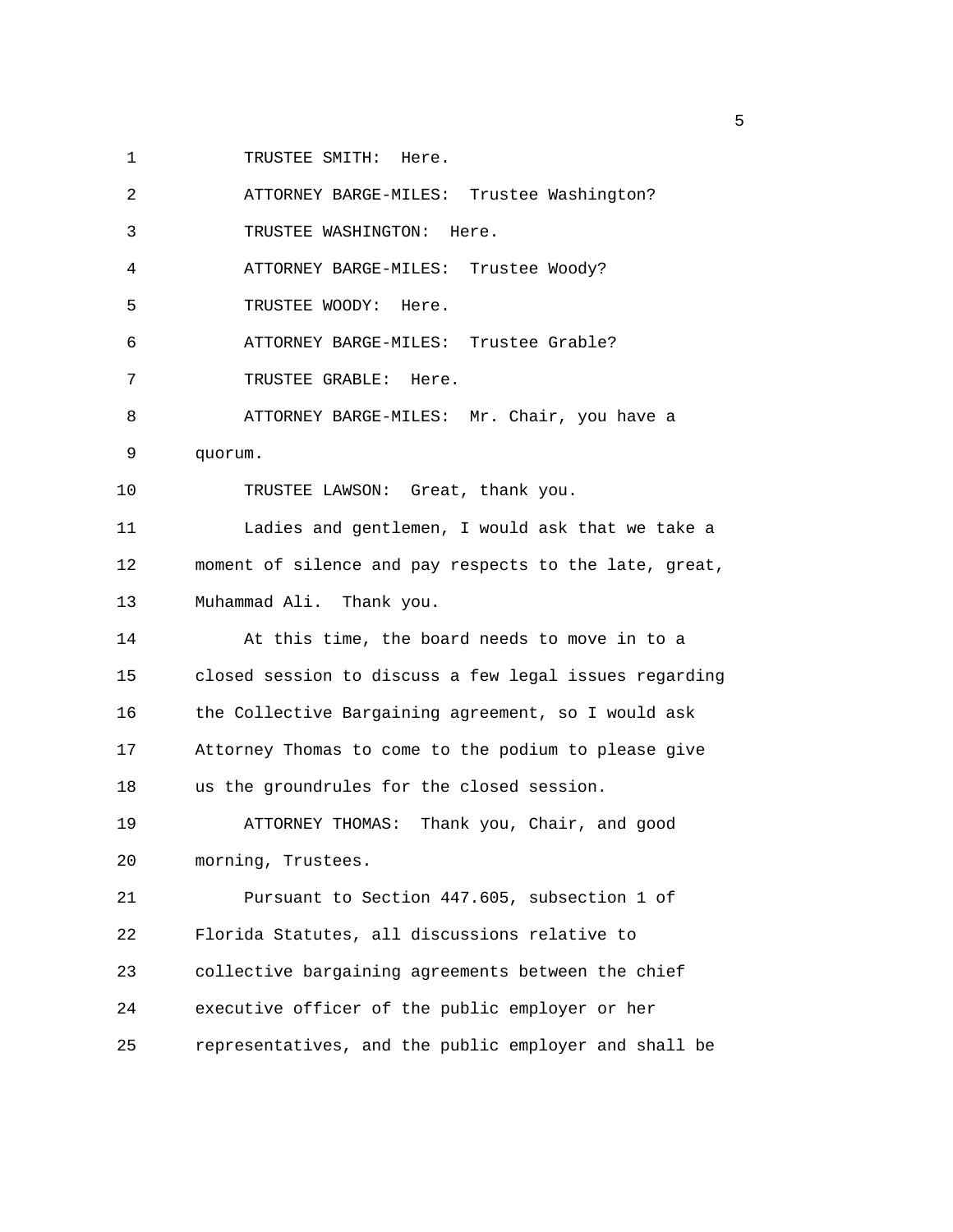1 TRUSTEE SMITH: Here.

| 2  | ATTORNEY BARGE-MILES: Trustee Washington?              |
|----|--------------------------------------------------------|
| 3  | TRUSTEE WASHINGTON: Here.                              |
| 4  | ATTORNEY BARGE-MILES: Trustee Woody?                   |
| 5  | TRUSTEE WOODY: Here.                                   |
| 6  | ATTORNEY BARGE-MILES: Trustee Grable?                  |
| 7  | TRUSTEE GRABLE: Here.                                  |
| 8  | ATTORNEY BARGE-MILES: Mr. Chair, you have a            |
| 9  | quorum.                                                |
| 10 | TRUSTEE LAWSON: Great, thank you.                      |
| 11 | Ladies and gentlemen, I would ask that we take a       |
| 12 | moment of silence and pay respects to the late, great, |
| 13 | Muhammad Ali. Thank you.                               |
| 14 | At this time, the board needs to move in to a          |
| 15 | closed session to discuss a few legal issues regarding |
| 16 | the Collective Bargaining agreement, so I would ask    |
| 17 | Attorney Thomas to come to the podium to please give   |
| 18 | us the groundrules for the closed session.             |
| 19 | Thank you, Chair, and good<br>ATTORNEY THOMAS:         |
| 20 | morning, Trustees.                                     |
| 21 | Pursuant to Section 447.605, subsection 1 of           |
| 22 | Florida Statutes, all discussions relative to          |
| 23 | collective bargaining agreements between the chief     |
| 24 | executive officer of the public employer or her        |
| 25 | representatives, and the public employer and shall be  |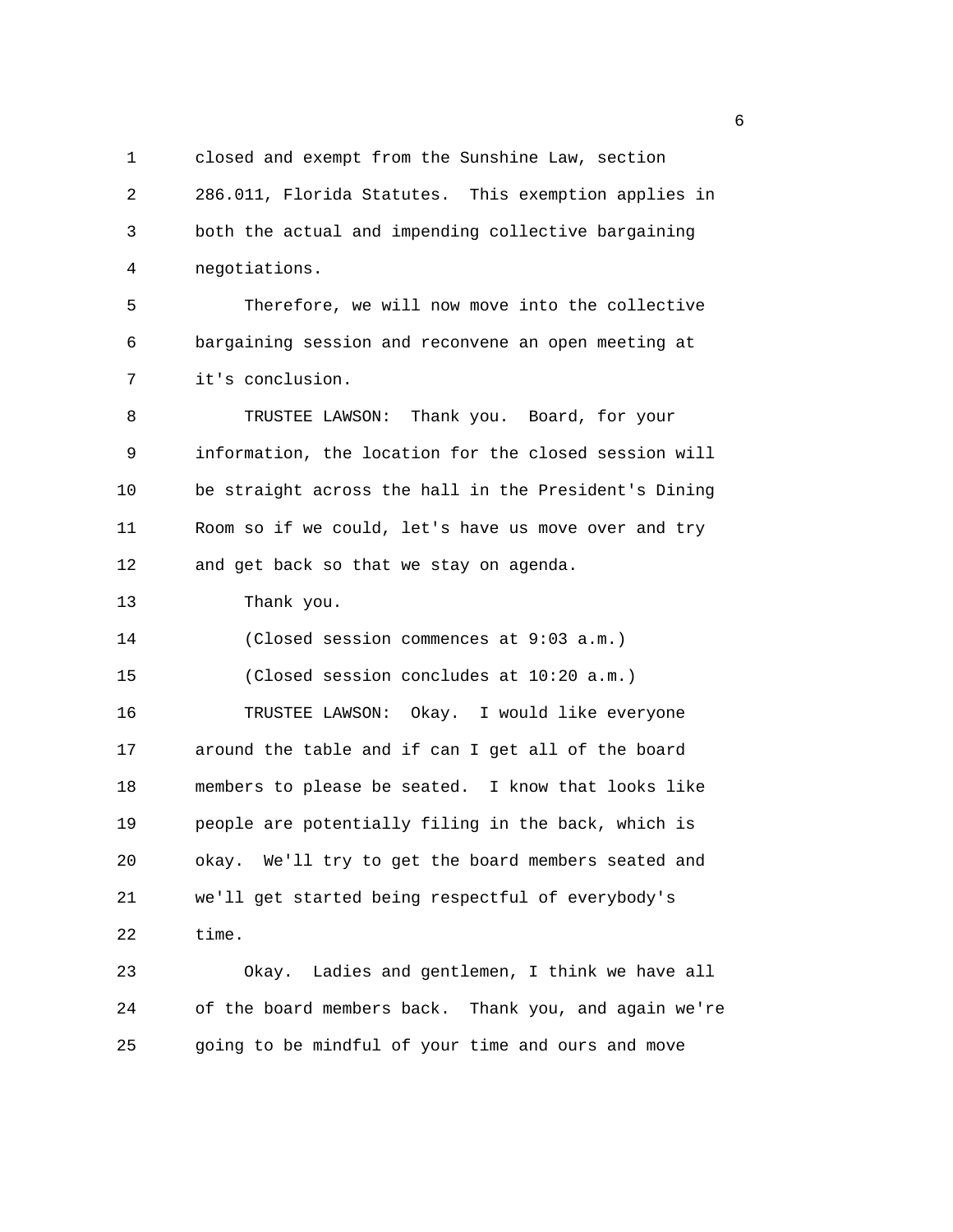1 closed and exempt from the Sunshine Law, section 2 286.011, Florida Statutes. This exemption applies in 3 both the actual and impending collective bargaining 4 negotiations.

5 Therefore, we will now move into the collective 6 bargaining session and reconvene an open meeting at 7 it's conclusion.

8 TRUSTEE LAWSON: Thank you. Board, for your 9 information, the location for the closed session will 10 be straight across the hall in the President's Dining 11 Room so if we could, let's have us move over and try 12 and get back so that we stay on agenda.

13 Thank you.

14 (Closed session commences at 9:03 a.m.)

15 (Closed session concludes at 10:20 a.m.)

16 TRUSTEE LAWSON: Okay. I would like everyone 17 around the table and if can I get all of the board 18 members to please be seated. I know that looks like 19 people are potentially filing in the back, which is 20 okay. We'll try to get the board members seated and 21 we'll get started being respectful of everybody's 22 time.

23 Okay. Ladies and gentlemen, I think we have all 24 of the board members back. Thank you, and again we're 25 going to be mindful of your time and ours and move

en de la construction de la construction de la construction de la construction de la construction de la constr<br>La construction de la construction de la construction de la construction de la construction de la construction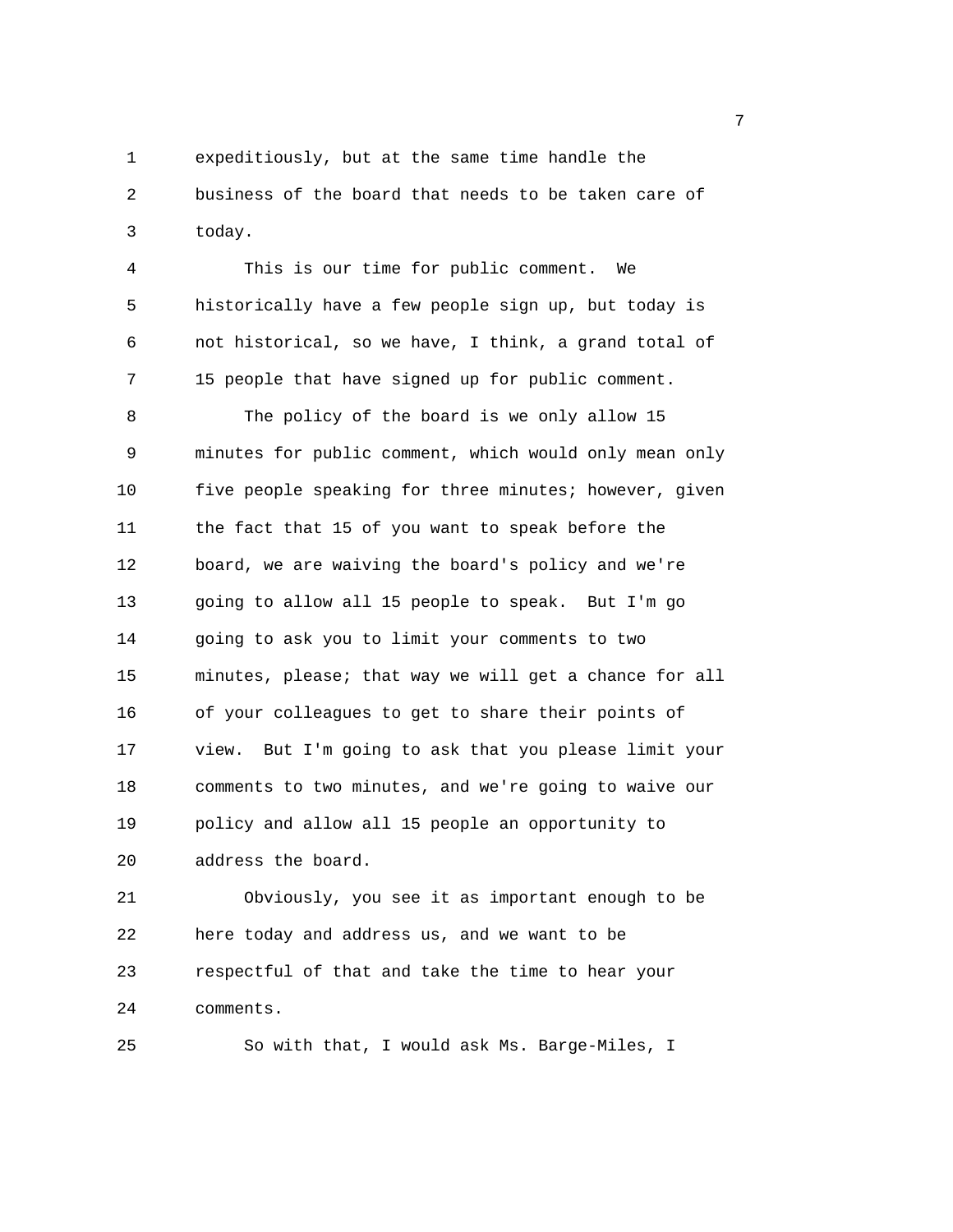1 expeditiously, but at the same time handle the 2 business of the board that needs to be taken care of 3 today.

4 This is our time for public comment. We 5 historically have a few people sign up, but today is 6 not historical, so we have, I think, a grand total of 7 15 people that have signed up for public comment.

8 The policy of the board is we only allow 15 9 minutes for public comment, which would only mean only 10 five people speaking for three minutes; however, given 11 the fact that 15 of you want to speak before the 12 board, we are waiving the board's policy and we're 13 going to allow all 15 people to speak. But I'm go 14 going to ask you to limit your comments to two 15 minutes, please; that way we will get a chance for all 16 of your colleagues to get to share their points of 17 view. But I'm going to ask that you please limit your 18 comments to two minutes, and we're going to waive our 19 policy and allow all 15 people an opportunity to 20 address the board.

21 Obviously, you see it as important enough to be 22 here today and address us, and we want to be 23 respectful of that and take the time to hear your 24 comments.

25 So with that, I would ask Ms. Barge-Miles, I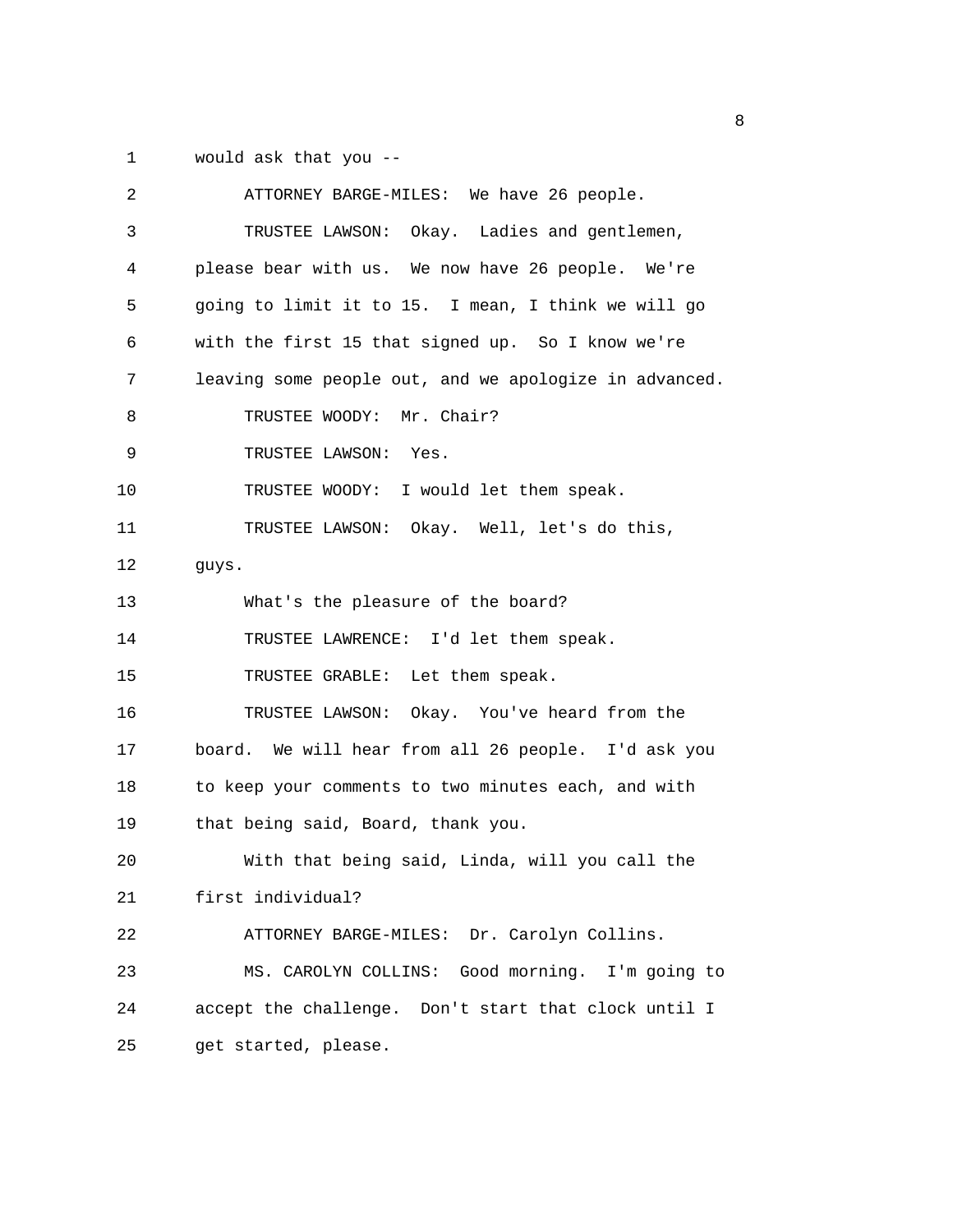1 would ask that you --

| 2  | ATTORNEY BARGE-MILES: We have 26 people.               |
|----|--------------------------------------------------------|
| 3  | TRUSTEE LAWSON: Okay. Ladies and gentlemen,            |
| 4  | please bear with us. We now have 26 people. We're      |
| 5  | going to limit it to 15. I mean, I think we will go    |
| 6  | with the first 15 that signed up. So I know we're      |
| 7  | leaving some people out, and we apologize in advanced. |
| 8  | TRUSTEE WOODY: Mr. Chair?                              |
| 9  | TRUSTEE LAWSON: Yes.                                   |
| 10 | TRUSTEE WOODY: I would let them speak.                 |
| 11 | TRUSTEE LAWSON: Okay. Well, let's do this,             |
| 12 | guys.                                                  |
| 13 | What's the pleasure of the board?                      |
| 14 | TRUSTEE LAWRENCE: I'd let them speak.                  |
| 15 | TRUSTEE GRABLE: Let them speak.                        |
| 16 | TRUSTEE LAWSON: Okay. You've heard from the            |
| 17 | board. We will hear from all 26 people. I'd ask you    |
| 18 | to keep your comments to two minutes each, and with    |
| 19 | that being said, Board, thank you.                     |
| 20 | With that being said, Linda, will you call the         |
| 21 | first individual?                                      |
| 22 | ATTORNEY BARGE-MILES: Dr. Carolyn Collins.             |
| 23 | MS. CAROLYN COLLINS: Good morning. I'm going to        |
| 24 | accept the challenge. Don't start that clock until I   |
| 25 | get started, please.                                   |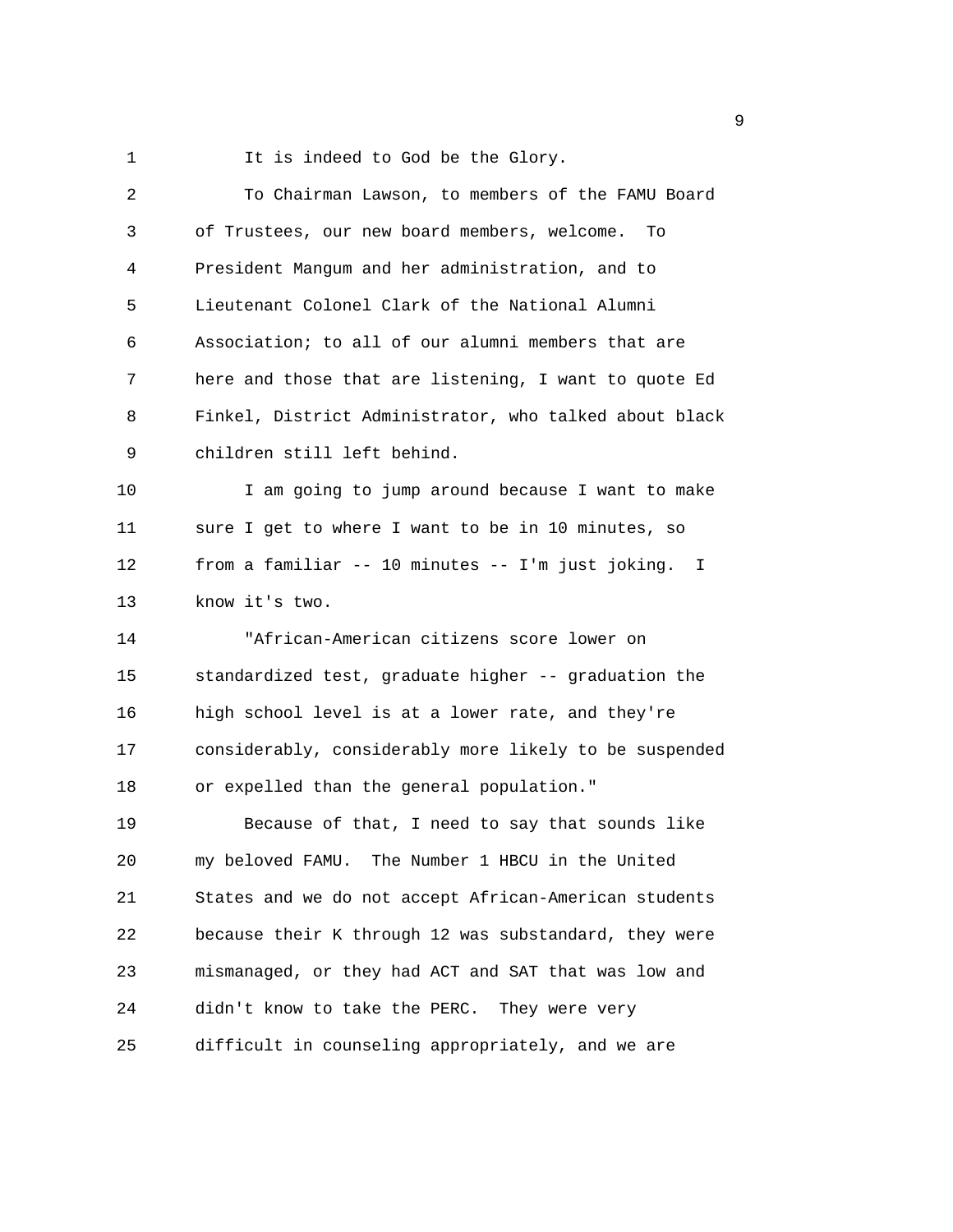1 It is indeed to God be the Glory.

| 2  | To Chairman Lawson, to members of the FAMU Board       |
|----|--------------------------------------------------------|
| 3  | of Trustees, our new board members, welcome.<br>To     |
| 4  | President Mangum and her administration, and to        |
| 5  | Lieutenant Colonel Clark of the National Alumni        |
| 6  | Association; to all of our alumni members that are     |
| 7  | here and those that are listening, I want to quote Ed  |
| 8  | Finkel, District Administrator, who talked about black |
| 9  | children still left behind.                            |
| 10 | I am going to jump around because I want to make       |
| 11 | sure I get to where I want to be in 10 minutes, so     |
| 12 | from a familiar -- 10 minutes -- I'm just joking. I    |
| 13 | know it's two.                                         |
| 14 | "African-American citizens score lower on              |
| 15 | standardized test, graduate higher -- graduation the   |
| 16 | high school level is at a lower rate, and they're      |
| 17 | considerably, considerably more likely to be suspended |
| 18 | or expelled than the general population."              |
| 19 | Because of that, I need to say that sounds like        |
| 20 | my beloved FAMU. The Number 1 HBCU in the United       |
| 21 | States and we do not accept African-American students  |
| 22 | because their K through 12 was substandard, they were  |
|    |                                                        |
| 23 | mismanaged, or they had ACT and SAT that was low and   |
| 24 | didn't know to take the PERC. They were very           |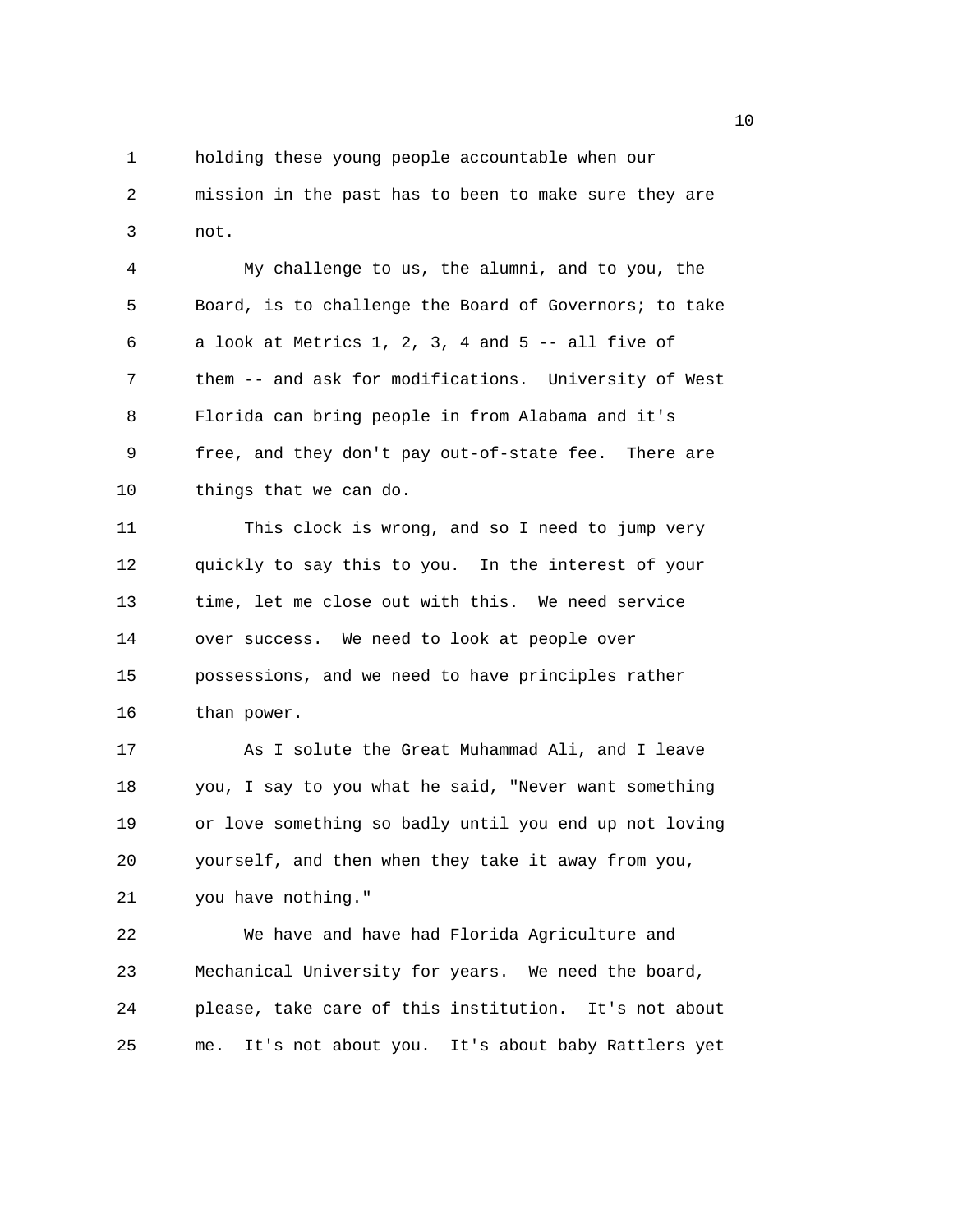1 holding these young people accountable when our 2 mission in the past has to been to make sure they are 3 not.

4 My challenge to us, the alumni, and to you, the 5 Board, is to challenge the Board of Governors; to take 6 a look at Metrics 1, 2, 3, 4 and 5 -- all five of 7 them -- and ask for modifications. University of West 8 Florida can bring people in from Alabama and it's 9 free, and they don't pay out-of-state fee. There are 10 things that we can do.

11 This clock is wrong, and so I need to jump very 12 quickly to say this to you. In the interest of your 13 time, let me close out with this. We need service 14 over success. We need to look at people over 15 possessions, and we need to have principles rather 16 than power.

17 As I solute the Great Muhammad Ali, and I leave 18 you, I say to you what he said, "Never want something 19 or love something so badly until you end up not loving 20 yourself, and then when they take it away from you, 21 you have nothing."

22 We have and have had Florida Agriculture and 23 Mechanical University for years. We need the board, 24 please, take care of this institution. It's not about 25 me. It's not about you. It's about baby Rattlers yet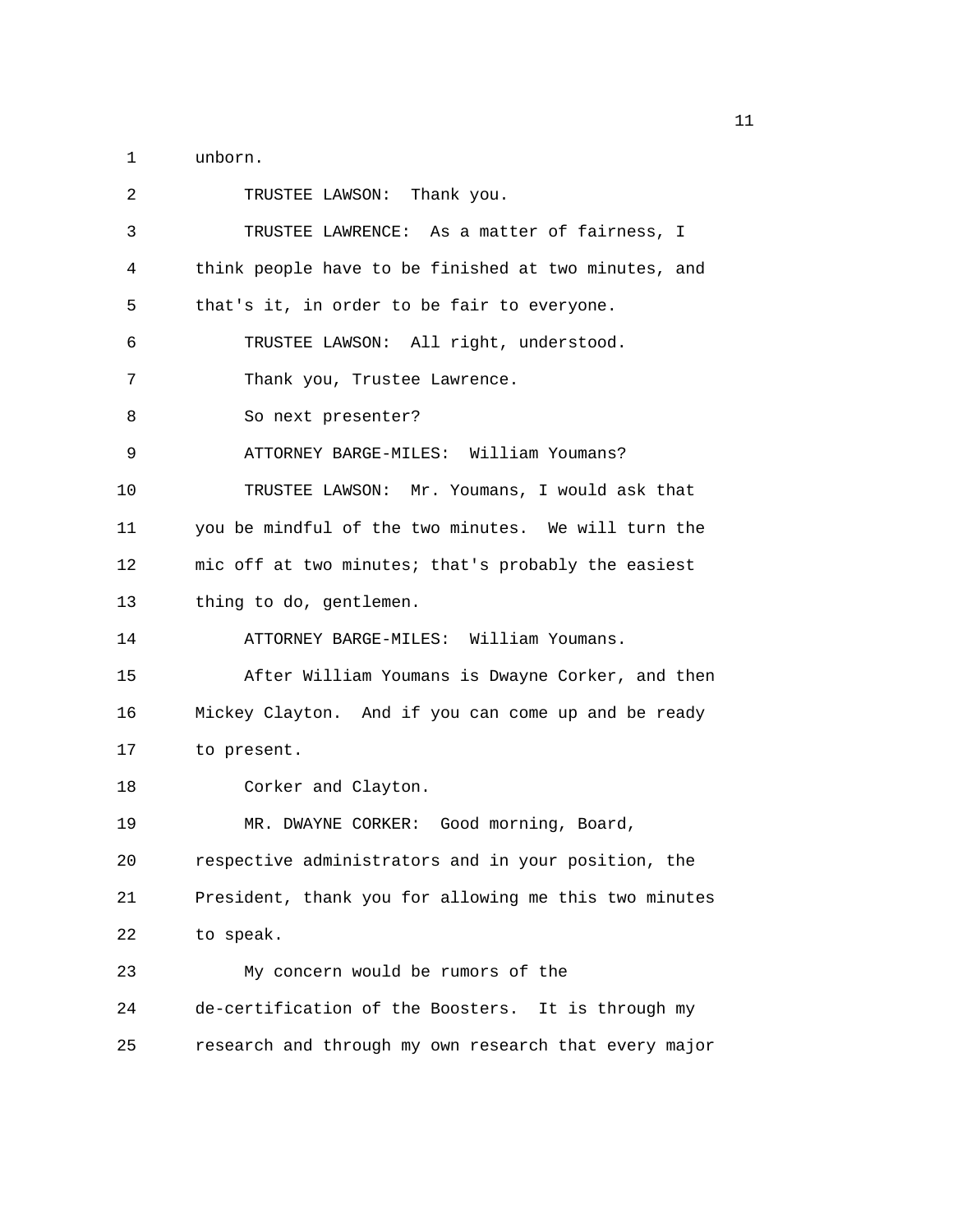1 unborn.

| 2  | TRUSTEE LAWSON: Thank you.                            |
|----|-------------------------------------------------------|
| 3  | TRUSTEE LAWRENCE: As a matter of fairness, I          |
| 4  | think people have to be finished at two minutes, and  |
| 5  | that's it, in order to be fair to everyone.           |
| 6  | TRUSTEE LAWSON: All right, understood.                |
| 7  | Thank you, Trustee Lawrence.                          |
| 8  | So next presenter?                                    |
| 9  | ATTORNEY BARGE-MILES: William Youmans?                |
| 10 | TRUSTEE LAWSON: Mr. Youmans, I would ask that         |
| 11 | you be mindful of the two minutes. We will turn the   |
| 12 | mic off at two minutes; that's probably the easiest   |
| 13 | thing to do, gentlemen.                               |
| 14 | ATTORNEY BARGE-MILES: William Youmans.                |
| 15 | After William Youmans is Dwayne Corker, and then      |
| 16 | Mickey Clayton. And if you can come up and be ready   |
| 17 | to present.                                           |
| 18 | Corker and Clayton.                                   |
| 19 | MR. DWAYNE CORKER: Good morning, Board,               |
| 20 | respective administrators and in your position, the   |
| 21 | President, thank you for allowing me this two minutes |
| 22 | to speak.                                             |
| 23 | My concern would be rumors of the                     |
| 24 | de-certification of the Boosters. It is through my    |
| 25 | research and through my own research that every major |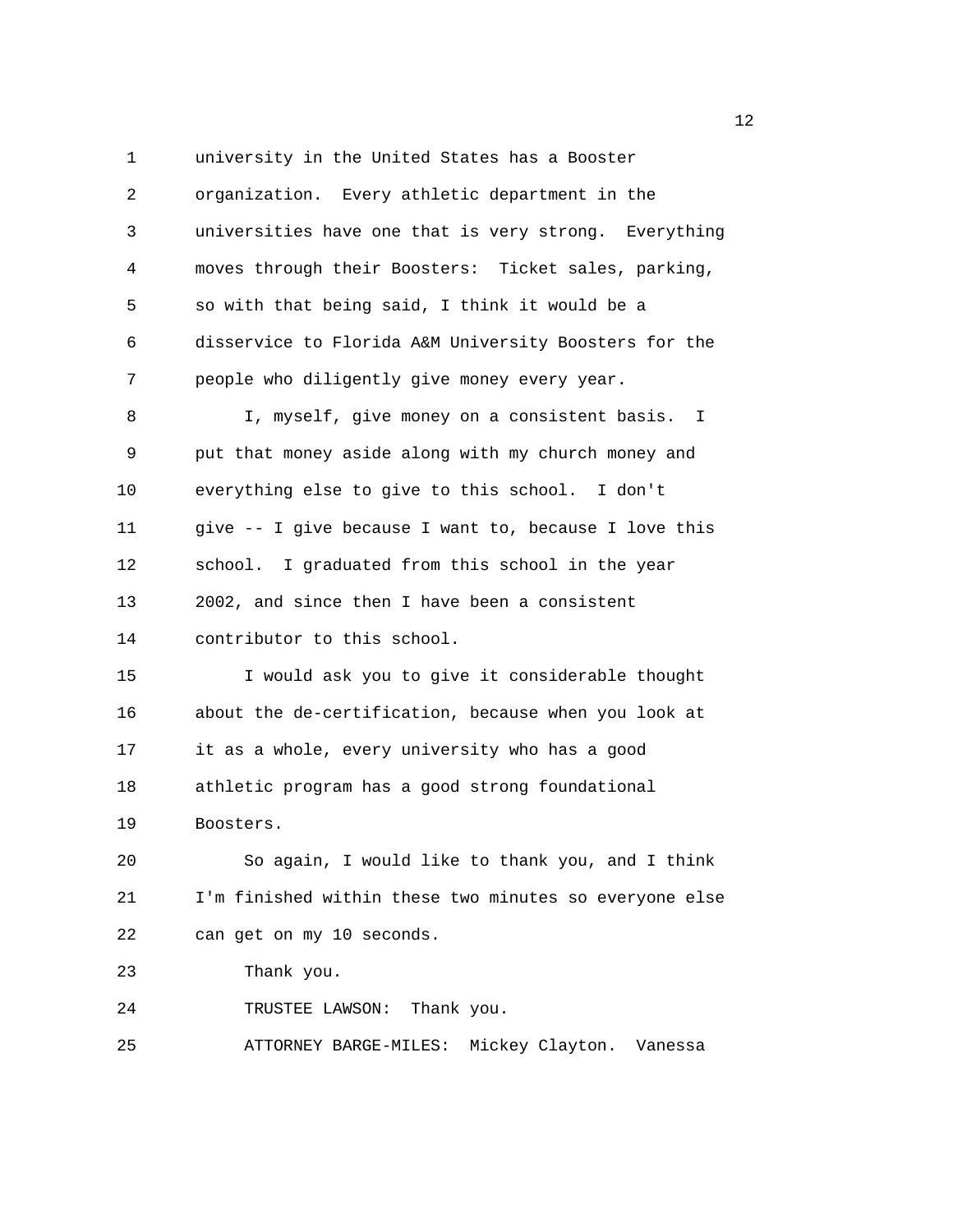1 university in the United States has a Booster 2 organization. Every athletic department in the 3 universities have one that is very strong. Everything 4 moves through their Boosters: Ticket sales, parking, 5 so with that being said, I think it would be a 6 disservice to Florida A&M University Boosters for the 7 people who diligently give money every year. 8 I, myself, give money on a consistent basis. I 9 put that money aside along with my church money and 10 everything else to give to this school. I don't 11 give -- I give because I want to, because I love this 12 school. I graduated from this school in the year 13 2002, and since then I have been a consistent 14 contributor to this school. 15 I would ask you to give it considerable thought 16 about the de-certification, because when you look at 17 it as a whole, every university who has a good 18 athletic program has a good strong foundational 19 Boosters. 20 So again, I would like to thank you, and I think 21 I'm finished within these two minutes so everyone else 22 can get on my 10 seconds. 23 Thank you. 24 TRUSTEE LAWSON: Thank you. 25 ATTORNEY BARGE-MILES: Mickey Clayton. Vanessa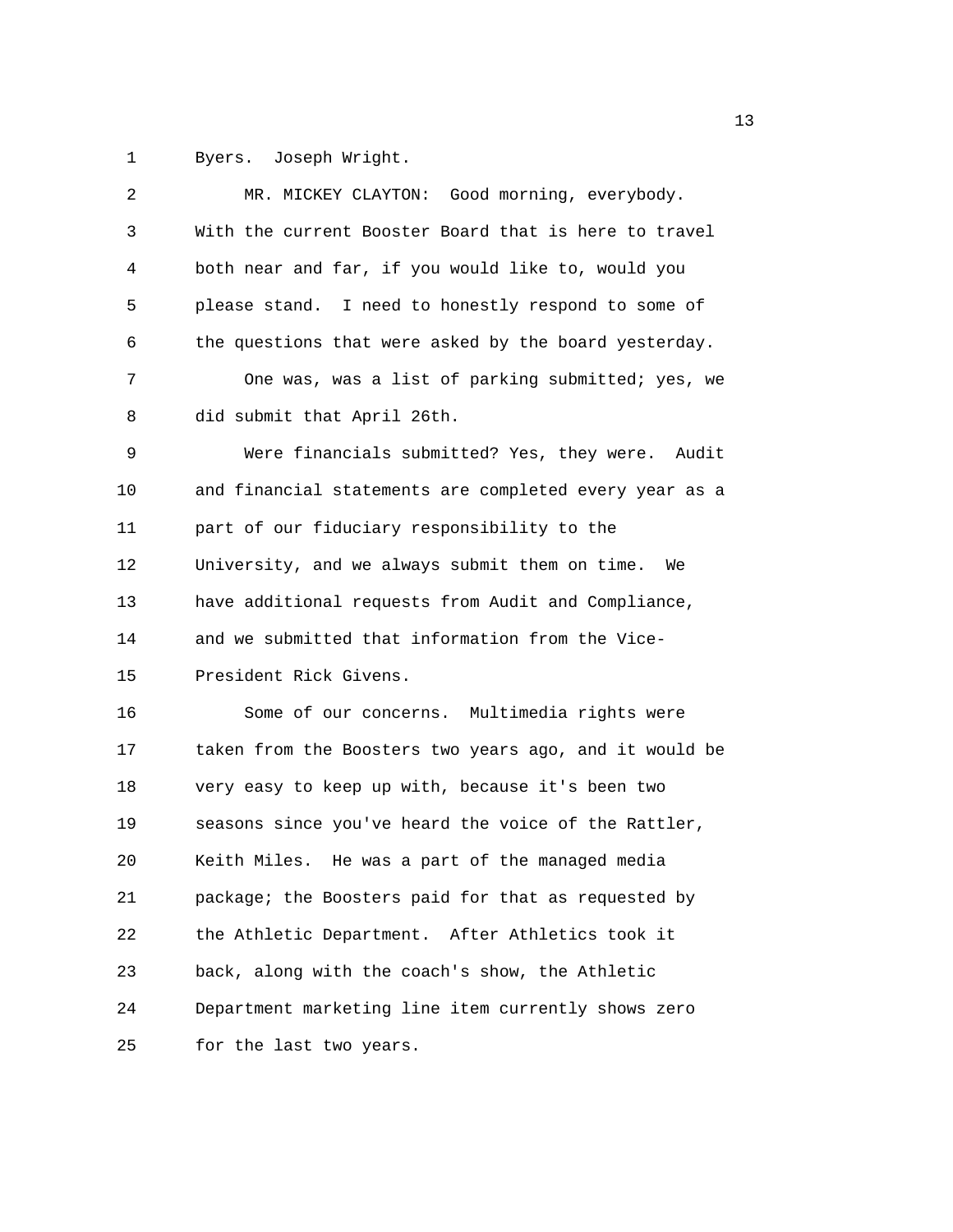1 Byers. Joseph Wright.

| 2  | MR. MICKEY CLAYTON: Good morning, everybody.           |
|----|--------------------------------------------------------|
| 3  | With the current Booster Board that is here to travel  |
| 4  | both near and far, if you would like to, would you     |
| 5  | please stand. I need to honestly respond to some of    |
| 6  | the questions that were asked by the board yesterday.  |
| 7  | One was, was a list of parking submitted; yes, we      |
| 8  | did submit that April 26th.                            |
| 9  | Were financials submitted? Yes, they were. Audit       |
| 10 | and financial statements are completed every year as a |
| 11 | part of our fiduciary responsibility to the            |
| 12 | University, and we always submit them on time. We      |
| 13 | have additional requests from Audit and Compliance,    |
| 14 | and we submitted that information from the Vice-       |
| 15 | President Rick Givens.                                 |
| 16 | Some of our concerns. Multimedia rights were           |
| 17 | taken from the Boosters two years ago, and it would be |
| 18 | very easy to keep up with, because it's been two       |
| 19 | seasons since you've heard the voice of the Rattler,   |
| 20 | Keith Miles. He was a part of the managed media        |
| 21 | package; the Boosters paid for that as requested by    |
| 22 | the Athletic Department. After Athletics took it       |
| 23 | back, along with the coach's show, the Athletic        |
| 24 | Department marketing line item currently shows zero    |
| 25 | for the last two years.                                |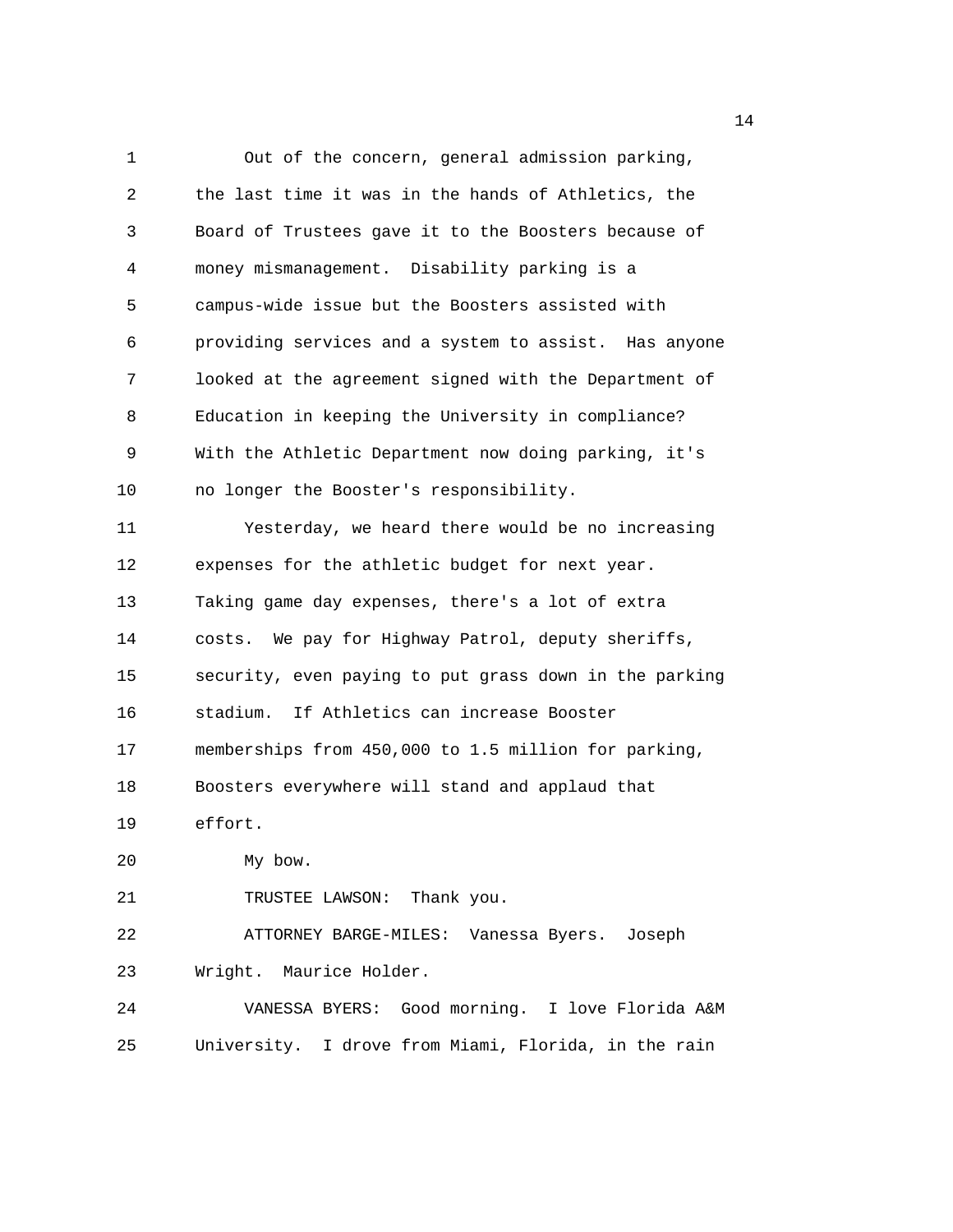1 Out of the concern, general admission parking, 2 the last time it was in the hands of Athletics, the 3 Board of Trustees gave it to the Boosters because of 4 money mismanagement. Disability parking is a 5 campus-wide issue but the Boosters assisted with 6 providing services and a system to assist. Has anyone 7 looked at the agreement signed with the Department of 8 Education in keeping the University in compliance? 9 With the Athletic Department now doing parking, it's 10 no longer the Booster's responsibility. 11 Yesterday, we heard there would be no increasing 12 expenses for the athletic budget for next year. 13 Taking game day expenses, there's a lot of extra 14 costs. We pay for Highway Patrol, deputy sheriffs, 15 security, even paying to put grass down in the parking 16 stadium. If Athletics can increase Booster 17 memberships from 450,000 to 1.5 million for parking, 18 Boosters everywhere will stand and applaud that 19 effort. 20 My bow. 21 TRUSTEE LAWSON: Thank you. 22 ATTORNEY BARGE-MILES: Vanessa Byers. Joseph 23 Wright. Maurice Holder. 24 VANESSA BYERS: Good morning. I love Florida A&M 25 University. I drove from Miami, Florida, in the rain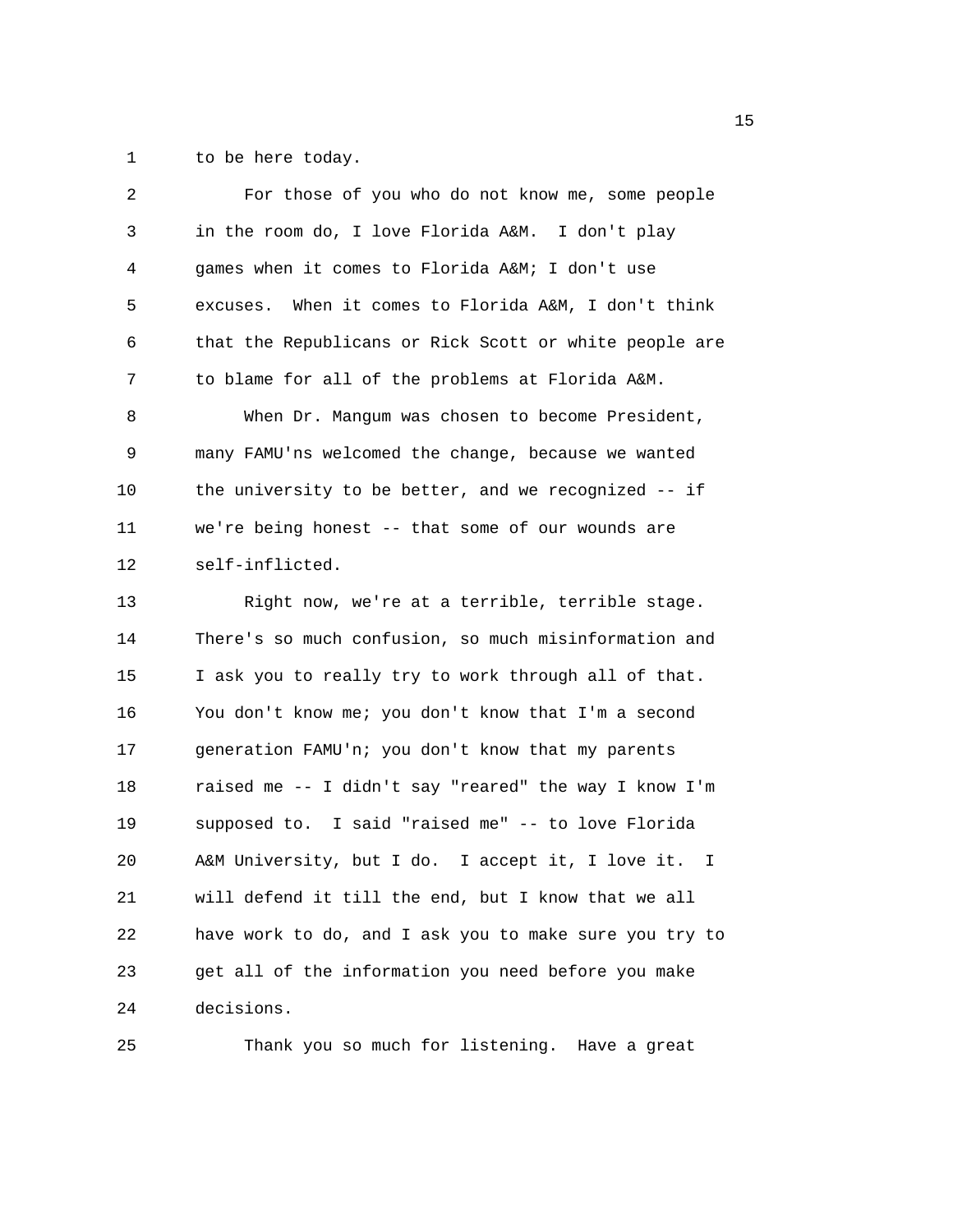1 to be here today.

| 2  | For those of you who do not know me, some people       |
|----|--------------------------------------------------------|
| 3  | in the room do, I love Florida A&M. I don't play       |
| 4  | games when it comes to Florida A&M I don't use         |
| 5  | excuses. When it comes to Florida A&M, I don't think   |
| 6  | that the Republicans or Rick Scott or white people are |
| 7  | to blame for all of the problems at Florida A&M.       |
| 8  | When Dr. Mangum was chosen to become President,        |
| 9  | many FAMU'ns welcomed the change, because we wanted    |
| 10 | the university to be better, and we recognized -- if   |
| 11 | we're being honest -- that some of our wounds are      |
| 12 | self-inflicted.                                        |
| 13 | Right now, we're at a terrible, terrible stage.        |
| 14 | There's so much confusion, so much misinformation and  |
| 15 | I ask you to really try to work through all of that.   |
| 16 | You don't know me; you don't know that I'm a second    |
| 17 | generation FAMU'n; you don't know that my parents      |
| 18 | raised me -- I didn't say "reared" the way I know I'm  |
| 19 | supposed to. I said "raised me" -- to love Florida     |
| 20 | A&M University, but I do. I accept it, I love it. I    |
| 21 | will defend it till the end, but I know that we all    |
| 22 | have work to do, and I ask you to make sure you try to |
| 23 | get all of the information you need before you make    |
| 24 | decisions.                                             |
|    |                                                        |

25 Thank you so much for listening. Have a great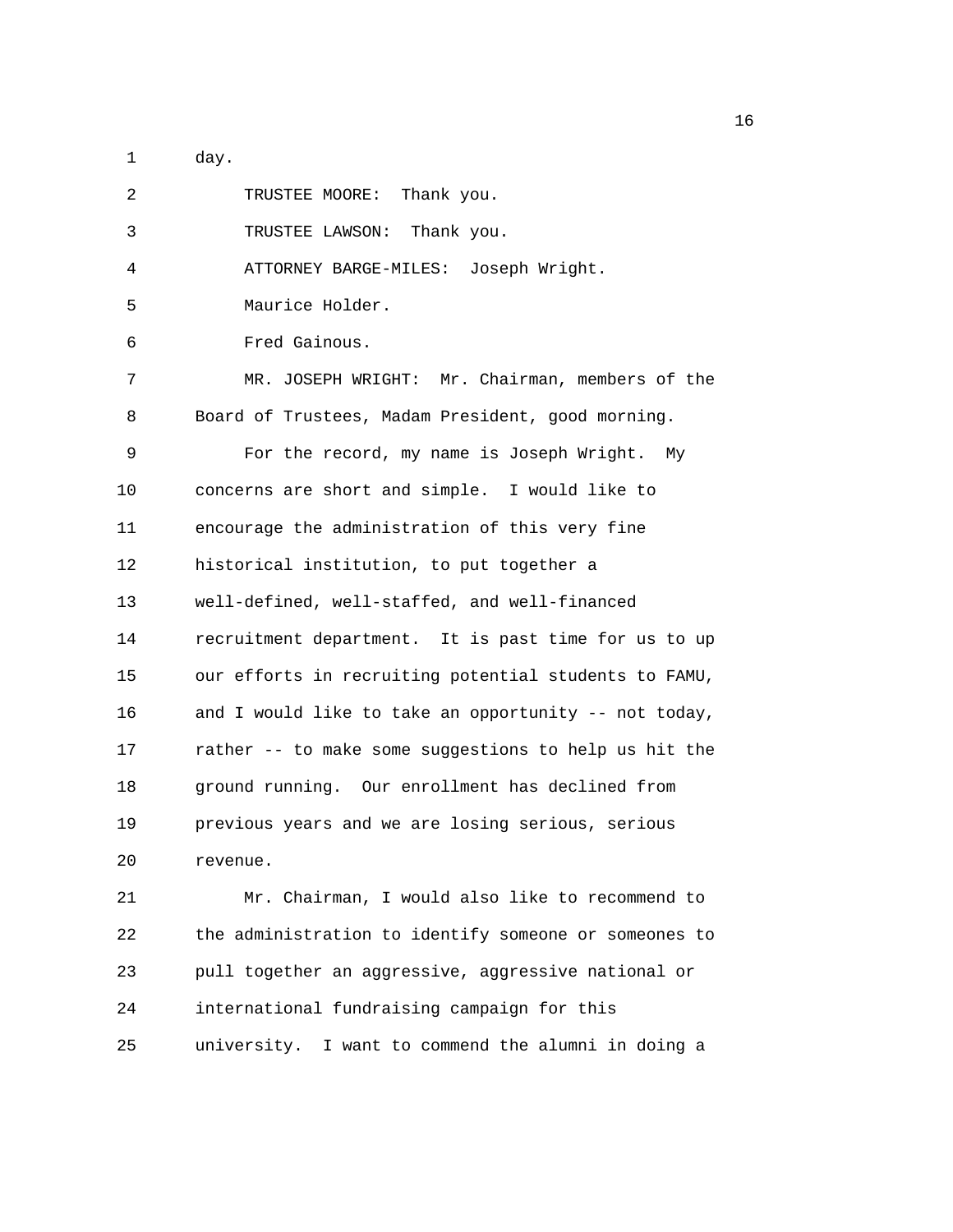1 day.

| 2  | TRUSTEE MOORE: Thank you.                             |
|----|-------------------------------------------------------|
| 3  | TRUSTEE LAWSON: Thank you.                            |
| 4  | ATTORNEY BARGE-MILES: Joseph Wright.                  |
| 5  | Maurice Holder.                                       |
| 6  | Fred Gainous.                                         |
| 7  | MR. JOSEPH WRIGHT: Mr. Chairman, members of the       |
| 8  | Board of Trustees, Madam President, good morning.     |
| 9  | For the record, my name is Joseph Wright. My          |
| 10 | concerns are short and simple. I would like to        |
| 11 | encourage the administration of this very fine        |
| 12 | historical institution, to put together a             |
| 13 | well-defined, well-staffed, and well-financed         |
| 14 | recruitment department. It is past time for us to up  |
| 15 | our efforts in recruiting potential students to FAMU, |
| 16 | and I would like to take an opportunity -- not today, |
| 17 | rather -- to make some suggestions to help us hit the |
| 18 | ground running. Our enrollment has declined from      |
| 19 | previous years and we are losing serious, serious     |
| 20 | revenue.                                              |
| 21 | Mr. Chairman, I would also like to recommend to       |
| 22 | the administration to identify someone or someones to |
| 23 | pull together an aggressive, aggressive national or   |
| 24 | international fundraising campaign for this           |
| 25 | university. I want to commend the alumni in doing a   |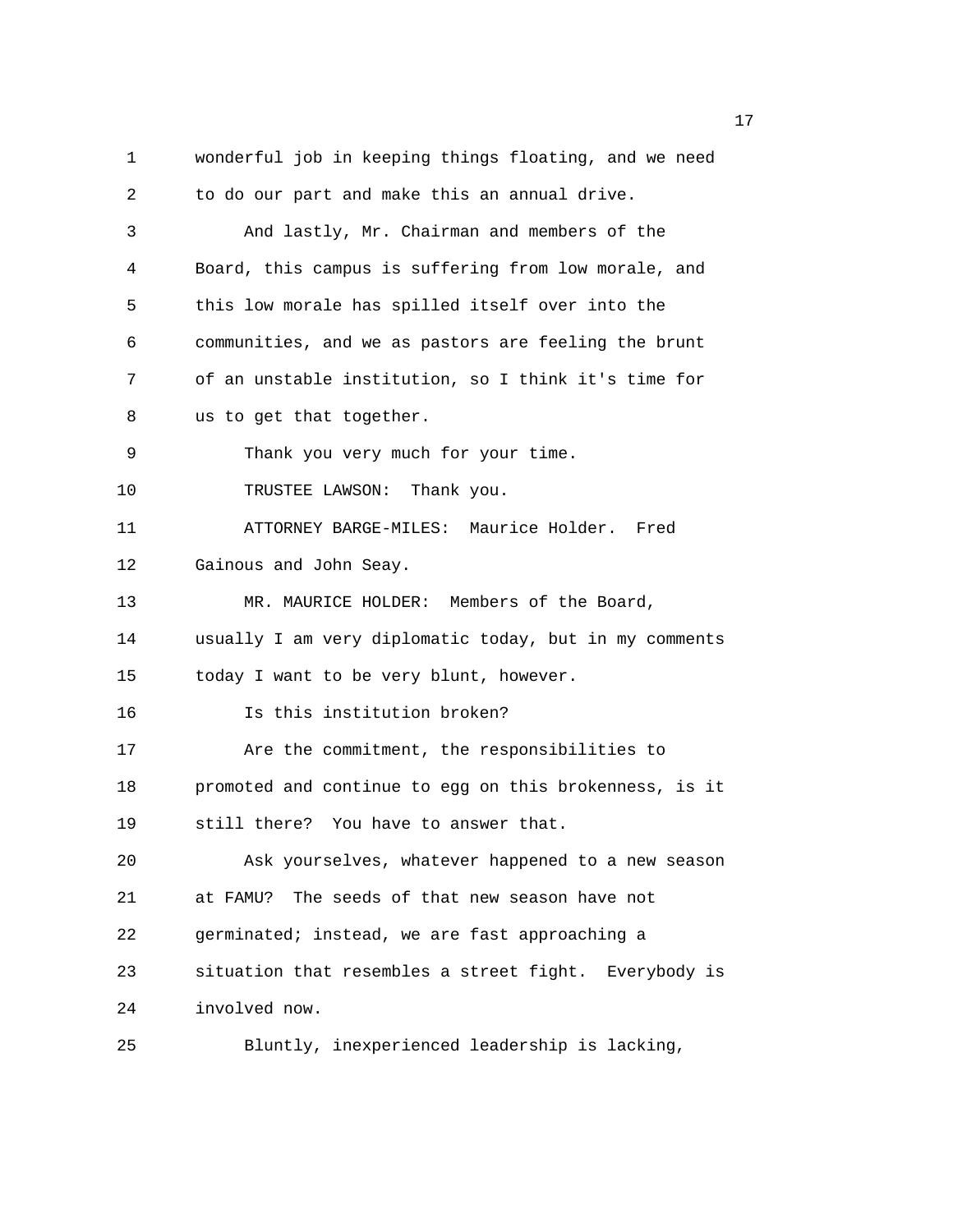1 wonderful job in keeping things floating, and we need 2 to do our part and make this an annual drive. 3 And lastly, Mr. Chairman and members of the 4 Board, this campus is suffering from low morale, and 5 this low morale has spilled itself over into the 6 communities, and we as pastors are feeling the brunt 7 of an unstable institution, so I think it's time for 8 us to get that together. 9 Thank you very much for your time. 10 TRUSTEE LAWSON: Thank you. 11 ATTORNEY BARGE-MILES: Maurice Holder. Fred 12 Gainous and John Seay. 13 MR. MAURICE HOLDER: Members of the Board, 14 usually I am very diplomatic today, but in my comments 15 today I want to be very blunt, however. 16 Is this institution broken? 17 Are the commitment, the responsibilities to 18 promoted and continue to egg on this brokenness, is it 19 still there? You have to answer that. 20 Ask yourselves, whatever happened to a new season 21 at FAMU? The seeds of that new season have not 22 germinated; instead, we are fast approaching a 23 situation that resembles a street fight. Everybody is 24 involved now. 25 Bluntly, inexperienced leadership is lacking,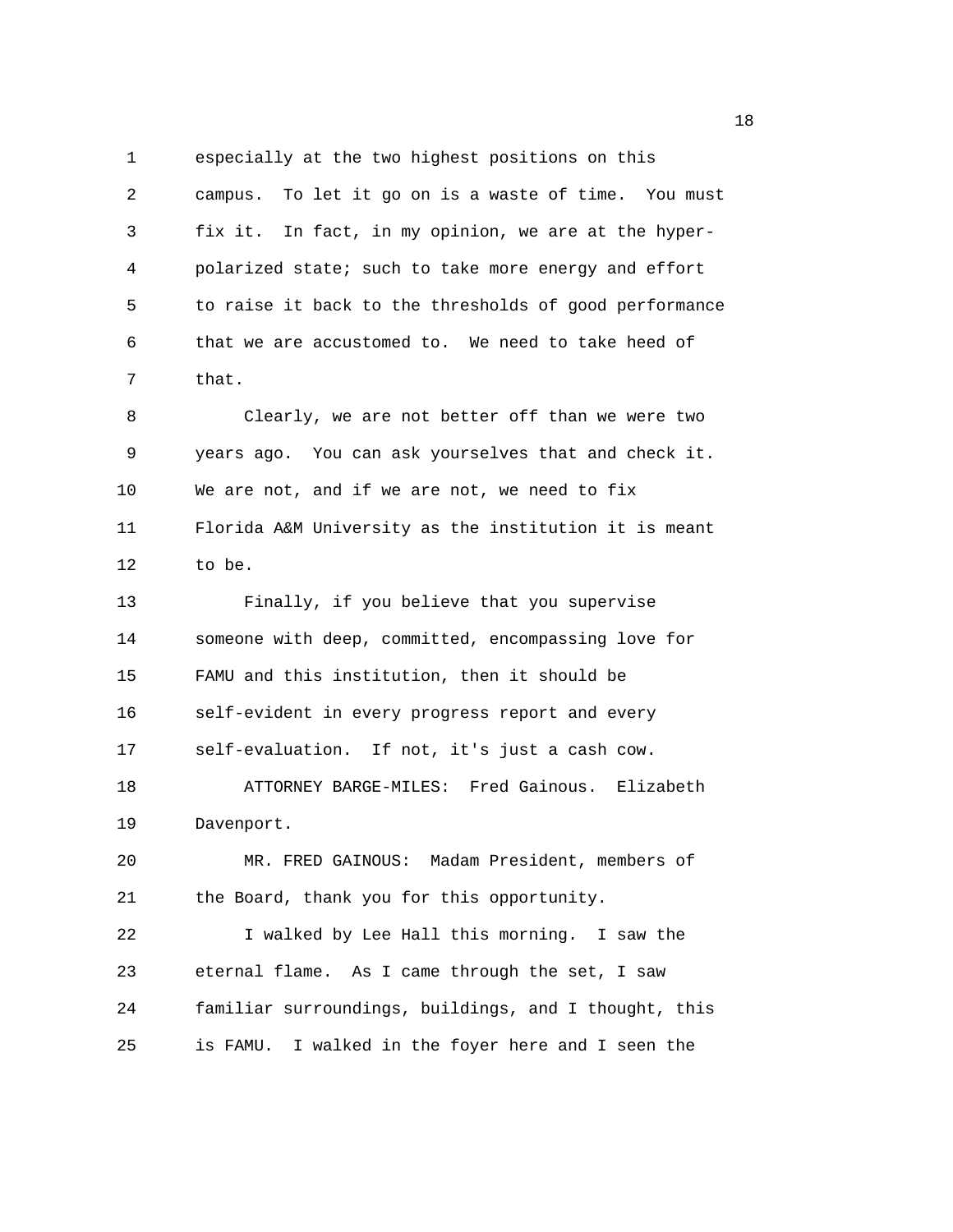1 especially at the two highest positions on this 2 campus. To let it go on is a waste of time. You must 3 fix it. In fact, in my opinion, we are at the hyper-4 polarized state; such to take more energy and effort 5 to raise it back to the thresholds of good performance 6 that we are accustomed to. We need to take heed of 7 that.

8 Clearly, we are not better off than we were two 9 years ago. You can ask yourselves that and check it. 10 We are not, and if we are not, we need to fix 11 Florida A&M University as the institution it is meant 12 to be.

13 Finally, if you believe that you supervise 14 someone with deep, committed, encompassing love for 15 FAMU and this institution, then it should be 16 self-evident in every progress report and every 17 self-evaluation. If not, it's just a cash cow. 18 ATTORNEY BARGE-MILES: Fred Gainous. Elizabeth 19 Davenport.

20 MR. FRED GAINOUS: Madam President, members of 21 the Board, thank you for this opportunity.

22 I walked by Lee Hall this morning. I saw the 23 eternal flame. As I came through the set, I saw 24 familiar surroundings, buildings, and I thought, this 25 is FAMU. I walked in the foyer here and I seen the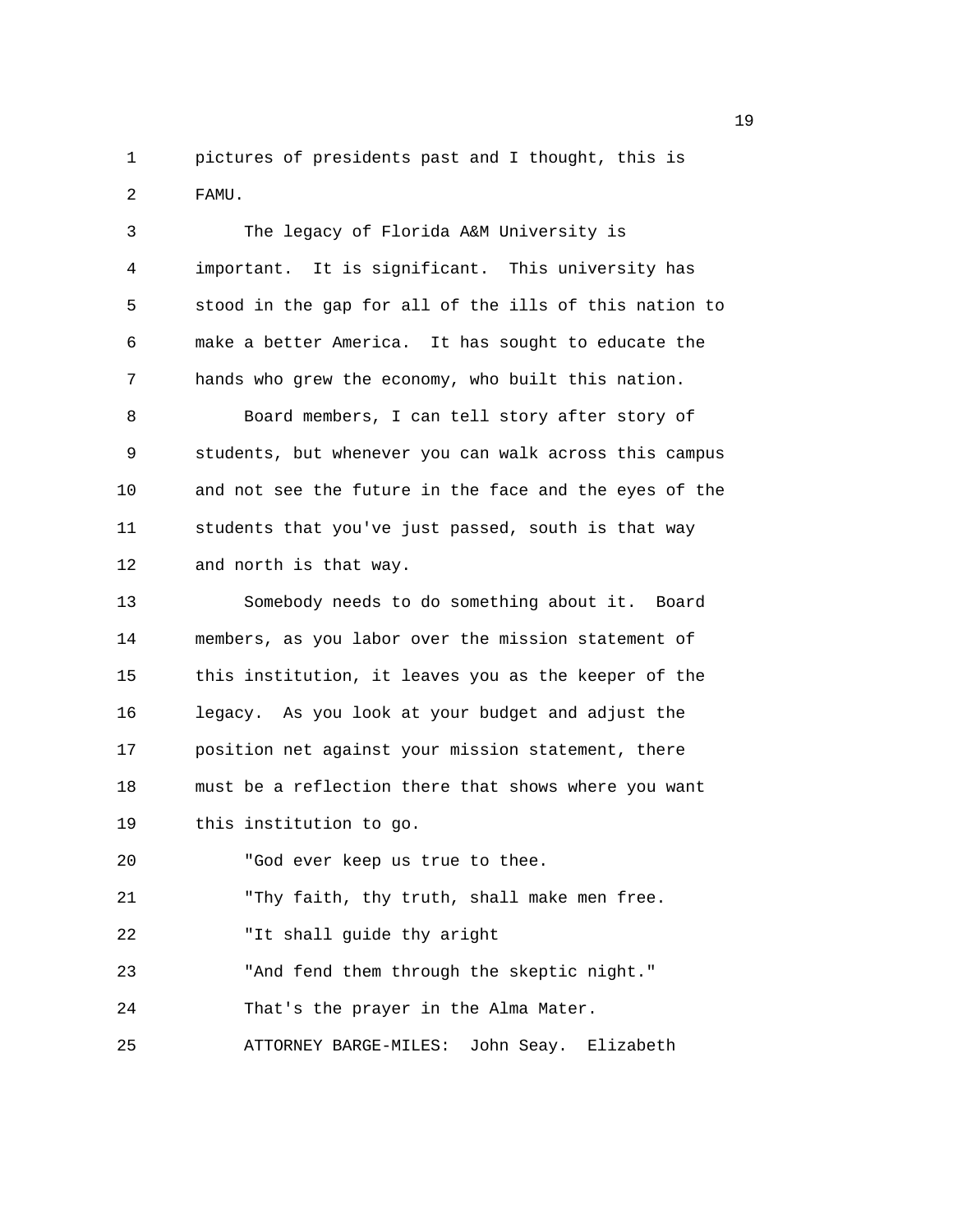1 pictures of presidents past and I thought, this is 2 FAMU.

| 3  | The legacy of Florida A&M University is                |
|----|--------------------------------------------------------|
| 4  | important. It is significant. This university has      |
| 5  | stood in the gap for all of the ills of this nation to |
| 6  | make a better America. It has sought to educate the    |
| 7  | hands who grew the economy, who built this nation.     |
| 8  | Board members, I can tell story after story of         |
| 9  | students, but whenever you can walk across this campus |
| 10 | and not see the future in the face and the eyes of the |
| 11 | students that you've just passed, south is that way    |
| 12 | and north is that way.                                 |
| 13 | Somebody needs to do something about it. Board         |
| 14 | members, as you labor over the mission statement of    |
| 15 | this institution, it leaves you as the keeper of the   |
| 16 | legacy. As you look at your budget and adjust the      |
| 17 | position net against your mission statement, there     |
| 18 | must be a reflection there that shows where you want   |
| 19 | this institution to go.                                |
| 20 | "God ever keep us true to thee.                        |
| 21 | "Thy faith, thy truth, shall make men free.            |
| 22 | "It shall guide thy aright                             |
| 23 | "And fend them through the skeptic night."             |
| 24 | That's the prayer in the Alma Mater.                   |
| 25 | ATTORNEY BARGE-MILES:<br>John Seay. Elizabeth          |
|    |                                                        |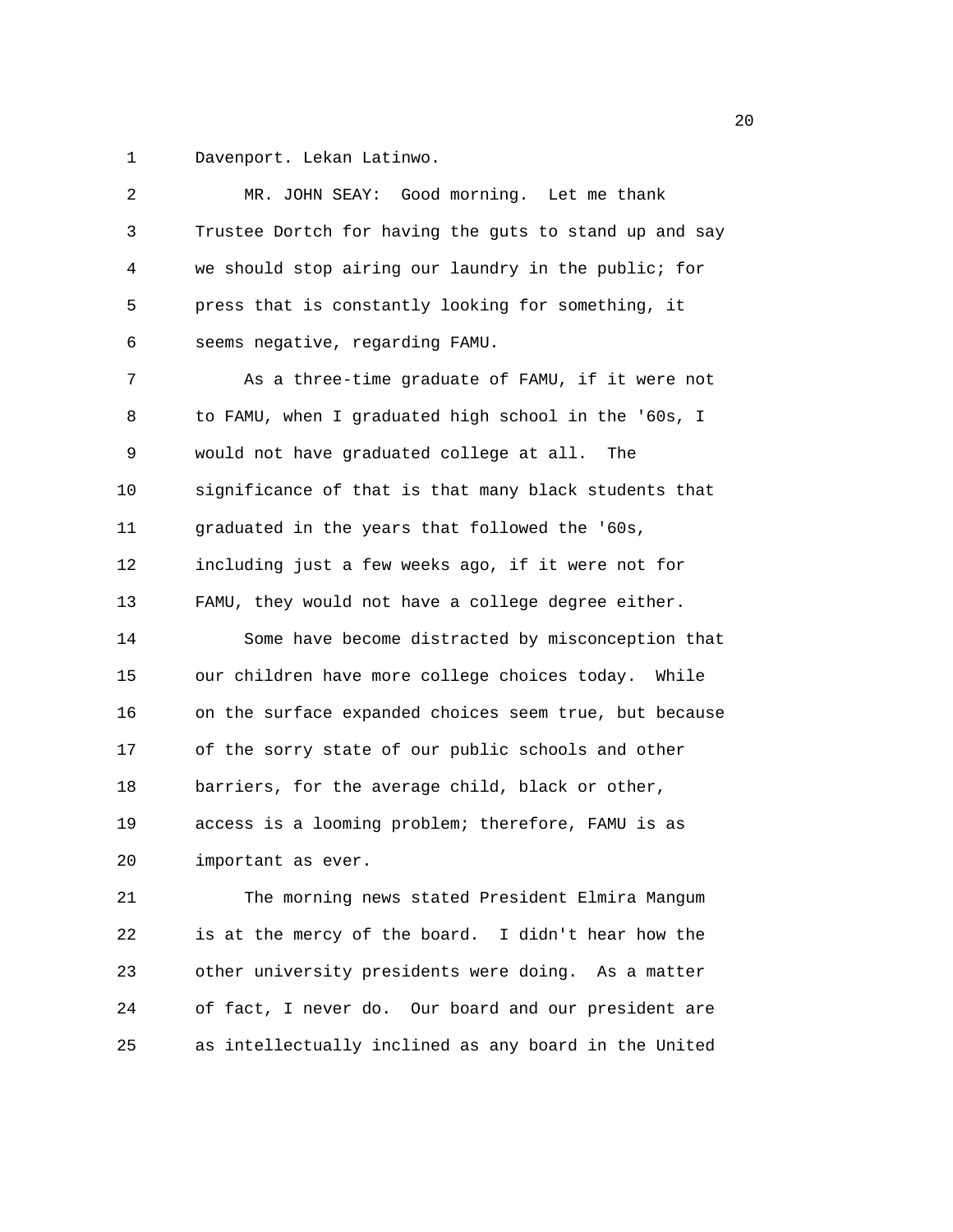1 Davenport. Lekan Latinwo.

| 2  | MR. JOHN SEAY: Good morning. Let me thank              |
|----|--------------------------------------------------------|
| 3  | Trustee Dortch for having the guts to stand up and say |
| 4  | we should stop airing our laundry in the public; for   |
| 5  | press that is constantly looking for something, it     |
| 6  | seems negative, regarding FAMU.                        |
| 7  | As a three-time graduate of FAMU, if it were not       |
| 8  | to FAMU, when I graduated high school in the '60s, I   |
| 9  | would not have graduated college at all.<br>The        |
| 10 | significance of that is that many black students that  |
| 11 | graduated in the years that followed the '60s,         |
| 12 | including just a few weeks ago, if it were not for     |
| 13 | FAMU, they would not have a college degree either.     |
| 14 | Some have become distracted by misconception that      |
| 15 | our children have more college choices today. While    |
| 16 | on the surface expanded choices seem true, but because |
| 17 | of the sorry state of our public schools and other     |
| 18 | barriers, for the average child, black or other,       |
| 19 | access is a looming problem; therefore, FAMU is as     |
| 20 | important as ever.                                     |
| 21 | The morning news stated President Elmira Mangum        |
| 22 | is at the mercy of the board. I didn't hear how the    |
| 23 | other university presidents were doing. As a matter    |
| 24 | of fact, I never do. Our board and our president are   |
| 25 | as intellectually inclined as any board in the United  |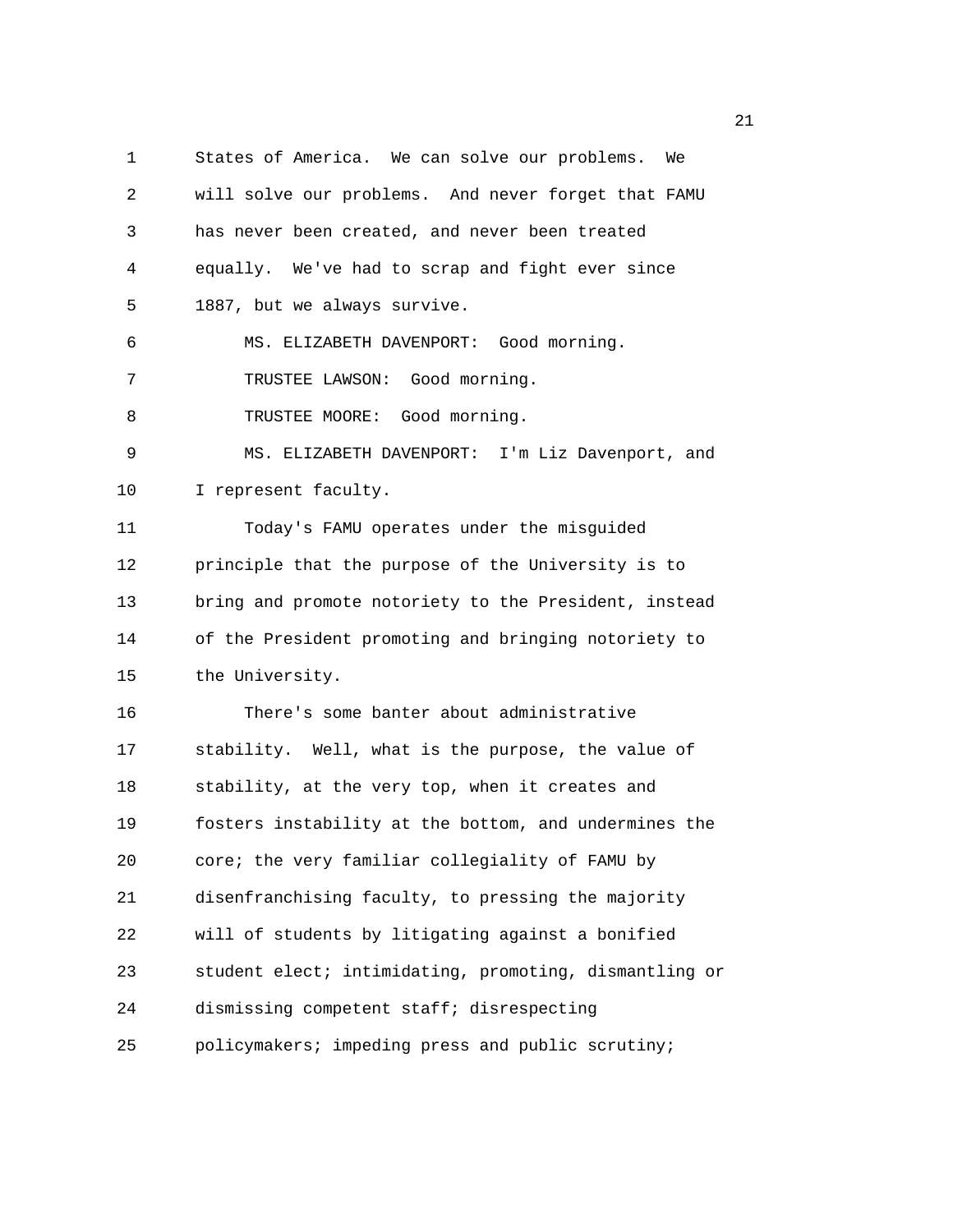1 States of America. We can solve our problems. We 2 will solve our problems. And never forget that FAMU 3 has never been created, and never been treated 4 equally. We've had to scrap and fight ever since 5 1887, but we always survive. 6 MS. ELIZABETH DAVENPORT: Good morning. 7 TRUSTEE LAWSON: Good morning. 8 TRUSTEE MOORE: Good morning. 9 MS. ELIZABETH DAVENPORT: I'm Liz Davenport, and 10 I represent faculty. 11 Today's FAMU operates under the misguided 12 principle that the purpose of the University is to 13 bring and promote notoriety to the President, instead 14 of the President promoting and bringing notoriety to 15 the University. 16 There's some banter about administrative 17 stability. Well, what is the purpose, the value of 18 stability, at the very top, when it creates and 19 fosters instability at the bottom, and undermines the 20 core; the very familiar collegiality of FAMU by 21 disenfranchising faculty, to pressing the majority 22 will of students by litigating against a bonified 23 student elect; intimidating, promoting, dismantling or 24 dismissing competent staff; disrespecting 25 policymakers; impeding press and public scrutiny;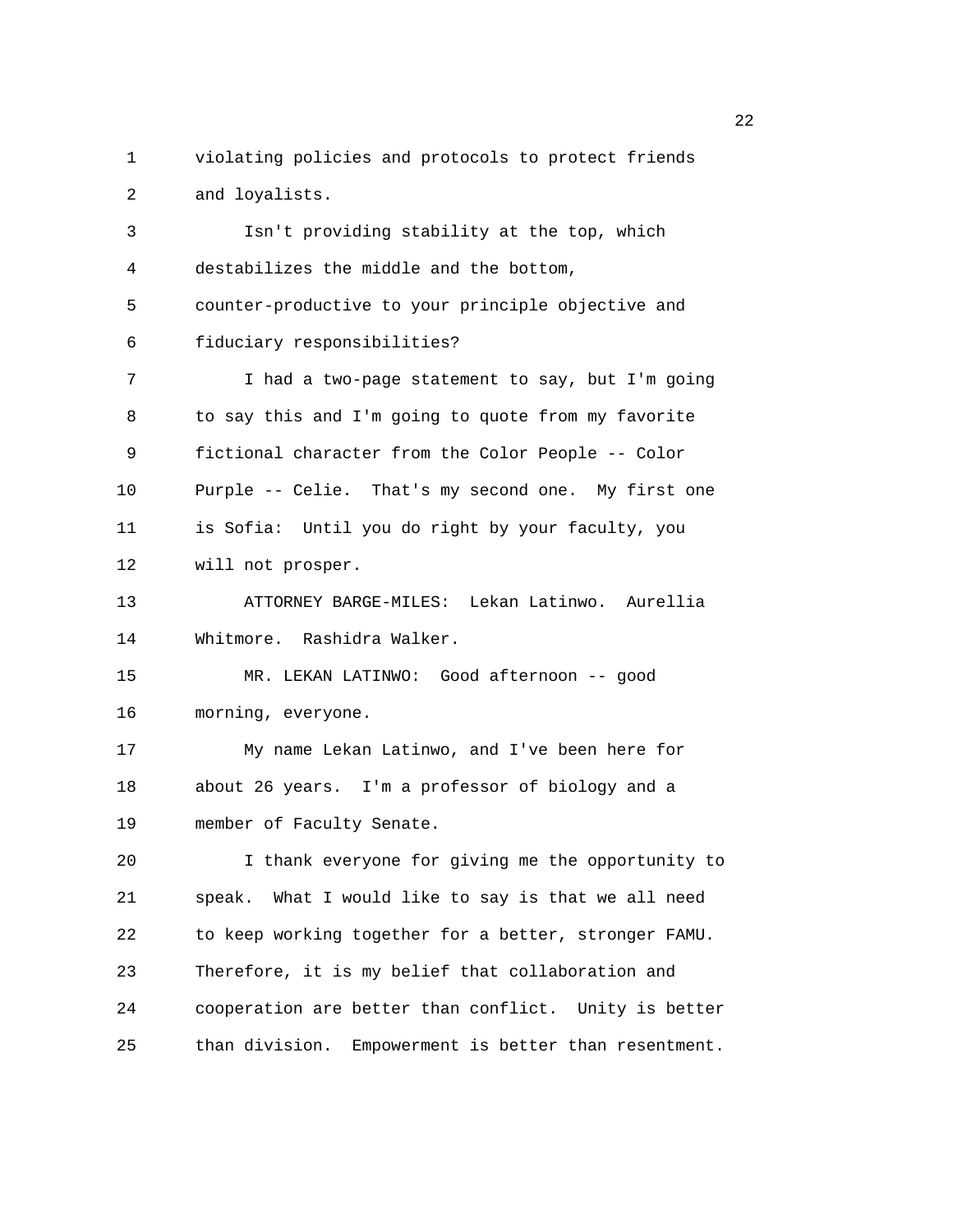1 violating policies and protocols to protect friends 2 and loyalists. 3 Isn't providing stability at the top, which 4 destabilizes the middle and the bottom, 5 counter-productive to your principle objective and 6 fiduciary responsibilities? 7 I had a two-page statement to say, but I'm going 8 to say this and I'm going to quote from my favorite 9 fictional character from the Color People -- Color 10 Purple -- Celie. That's my second one. My first one 11 is Sofia: Until you do right by your faculty, you 12 will not prosper. 13 ATTORNEY BARGE-MILES: Lekan Latinwo. Aurellia 14 Whitmore. Rashidra Walker. 15 MR. LEKAN LATINWO: Good afternoon -- good 16 morning, everyone. 17 My name Lekan Latinwo, and I've been here for 18 about 26 years. I'm a professor of biology and a 19 member of Faculty Senate. 20 I thank everyone for giving me the opportunity to 21 speak. What I would like to say is that we all need 22 to keep working together for a better, stronger FAMU. 23 Therefore, it is my belief that collaboration and 24 cooperation are better than conflict. Unity is better 25 than division. Empowerment is better than resentment.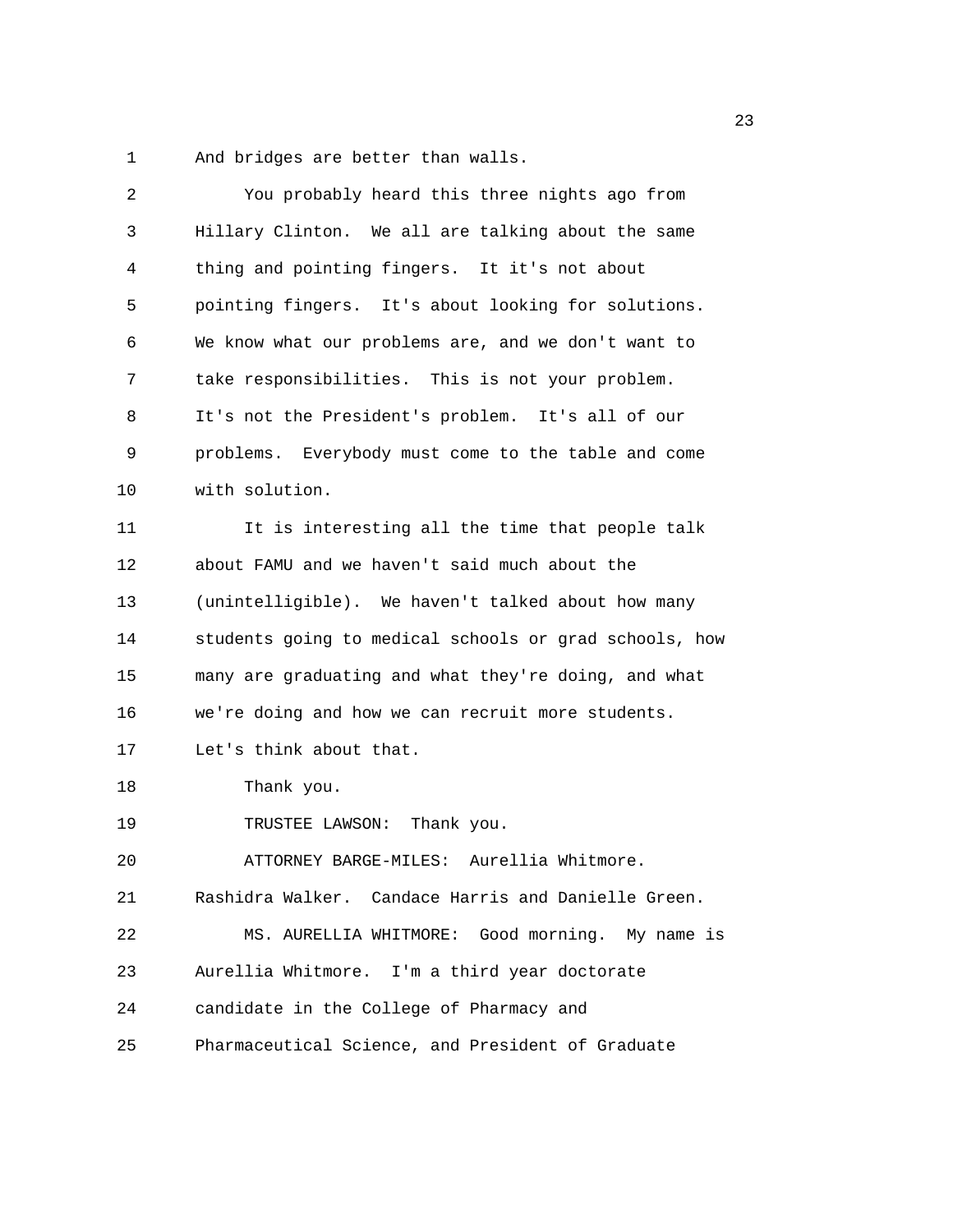1 And bridges are better than walls.

| 2  | You probably heard this three nights ago from          |
|----|--------------------------------------------------------|
| 3  | Hillary Clinton. We all are talking about the same     |
| 4  | thing and pointing fingers. It it's not about          |
| 5  | pointing fingers. It's about looking for solutions.    |
| 6  | We know what our problems are, and we don't want to    |
| 7  | take responsibilities. This is not your problem.       |
| 8  | It's not the President's problem. It's all of our      |
| 9  | problems. Everybody must come to the table and come    |
| 10 | with solution.                                         |
| 11 | It is interesting all the time that people talk        |
| 12 | about FAMU and we haven't said much about the          |
| 13 | (unintelligible). We haven't talked about how many     |
| 14 | students going to medical schools or grad schools, how |
| 15 | many are graduating and what they're doing, and what   |
| 16 | we're doing and how we can recruit more students.      |
| 17 | Let's think about that.                                |
| 18 | Thank you.                                             |
| 19 | TRUSTEE LAWSON: Thank you.                             |
| 20 | ATTORNEY BARGE-MILES: Aurellia Whitmore.               |
| 21 | Rashidra Walker. Candace Harris and Danielle Green.    |
| 22 | MS. AURELLIA WHITMORE: Good morning. My name is        |
| 23 | Aurellia Whitmore. I'm a third year doctorate          |
| 24 | candidate in the College of Pharmacy and               |
| 25 | Pharmaceutical Science, and President of Graduate      |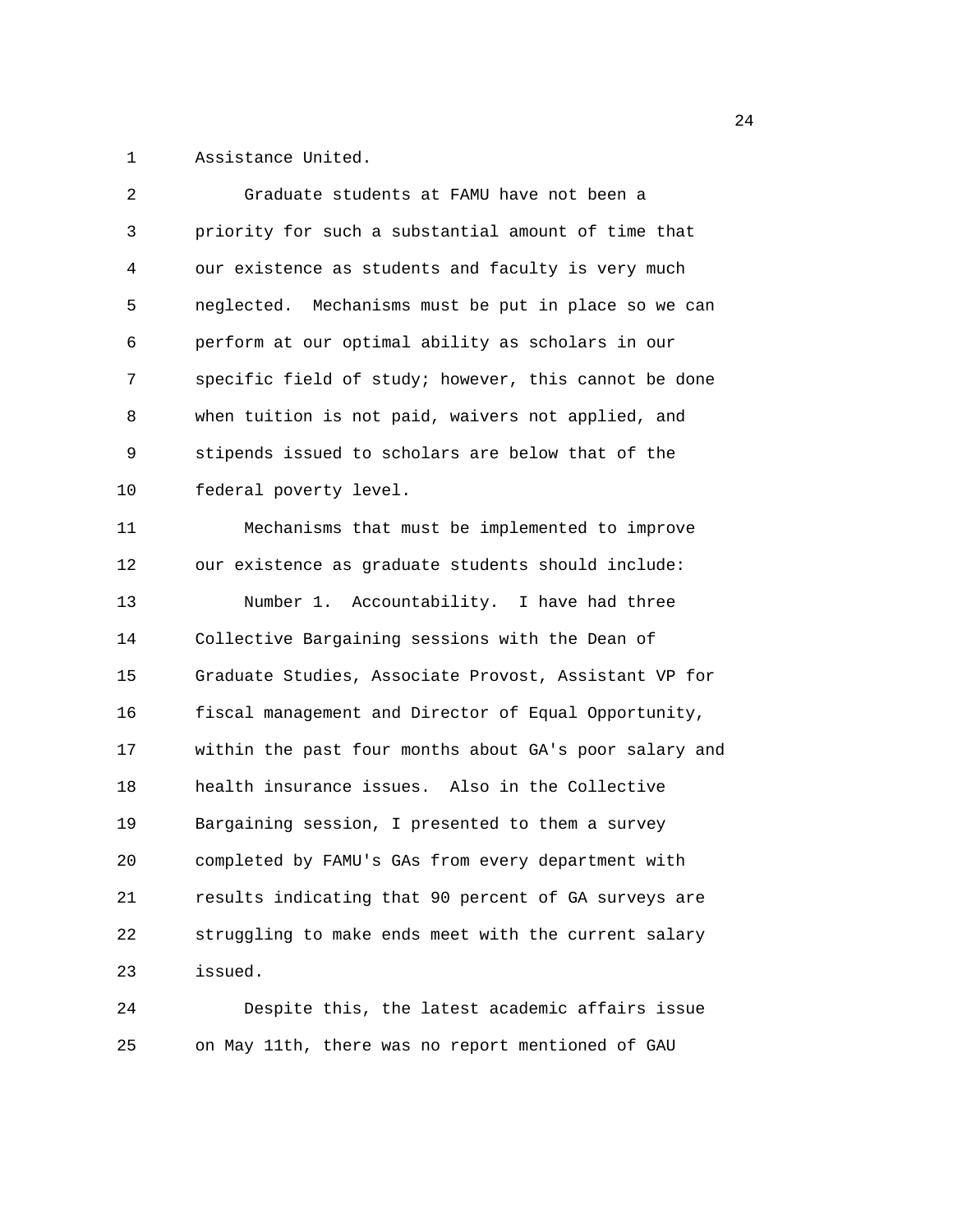1 Assistance United.

| 2  | Graduate students at FAMU have not been a              |
|----|--------------------------------------------------------|
| 3  | priority for such a substantial amount of time that    |
| 4  | our existence as students and faculty is very much     |
| 5  | neglected. Mechanisms must be put in place so we can   |
| 6  | perform at our optimal ability as scholars in our      |
| 7  | specific field of study; however, this cannot be done  |
| 8  | when tuition is not paid, waivers not applied, and     |
| 9  | stipends issued to scholars are below that of the      |
| 10 | federal poverty level.                                 |
| 11 | Mechanisms that must be implemented to improve         |
| 12 | our existence as graduate students should include:     |
| 13 | Number 1. Accountability. I have had three             |
| 14 | Collective Bargaining sessions with the Dean of        |
| 15 | Graduate Studies, Associate Provost, Assistant VP for  |
| 16 | fiscal management and Director of Equal Opportunity,   |
| 17 | within the past four months about GA's poor salary and |
| 18 | health insurance issues. Also in the Collective        |
| 19 | Bargaining session, I presented to them a survey       |
| 20 | completed by FAMU's GAs from every department with     |
| 21 | results indicating that 90 percent of GA surveys are   |
| 22 | struggling to make ends meet with the current salary   |
| 23 | issued.                                                |
| 24 | Despite this, the latest academic affairs issue        |

25 on May 11th, there was no report mentioned of GAU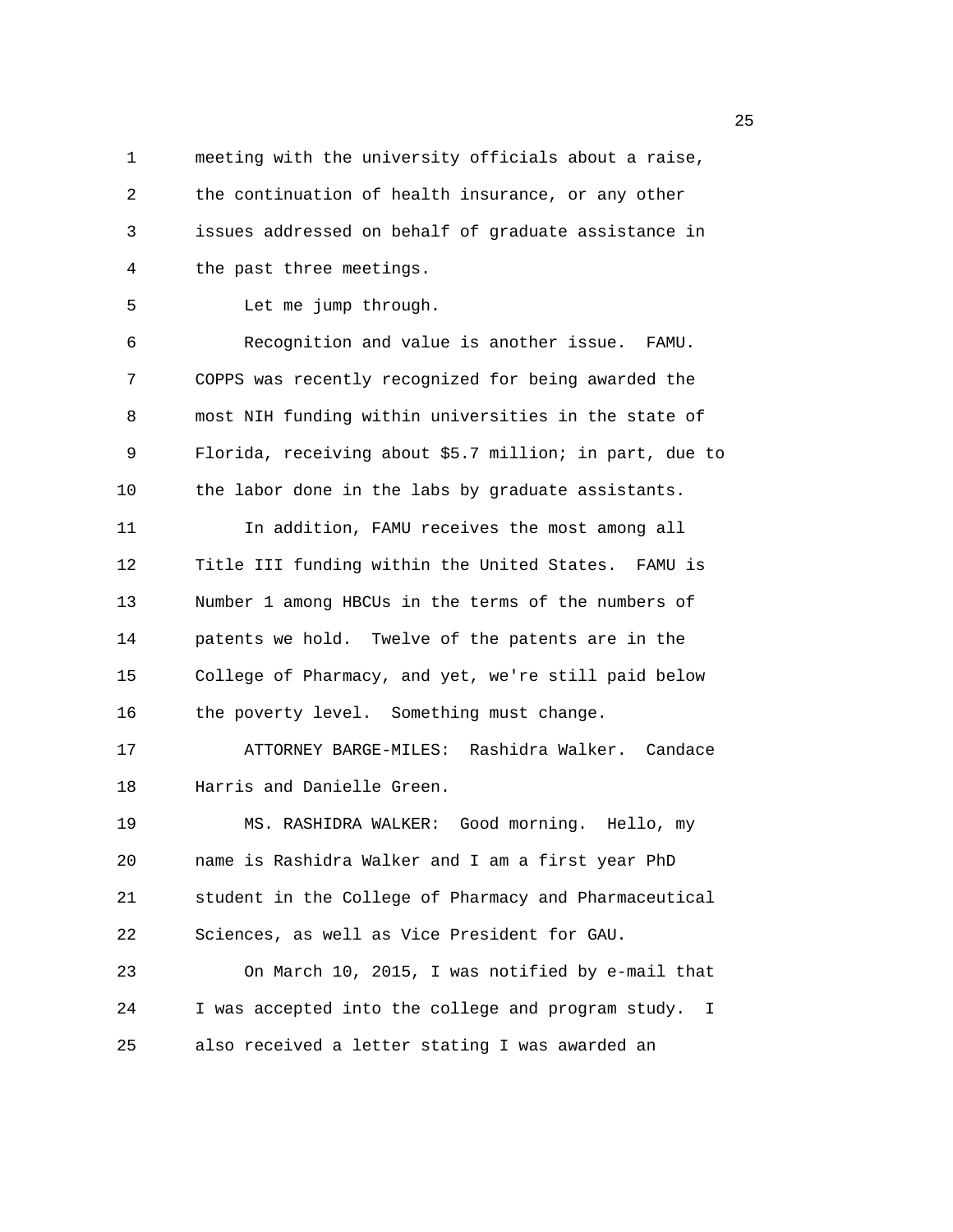1 meeting with the university officials about a raise, 2 the continuation of health insurance, or any other 3 issues addressed on behalf of graduate assistance in 4 the past three meetings.

5 Let me jump through.

6 Recognition and value is another issue. FAMU. 7 COPPS was recently recognized for being awarded the 8 most NIH funding within universities in the state of 9 Florida, receiving about \$5.7 million; in part, due to 10 the labor done in the labs by graduate assistants.

11 In addition, FAMU receives the most among all 12 Title III funding within the United States. FAMU is 13 Number 1 among HBCUs in the terms of the numbers of 14 patents we hold. Twelve of the patents are in the 15 College of Pharmacy, and yet, we're still paid below 16 the poverty level. Something must change.

17 ATTORNEY BARGE-MILES: Rashidra Walker. Candace 18 Harris and Danielle Green.

19 MS. RASHIDRA WALKER: Good morning. Hello, my 20 name is Rashidra Walker and I am a first year PhD 21 student in the College of Pharmacy and Pharmaceutical 22 Sciences, as well as Vice President for GAU.

23 On March 10, 2015, I was notified by e-mail that 24 I was accepted into the college and program study. I 25 also received a letter stating I was awarded an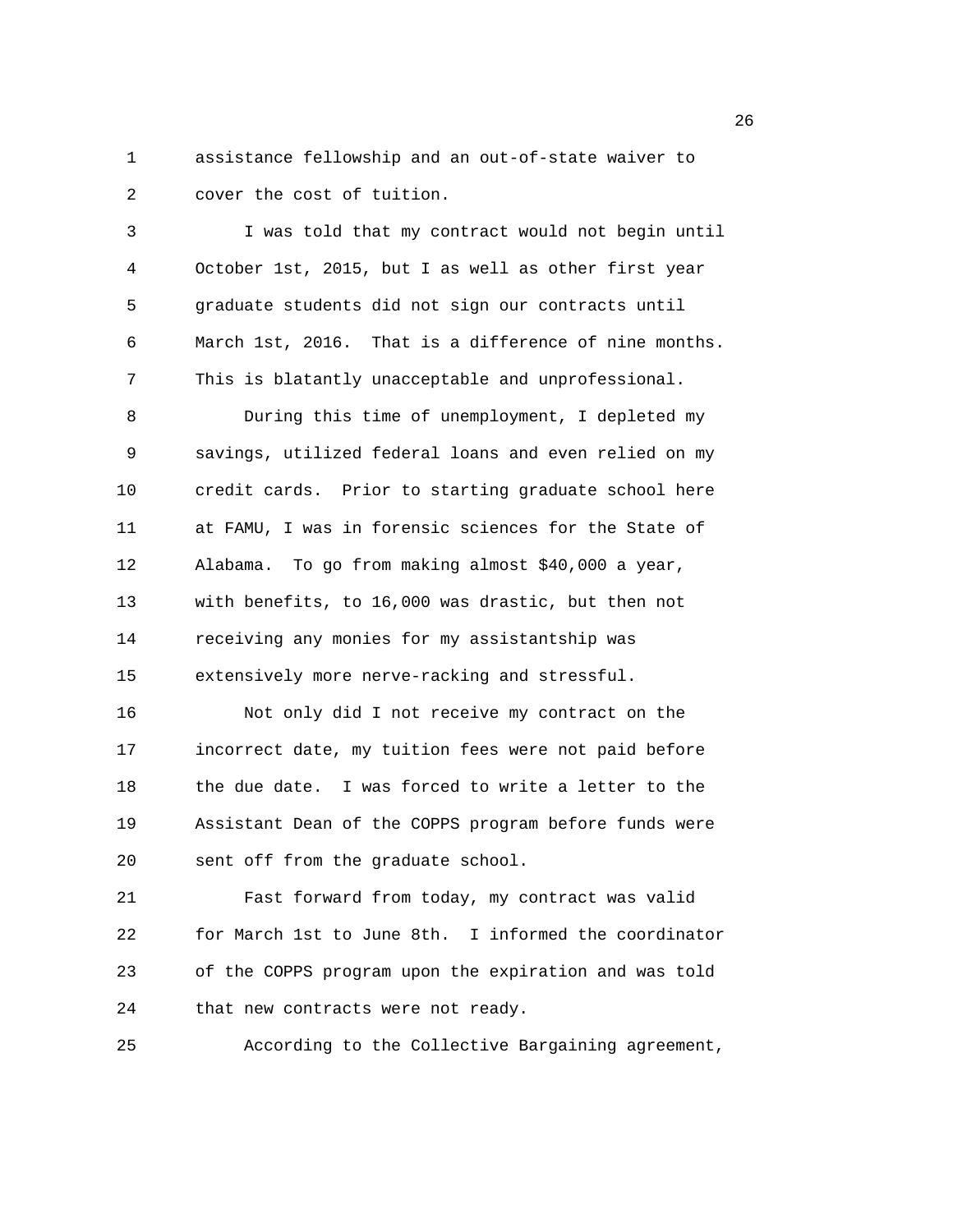1 assistance fellowship and an out-of-state waiver to 2 cover the cost of tuition.

3 I was told that my contract would not begin until 4 October 1st, 2015, but I as well as other first year 5 graduate students did not sign our contracts until 6 March 1st, 2016. That is a difference of nine months. 7 This is blatantly unacceptable and unprofessional. 8 During this time of unemployment, I depleted my 9 savings, utilized federal loans and even relied on my 10 credit cards. Prior to starting graduate school here 11 at FAMU, I was in forensic sciences for the State of 12 Alabama. To go from making almost \$40,000 a year, 13 with benefits, to 16,000 was drastic, but then not 14 receiving any monies for my assistantship was 15 extensively more nerve-racking and stressful. 16 Not only did I not receive my contract on the 17 incorrect date, my tuition fees were not paid before 18 the due date. I was forced to write a letter to the 19 Assistant Dean of the COPPS program before funds were 20 sent off from the graduate school.

21 Fast forward from today, my contract was valid 22 for March 1st to June 8th. I informed the coordinator 23 of the COPPS program upon the expiration and was told 24 that new contracts were not ready.

25 According to the Collective Bargaining agreement,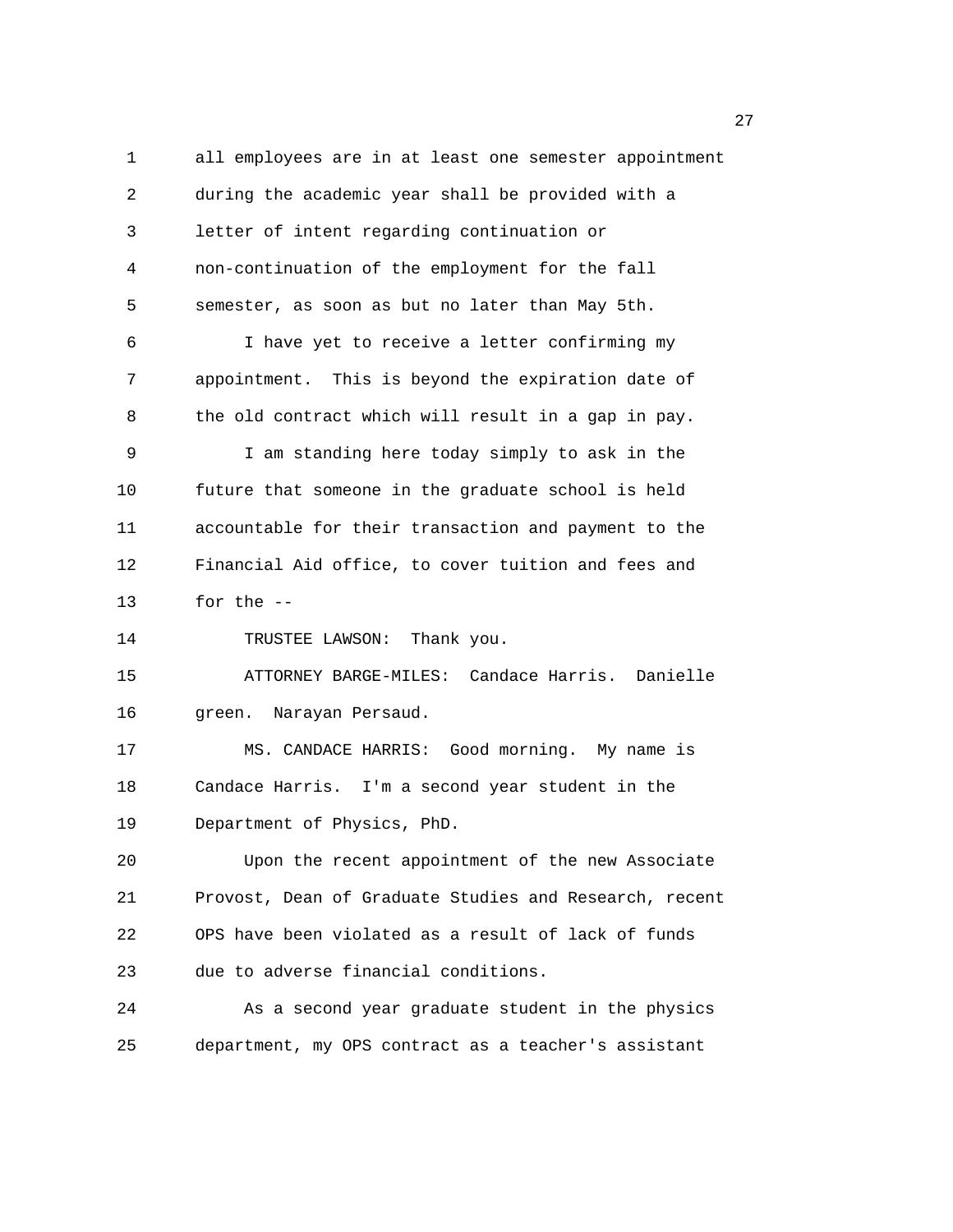1 all employees are in at least one semester appointment 2 during the academic year shall be provided with a 3 letter of intent regarding continuation or 4 non-continuation of the employment for the fall 5 semester, as soon as but no later than May 5th. 6 I have yet to receive a letter confirming my 7 appointment. This is beyond the expiration date of 8 the old contract which will result in a gap in pay. 9 I am standing here today simply to ask in the 10 future that someone in the graduate school is held 11 accountable for their transaction and payment to the 12 Financial Aid office, to cover tuition and fees and 13 for the -- 14 TRUSTEE LAWSON: Thank you. 15 ATTORNEY BARGE-MILES: Candace Harris. Danielle 16 green. Narayan Persaud. 17 MS. CANDACE HARRIS: Good morning. My name is 18 Candace Harris. I'm a second year student in the 19 Department of Physics, PhD. 20 Upon the recent appointment of the new Associate 21 Provost, Dean of Graduate Studies and Research, recent 22 OPS have been violated as a result of lack of funds 23 due to adverse financial conditions. 24 As a second year graduate student in the physics 25 department, my OPS contract as a teacher's assistant

27 and 27 and 27 and 27 and 27 and 27 and 27 and 27 and 27 and 27 and 27 and 27 and 27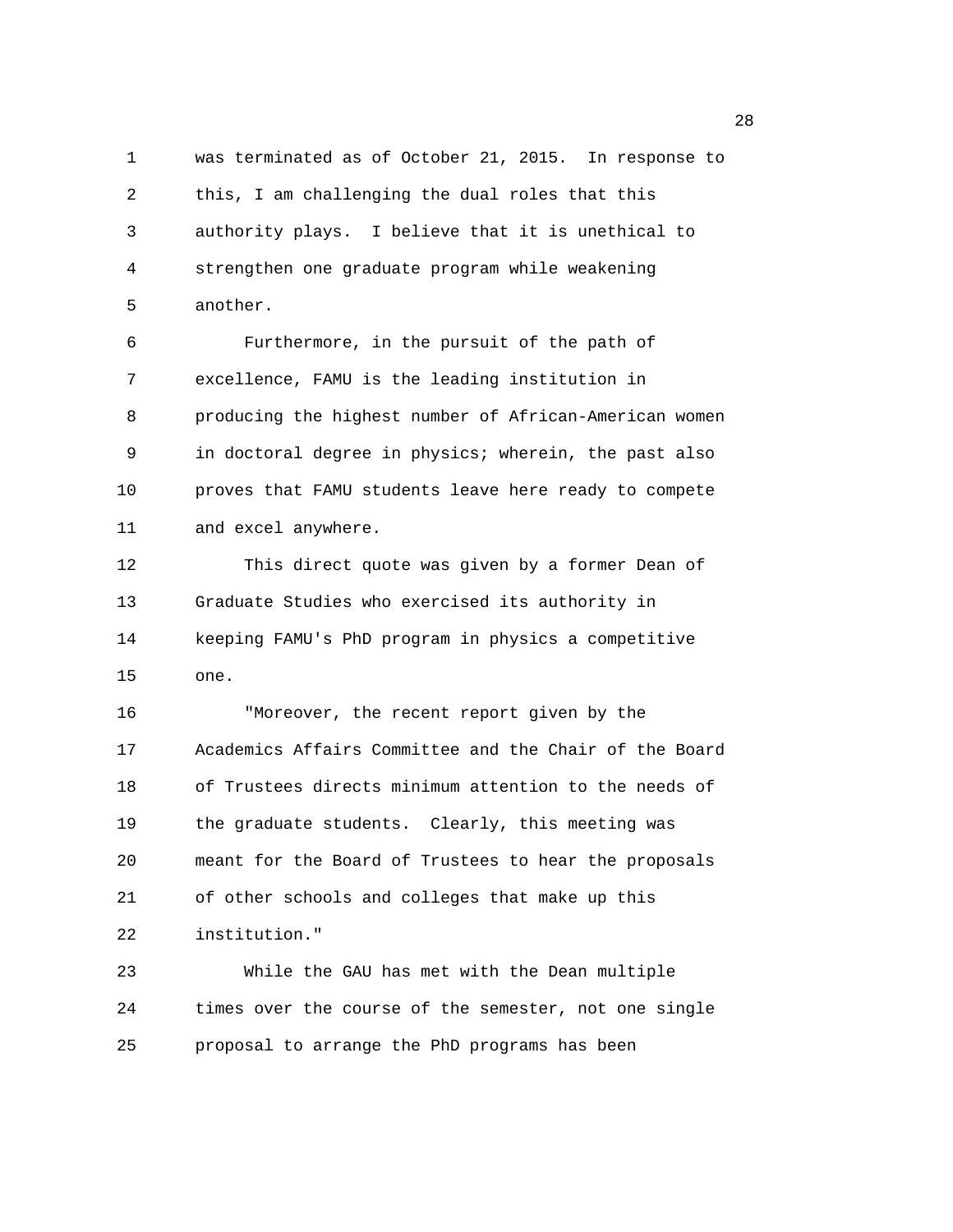1 was terminated as of October 21, 2015. In response to 2 this, I am challenging the dual roles that this 3 authority plays. I believe that it is unethical to 4 strengthen one graduate program while weakening 5 another.

6 Furthermore, in the pursuit of the path of 7 excellence, FAMU is the leading institution in 8 producing the highest number of African-American women 9 in doctoral degree in physics; wherein, the past also 10 proves that FAMU students leave here ready to compete 11 and excel anywhere.

12 This direct quote was given by a former Dean of 13 Graduate Studies who exercised its authority in 14 keeping FAMU's PhD program in physics a competitive 15 one.

16 "Moreover, the recent report given by the 17 Academics Affairs Committee and the Chair of the Board 18 of Trustees directs minimum attention to the needs of 19 the graduate students. Clearly, this meeting was 20 meant for the Board of Trustees to hear the proposals 21 of other schools and colleges that make up this 22 institution."

23 While the GAU has met with the Dean multiple 24 times over the course of the semester, not one single 25 proposal to arrange the PhD programs has been

<u>28 and 28 and 28 and 28 and 28 and 28 and 28 and 28 and 28 and 28 and 28 and 28 and 28 and 28 and 28 and 28 and 28 and 28 and 28 and 28 and 28 and 28 and 28 and 28 and 28 and 28 and 28 and 28 and 28 and 28 and 28 and 28 a</u>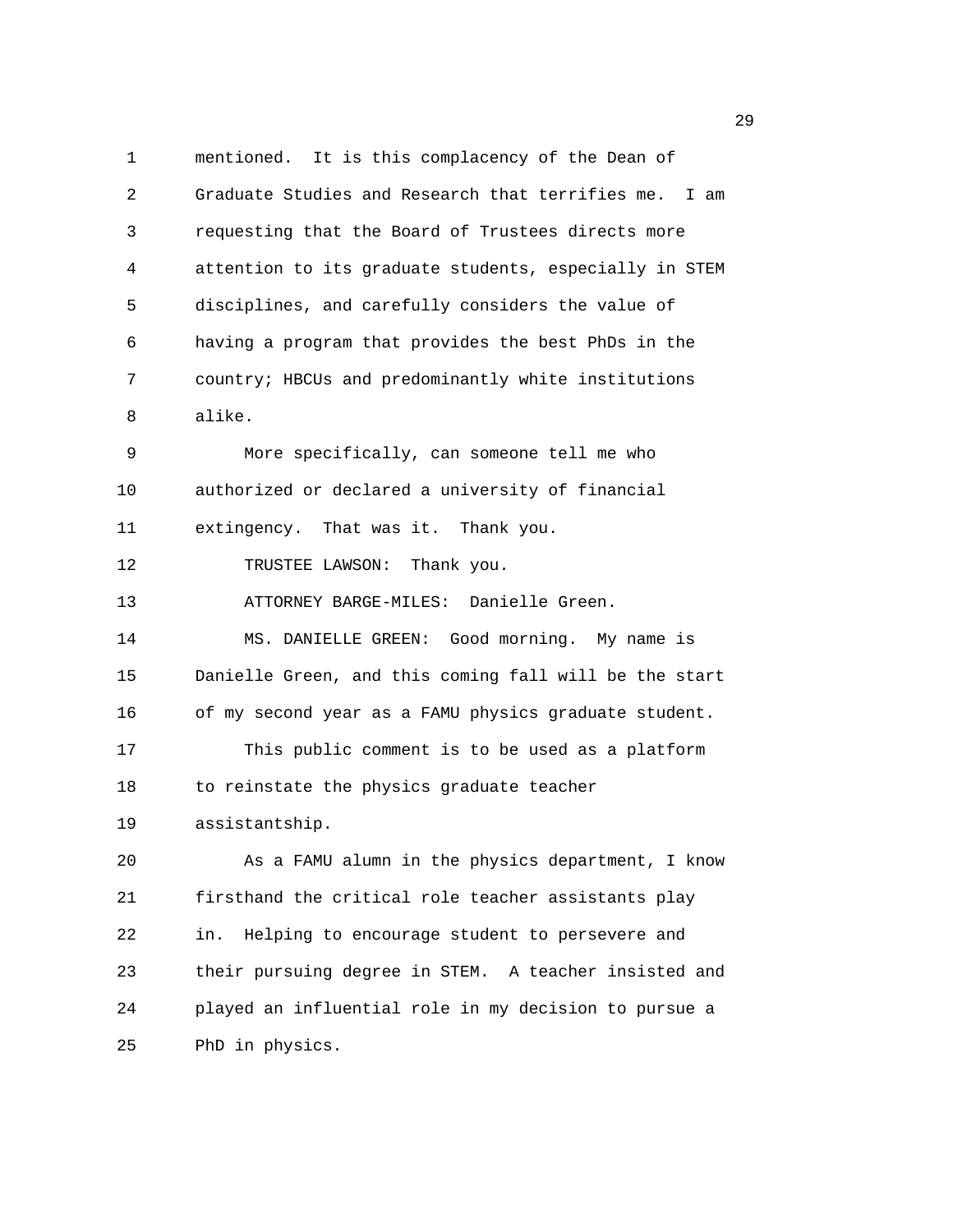1 mentioned. It is this complacency of the Dean of 2 Graduate Studies and Research that terrifies me. I am 3 requesting that the Board of Trustees directs more 4 attention to its graduate students, especially in STEM 5 disciplines, and carefully considers the value of 6 having a program that provides the best PhDs in the 7 country; HBCUs and predominantly white institutions 8 alike. 9 More specifically, can someone tell me who 10 authorized or declared a university of financial 11 extingency. That was it. Thank you. 12 TRUSTEE LAWSON: Thank you. 13 ATTORNEY BARGE-MILES: Danielle Green. 14 MS. DANIELLE GREEN: Good morning. My name is 15 Danielle Green, and this coming fall will be the start 16 of my second year as a FAMU physics graduate student. 17 This public comment is to be used as a platform 18 to reinstate the physics graduate teacher 19 assistantship. 20 As a FAMU alumn in the physics department, I know 21 firsthand the critical role teacher assistants play 22 in. Helping to encourage student to persevere and 23 their pursuing degree in STEM. A teacher insisted and 24 played an influential role in my decision to pursue a 25 PhD in physics.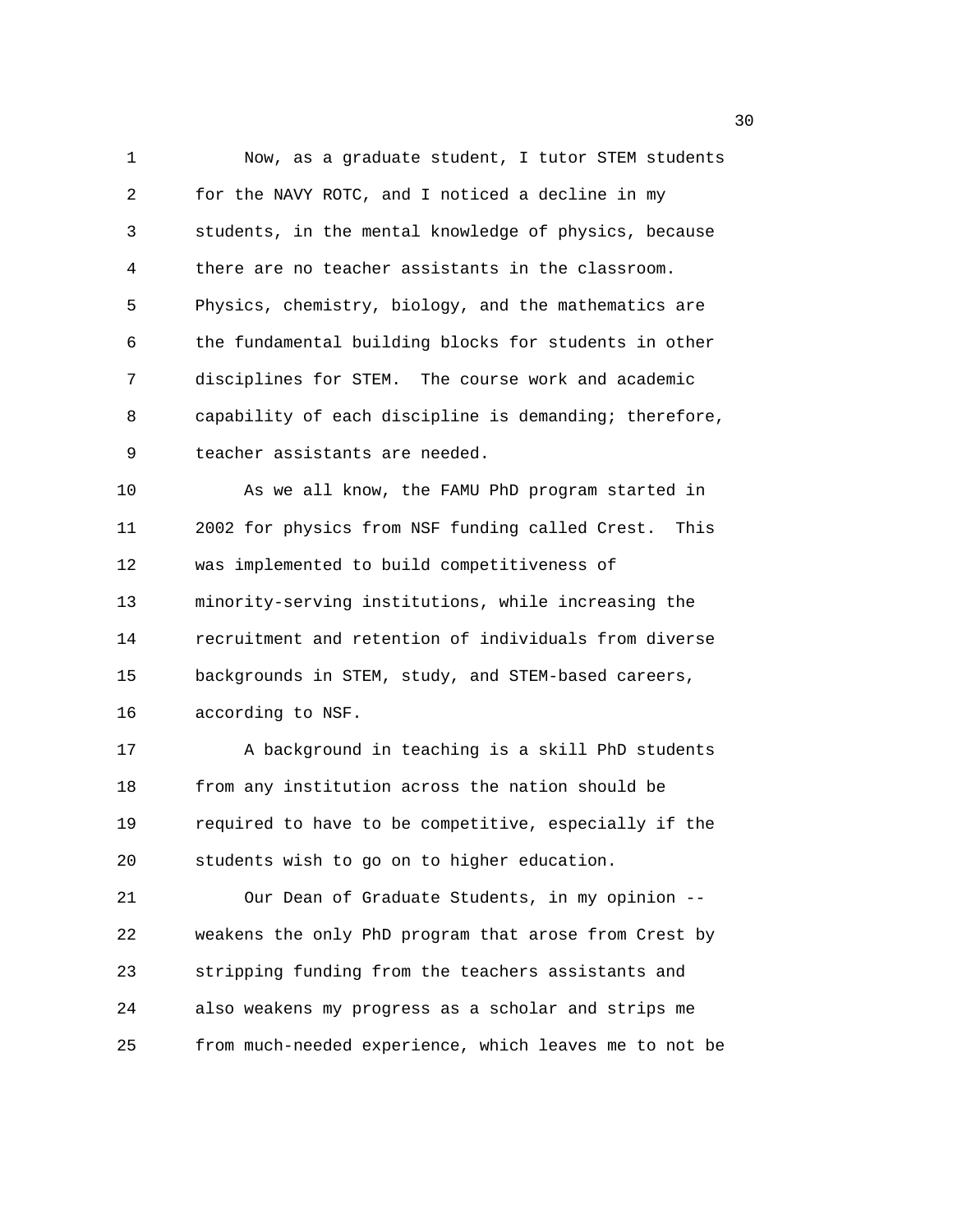1 Now, as a graduate student, I tutor STEM students 2 for the NAVY ROTC, and I noticed a decline in my 3 students, in the mental knowledge of physics, because 4 there are no teacher assistants in the classroom. 5 Physics, chemistry, biology, and the mathematics are 6 the fundamental building blocks for students in other 7 disciplines for STEM. The course work and academic 8 capability of each discipline is demanding; therefore, 9 teacher assistants are needed.

10 As we all know, the FAMU PhD program started in 11 2002 for physics from NSF funding called Crest. This 12 was implemented to build competitiveness of 13 minority-serving institutions, while increasing the 14 recruitment and retention of individuals from diverse 15 backgrounds in STEM, study, and STEM-based careers, 16 according to NSF.

17 A background in teaching is a skill PhD students 18 from any institution across the nation should be 19 required to have to be competitive, especially if the 20 students wish to go on to higher education.

21 Our Dean of Graduate Students, in my opinion -- 22 weakens the only PhD program that arose from Crest by 23 stripping funding from the teachers assistants and 24 also weakens my progress as a scholar and strips me 25 from much-needed experience, which leaves me to not be

 $30<sup>2</sup>$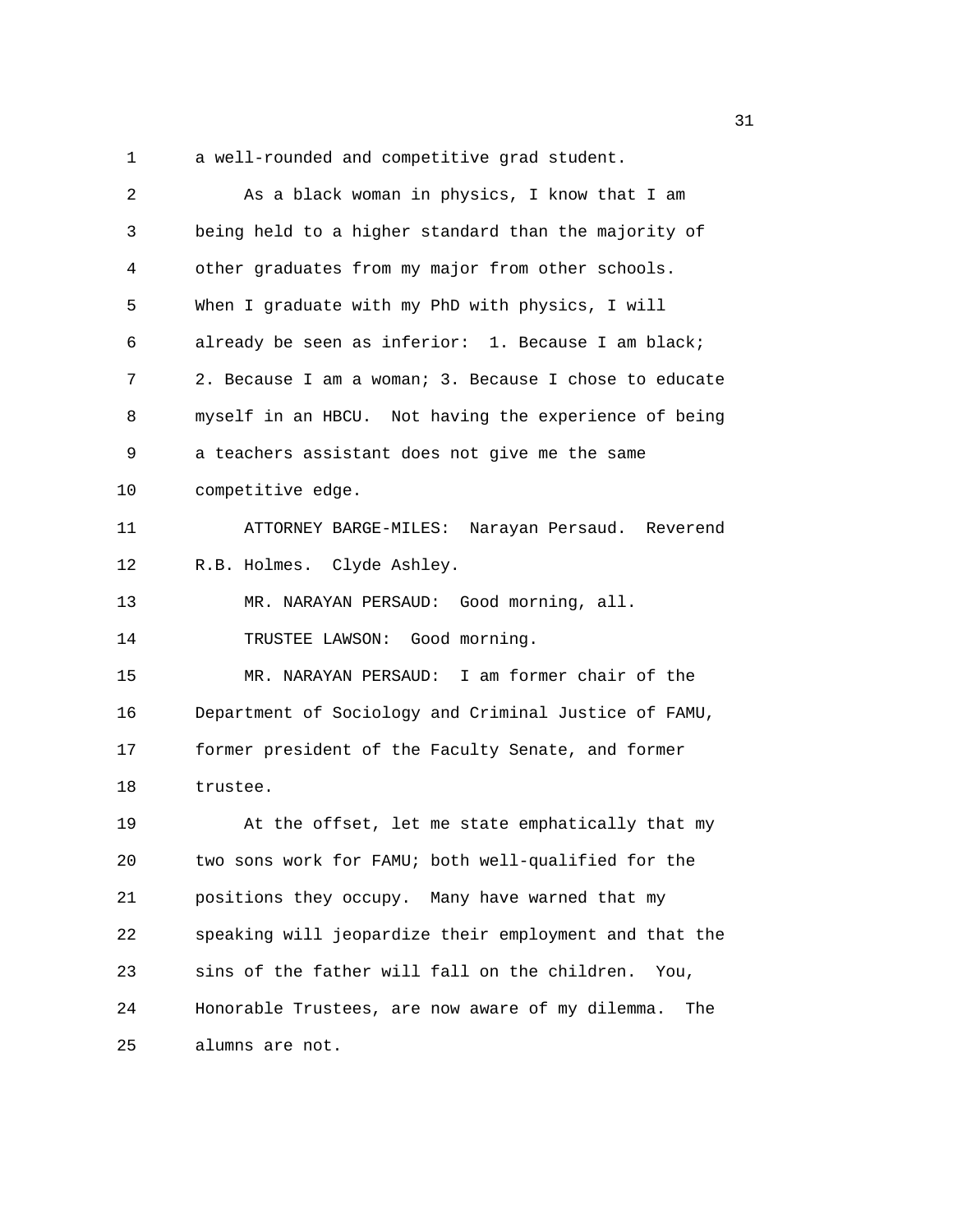1 a well-rounded and competitive grad student.

| 2  | As a black woman in physics, I know that I am           |
|----|---------------------------------------------------------|
| 3  | being held to a higher standard than the majority of    |
| 4  | other graduates from my major from other schools.       |
| 5  | When I graduate with my PhD with physics, I will        |
| 6  | already be seen as inferior: 1. Because I am black;     |
| 7  | 2. Because I am a woman; 3. Because I chose to educate  |
| 8  | myself in an HBCU. Not having the experience of being   |
| 9  | a teachers assistant does not give me the same          |
| 10 | competitive edge.                                       |
| 11 | ATTORNEY BARGE-MILES: Narayan Persaud. Reverend         |
| 12 | R.B. Holmes. Clyde Ashley.                              |
| 13 | MR. NARAYAN PERSAUD: Good morning, all.                 |
| 14 | TRUSTEE LAWSON: Good morning.                           |
| 15 | MR. NARAYAN PERSAUD: I am former chair of the           |
| 16 | Department of Sociology and Criminal Justice of FAMU,   |
| 17 | former president of the Faculty Senate, and former      |
| 18 | trustee.                                                |
| 19 | At the offset, let me state emphatically that my        |
| 20 | two sons work for FAMU; both well-qualified for the     |
| 21 | positions they occupy. Many have warned that my         |
| 22 | speaking will jeopardize their employment and that the  |
| 23 | sins of the father will fall on the children.<br>You,   |
| 24 | Honorable Trustees, are now aware of my dilemma.<br>The |
| 25 | alumns are not.                                         |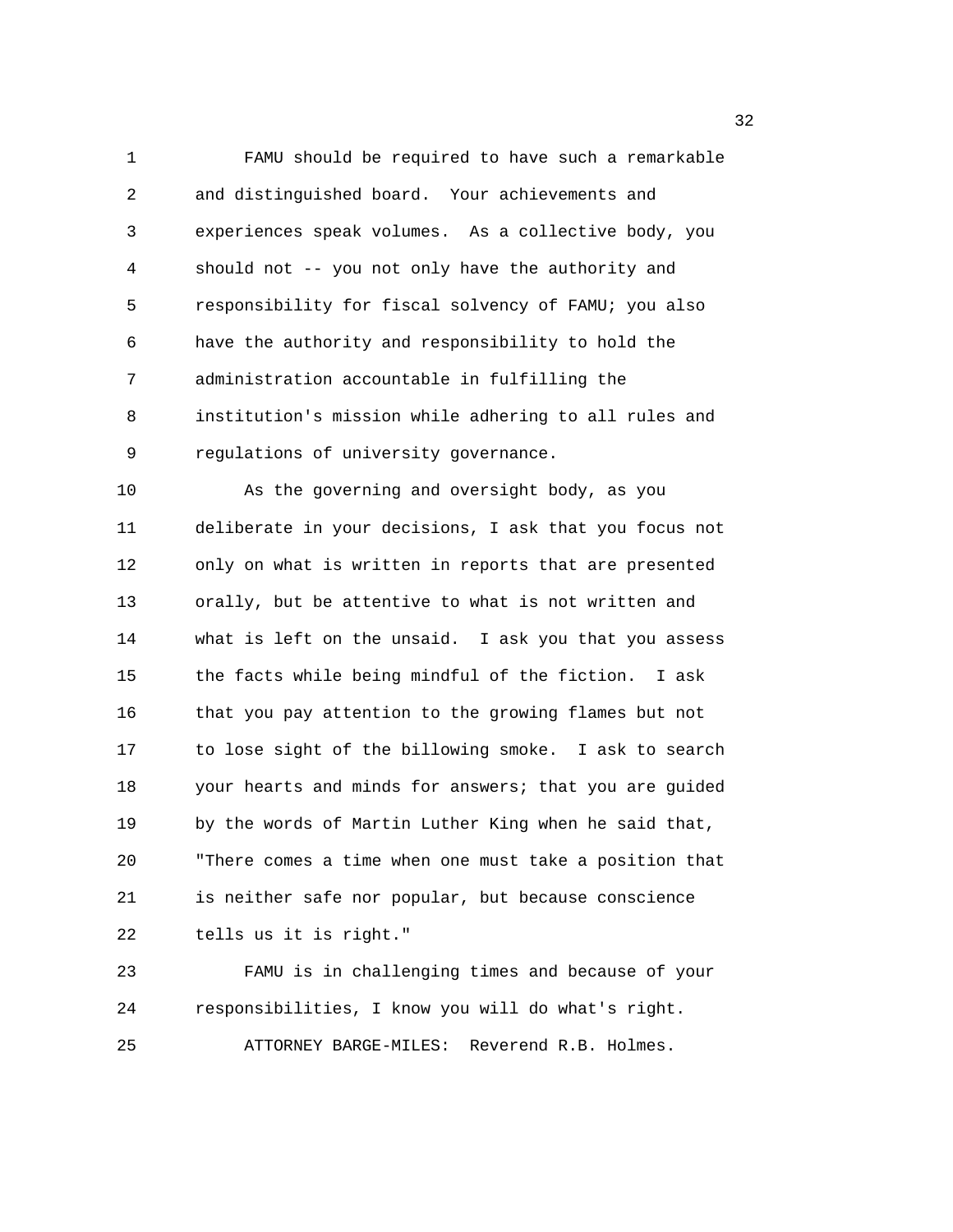1 FAMU should be required to have such a remarkable 2 and distinguished board. Your achievements and 3 experiences speak volumes. As a collective body, you 4 should not -- you not only have the authority and 5 responsibility for fiscal solvency of FAMU; you also 6 have the authority and responsibility to hold the 7 administration accountable in fulfilling the 8 institution's mission while adhering to all rules and 9 regulations of university governance.

10 As the governing and oversight body, as you 11 deliberate in your decisions, I ask that you focus not 12 only on what is written in reports that are presented 13 orally, but be attentive to what is not written and 14 what is left on the unsaid. I ask you that you assess 15 the facts while being mindful of the fiction. I ask 16 that you pay attention to the growing flames but not 17 to lose sight of the billowing smoke. I ask to search 18 your hearts and minds for answers; that you are guided 19 by the words of Martin Luther King when he said that, 20 "There comes a time when one must take a position that 21 is neither safe nor popular, but because conscience 22 tells us it is right." 23 FAMU is in challenging times and because of your

24 responsibilities, I know you will do what's right. 25 ATTORNEY BARGE-MILES: Reverend R.B. Holmes.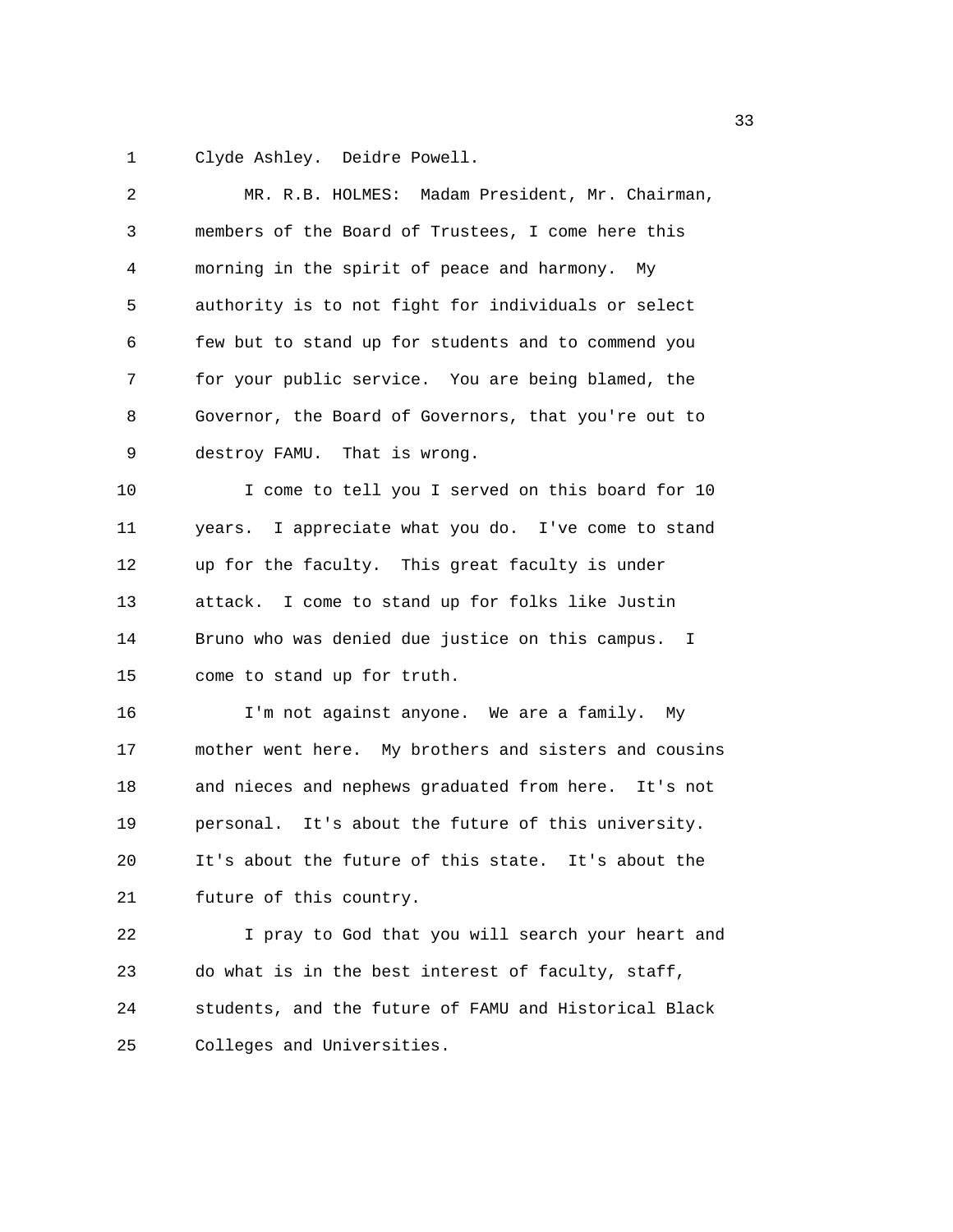1 Clyde Ashley. Deidre Powell.

| 2  | MR. R.B. HOLMES: Madam President, Mr. Chairman,       |
|----|-------------------------------------------------------|
| 3  | members of the Board of Trustees, I come here this    |
| 4  | morning in the spirit of peace and harmony.<br>Мy     |
| 5  | authority is to not fight for individuals or select   |
| 6  | few but to stand up for students and to commend you   |
| 7  | for your public service. You are being blamed, the    |
| 8  | Governor, the Board of Governors, that you're out to  |
| 9  | destroy FAMU. That is wrong.                          |
| 10 | I come to tell you I served on this board for 10      |
| 11 | years. I appreciate what you do. I've come to stand   |
| 12 | up for the faculty. This great faculty is under       |
| 13 | attack. I come to stand up for folks like Justin      |
| 14 | Bruno who was denied due justice on this campus. I    |
| 15 | come to stand up for truth.                           |
| 16 | I'm not against anyone. We are a family. My           |
| 17 | mother went here. My brothers and sisters and cousins |
| 18 | and nieces and nephews graduated from here. It's not  |
| 19 | personal. It's about the future of this university.   |
| 20 | It's about the future of this state. It's about the   |
| 21 | future of this country.                               |
| 22 | I pray to God that you will search your heart and     |
| 23 | do what is in the best interest of faculty, staff,    |
| 24 | students, and the future of FAMU and Historical Black |
| 25 | Colleges and Universities.                            |
|    |                                                       |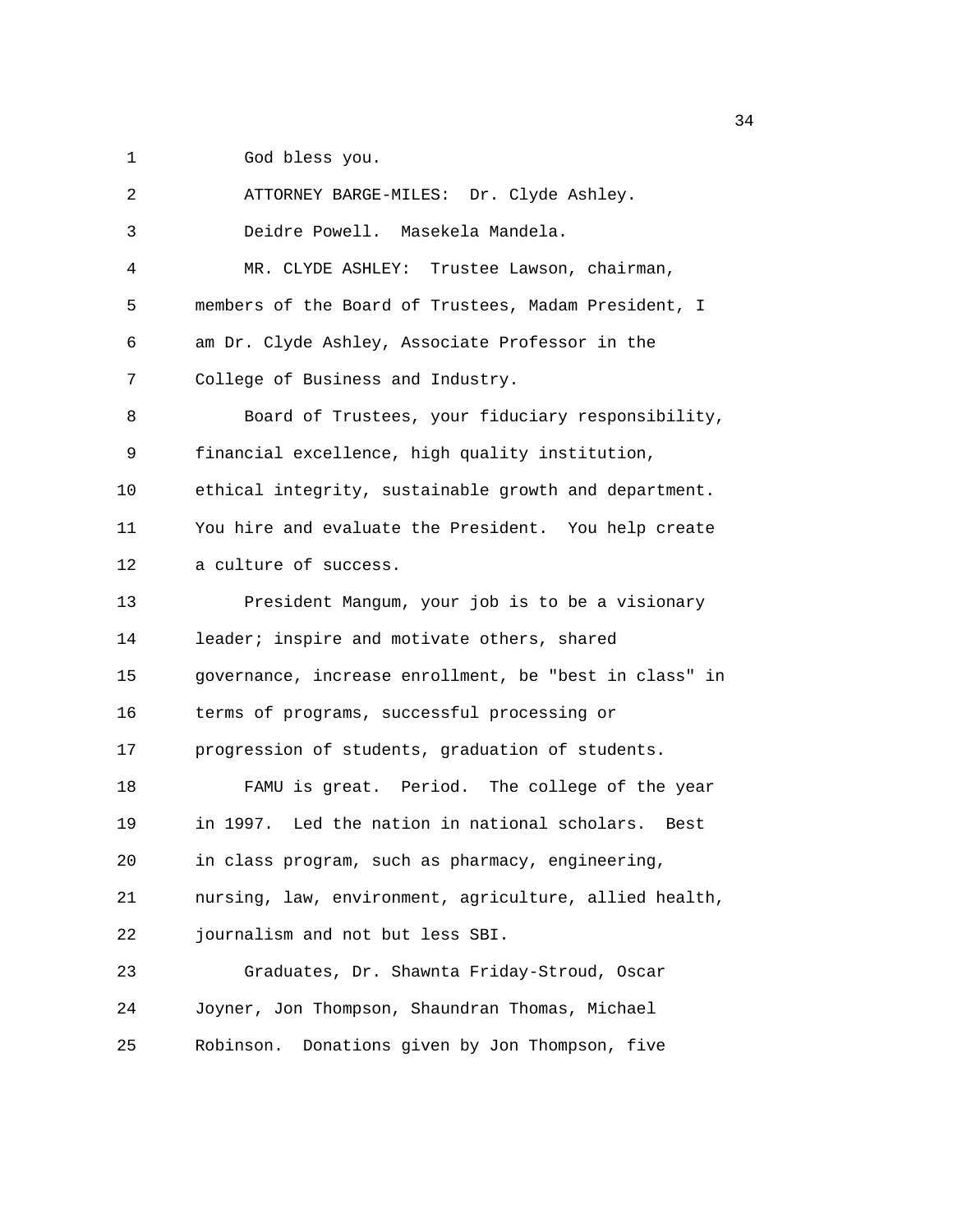1 God bless you.

2 ATTORNEY BARGE-MILES: Dr. Clyde Ashley. 3 Deidre Powell. Masekela Mandela. 4 MR. CLYDE ASHLEY: Trustee Lawson, chairman, 5 members of the Board of Trustees, Madam President, I 6 am Dr. Clyde Ashley, Associate Professor in the 7 College of Business and Industry. 8 Board of Trustees, your fiduciary responsibility, 9 financial excellence, high quality institution, 10 ethical integrity, sustainable growth and department. 11 You hire and evaluate the President. You help create 12 a culture of success. 13 President Mangum, your job is to be a visionary 14 leader; inspire and motivate others, shared 15 governance, increase enrollment, be "best in class" in 16 terms of programs, successful processing or 17 progression of students, graduation of students. 18 FAMU is great. Period. The college of the year 19 in 1997. Led the nation in national scholars. Best 20 in class program, such as pharmacy, engineering, 21 nursing, law, environment, agriculture, allied health, 22 journalism and not but less SBI. 23 Graduates, Dr. Shawnta Friday-Stroud, Oscar 24 Joyner, Jon Thompson, Shaundran Thomas, Michael 25 Robinson. Donations given by Jon Thompson, five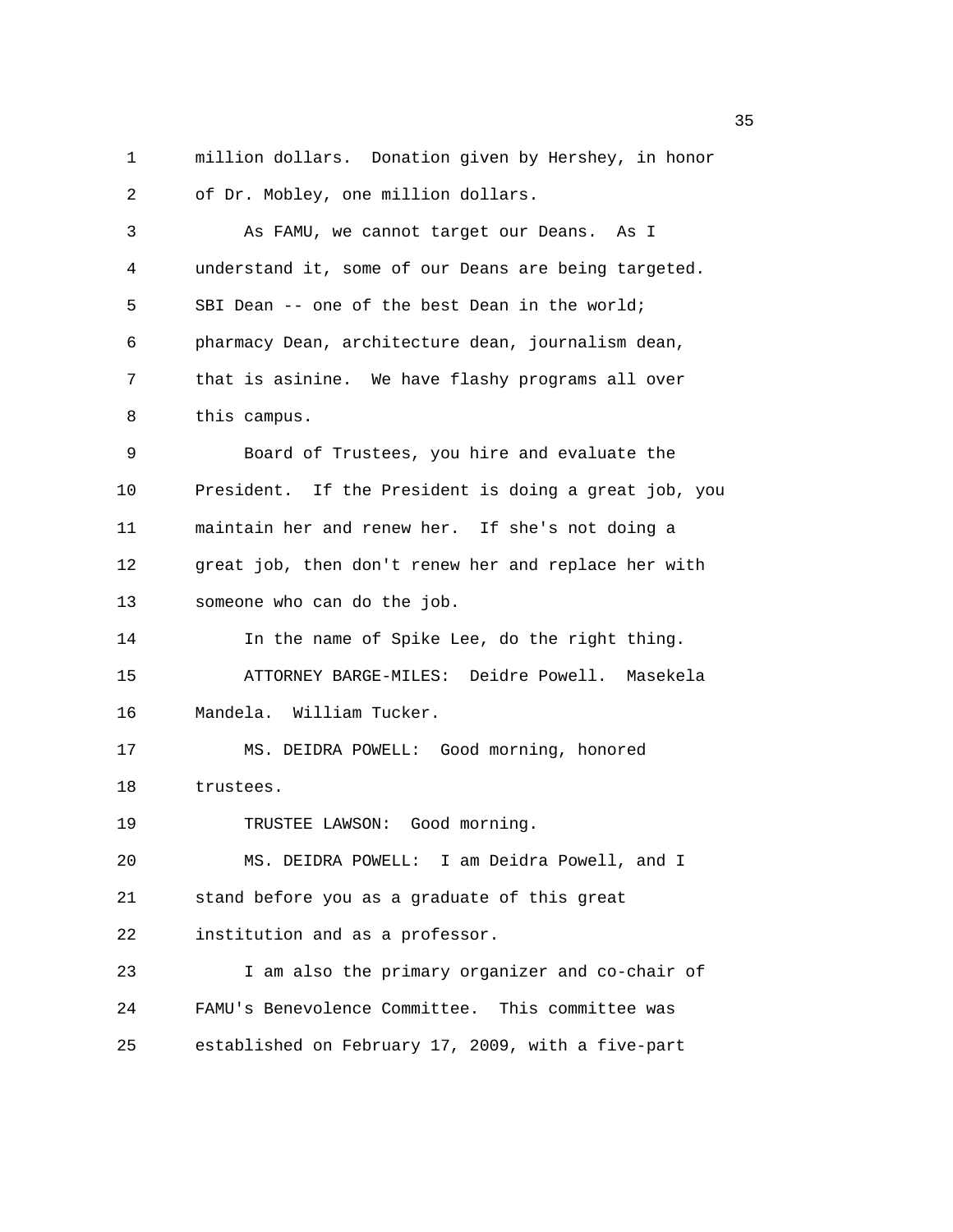1 million dollars. Donation given by Hershey, in honor 2 of Dr. Mobley, one million dollars.

3 As FAMU, we cannot target our Deans. As I 4 understand it, some of our Deans are being targeted. 5 SBI Dean -- one of the best Dean in the world; 6 pharmacy Dean, architecture dean, journalism dean, 7 that is asinine. We have flashy programs all over 8 this campus. 9 Board of Trustees, you hire and evaluate the 10 President. If the President is doing a great job, you 11 maintain her and renew her. If she's not doing a 12 great job, then don't renew her and replace her with 13 someone who can do the job. 14 In the name of Spike Lee, do the right thing. 15 ATTORNEY BARGE-MILES: Deidre Powell. Masekela 16 Mandela. William Tucker. 17 MS. DEIDRA POWELL: Good morning, honored 18 trustees. 19 TRUSTEE LAWSON: Good morning.

20 MS. DEIDRA POWELL: I am Deidra Powell, and I 21 stand before you as a graduate of this great 22 institution and as a professor. 23 I am also the primary organizer and co-chair of 24 FAMU's Benevolence Committee. This committee was

25 established on February 17, 2009, with a five-part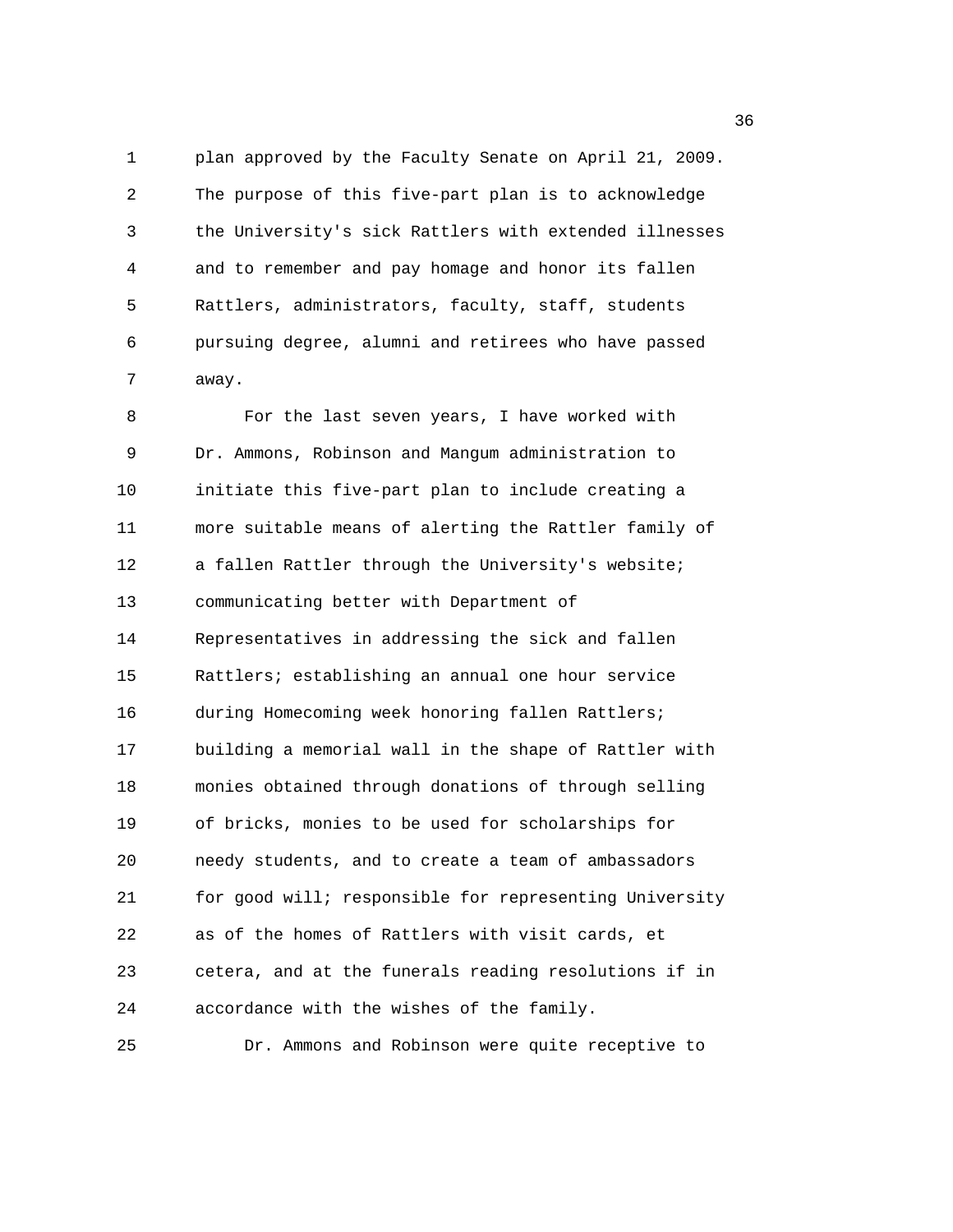1 plan approved by the Faculty Senate on April 21, 2009. 2 The purpose of this five-part plan is to acknowledge 3 the University's sick Rattlers with extended illnesses 4 and to remember and pay homage and honor its fallen 5 Rattlers, administrators, faculty, staff, students 6 pursuing degree, alumni and retirees who have passed 7 away.

8 For the last seven years, I have worked with 9 Dr. Ammons, Robinson and Mangum administration to 10 initiate this five-part plan to include creating a 11 more suitable means of alerting the Rattler family of 12 a fallen Rattler through the University's website; 13 communicating better with Department of 14 Representatives in addressing the sick and fallen 15 Rattlers; establishing an annual one hour service 16 during Homecoming week honoring fallen Rattlers; 17 building a memorial wall in the shape of Rattler with 18 monies obtained through donations of through selling 19 of bricks, monies to be used for scholarships for 20 needy students, and to create a team of ambassadors 21 for good will; responsible for representing University 22 as of the homes of Rattlers with visit cards, et 23 cetera, and at the funerals reading resolutions if in 24 accordance with the wishes of the family. 25 Dr. Ammons and Robinson were quite receptive to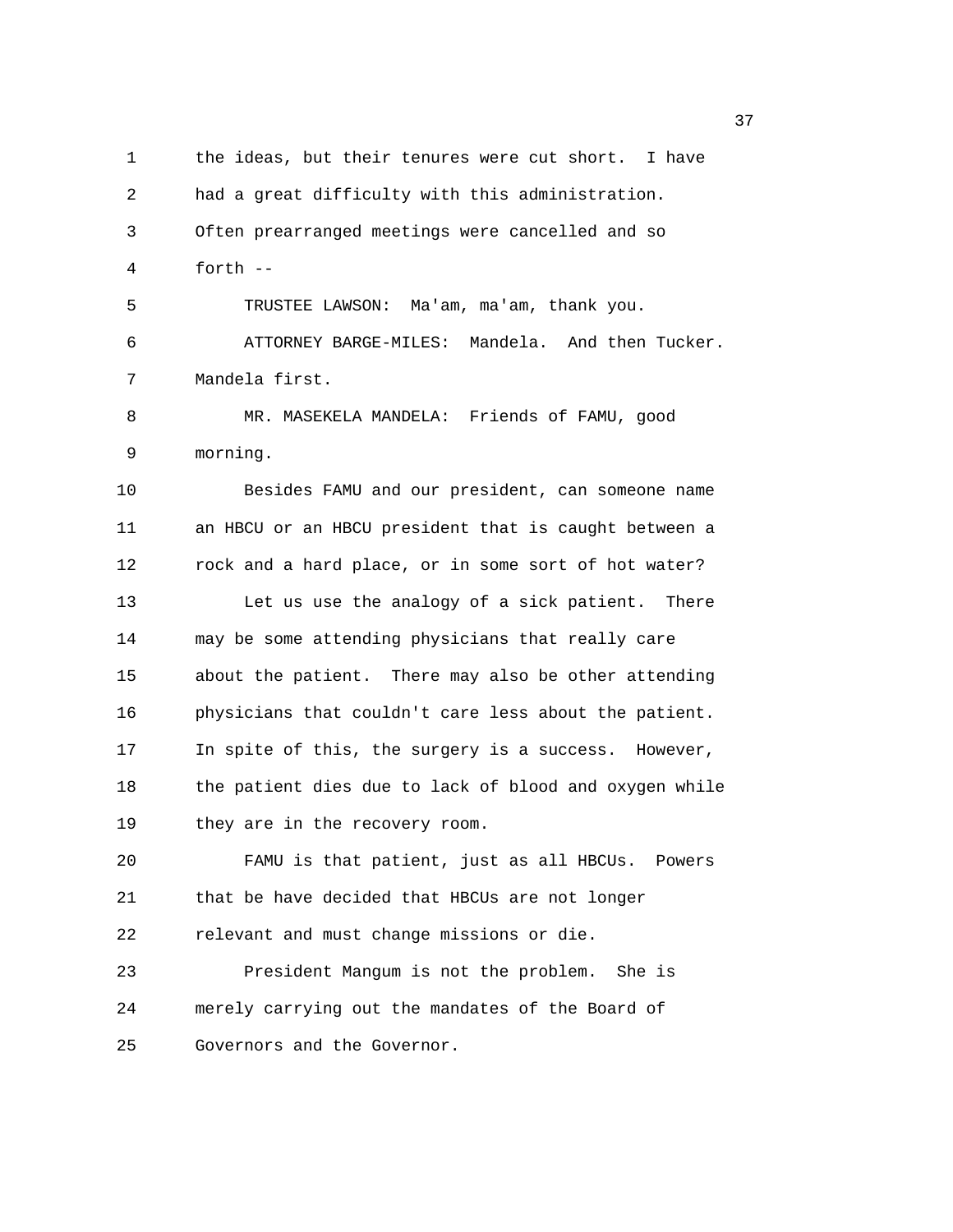1 the ideas, but their tenures were cut short. I have 2 had a great difficulty with this administration. 3 Often prearranged meetings were cancelled and so 4 forth -- 5 TRUSTEE LAWSON: Ma'am, ma'am, thank you. 6 ATTORNEY BARGE-MILES: Mandela. And then Tucker. 7 Mandela first. 8 MR. MASEKELA MANDELA: Friends of FAMU, good 9 morning. 10 Besides FAMU and our president, can someone name 11 an HBCU or an HBCU president that is caught between a 12 rock and a hard place, or in some sort of hot water? 13 Let us use the analogy of a sick patient. There 14 may be some attending physicians that really care 15 about the patient. There may also be other attending 16 physicians that couldn't care less about the patient. 17 In spite of this, the surgery is a success. However, 18 the patient dies due to lack of blood and oxygen while 19 they are in the recovery room. 20 FAMU is that patient, just as all HBCUs. Powers 21 that be have decided that HBCUs are not longer 22 relevant and must change missions or die. 23 President Mangum is not the problem. She is 24 merely carrying out the mandates of the Board of 25 Governors and the Governor.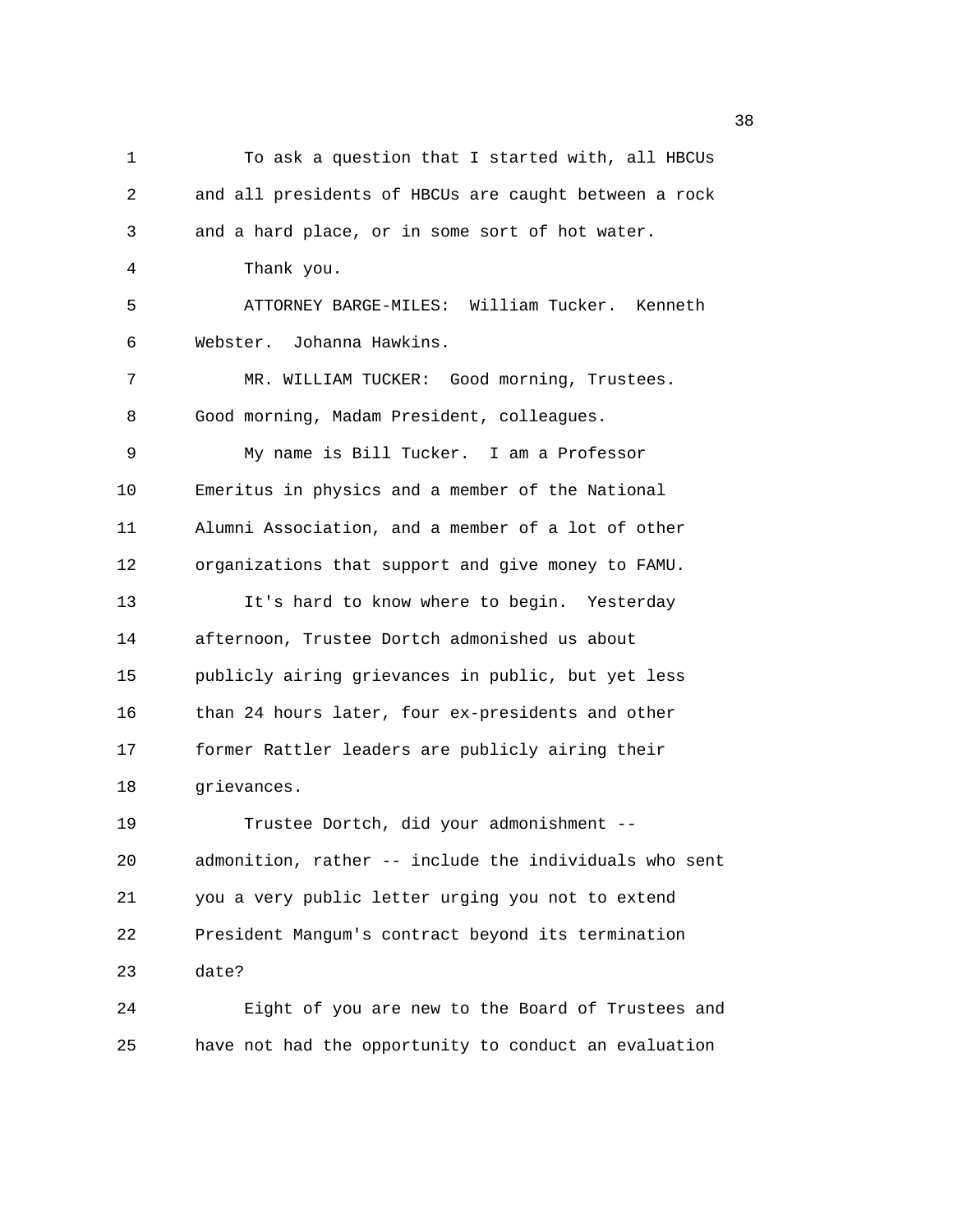| 1  | To ask a question that I started with, all HBCUs       |
|----|--------------------------------------------------------|
| 2  | and all presidents of HBCUs are caught between a rock  |
| 3  | and a hard place, or in some sort of hot water.        |
| 4  | Thank you.                                             |
| 5  | ATTORNEY BARGE-MILES: William Tucker. Kenneth          |
| 6  | Webster. Johanna Hawkins.                              |
| 7  | MR. WILLIAM TUCKER: Good morning, Trustees.            |
| 8  | Good morning, Madam President, colleagues.             |
| 9  | My name is Bill Tucker. I am a Professor               |
| 10 | Emeritus in physics and a member of the National       |
| 11 | Alumni Association, and a member of a lot of other     |
| 12 | organizations that support and give money to FAMU.     |
| 13 | It's hard to know where to begin. Yesterday            |
| 14 | afternoon, Trustee Dortch admonished us about          |
| 15 | publicly airing grievances in public, but yet less     |
| 16 | than 24 hours later, four ex-presidents and other      |
| 17 | former Rattler leaders are publicly airing their       |
| 18 | grievances.                                            |
| 19 | Trustee Dortch, did your admonishment --               |
| 20 | admonition, rather -- include the individuals who sent |
| 21 | you a very public letter urging you not to extend      |
| 22 | President Mangum's contract beyond its termination     |
| 23 | date?                                                  |
| 24 | Eight of you are new to the Board of Trustees and      |
| 25 | have not had the opportunity to conduct an evaluation  |

and the state of the state of the state of the state of the state of the state of the state of the state of th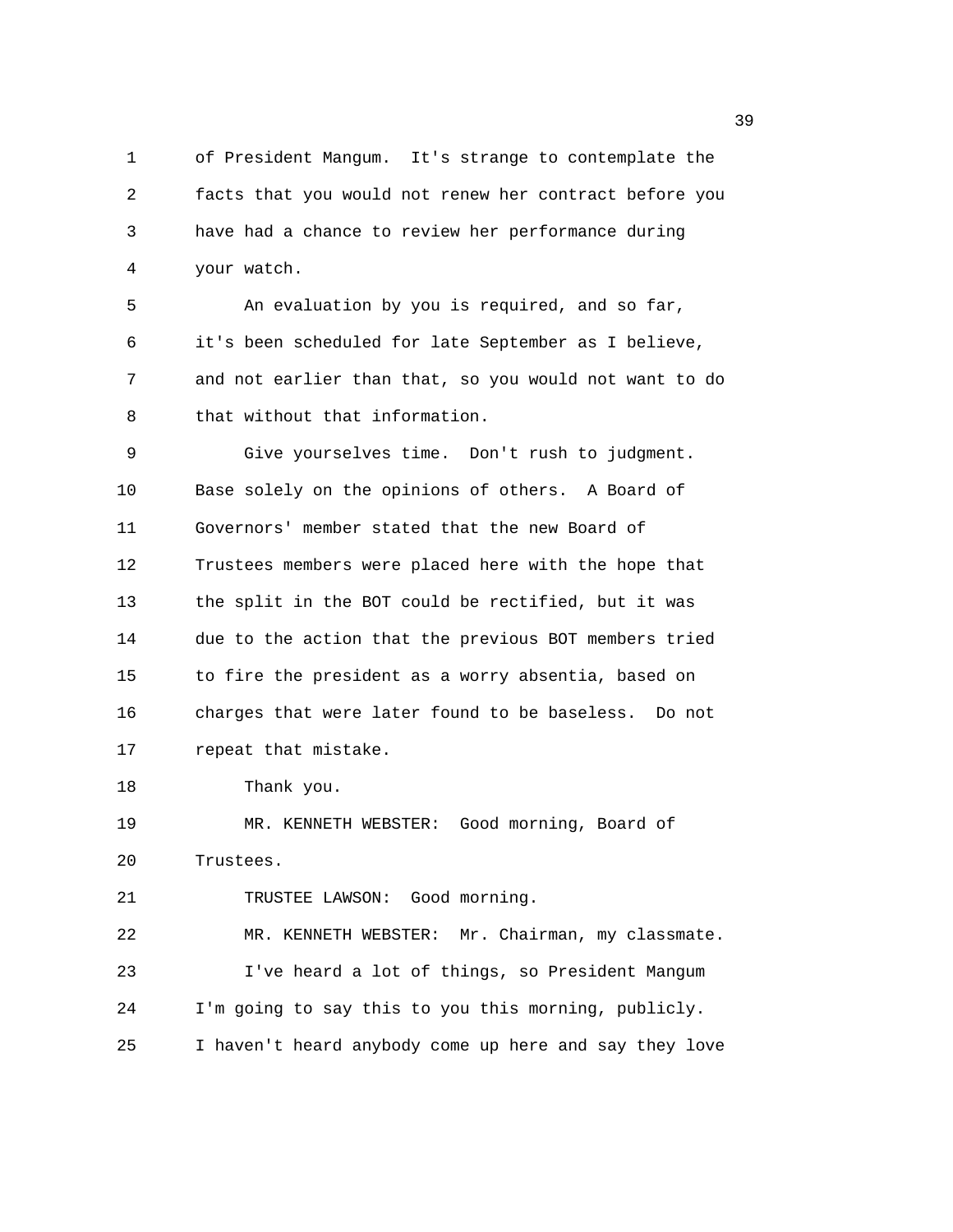1 of President Mangum. It's strange to contemplate the 2 facts that you would not renew her contract before you 3 have had a chance to review her performance during 4 your watch.

5 An evaluation by you is required, and so far, 6 it's been scheduled for late September as I believe, 7 and not earlier than that, so you would not want to do 8 that without that information.

9 Give yourselves time. Don't rush to judgment. 10 Base solely on the opinions of others. A Board of 11 Governors' member stated that the new Board of 12 Trustees members were placed here with the hope that 13 the split in the BOT could be rectified, but it was 14 due to the action that the previous BOT members tried 15 to fire the president as a worry absentia, based on 16 charges that were later found to be baseless. Do not 17 repeat that mistake.

18 Thank you.

19 MR. KENNETH WEBSTER: Good morning, Board of 20 Trustees.

21 TRUSTEE LAWSON: Good morning.

22 MR. KENNETH WEBSTER: Mr. Chairman, my classmate. 23 I've heard a lot of things, so President Mangum 24 I'm going to say this to you this morning, publicly. 25 I haven't heard anybody come up here and say they love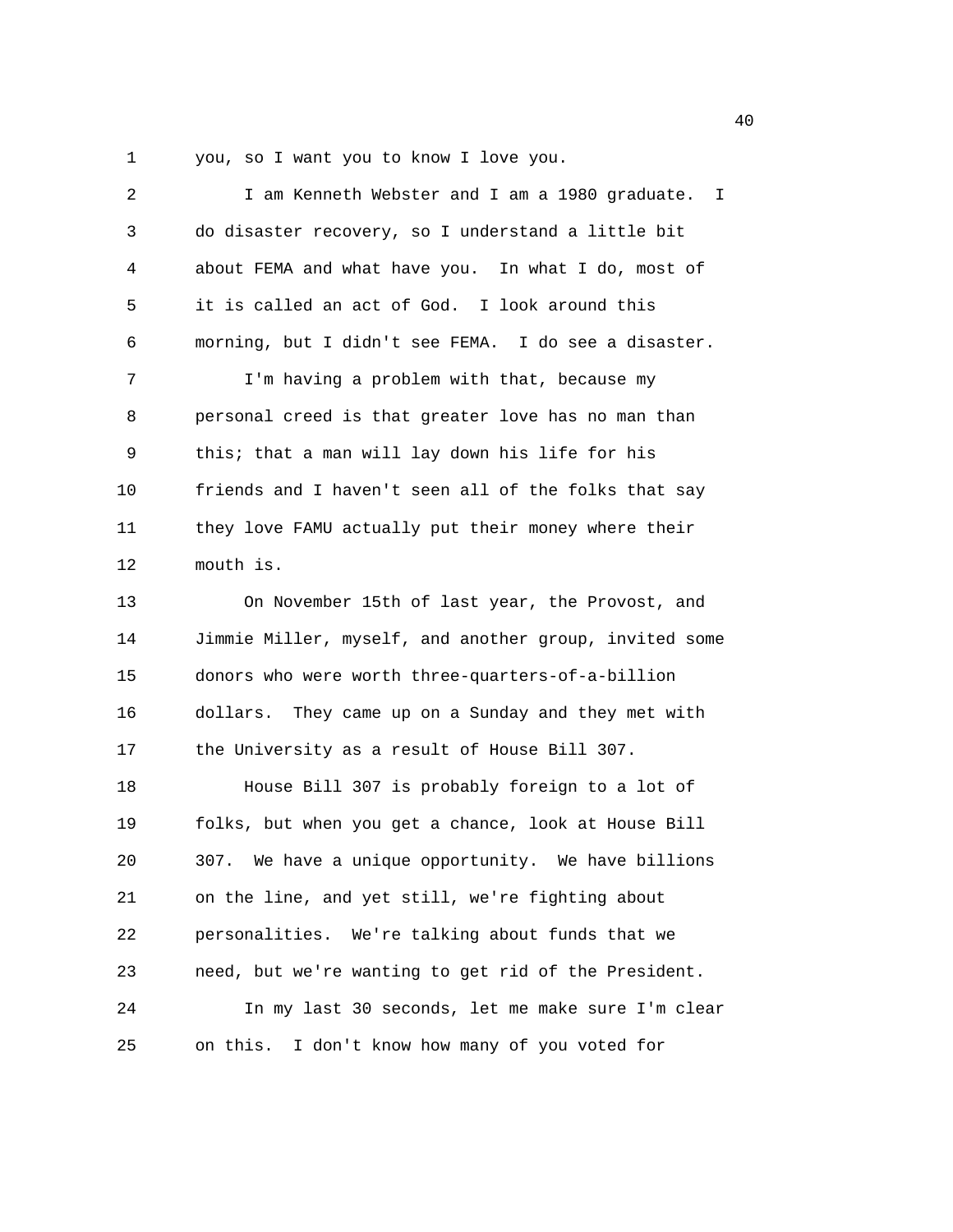1 you, so I want you to know I love you.

| 2  | I am Kenneth Webster and I am a 1980 graduate. I       |
|----|--------------------------------------------------------|
| 3  | do disaster recovery, so I understand a little bit     |
| 4  | about FEMA and what have you. In what I do, most of    |
| 5  | it is called an act of God. I look around this         |
| 6  | morning, but I didn't see FEMA. I do see a disaster.   |
| 7  | I'm having a problem with that, because my             |
| 8  | personal creed is that greater love has no man than    |
| 9  | this; that a man will lay down his life for his        |
| 10 | friends and I haven't seen all of the folks that say   |
| 11 | they love FAMU actually put their money where their    |
| 12 | mouth is.                                              |
| 13 | On November 15th of last year, the Provost, and        |
| 14 | Jimmie Miller, myself, and another group, invited some |
| 15 | donors who were worth three-quarters-of-a-billion      |
| 16 | dollars. They came up on a Sunday and they met with    |
| 17 | the University as a result of House Bill 307.          |
| 18 | House Bill 307 is probably foreign to a lot of         |
| 19 | folks, but when you get a chance, look at House Bill   |
| 20 | 307. We have a unique opportunity. We have billions    |
| 21 | on the line, and yet still, we're fighting about       |
| 22 | personalities. We're talking about funds that we       |
| 23 | need, but we're wanting to get rid of the President.   |
| 24 | In my last 30 seconds, let me make sure I'm clear      |
| 25 | I don't know how many of you voted for<br>on this.     |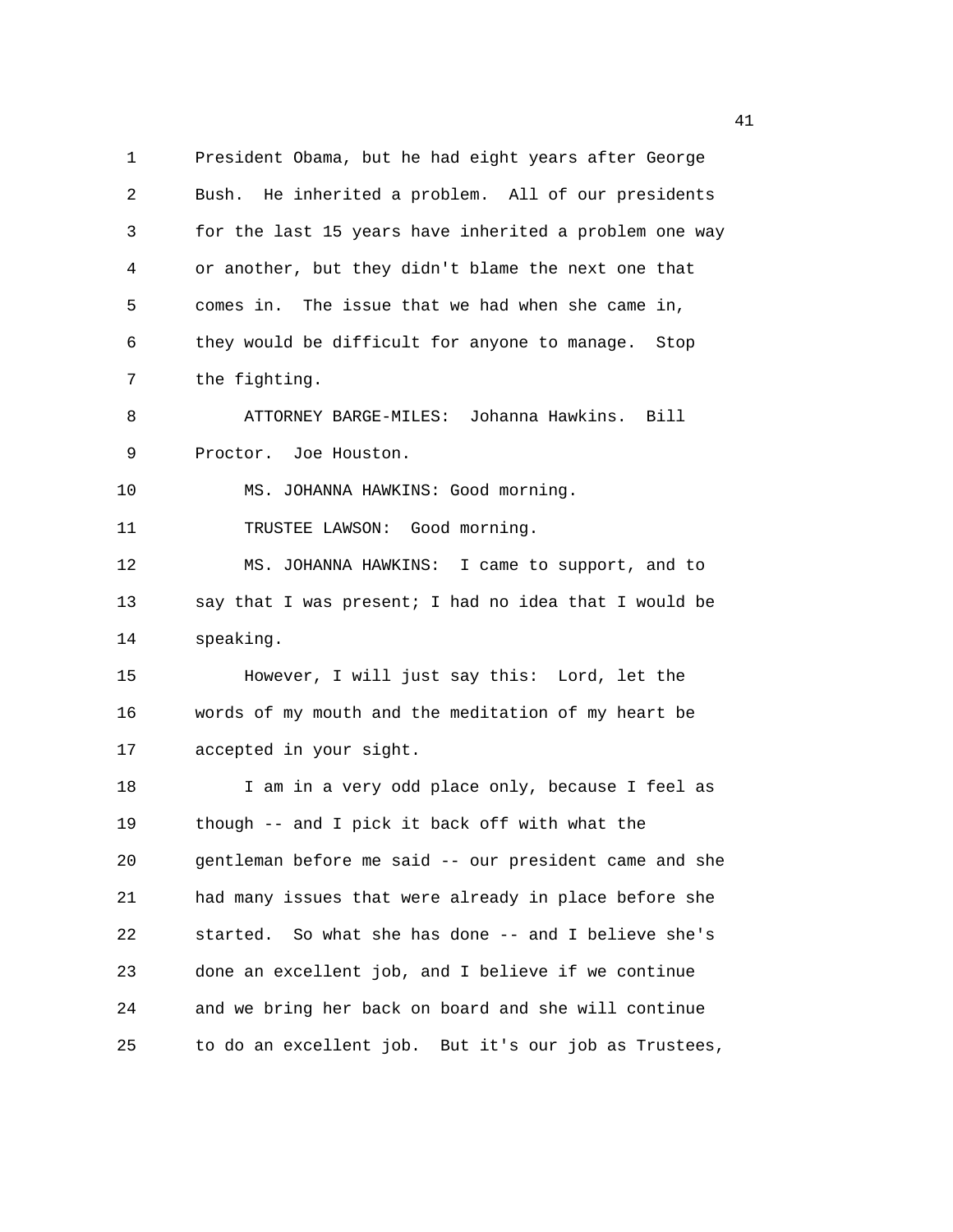1 President Obama, but he had eight years after George 2 Bush. He inherited a problem. All of our presidents 3 for the last 15 years have inherited a problem one way 4 or another, but they didn't blame the next one that 5 comes in. The issue that we had when she came in, 6 they would be difficult for anyone to manage. Stop 7 the fighting. 8 ATTORNEY BARGE-MILES: Johanna Hawkins. Bill 9 Proctor. Joe Houston. 10 MS. JOHANNA HAWKINS: Good morning. 11 TRUSTEE LAWSON: Good morning. 12 MS. JOHANNA HAWKINS: I came to support, and to 13 say that I was present; I had no idea that I would be 14 speaking. 15 However, I will just say this: Lord, let the 16 words of my mouth and the meditation of my heart be 17 accepted in your sight. 18 I am in a very odd place only, because I feel as 19 though -- and I pick it back off with what the 20 gentleman before me said -- our president came and she 21 had many issues that were already in place before she 22 started. So what she has done -- and I believe she's 23 done an excellent job, and I believe if we continue 24 and we bring her back on board and she will continue 25 to do an excellent job. But it's our job as Trustees,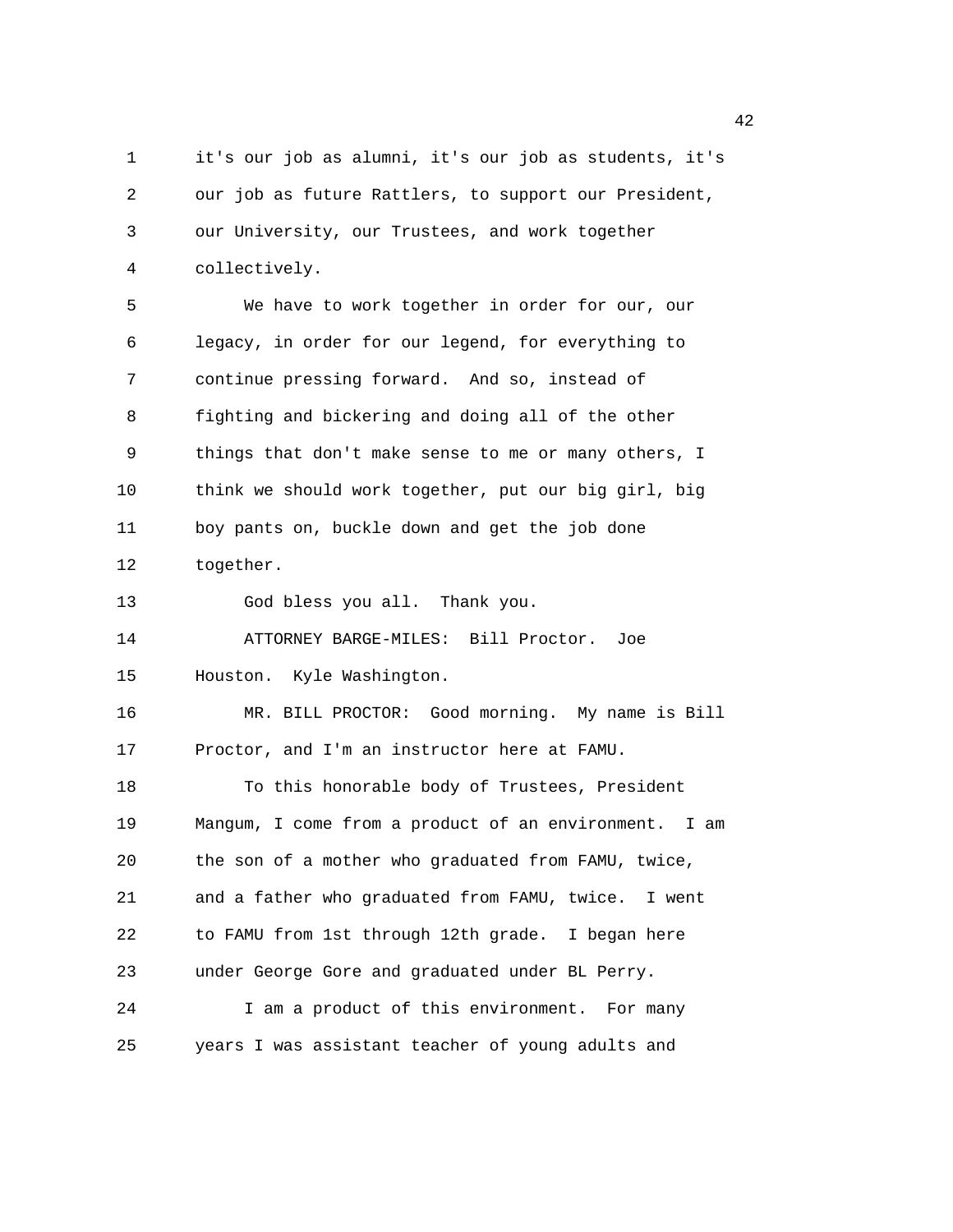1 it's our job as alumni, it's our job as students, it's 2 our job as future Rattlers, to support our President, 3 our University, our Trustees, and work together 4 collectively. 5 We have to work together in order for our, our 6 legacy, in order for our legend, for everything to 7 continue pressing forward. And so, instead of 8 fighting and bickering and doing all of the other 9 things that don't make sense to me or many others, I 10 think we should work together, put our big girl, big 11 boy pants on, buckle down and get the job done 12 together. 13 God bless you all. Thank you. 14 ATTORNEY BARGE-MILES: Bill Proctor. Joe 15 Houston. Kyle Washington. 16 MR. BILL PROCTOR: Good morning. My name is Bill 17 Proctor, and I'm an instructor here at FAMU. 18 To this honorable body of Trustees, President 19 Mangum, I come from a product of an environment. I am 20 the son of a mother who graduated from FAMU, twice, 21 and a father who graduated from FAMU, twice. I went 22 to FAMU from 1st through 12th grade. I began here 23 under George Gore and graduated under BL Perry. 24 I am a product of this environment. For many 25 years I was assistant teacher of young adults and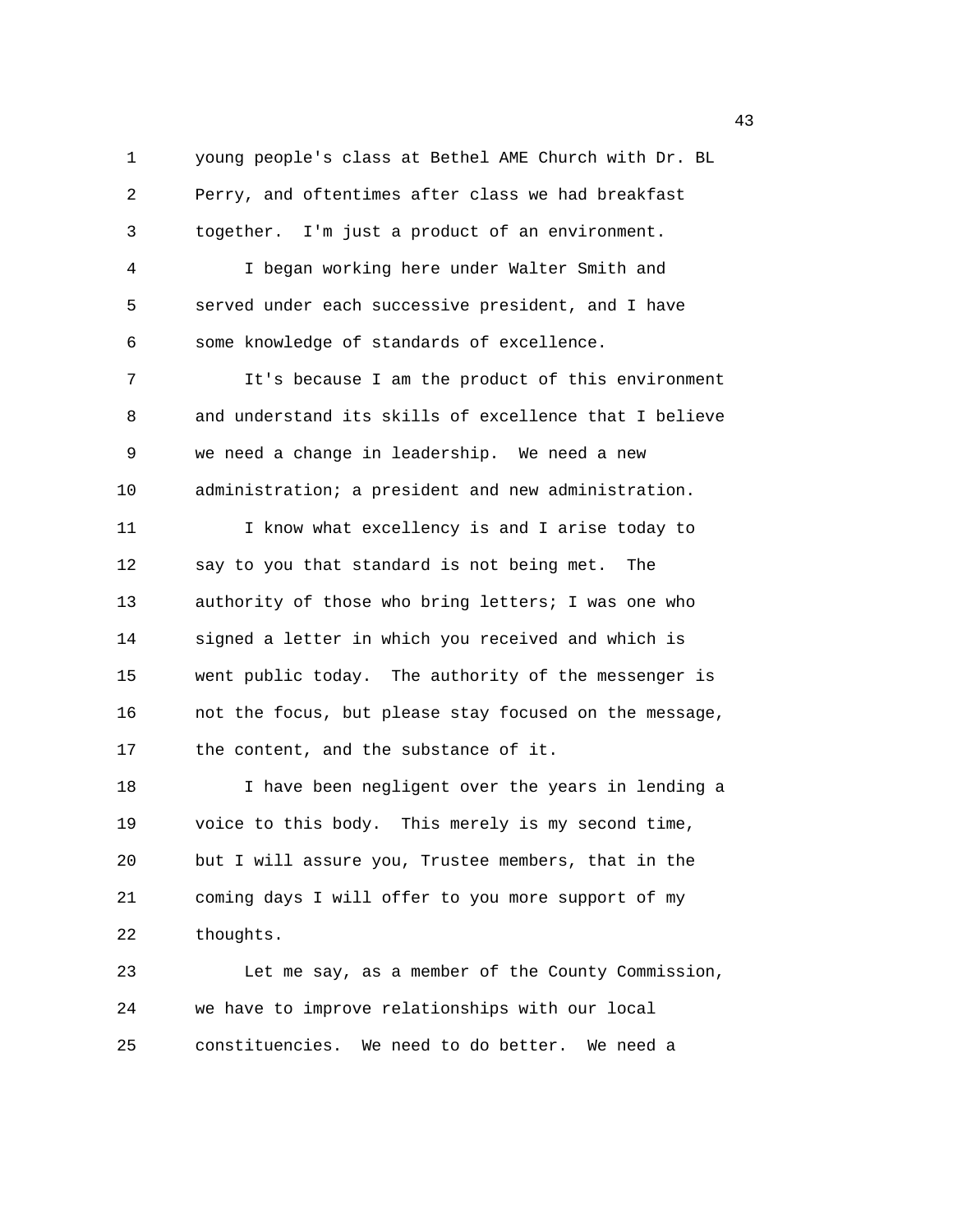1 young people's class at Bethel AME Church with Dr. BL 2 Perry, and oftentimes after class we had breakfast 3 together. I'm just a product of an environment. 4 I began working here under Walter Smith and 5 served under each successive president, and I have 6 some knowledge of standards of excellence. 7 It's because I am the product of this environment 8 and understand its skills of excellence that I believe 9 we need a change in leadership. We need a new 10 administration; a president and new administration. 11 I know what excellency is and I arise today to 12 say to you that standard is not being met. The 13 authority of those who bring letters; I was one who 14 signed a letter in which you received and which is 15 went public today. The authority of the messenger is 16 not the focus, but please stay focused on the message, 17 the content, and the substance of it. 18 I have been negligent over the years in lending a 19 voice to this body. This merely is my second time, 20 but I will assure you, Trustee members, that in the 21 coming days I will offer to you more support of my 22 thoughts. 23 Let me say, as a member of the County Commission, 24 we have to improve relationships with our local 25 constituencies. We need to do better. We need a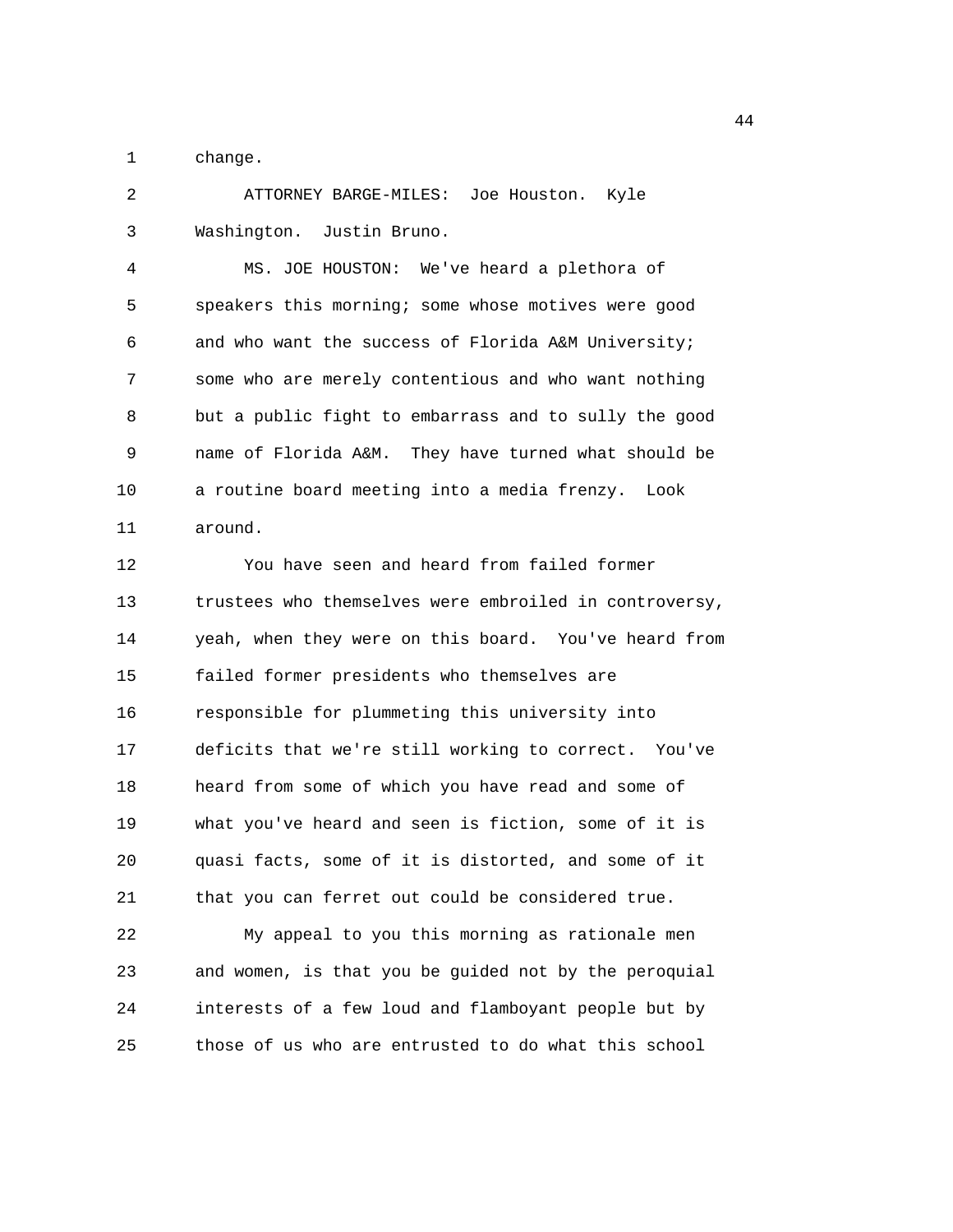1 change.

2 ATTORNEY BARGE-MILES: Joe Houston. Kyle 3 Washington. Justin Bruno.

4 MS. JOE HOUSTON: We've heard a plethora of 5 speakers this morning; some whose motives were good 6 and who want the success of Florida A&M University; 7 some who are merely contentious and who want nothing 8 but a public fight to embarrass and to sully the good 9 name of Florida A&M. They have turned what should be 10 a routine board meeting into a media frenzy. Look 11 around.

12 You have seen and heard from failed former 13 trustees who themselves were embroiled in controversy, 14 yeah, when they were on this board. You've heard from 15 failed former presidents who themselves are 16 responsible for plummeting this university into 17 deficits that we're still working to correct. You've 18 heard from some of which you have read and some of 19 what you've heard and seen is fiction, some of it is 20 quasi facts, some of it is distorted, and some of it 21 that you can ferret out could be considered true.

22 My appeal to you this morning as rationale men 23 and women, is that you be guided not by the peroquial 24 interests of a few loud and flamboyant people but by 25 those of us who are entrusted to do what this school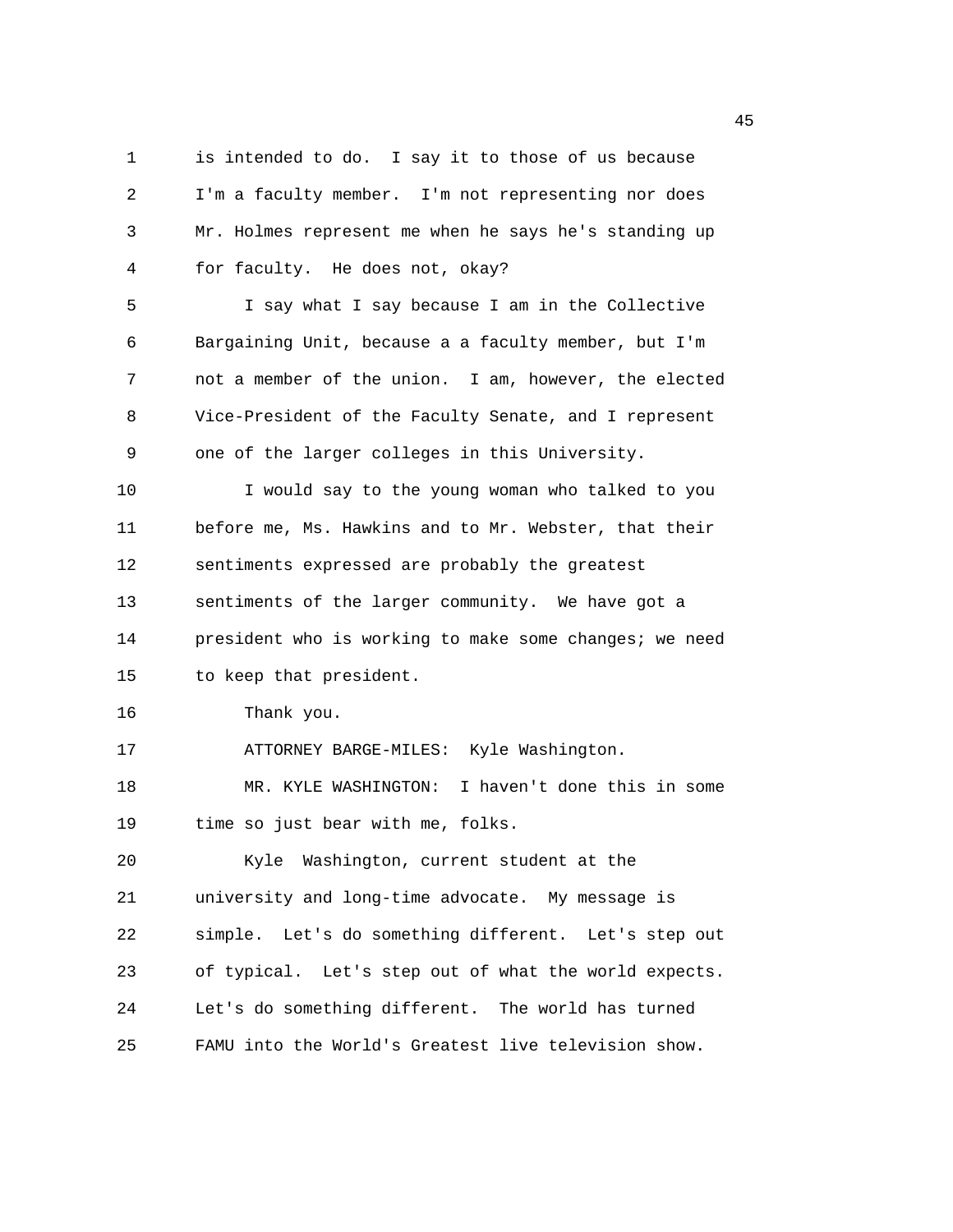1 is intended to do. I say it to those of us because 2 I'm a faculty member. I'm not representing nor does 3 Mr. Holmes represent me when he says he's standing up 4 for faculty. He does not, okay? 5 I say what I say because I am in the Collective 6 Bargaining Unit, because a a faculty member, but I'm 7 not a member of the union. I am, however, the elected 8 Vice-President of the Faculty Senate, and I represent 9 one of the larger colleges in this University. 10 I would say to the young woman who talked to you 11 before me, Ms. Hawkins and to Mr. Webster, that their 12 sentiments expressed are probably the greatest 13 sentiments of the larger community. We have got a 14 president who is working to make some changes; we need 15 to keep that president. 16 Thank you. 17 ATTORNEY BARGE-MILES: Kyle Washington. 18 MR. KYLE WASHINGTON: I haven't done this in some 19 time so just bear with me, folks. 20 Kyle Washington, current student at the 21 university and long-time advocate. My message is 22 simple. Let's do something different. Let's step out 23 of typical. Let's step out of what the world expects. 24 Let's do something different. The world has turned 25 FAMU into the World's Greatest live television show.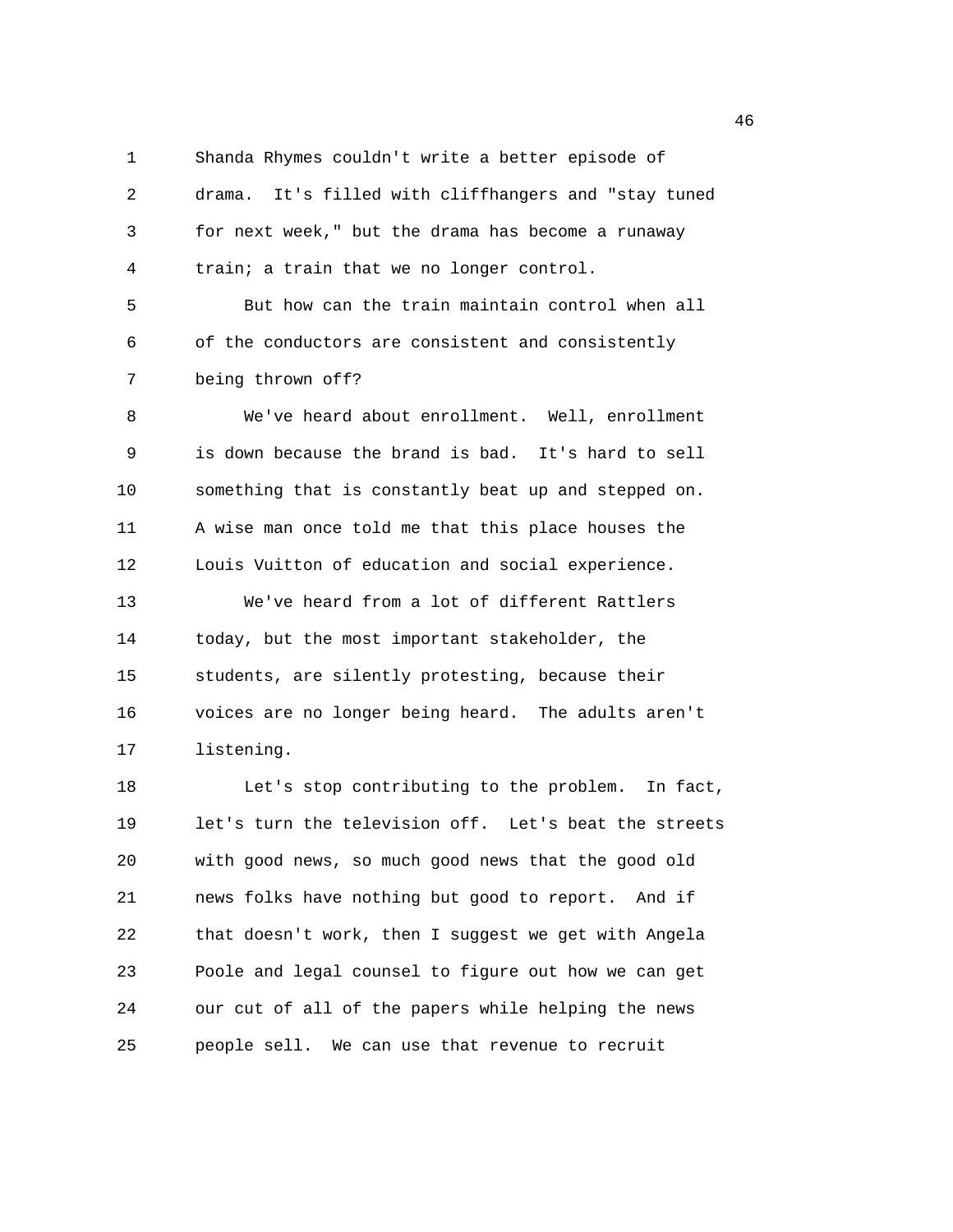1 Shanda Rhymes couldn't write a better episode of 2 drama. It's filled with cliffhangers and "stay tuned 3 for next week," but the drama has become a runaway 4 train; a train that we no longer control.

5 But how can the train maintain control when all 6 of the conductors are consistent and consistently 7 being thrown off?

8 We've heard about enrollment. Well, enrollment 9 is down because the brand is bad. It's hard to sell 10 something that is constantly beat up and stepped on. 11 A wise man once told me that this place houses the 12 Louis Vuitton of education and social experience. 13 We've heard from a lot of different Rattlers 14 today, but the most important stakeholder, the 15 students, are silently protesting, because their

16 voices are no longer being heard. The adults aren't 17 listening.

18 Let's stop contributing to the problem. In fact, 19 let's turn the television off. Let's beat the streets 20 with good news, so much good news that the good old 21 news folks have nothing but good to report. And if 22 that doesn't work, then I suggest we get with Angela 23 Poole and legal counsel to figure out how we can get 24 our cut of all of the papers while helping the news 25 people sell. We can use that revenue to recruit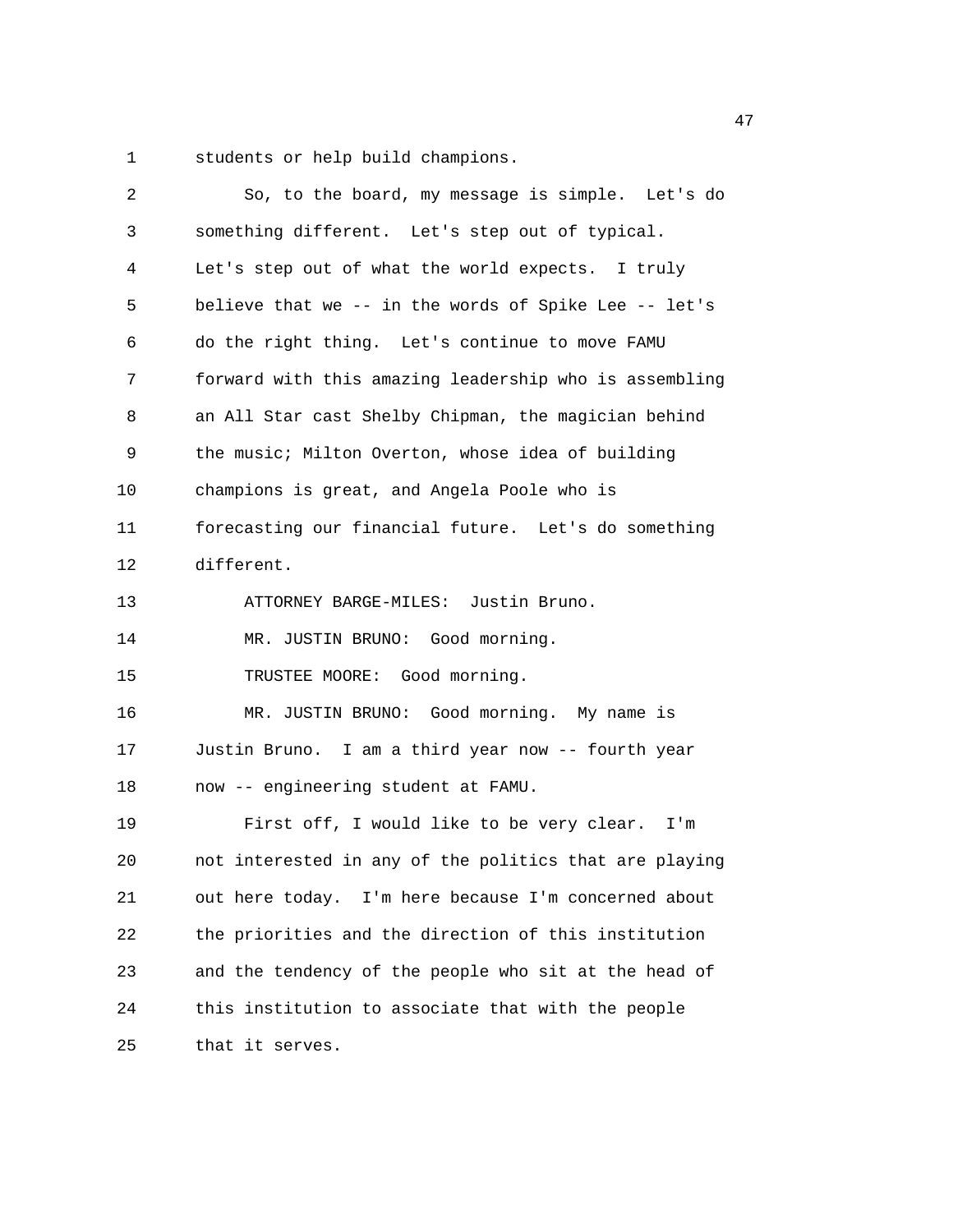1 students or help build champions.

| 2  | So, to the board, my message is simple. Let's do       |
|----|--------------------------------------------------------|
| 3  | something different. Let's step out of typical.        |
| 4  | Let's step out of what the world expects. I truly      |
| 5  | believe that we -- in the words of Spike Lee -- let's  |
| 6  | do the right thing. Let's continue to move FAMU        |
| 7  | forward with this amazing leadership who is assembling |
| 8  | an All Star cast Shelby Chipman, the magician behind   |
| 9  | the music; Milton Overton, whose idea of building      |
| 10 | champions is great, and Angela Poole who is            |
| 11 | forecasting our financial future. Let's do something   |
| 12 | different.                                             |
| 13 | ATTORNEY BARGE-MILES: Justin Bruno.                    |
| 14 | MR. JUSTIN BRUNO: Good morning.                        |
| 15 | TRUSTEE MOORE: Good morning.                           |
| 16 | MR. JUSTIN BRUNO: Good morning. My name is             |
| 17 | Justin Bruno. I am a third year now -- fourth year     |
| 18 | now -- engineering student at FAMU.                    |
| 19 | First off, I would like to be very clear. I'm          |
| 20 | not interested in any of the politics that are playing |
| 21 | out here today. I'm here because I'm concerned about   |
| 22 | the priorities and the direction of this institution   |
| 23 | and the tendency of the people who sit at the head of  |
| 24 | this institution to associate that with the people     |
| 25 | that it serves.                                        |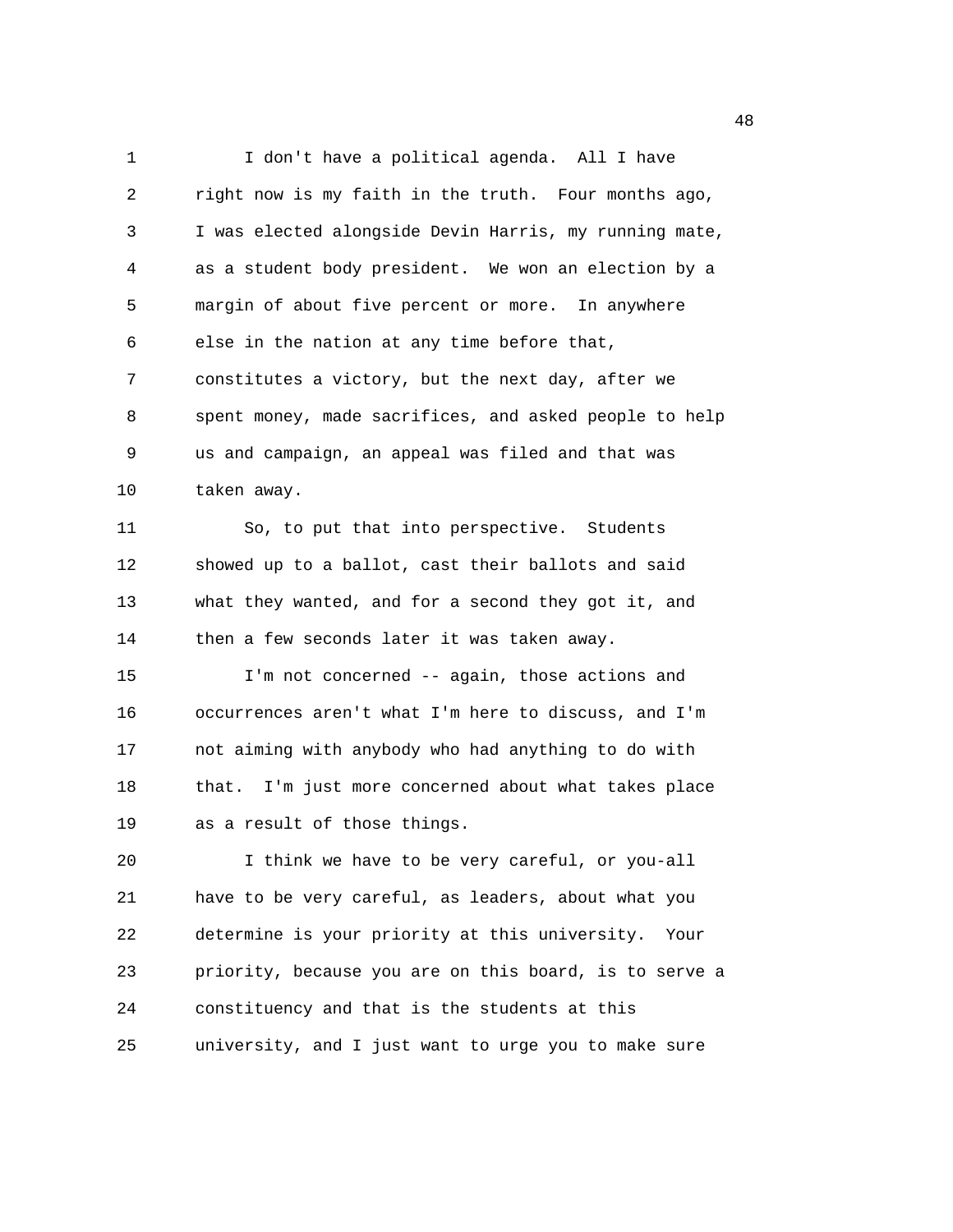1 I don't have a political agenda. All I have 2 right now is my faith in the truth. Four months ago, 3 I was elected alongside Devin Harris, my running mate, 4 as a student body president. We won an election by a 5 margin of about five percent or more. In anywhere 6 else in the nation at any time before that, 7 constitutes a victory, but the next day, after we 8 spent money, made sacrifices, and asked people to help 9 us and campaign, an appeal was filed and that was 10 taken away. 11 So, to put that into perspective. Students 12 showed up to a ballot, cast their ballots and said 13 what they wanted, and for a second they got it, and 14 then a few seconds later it was taken away. 15 I'm not concerned -- again, those actions and 16 occurrences aren't what I'm here to discuss, and I'm 17 not aiming with anybody who had anything to do with 18 that. I'm just more concerned about what takes place 19 as a result of those things. 20 I think we have to be very careful, or you-all 21 have to be very careful, as leaders, about what you 22 determine is your priority at this university. Your 23 priority, because you are on this board, is to serve a 24 constituency and that is the students at this 25 university, and I just want to urge you to make sure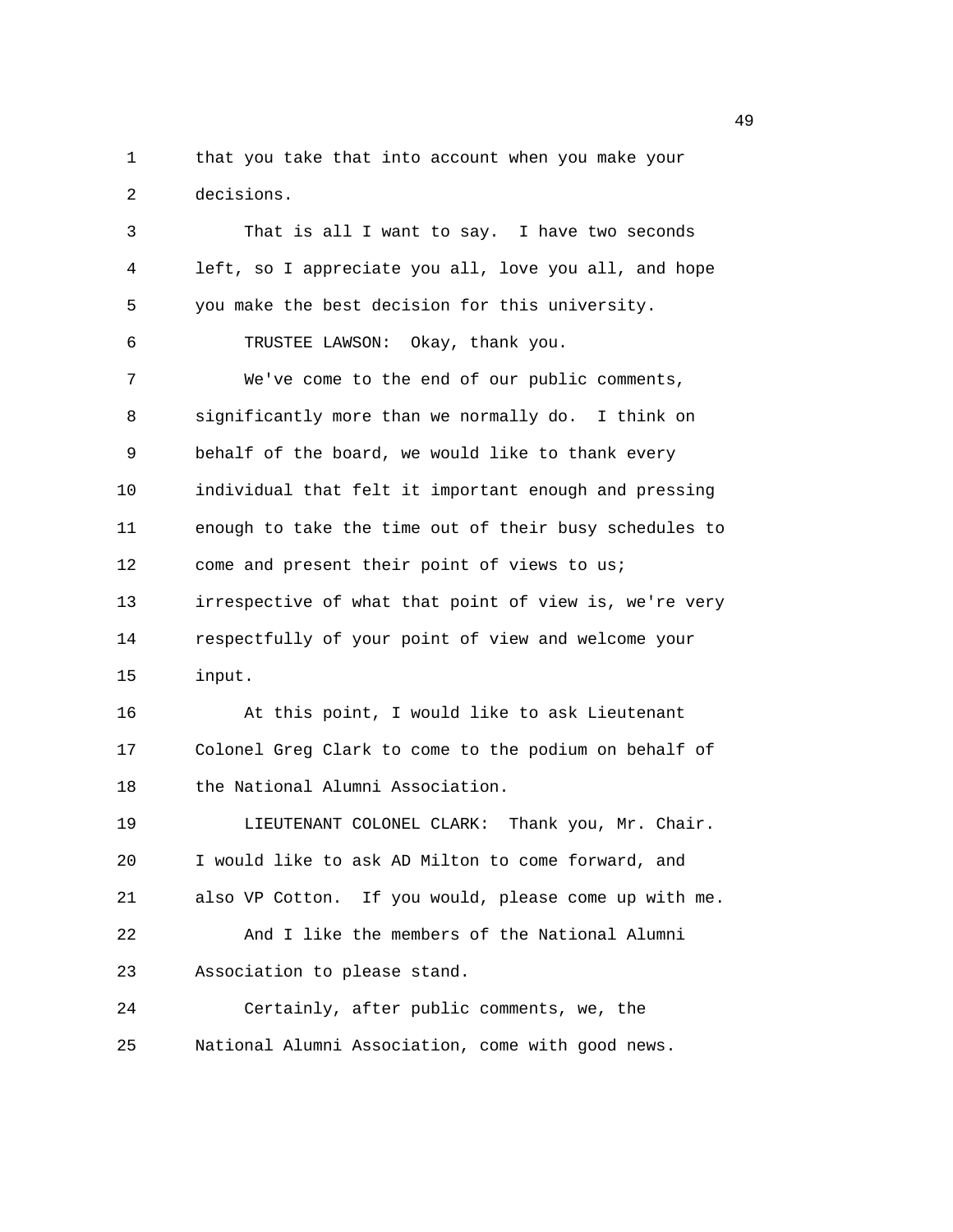1 that you take that into account when you make your 2 decisions.

3 That is all I want to say. I have two seconds 4 left, so I appreciate you all, love you all, and hope 5 you make the best decision for this university. 6 TRUSTEE LAWSON: Okay, thank you. 7 We've come to the end of our public comments, 8 significantly more than we normally do. I think on 9 behalf of the board, we would like to thank every 10 individual that felt it important enough and pressing 11 enough to take the time out of their busy schedules to 12 come and present their point of views to us; 13 irrespective of what that point of view is, we're very 14 respectfully of your point of view and welcome your 15 input. 16 At this point, I would like to ask Lieutenant 17 Colonel Greg Clark to come to the podium on behalf of 18 the National Alumni Association. 19 **LIEUTENANT COLONEL CLARK:** Thank you, Mr. Chair. 20 I would like to ask AD Milton to come forward, and 21 also VP Cotton. If you would, please come up with me. 22 And I like the members of the National Alumni 23 Association to please stand. 24 Certainly, after public comments, we, the 25 National Alumni Association, come with good news.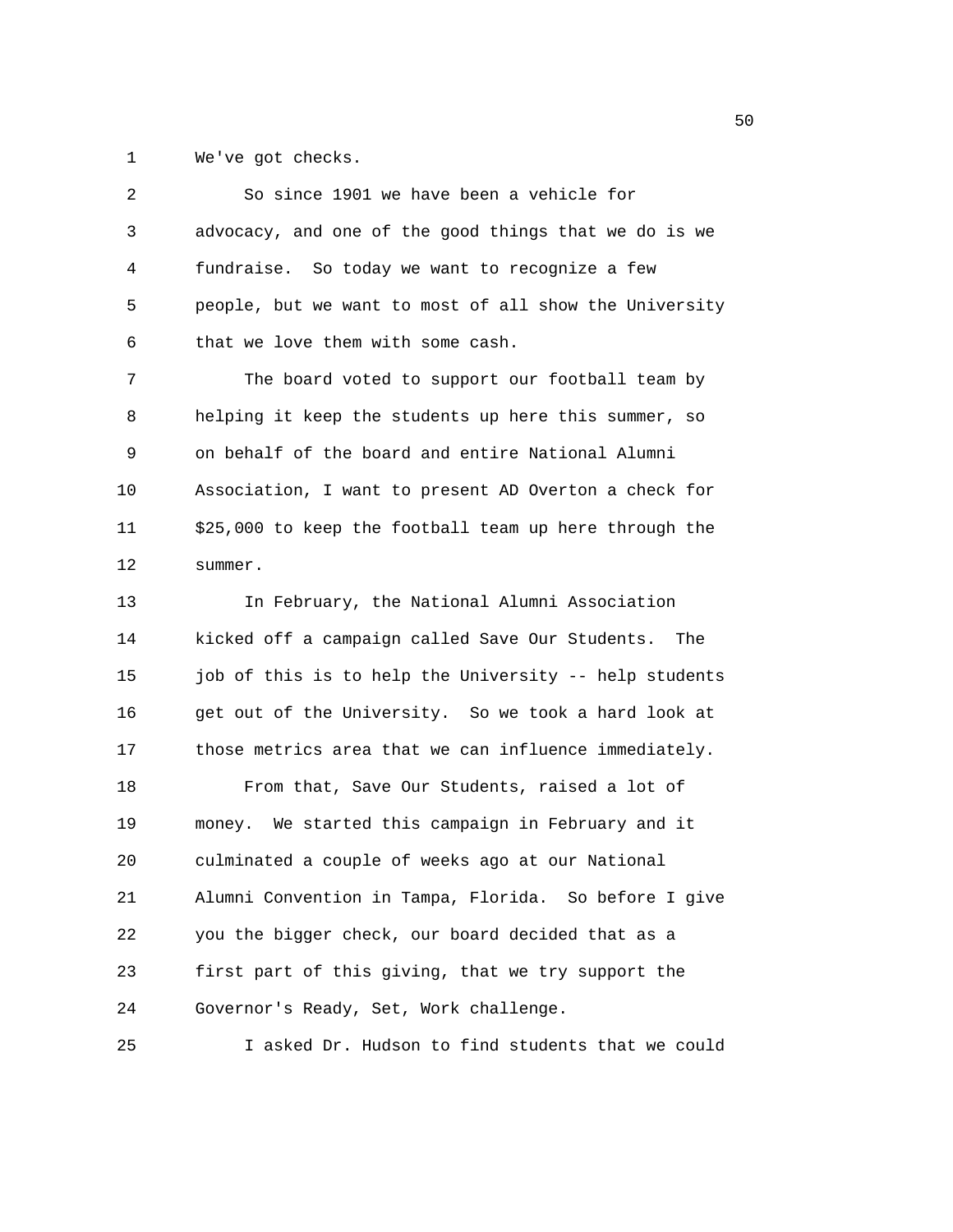1 We've got checks.

| 2  | So since 1901 we have been a vehicle for               |
|----|--------------------------------------------------------|
| 3  | advocacy, and one of the good things that we do is we  |
| 4  | fundraise. So today we want to recognize a few         |
| 5  | people, but we want to most of all show the University |
| 6  | that we love them with some cash.                      |
| 7  | The board voted to support our football team by        |
| 8  | helping it keep the students up here this summer, so   |
| 9  | on behalf of the board and entire National Alumni      |
| 10 | Association, I want to present AD Overton a check for  |
| 11 | \$25,000 to keep the football team up here through the |
| 12 | summer.                                                |
| 13 | In February, the National Alumni Association           |
| 14 | kicked off a campaign called Save Our Students. The    |
| 15 | job of this is to help the University -- help students |
| 16 | get out of the University. So we took a hard look at   |
| 17 | those metrics area that we can influence immediately.  |
| 18 | From that, Save Our Students, raised a lot of          |
| 19 | money. We started this campaign in February and it     |
| 20 | culminated a couple of weeks ago at our National       |
| 21 | Alumni Convention in Tampa, Florida. So before I give  |
| 22 | you the bigger check, our board decided that as a      |
| 23 | first part of this giving, that we try support the     |
| 24 | Governor's Ready, Set, Work challenge.                 |
| 25 | I asked Dr. Hudson to find students that we could      |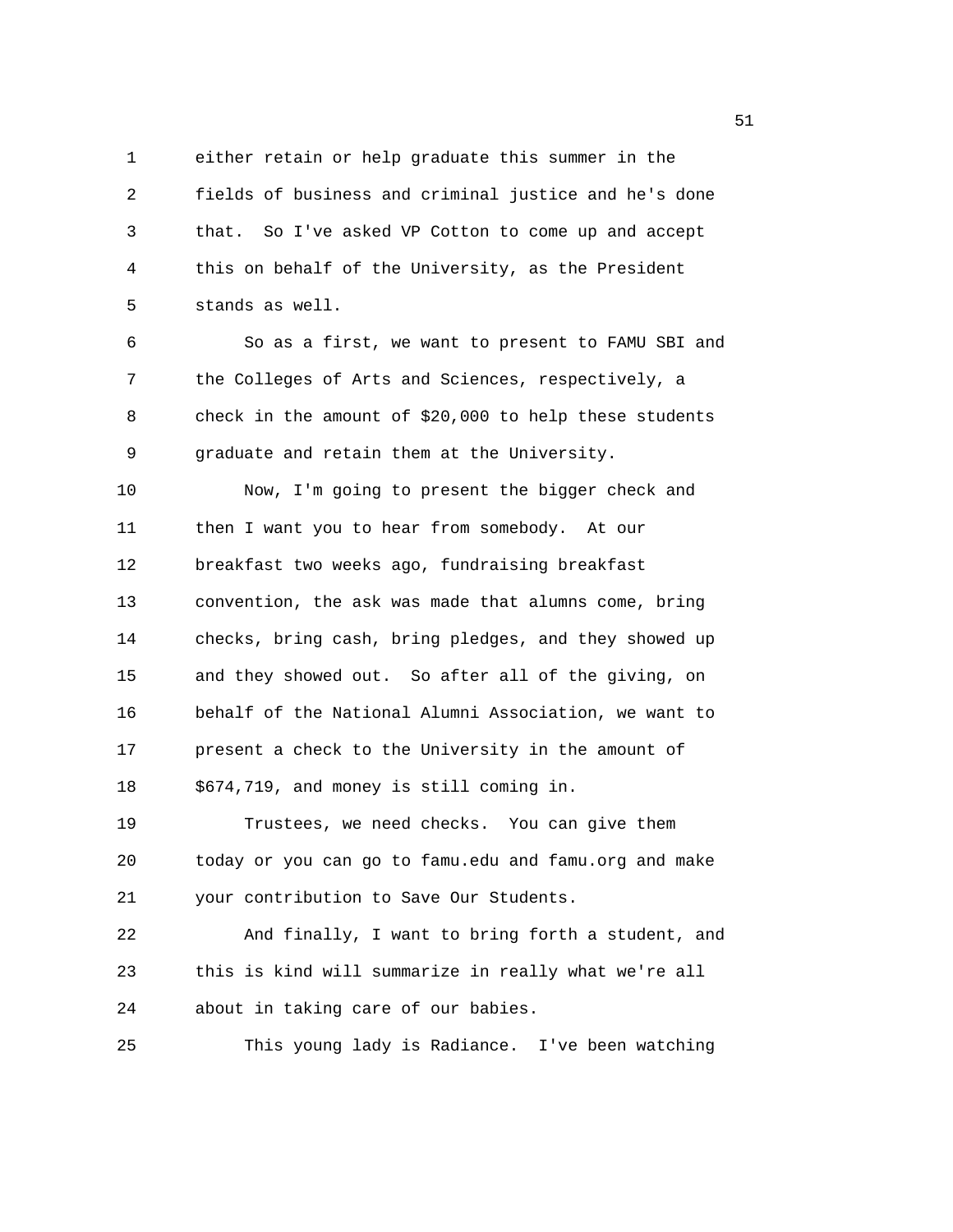1 either retain or help graduate this summer in the 2 fields of business and criminal justice and he's done 3 that. So I've asked VP Cotton to come up and accept 4 this on behalf of the University, as the President 5 stands as well.

6 So as a first, we want to present to FAMU SBI and 7 the Colleges of Arts and Sciences, respectively, a 8 check in the amount of \$20,000 to help these students 9 graduate and retain them at the University. 10 Now, I'm going to present the bigger check and 11 then I want you to hear from somebody. At our 12 breakfast two weeks ago, fundraising breakfast 13 convention, the ask was made that alumns come, bring 14 checks, bring cash, bring pledges, and they showed up

15 and they showed out. So after all of the giving, on 16 behalf of the National Alumni Association, we want to 17 present a check to the University in the amount of 18 \$674,719, and money is still coming in.

19 Trustees, we need checks. You can give them 20 today or you can go to famu.edu and famu.org and make 21 your contribution to Save Our Students.

22 And finally, I want to bring forth a student, and 23 this is kind will summarize in really what we're all 24 about in taking care of our babies.

25 This young lady is Radiance. I've been watching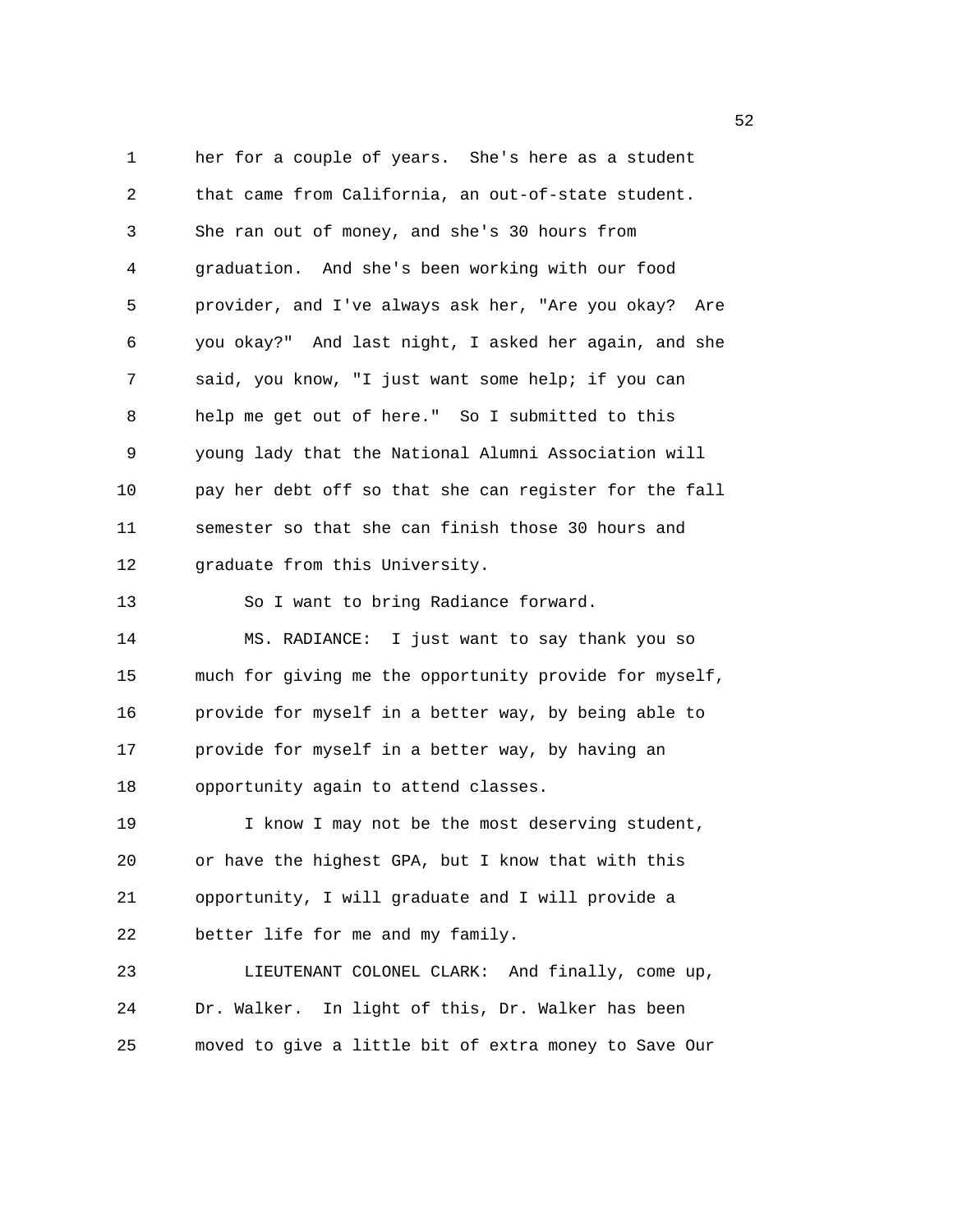1 her for a couple of years. She's here as a student 2 that came from California, an out-of-state student. 3 She ran out of money, and she's 30 hours from 4 graduation. And she's been working with our food 5 provider, and I've always ask her, "Are you okay? Are 6 you okay?" And last night, I asked her again, and she 7 said, you know, "I just want some help; if you can 8 help me get out of here." So I submitted to this 9 young lady that the National Alumni Association will 10 pay her debt off so that she can register for the fall 11 semester so that she can finish those 30 hours and 12 graduate from this University. 13 So I want to bring Radiance forward. 14 MS. RADIANCE: I just want to say thank you so 15 much for giving me the opportunity provide for myself, 16 provide for myself in a better way, by being able to 17 provide for myself in a better way, by having an 18 opportunity again to attend classes. 19 I know I may not be the most deserving student, 20 or have the highest GPA, but I know that with this 21 opportunity, I will graduate and I will provide a 22 better life for me and my family. 23 LIEUTENANT COLONEL CLARK: And finally, come up, 24 Dr. Walker. In light of this, Dr. Walker has been 25 moved to give a little bit of extra money to Save Our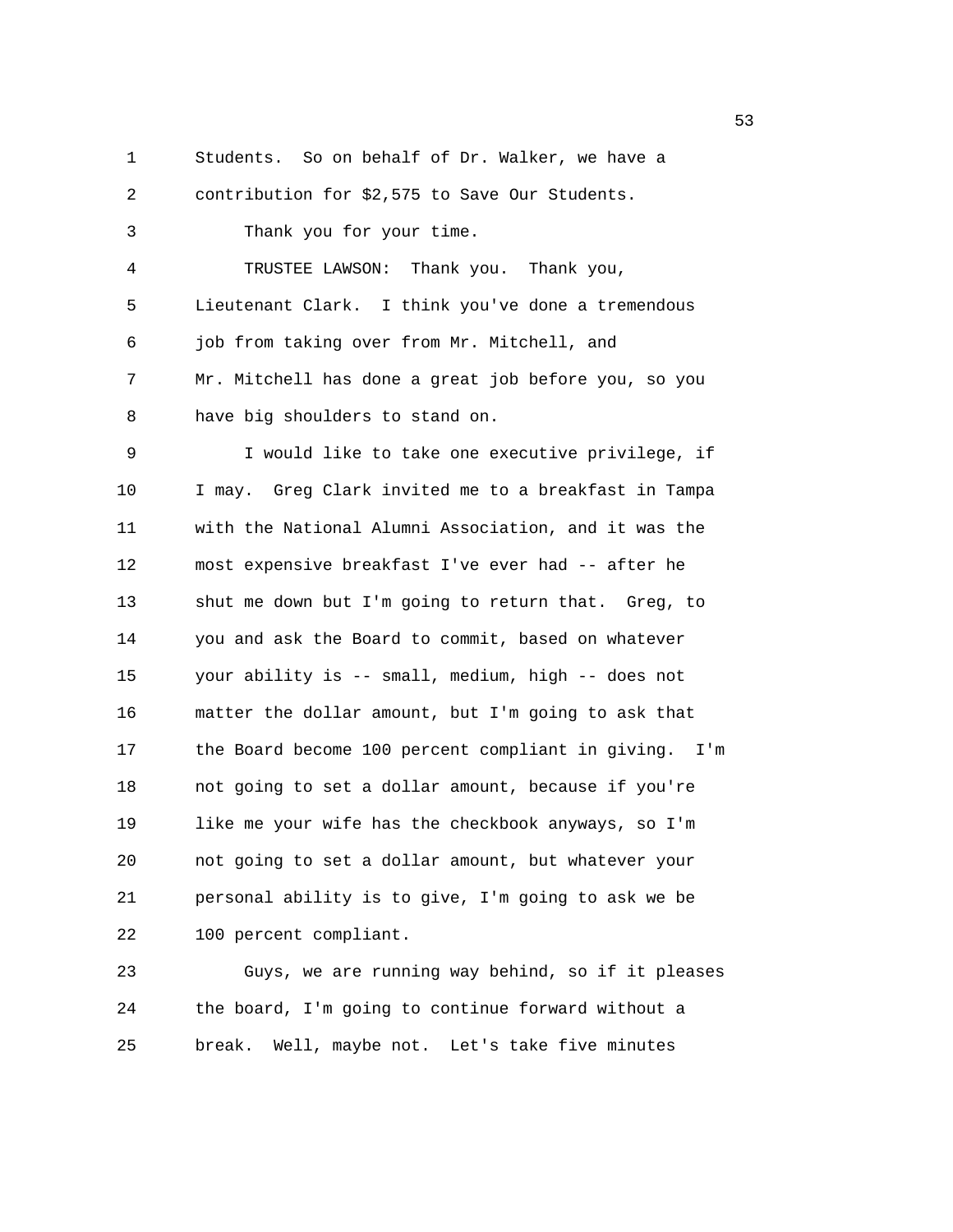1 Students. So on behalf of Dr. Walker, we have a 2 contribution for \$2,575 to Save Our Students. 3 Thank you for your time. 4 TRUSTEE LAWSON: Thank you. Thank you, 5 Lieutenant Clark. I think you've done a tremendous 6 job from taking over from Mr. Mitchell, and 7 Mr. Mitchell has done a great job before you, so you 8 have big shoulders to stand on. 9 I would like to take one executive privilege, if 10 I may. Greg Clark invited me to a breakfast in Tampa 11 with the National Alumni Association, and it was the 12 most expensive breakfast I've ever had -- after he 13 shut me down but I'm going to return that. Greg, to 14 you and ask the Board to commit, based on whatever 15 your ability is -- small, medium, high -- does not 16 matter the dollar amount, but I'm going to ask that 17 the Board become 100 percent compliant in giving. I'm 18 not going to set a dollar amount, because if you're 19 like me your wife has the checkbook anyways, so I'm 20 not going to set a dollar amount, but whatever your 21 personal ability is to give, I'm going to ask we be 22 100 percent compliant. 23 Guys, we are running way behind, so if it pleases 24 the board, I'm going to continue forward without a

25 break. Well, maybe not. Let's take five minutes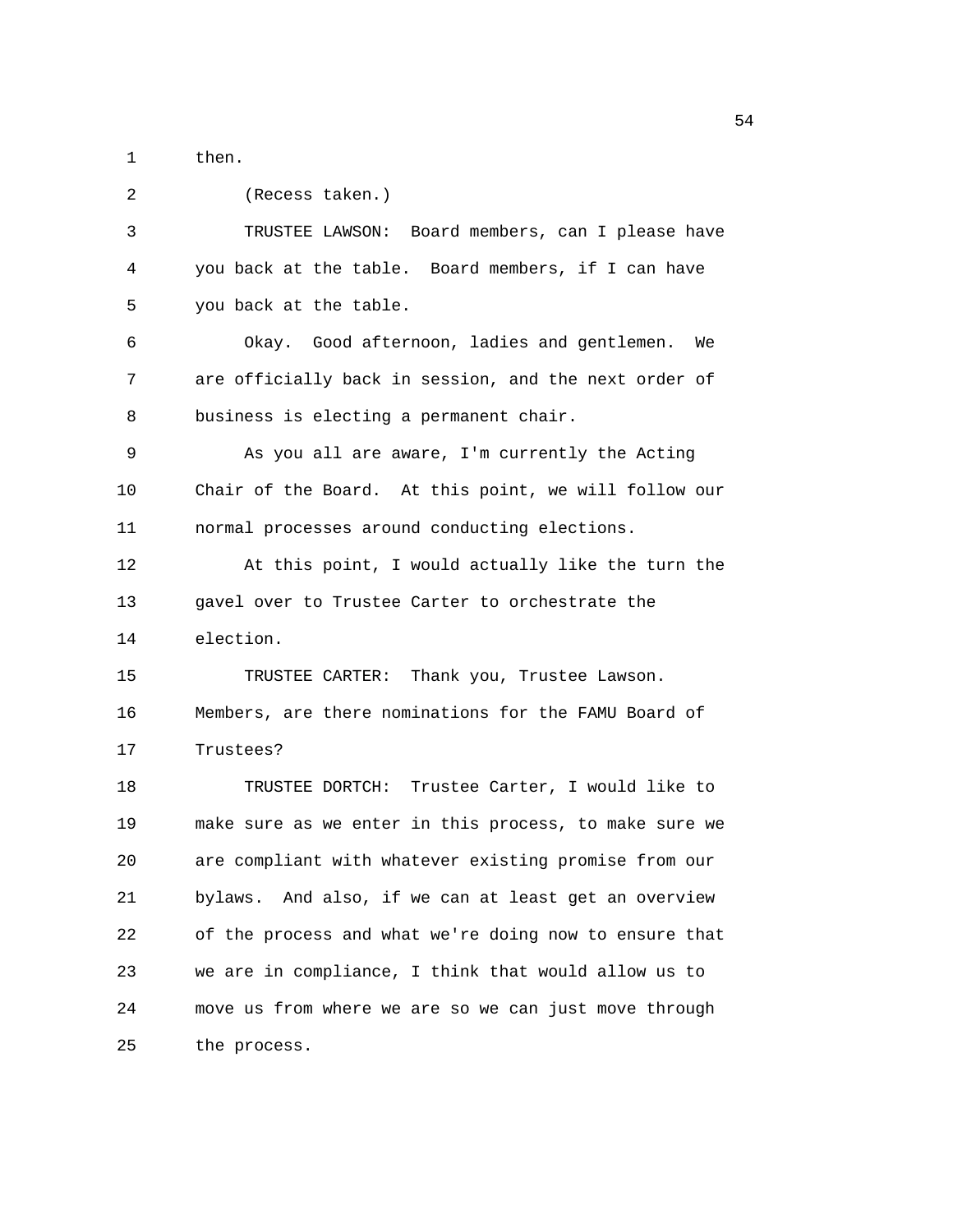1 then.

| 2  | (Recess taken.)                                        |
|----|--------------------------------------------------------|
| 3  | TRUSTEE LAWSON: Board members, can I please have       |
| 4  | you back at the table. Board members, if I can have    |
| 5  | you back at the table.                                 |
| 6  | Okay. Good afternoon, ladies and gentlemen. We         |
| 7  | are officially back in session, and the next order of  |
| 8  | business is electing a permanent chair.                |
| 9  | As you all are aware, I'm currently the Acting         |
| 10 | Chair of the Board. At this point, we will follow our  |
| 11 | normal processes around conducting elections.          |
| 12 | At this point, I would actually like the turn the      |
| 13 | gavel over to Trustee Carter to orchestrate the        |
| 14 | election.                                              |
| 15 | TRUSTEE CARTER: Thank you, Trustee Lawson.             |
| 16 | Members, are there nominations for the FAMU Board of   |
| 17 | Trustees?                                              |
| 18 | TRUSTEE DORTCH: Trustee Carter, I would like to        |
| 19 | make sure as we enter in this process, to make sure we |
| 20 | are compliant with whatever existing promise from our  |
| 21 | bylaws. And also, if we can at least get an overview   |
| 22 | of the process and what we're doing now to ensure that |
| 23 | we are in compliance, I think that would allow us to   |
| 24 | move us from where we are so we can just move through  |
| 25 | the process.                                           |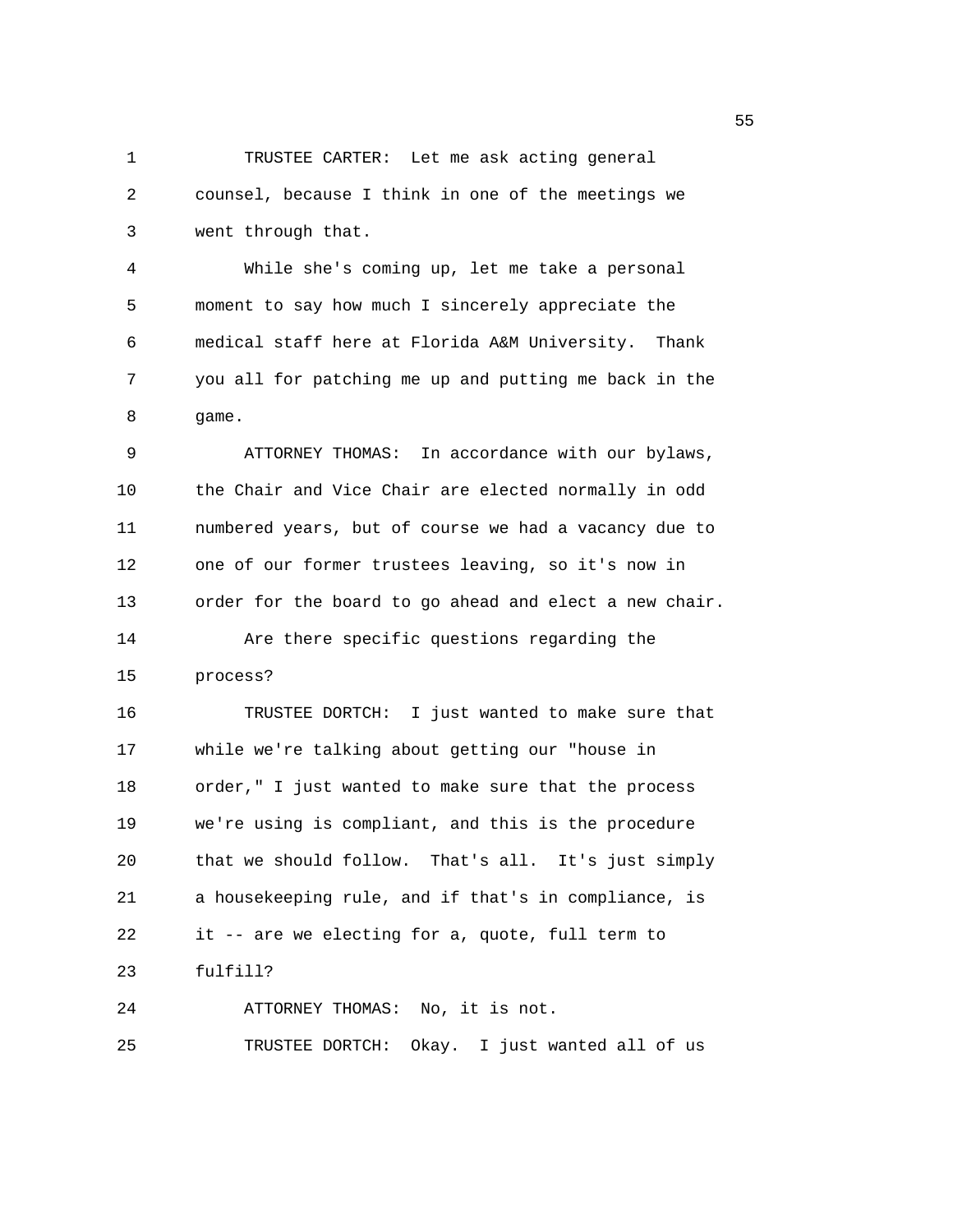1 TRUSTEE CARTER: Let me ask acting general 2 counsel, because I think in one of the meetings we 3 went through that.

4 While she's coming up, let me take a personal 5 moment to say how much I sincerely appreciate the 6 medical staff here at Florida A&M University. Thank 7 you all for patching me up and putting me back in the 8 game.

9 ATTORNEY THOMAS: In accordance with our bylaws, 10 the Chair and Vice Chair are elected normally in odd 11 numbered years, but of course we had a vacancy due to 12 one of our former trustees leaving, so it's now in 13 order for the board to go ahead and elect a new chair. 14 Are there specific questions regarding the 15 process?

16 TRUSTEE DORTCH: I just wanted to make sure that 17 while we're talking about getting our "house in 18 order," I just wanted to make sure that the process 19 we're using is compliant, and this is the procedure 20 that we should follow. That's all. It's just simply 21 a housekeeping rule, and if that's in compliance, is 22 it -- are we electing for a, quote, full term to 23 fulfill?

24 ATTORNEY THOMAS: No, it is not. 25 TRUSTEE DORTCH: Okay. I just wanted all of us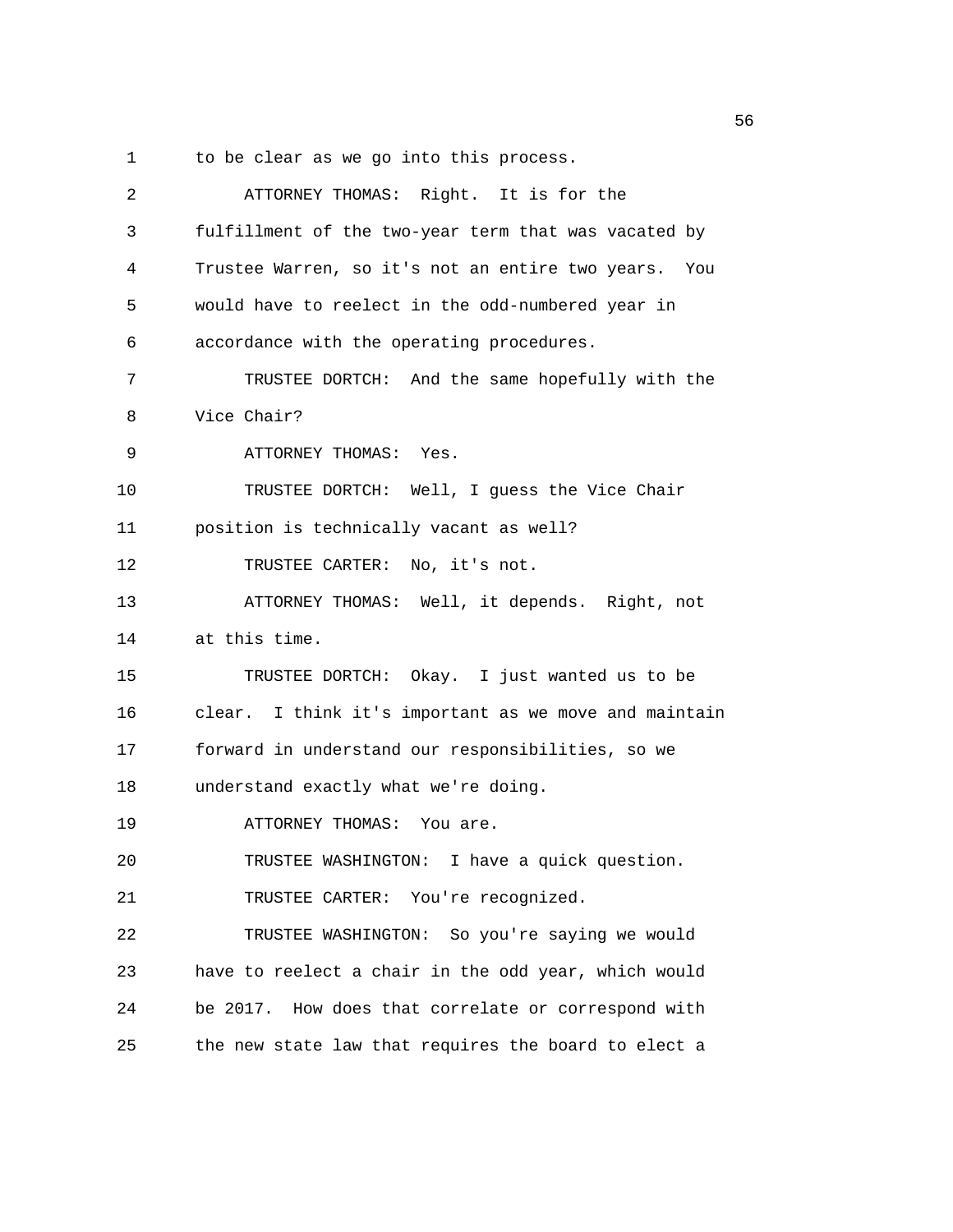1 to be clear as we go into this process.

| 2  | ATTORNEY THOMAS: Right. It is for the                 |
|----|-------------------------------------------------------|
| 3  | fulfillment of the two-year term that was vacated by  |
| 4  | Trustee Warren, so it's not an entire two years. You  |
| 5  | would have to reelect in the odd-numbered year in     |
| 6  | accordance with the operating procedures.             |
| 7  | TRUSTEE DORTCH: And the same hopefully with the       |
| 8  | Vice Chair?                                           |
| 9  | ATTORNEY THOMAS: Yes.                                 |
| 10 | TRUSTEE DORTCH: Well, I guess the Vice Chair          |
| 11 | position is technically vacant as well?               |
| 12 | TRUSTEE CARTER:<br>No, it's not.                      |
| 13 | ATTORNEY THOMAS: Well, it depends. Right, not         |
| 14 | at this time.                                         |
| 15 | TRUSTEE DORTCH: Okay. I just wanted us to be          |
| 16 | clear. I think it's important as we move and maintain |
| 17 | forward in understand our responsibilities, so we     |
| 18 | understand exactly what we're doing.                  |
| 19 | ATTORNEY THOMAS: You are.                             |
| 20 | TRUSTEE WASHINGTON: I have a quick question.          |
| 21 | TRUSTEE CARTER: You're recognized.                    |
| 22 | TRUSTEE WASHINGTON: So you're saying we would         |
| 23 | have to reelect a chair in the odd year, which would  |
| 24 | be 2017. How does that correlate or correspond with   |
|    |                                                       |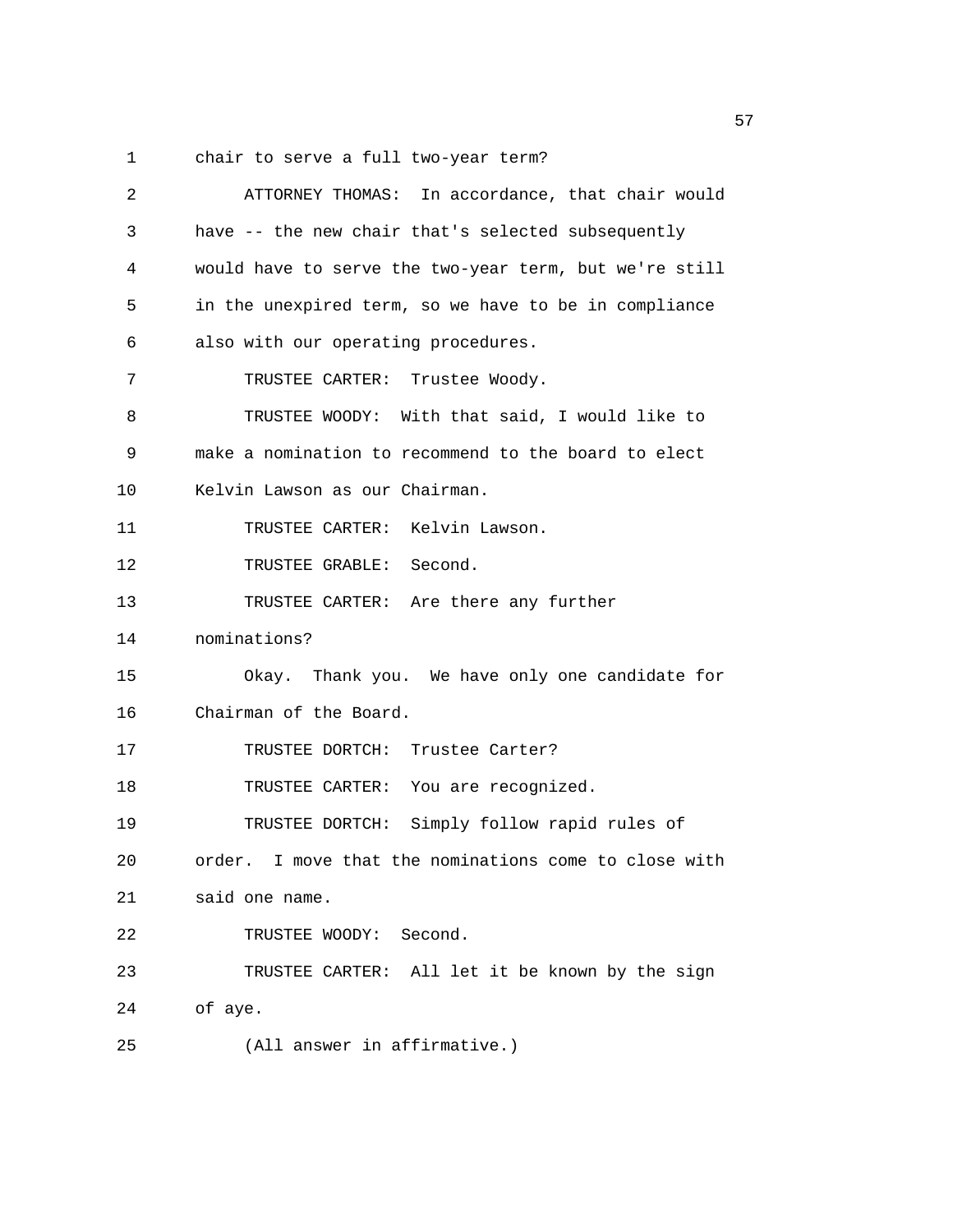1 chair to serve a full two-year term?

| 2  | ATTORNEY THOMAS: In accordance, that chair would       |
|----|--------------------------------------------------------|
| 3  | have -- the new chair that's selected subsequently     |
| 4  | would have to serve the two-year term, but we're still |
| 5  | in the unexpired term, so we have to be in compliance  |
| 6  | also with our operating procedures.                    |
| 7  | TRUSTEE CARTER: Trustee Woody.                         |
| 8  | TRUSTEE WOODY: With that said, I would like to         |
| 9  | make a nomination to recommend to the board to elect   |
| 10 | Kelvin Lawson as our Chairman.                         |
| 11 | TRUSTEE CARTER: Kelvin Lawson.                         |
| 12 | TRUSTEE GRABLE: Second.                                |
| 13 | TRUSTEE CARTER: Are there any further                  |
| 14 | nominations?                                           |
| 15 | Okay. Thank you. We have only one candidate for        |
| 16 | Chairman of the Board.                                 |
| 17 | TRUSTEE DORTCH: Trustee Carter?                        |
| 18 | TRUSTEE CARTER: You are recognized.                    |
| 19 | TRUSTEE DORTCH: Simply follow rapid rules of           |
| 20 | order. I move that the nominations come to close with  |
| 21 | said one name.                                         |
| 22 | TRUSTEE WOODY: Second.                                 |
| 23 | TRUSTEE CARTER: All let it be known by the sign        |
| 24 | of aye.                                                |
| 25 | (All answer in affirmative.)                           |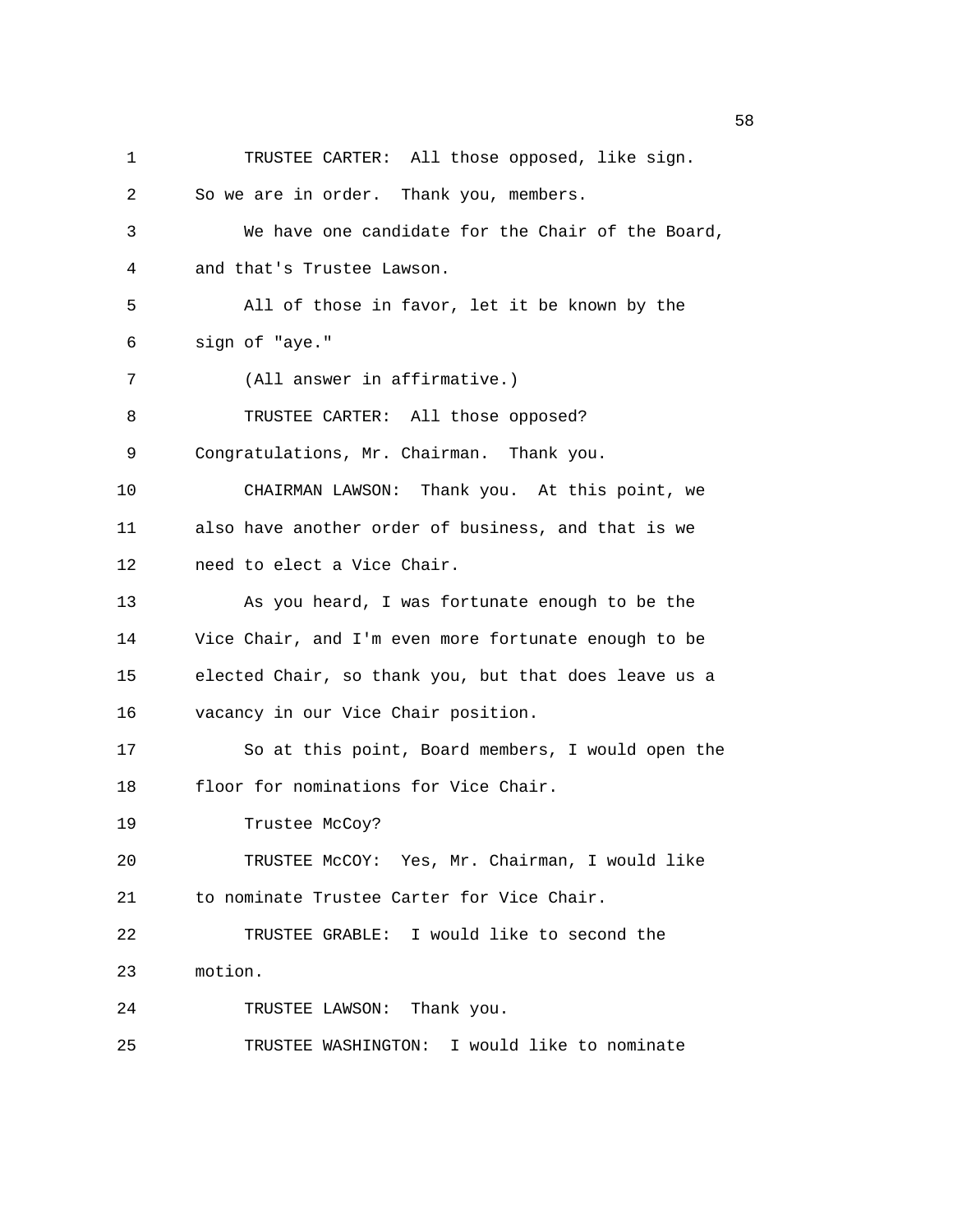1 TRUSTEE CARTER: All those opposed, like sign. 2 So we are in order. Thank you, members. 3 We have one candidate for the Chair of the Board, 4 and that's Trustee Lawson. 5 All of those in favor, let it be known by the 6 sign of "aye." 7 (All answer in affirmative.) 8 TRUSTEE CARTER: All those opposed? 9 Congratulations, Mr. Chairman. Thank you. 10 CHAIRMAN LAWSON: Thank you. At this point, we 11 also have another order of business, and that is we 12 need to elect a Vice Chair. 13 As you heard, I was fortunate enough to be the 14 Vice Chair, and I'm even more fortunate enough to be 15 elected Chair, so thank you, but that does leave us a 16 vacancy in our Vice Chair position. 17 So at this point, Board members, I would open the 18 floor for nominations for Vice Chair. 19 Trustee McCoy? 20 TRUSTEE McCOY: Yes, Mr. Chairman, I would like 21 to nominate Trustee Carter for Vice Chair. 22 TRUSTEE GRABLE: I would like to second the 23 motion. 24 TRUSTEE LAWSON: Thank you. 25 TRUSTEE WASHINGTON: I would like to nominate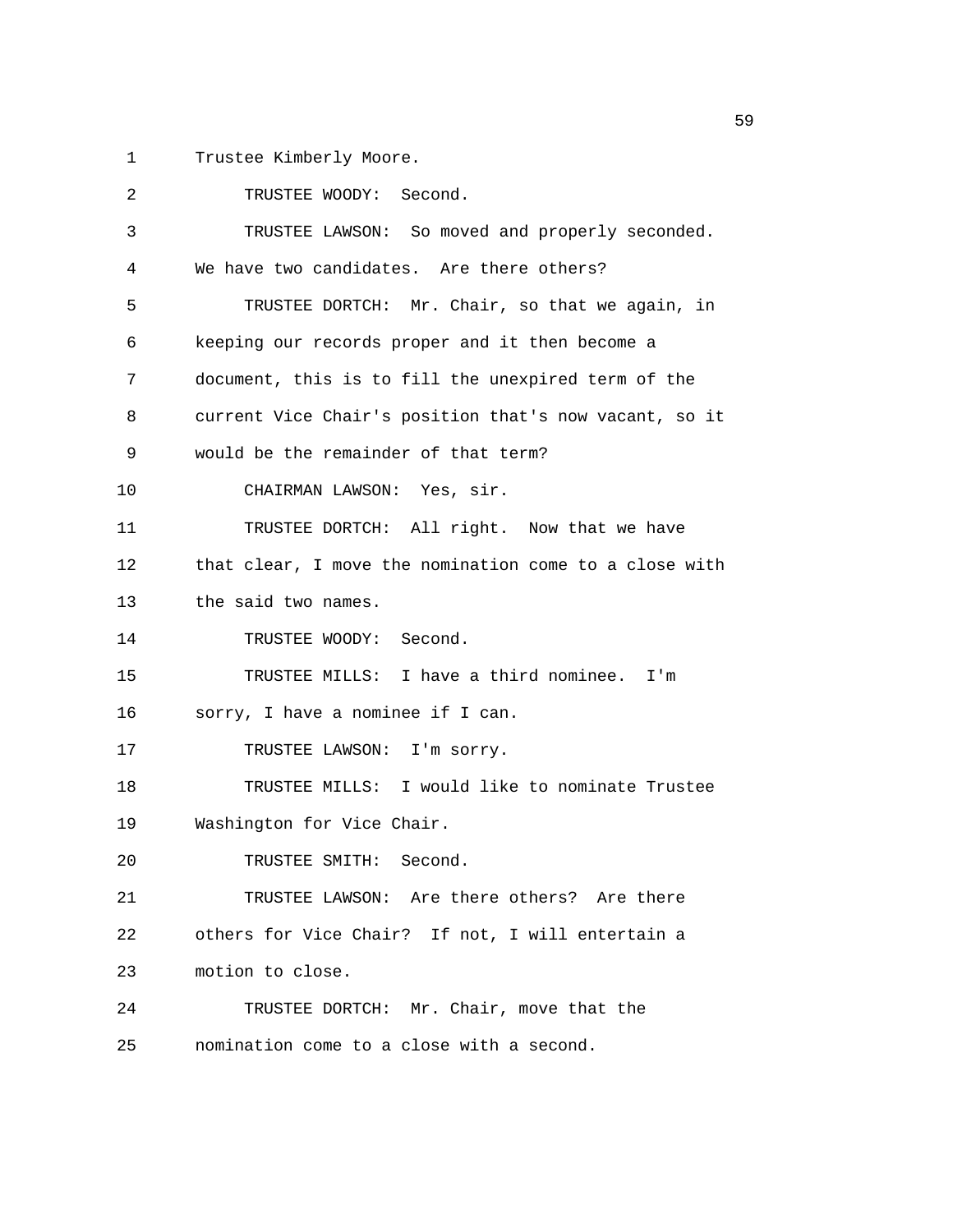1 Trustee Kimberly Moore.

2 TRUSTEE WOODY: Second. 3 TRUSTEE LAWSON: So moved and properly seconded. 4 We have two candidates. Are there others? 5 TRUSTEE DORTCH: Mr. Chair, so that we again, in 6 keeping our records proper and it then become a 7 document, this is to fill the unexpired term of the 8 current Vice Chair's position that's now vacant, so it 9 would be the remainder of that term? 10 CHAIRMAN LAWSON: Yes, sir. 11 TRUSTEE DORTCH: All right. Now that we have 12 that clear, I move the nomination come to a close with 13 the said two names. 14 TRUSTEE WOODY: Second. 15 TRUSTEE MILLS: I have a third nominee. I'm 16 sorry, I have a nominee if I can. 17 TRUSTEE LAWSON: I'm sorry. 18 TRUSTEE MILLS: I would like to nominate Trustee 19 Washington for Vice Chair. 20 TRUSTEE SMITH: Second. 21 TRUSTEE LAWSON: Are there others? Are there 22 others for Vice Chair? If not, I will entertain a 23 motion to close. 24 TRUSTEE DORTCH: Mr. Chair, move that the 25 nomination come to a close with a second.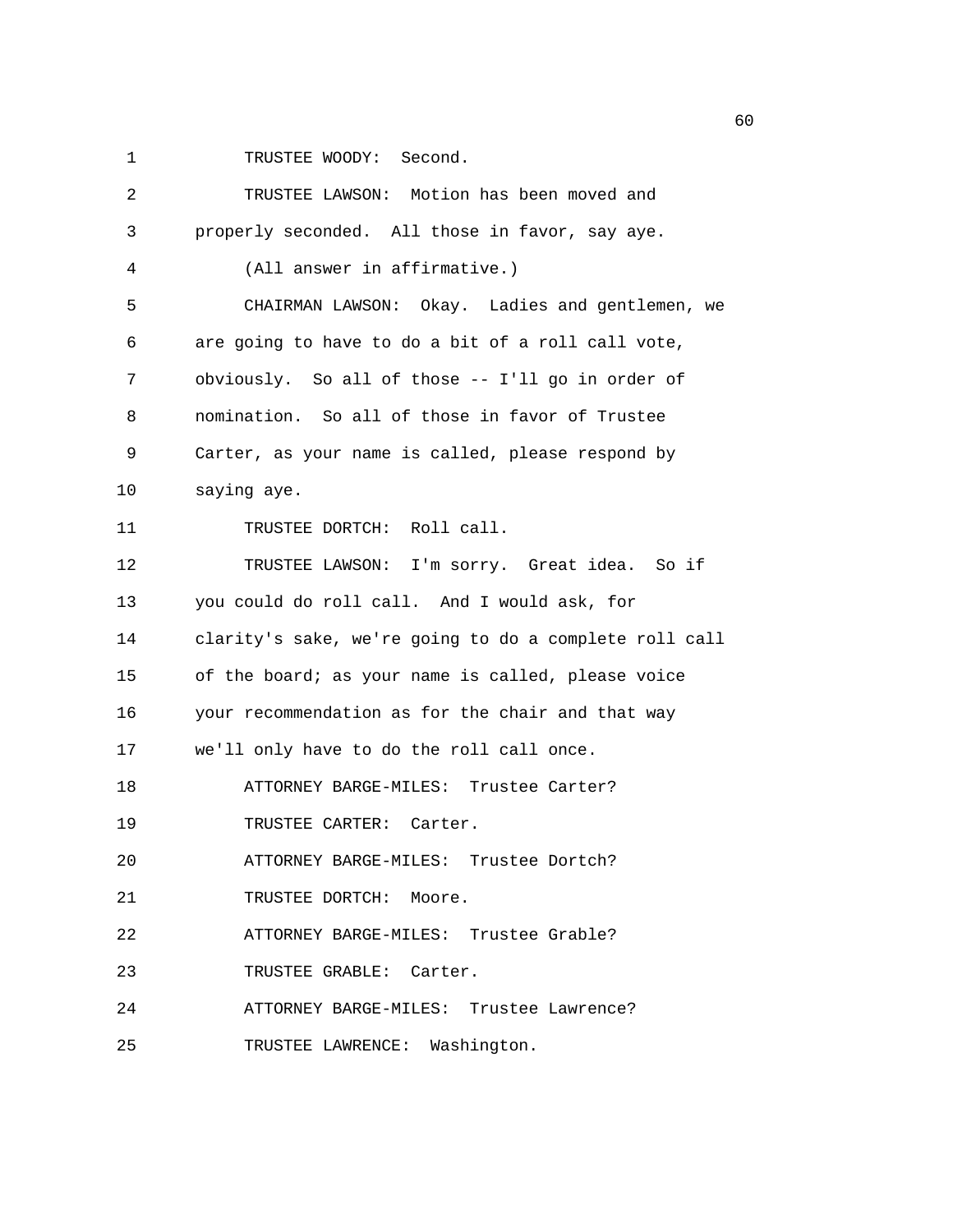1 TRUSTEE WOODY: Second.

| 2  | TRUSTEE LAWSON: Motion has been moved and              |
|----|--------------------------------------------------------|
| 3  | properly seconded. All those in favor, say aye.        |
| 4  | (All answer in affirmative.)                           |
| 5  | CHAIRMAN LAWSON: Okay. Ladies and gentlemen, we        |
| 6  | are going to have to do a bit of a roll call vote,     |
| 7  | obviously. So all of those -- I'll go in order of      |
| 8  | nomination. So all of those in favor of Trustee        |
| 9  | Carter, as your name is called, please respond by      |
| 10 | saying aye.                                            |
| 11 | TRUSTEE DORTCH: Roll call.                             |
| 12 | TRUSTEE LAWSON: I'm sorry. Great idea. So if           |
| 13 | you could do roll call. And I would ask, for           |
| 14 | clarity's sake, we're going to do a complete roll call |
| 15 | of the board; as your name is called, please voice     |
| 16 | your recommendation as for the chair and that way      |
| 17 | we'll only have to do the roll call once.              |
| 18 | ATTORNEY BARGE-MILES: Trustee Carter?                  |
| 19 | TRUSTEE CARTER: Carter.                                |
| 20 | ATTORNEY BARGE-MILES: Trustee Dortch?                  |
| 21 | TRUSTEE DORTCH: Moore.                                 |
| 22 | ATTORNEY BARGE-MILES: Trustee Grable?                  |
| 23 | TRUSTEE GRABLE: Carter.                                |
| 24 | ATTORNEY BARGE-MILES: Trustee Lawrence?                |
| 25 | TRUSTEE LAWRENCE: Washington.                          |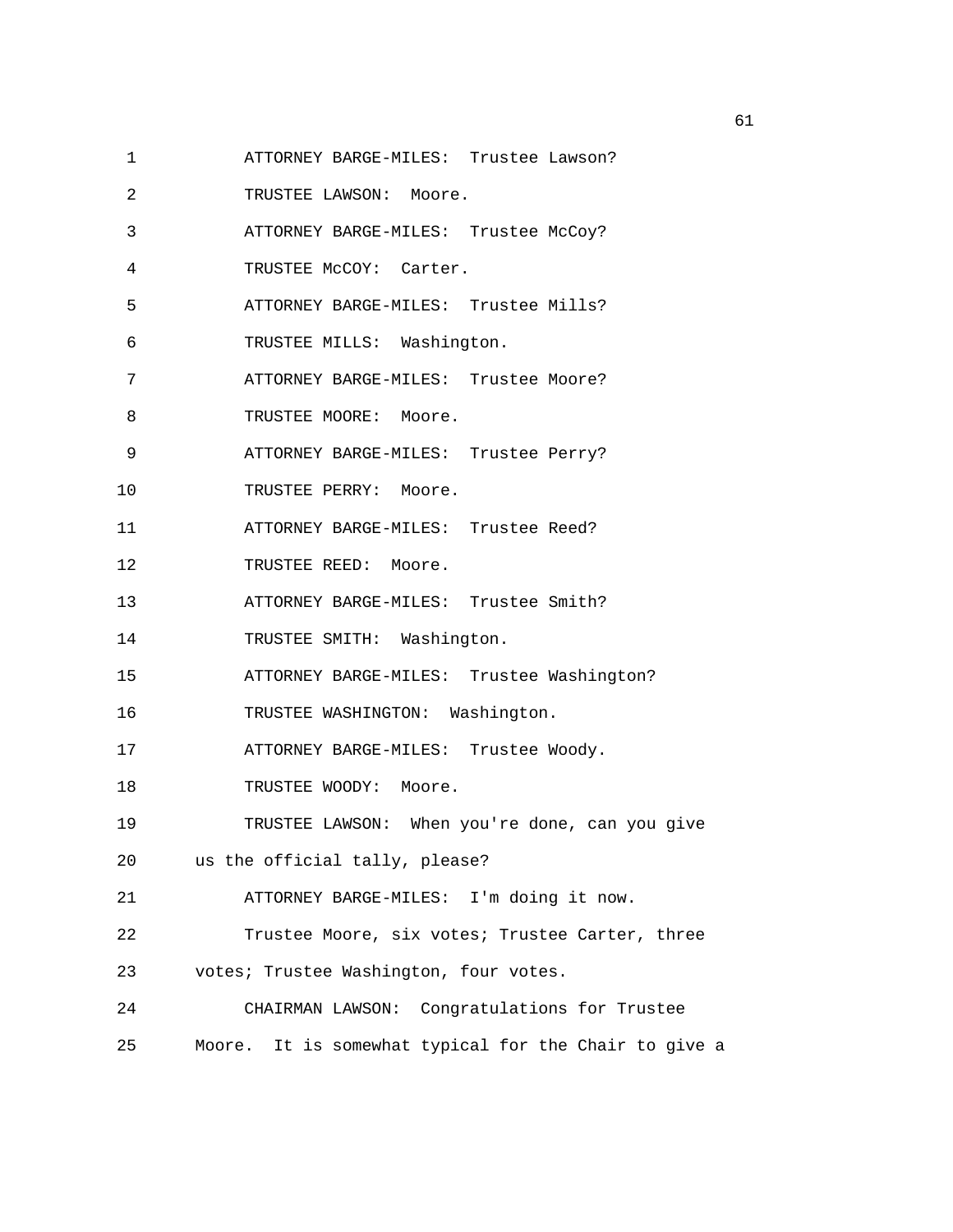- 1 ATTORNEY BARGE-MILES: Trustee Lawson?
- 2 TRUSTEE LAWSON: Moore.
- 3 ATTORNEY BARGE-MILES: Trustee McCoy?
- 4 TRUSTEE McCOY: Carter.
- 5 ATTORNEY BARGE-MILES: Trustee Mills?
- 6 TRUSTEE MILLS: Washington.
- 7 ATTORNEY BARGE-MILES: Trustee Moore?
- 8 TRUSTEE MOORE: Moore.
- 9 ATTORNEY BARGE-MILES: Trustee Perry?
- 10 TRUSTEE PERRY: Moore.
- 11 ATTORNEY BARGE-MILES: Trustee Reed?
- 12 TRUSTEE REED: Moore.
- 13 ATTORNEY BARGE-MILES: Trustee Smith?
- 14 TRUSTEE SMITH: Washington.
- 15 ATTORNEY BARGE-MILES: Trustee Washington?
- 16 TRUSTEE WASHINGTON: Washington.
- 17 ATTORNEY BARGE-MILES: Trustee Woody.
- 18 TRUSTEE WOODY: Moore.
- 19 TRUSTEE LAWSON: When you're done, can you give
- 20 us the official tally, please?
- 21 ATTORNEY BARGE-MILES: I'm doing it now.
- 22 Trustee Moore, six votes; Trustee Carter, three
- 23 votes; Trustee Washington, four votes.
- 24 CHAIRMAN LAWSON: Congratulations for Trustee 25 Moore. It is somewhat typical for the Chair to give a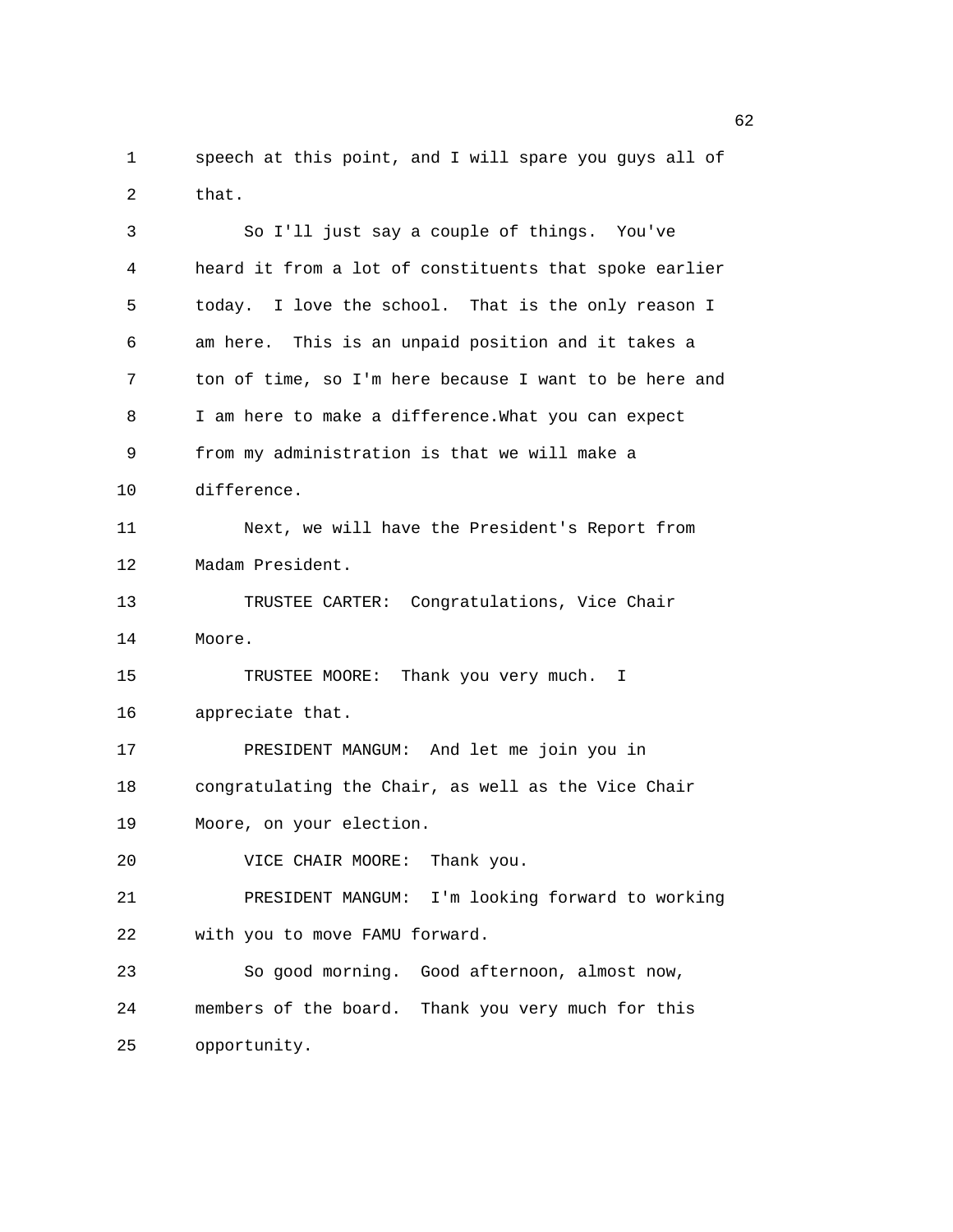1 speech at this point, and I will spare you guys all of 2 that.

3 So I'll just say a couple of things. You've 4 heard it from a lot of constituents that spoke earlier 5 today. I love the school. That is the only reason I 6 am here. This is an unpaid position and it takes a 7 ton of time, so I'm here because I want to be here and 8 I am here to make a difference.What you can expect 9 from my administration is that we will make a 10 difference. 11 Next, we will have the President's Report from 12 Madam President. 13 TRUSTEE CARTER: Congratulations, Vice Chair 14 Moore. 15 TRUSTEE MOORE: Thank you very much. I 16 appreciate that. 17 PRESIDENT MANGUM: And let me join you in 18 congratulating the Chair, as well as the Vice Chair 19 Moore, on your election. 20 VICE CHAIR MOORE: Thank you. 21 PRESIDENT MANGUM: I'm looking forward to working 22 with you to move FAMU forward. 23 So good morning. Good afternoon, almost now, 24 members of the board. Thank you very much for this 25 opportunity.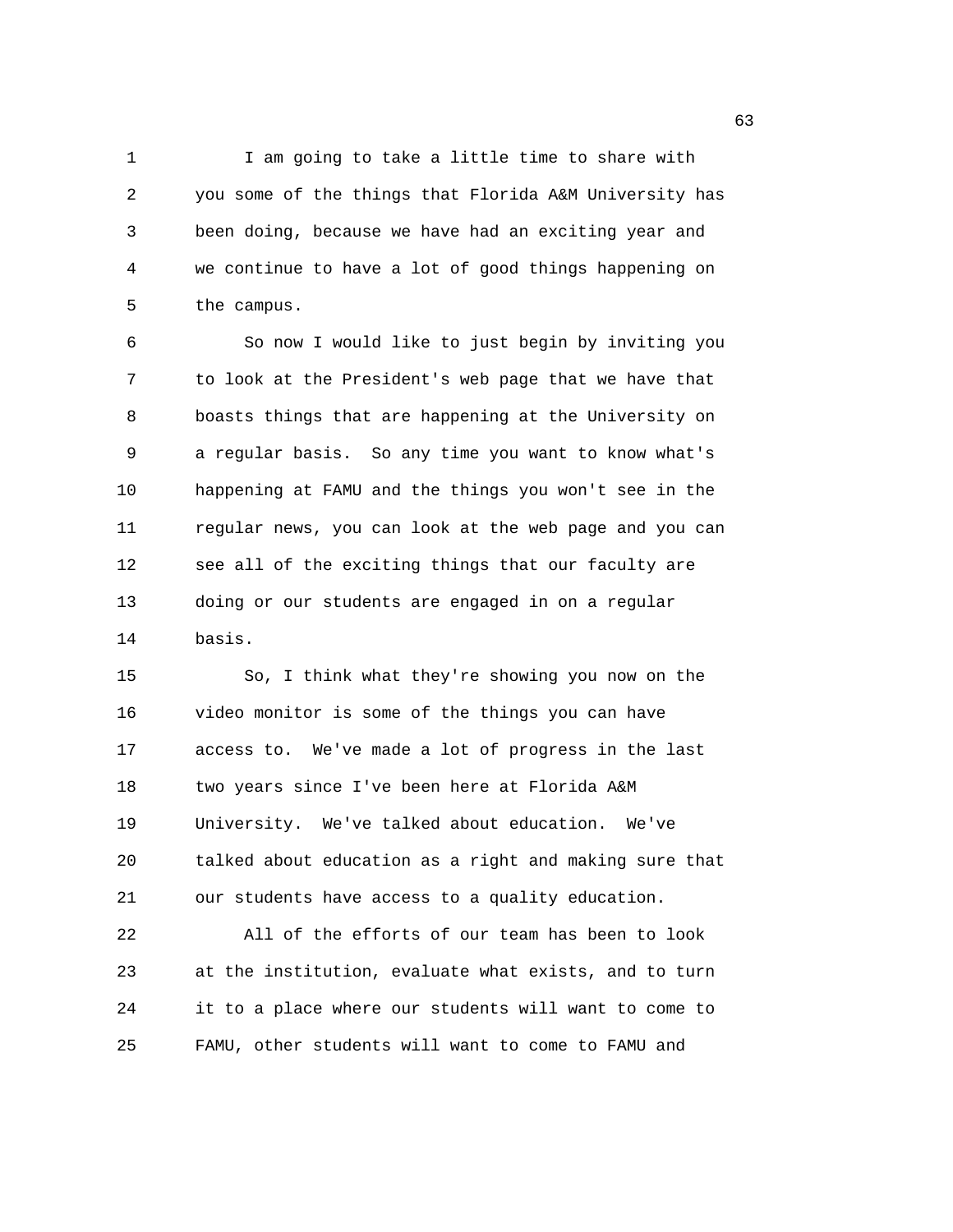1 I am going to take a little time to share with 2 you some of the things that Florida A&M University has 3 been doing, because we have had an exciting year and 4 we continue to have a lot of good things happening on 5 the campus.

6 So now I would like to just begin by inviting you 7 to look at the President's web page that we have that 8 boasts things that are happening at the University on 9 a regular basis. So any time you want to know what's 10 happening at FAMU and the things you won't see in the 11 regular news, you can look at the web page and you can 12 see all of the exciting things that our faculty are 13 doing or our students are engaged in on a regular 14 basis.

15 So, I think what they're showing you now on the 16 video monitor is some of the things you can have 17 access to. We've made a lot of progress in the last 18 two years since I've been here at Florida A&M 19 University. We've talked about education. We've 20 talked about education as a right and making sure that 21 our students have access to a quality education.

22 All of the efforts of our team has been to look 23 at the institution, evaluate what exists, and to turn 24 it to a place where our students will want to come to 25 FAMU, other students will want to come to FAMU and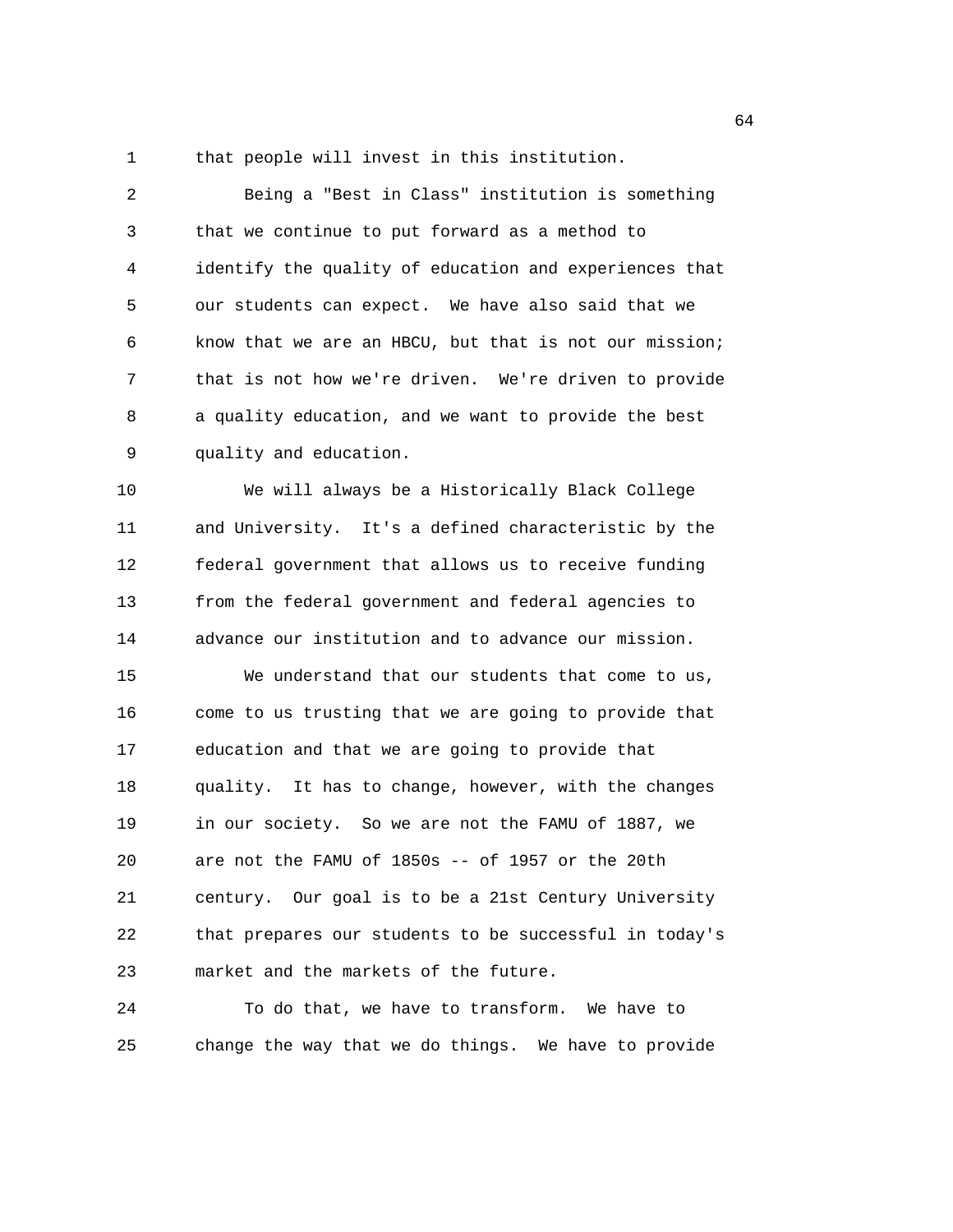1 that people will invest in this institution.

2 Being a "Best in Class" institution is something 3 that we continue to put forward as a method to 4 identify the quality of education and experiences that 5 our students can expect. We have also said that we 6 know that we are an HBCU, but that is not our mission; 7 that is not how we're driven. We're driven to provide 8 a quality education, and we want to provide the best 9 quality and education.

10 We will always be a Historically Black College 11 and University. It's a defined characteristic by the 12 federal government that allows us to receive funding 13 from the federal government and federal agencies to 14 advance our institution and to advance our mission.

15 We understand that our students that come to us, 16 come to us trusting that we are going to provide that 17 education and that we are going to provide that 18 quality. It has to change, however, with the changes 19 in our society. So we are not the FAMU of 1887, we 20 are not the FAMU of 1850s -- of 1957 or the 20th 21 century. Our goal is to be a 21st Century University 22 that prepares our students to be successful in today's 23 market and the markets of the future.

24 To do that, we have to transform. We have to 25 change the way that we do things. We have to provide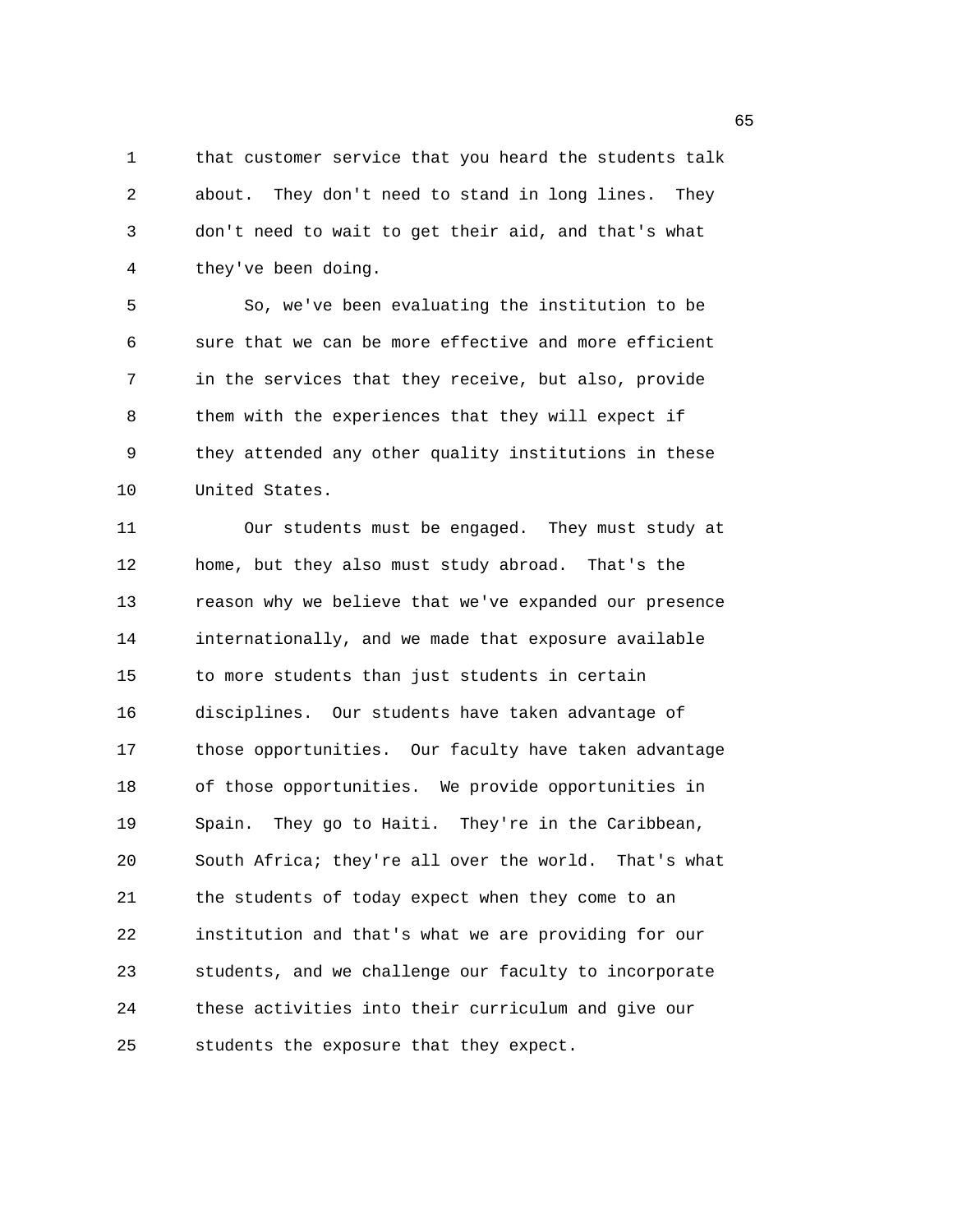1 that customer service that you heard the students talk 2 about. They don't need to stand in long lines. They 3 don't need to wait to get their aid, and that's what 4 they've been doing.

5 So, we've been evaluating the institution to be 6 sure that we can be more effective and more efficient 7 in the services that they receive, but also, provide 8 them with the experiences that they will expect if 9 they attended any other quality institutions in these 10 United States.

11 Our students must be engaged. They must study at 12 home, but they also must study abroad. That's the 13 reason why we believe that we've expanded our presence 14 internationally, and we made that exposure available 15 to more students than just students in certain 16 disciplines. Our students have taken advantage of 17 those opportunities. Our faculty have taken advantage 18 of those opportunities. We provide opportunities in 19 Spain. They go to Haiti. They're in the Caribbean, 20 South Africa; they're all over the world. That's what 21 the students of today expect when they come to an 22 institution and that's what we are providing for our 23 students, and we challenge our faculty to incorporate 24 these activities into their curriculum and give our 25 students the exposure that they expect.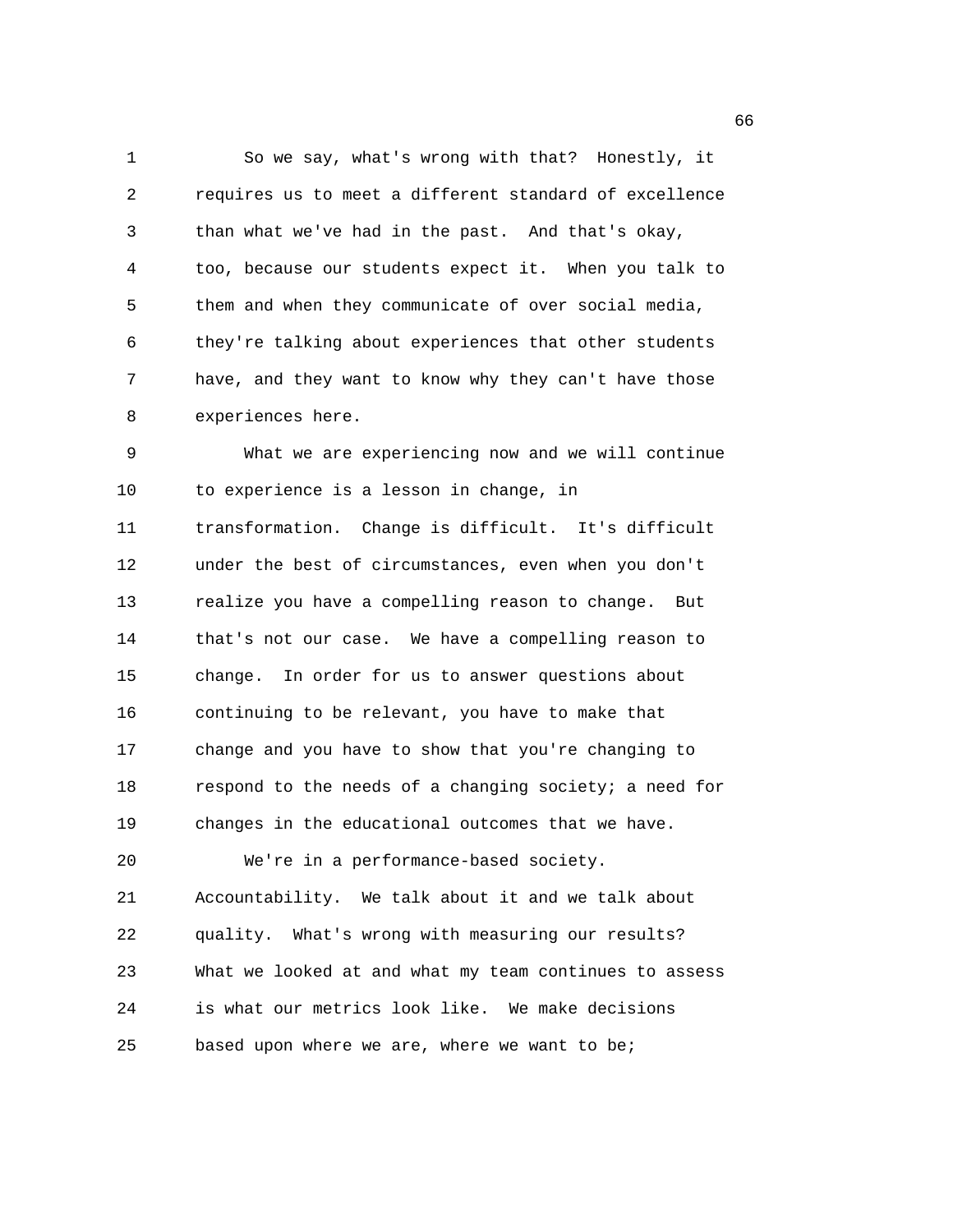1 So we say, what's wrong with that? Honestly, it 2 requires us to meet a different standard of excellence 3 than what we've had in the past. And that's okay, 4 too, because our students expect it. When you talk to 5 them and when they communicate of over social media, 6 they're talking about experiences that other students 7 have, and they want to know why they can't have those 8 experiences here.

9 What we are experiencing now and we will continue 10 to experience is a lesson in change, in 11 transformation. Change is difficult. It's difficult 12 under the best of circumstances, even when you don't 13 realize you have a compelling reason to change. But 14 that's not our case. We have a compelling reason to 15 change. In order for us to answer questions about 16 continuing to be relevant, you have to make that 17 change and you have to show that you're changing to 18 respond to the needs of a changing society; a need for 19 changes in the educational outcomes that we have. 20 We're in a performance-based society. 21 Accountability. We talk about it and we talk about 22 quality. What's wrong with measuring our results? 23 What we looked at and what my team continues to assess 24 is what our metrics look like. We make decisions 25 based upon where we are, where we want to be;

 $\sim$  66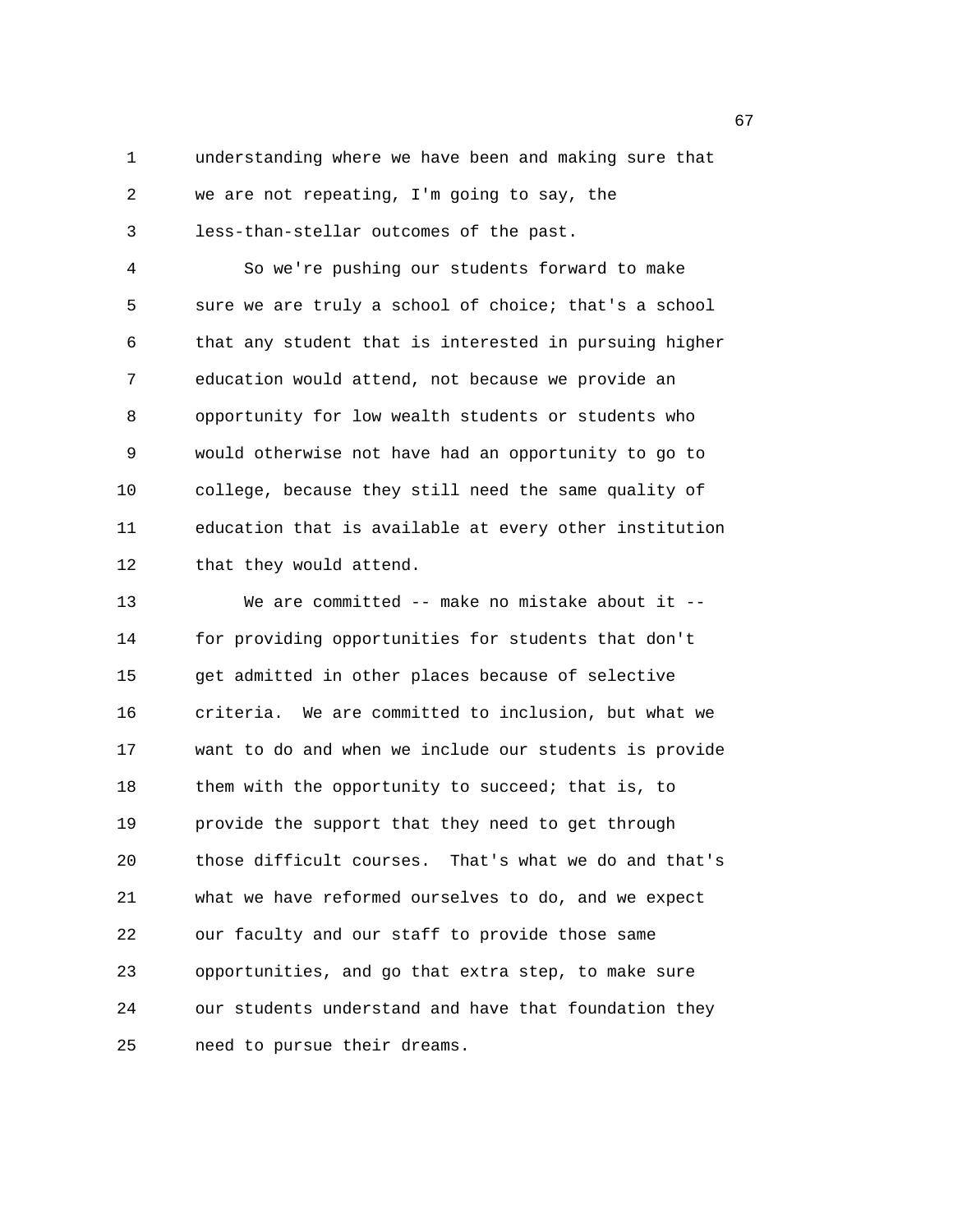1 understanding where we have been and making sure that

2 we are not repeating, I'm going to say, the

3 less-than-stellar outcomes of the past.

4 So we're pushing our students forward to make 5 sure we are truly a school of choice; that's a school 6 that any student that is interested in pursuing higher 7 education would attend, not because we provide an 8 opportunity for low wealth students or students who 9 would otherwise not have had an opportunity to go to 10 college, because they still need the same quality of 11 education that is available at every other institution 12 that they would attend.

13 We are committed -- make no mistake about it -- 14 for providing opportunities for students that don't 15 get admitted in other places because of selective 16 criteria. We are committed to inclusion, but what we 17 want to do and when we include our students is provide 18 them with the opportunity to succeed; that is, to 19 provide the support that they need to get through 20 those difficult courses. That's what we do and that's 21 what we have reformed ourselves to do, and we expect 22 our faculty and our staff to provide those same 23 opportunities, and go that extra step, to make sure 24 our students understand and have that foundation they 25 need to pursue their dreams.

 $\sim$  67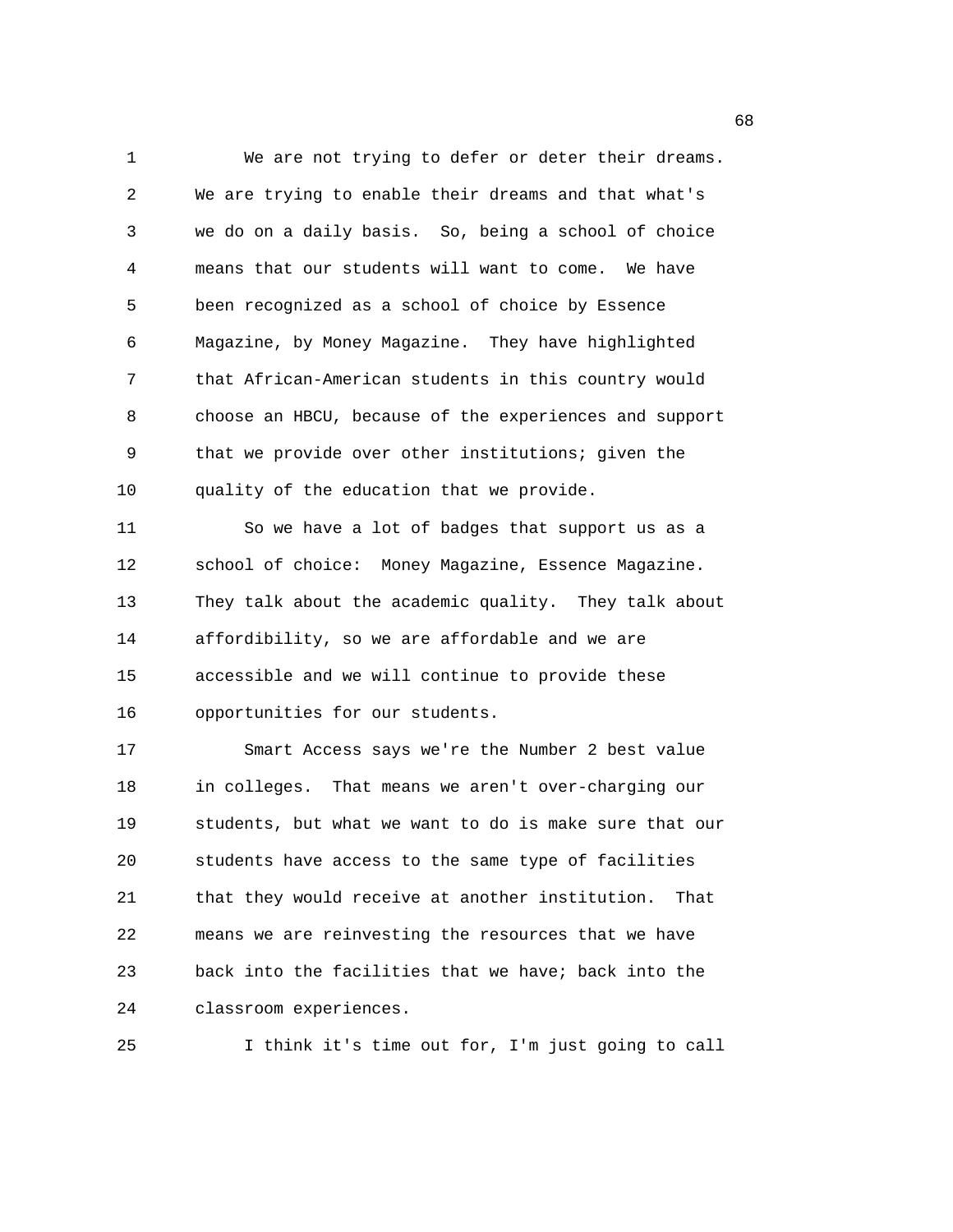1 We are not trying to defer or deter their dreams. 2 We are trying to enable their dreams and that what's 3 we do on a daily basis. So, being a school of choice 4 means that our students will want to come. We have 5 been recognized as a school of choice by Essence 6 Magazine, by Money Magazine. They have highlighted 7 that African-American students in this country would 8 choose an HBCU, because of the experiences and support 9 that we provide over other institutions; given the 10 quality of the education that we provide. 11 So we have a lot of badges that support us as a 12 school of choice: Money Magazine, Essence Magazine. 13 They talk about the academic quality. They talk about 14 affordibility, so we are affordable and we are 15 accessible and we will continue to provide these 16 opportunities for our students. 17 Smart Access says we're the Number 2 best value 18 in colleges. That means we aren't over-charging our 19 students, but what we want to do is make sure that our 20 students have access to the same type of facilities 21 that they would receive at another institution. That 22 means we are reinvesting the resources that we have 23 back into the facilities that we have; back into the 24 classroom experiences.

25 I think it's time out for, I'm just going to call

en de la construcción de la construcción de la construcción de la construcción de la construcción de la construcción de la construcción de la construcción de la construcción de la construcción de la construcción de la cons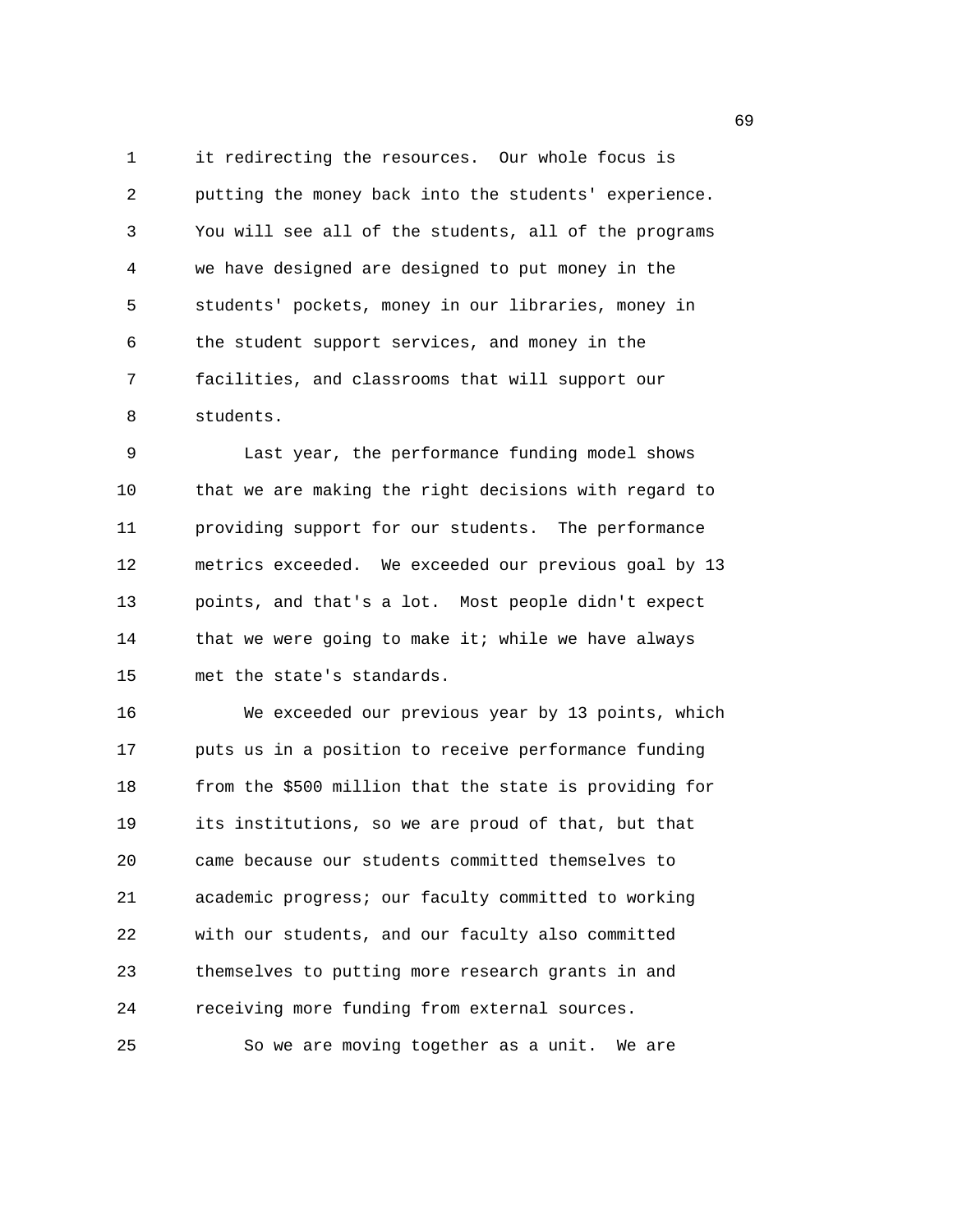1 it redirecting the resources. Our whole focus is 2 putting the money back into the students' experience. 3 You will see all of the students, all of the programs 4 we have designed are designed to put money in the 5 students' pockets, money in our libraries, money in 6 the student support services, and money in the 7 facilities, and classrooms that will support our 8 students.

9 Last year, the performance funding model shows 10 that we are making the right decisions with regard to 11 providing support for our students. The performance 12 metrics exceeded. We exceeded our previous goal by 13 13 points, and that's a lot. Most people didn't expect 14 that we were going to make it; while we have always 15 met the state's standards.

16 We exceeded our previous year by 13 points, which 17 puts us in a position to receive performance funding 18 from the \$500 million that the state is providing for 19 its institutions, so we are proud of that, but that 20 came because our students committed themselves to 21 academic progress; our faculty committed to working 22 with our students, and our faculty also committed 23 themselves to putting more research grants in and 24 receiving more funding from external sources. 25 So we are moving together as a unit. We are

 $\sim$  69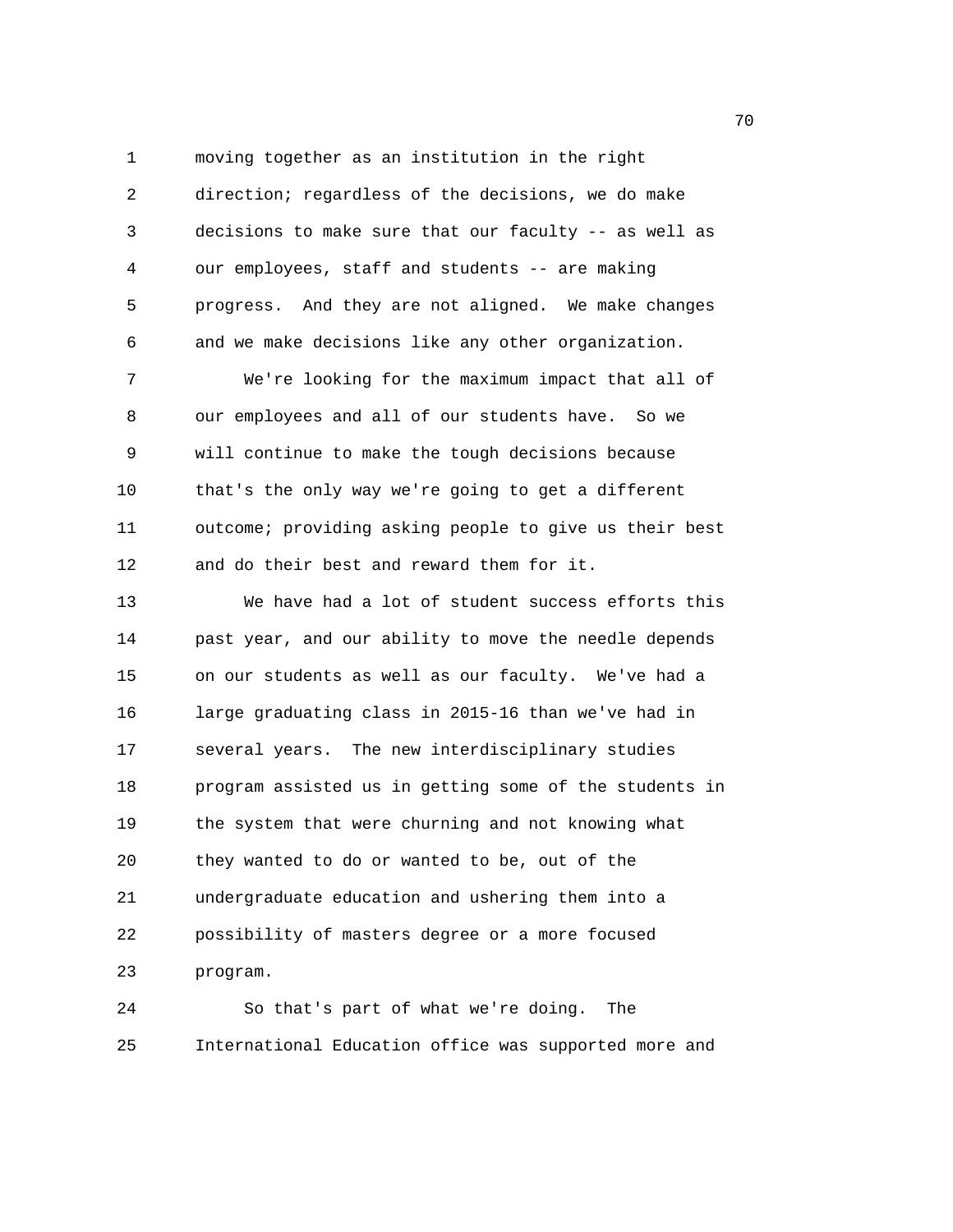1 moving together as an institution in the right 2 direction; regardless of the decisions, we do make 3 decisions to make sure that our faculty -- as well as 4 our employees, staff and students -- are making 5 progress. And they are not aligned. We make changes 6 and we make decisions like any other organization. 7 We're looking for the maximum impact that all of

8 our employees and all of our students have. So we 9 will continue to make the tough decisions because 10 that's the only way we're going to get a different 11 outcome; providing asking people to give us their best 12 and do their best and reward them for it.

13 We have had a lot of student success efforts this 14 past year, and our ability to move the needle depends 15 on our students as well as our faculty. We've had a 16 large graduating class in 2015-16 than we've had in 17 several years. The new interdisciplinary studies 18 program assisted us in getting some of the students in 19 the system that were churning and not knowing what 20 they wanted to do or wanted to be, out of the 21 undergraduate education and ushering them into a 22 possibility of masters degree or a more focused 23 program.

24 So that's part of what we're doing. The 25 International Education office was supported more and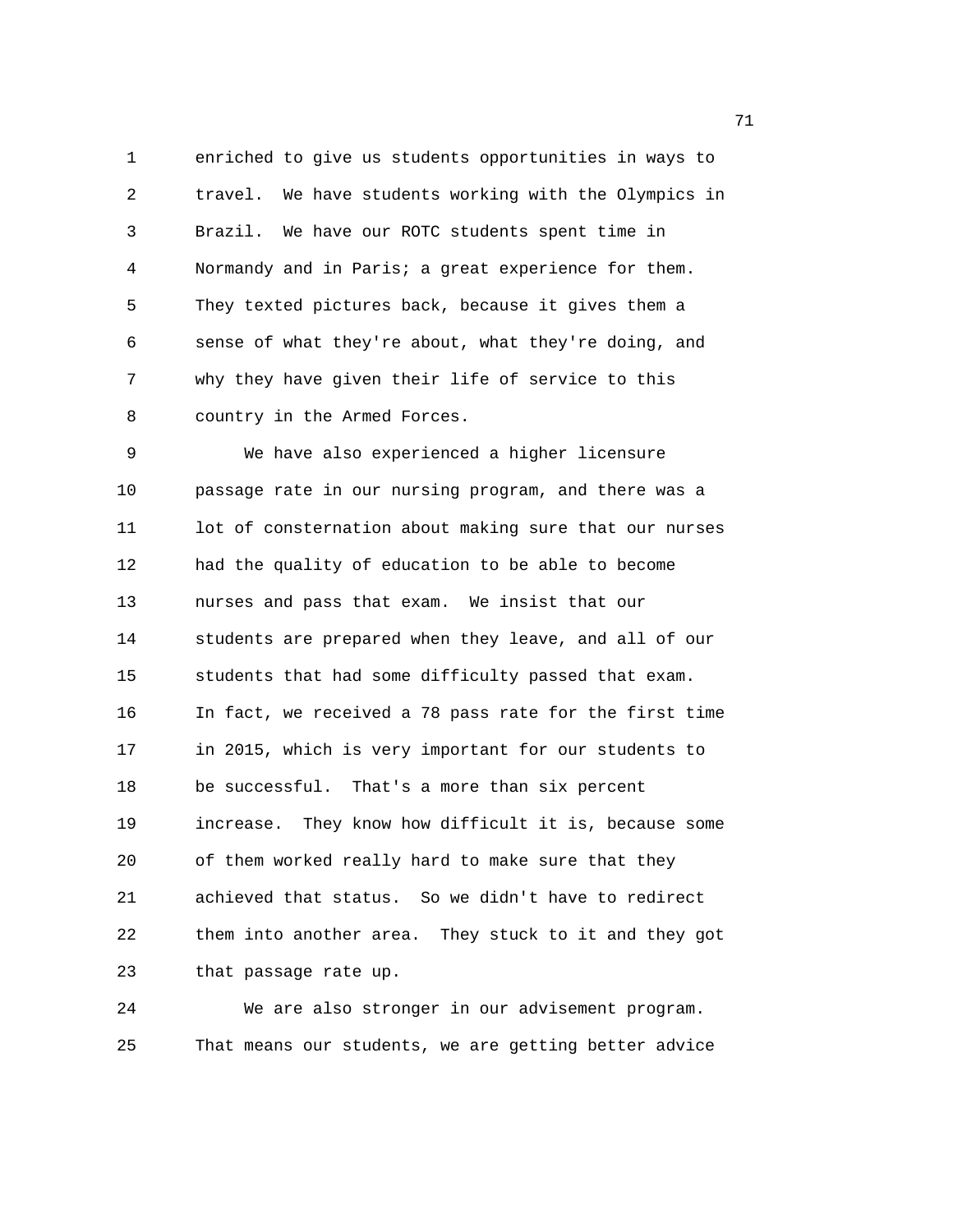1 enriched to give us students opportunities in ways to 2 travel. We have students working with the Olympics in 3 Brazil. We have our ROTC students spent time in 4 Normandy and in Paris; a great experience for them. 5 They texted pictures back, because it gives them a 6 sense of what they're about, what they're doing, and 7 why they have given their life of service to this 8 country in the Armed Forces.

9 We have also experienced a higher licensure 10 passage rate in our nursing program, and there was a 11 lot of consternation about making sure that our nurses 12 had the quality of education to be able to become 13 nurses and pass that exam. We insist that our 14 students are prepared when they leave, and all of our 15 students that had some difficulty passed that exam. 16 In fact, we received a 78 pass rate for the first time 17 in 2015, which is very important for our students to 18 be successful. That's a more than six percent 19 increase. They know how difficult it is, because some 20 of them worked really hard to make sure that they 21 achieved that status. So we didn't have to redirect 22 them into another area. They stuck to it and they got 23 that passage rate up.

24 We are also stronger in our advisement program. 25 That means our students, we are getting better advice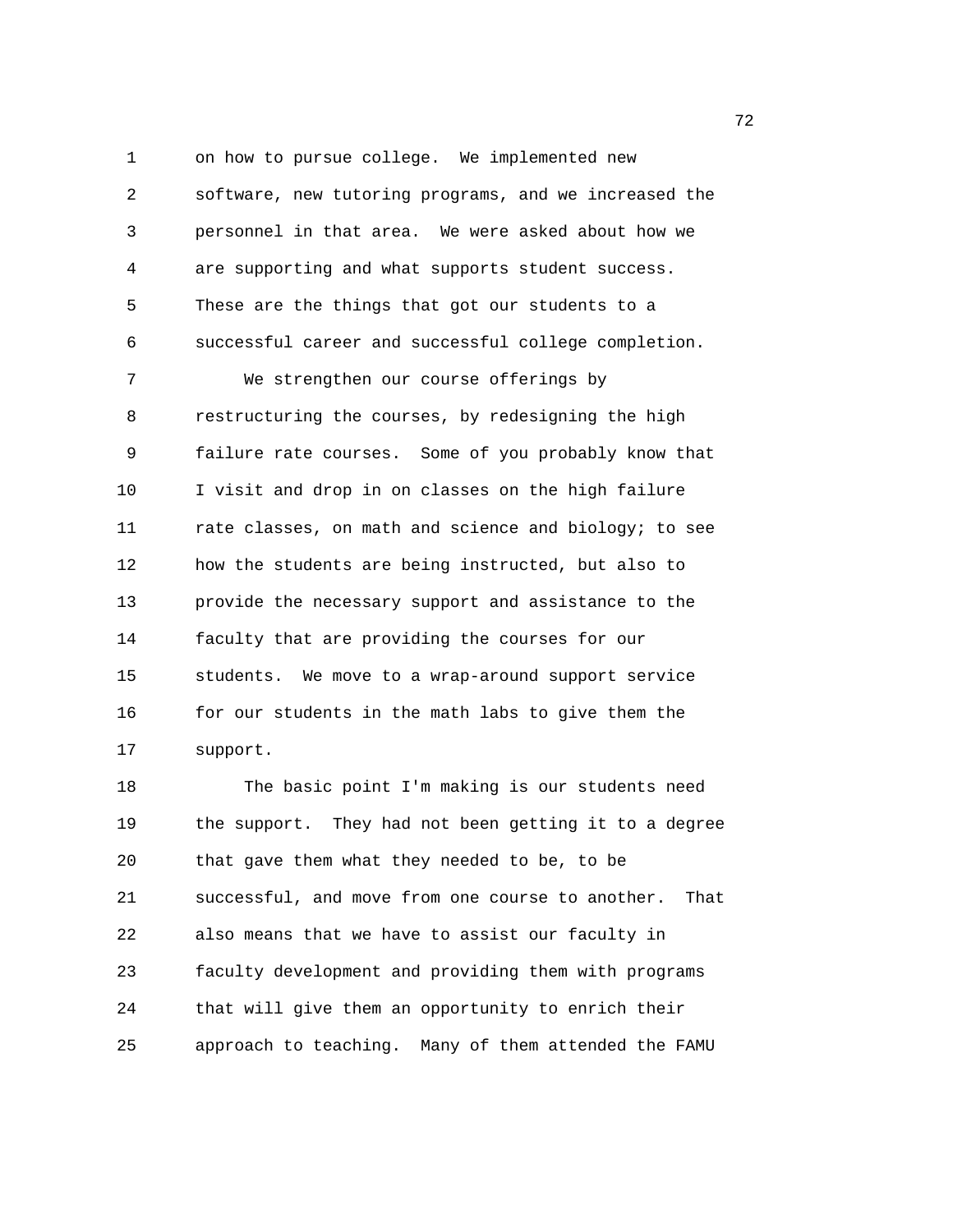1 on how to pursue college. We implemented new 2 software, new tutoring programs, and we increased the 3 personnel in that area. We were asked about how we 4 are supporting and what supports student success. 5 These are the things that got our students to a 6 successful career and successful college completion. 7 We strengthen our course offerings by 8 restructuring the courses, by redesigning the high 9 failure rate courses. Some of you probably know that 10 I visit and drop in on classes on the high failure 11 rate classes, on math and science and biology; to see 12 how the students are being instructed, but also to 13 provide the necessary support and assistance to the 14 faculty that are providing the courses for our 15 students. We move to a wrap-around support service 16 for our students in the math labs to give them the 17 support.

18 The basic point I'm making is our students need 19 the support. They had not been getting it to a degree 20 that gave them what they needed to be, to be 21 successful, and move from one course to another. That 22 also means that we have to assist our faculty in 23 faculty development and providing them with programs 24 that will give them an opportunity to enrich their 25 approach to teaching. Many of them attended the FAMU

процесство производство в село в 1972 године в 1972 године в 1972 године в 1972 године в 1972 године в 1973 го<br>В 1973 године в 1973 године в 1973 године в 1973 године в 1973 године в 1973 године в 1973 године в 1973 годин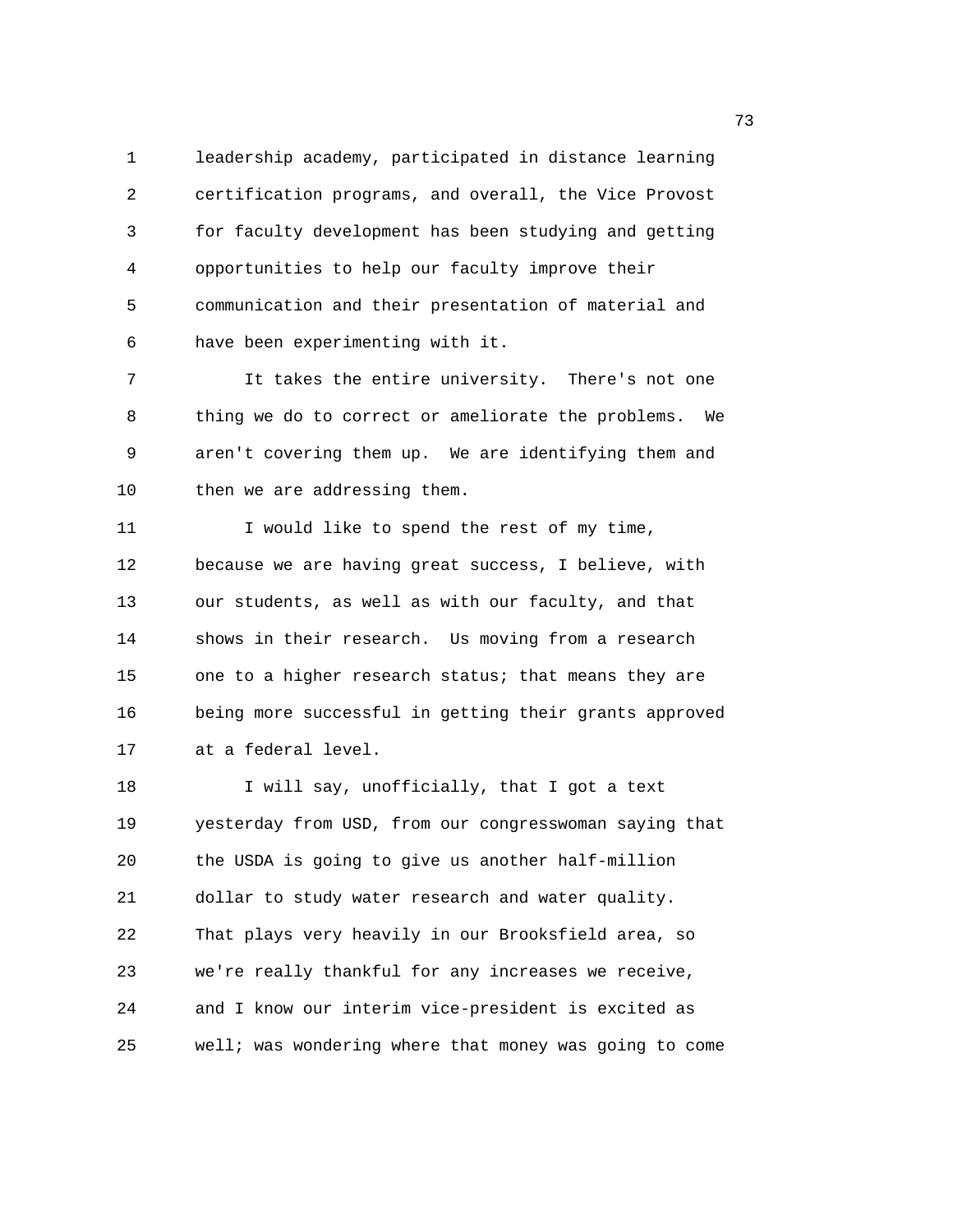1 leadership academy, participated in distance learning 2 certification programs, and overall, the Vice Provost 3 for faculty development has been studying and getting 4 opportunities to help our faculty improve their 5 communication and their presentation of material and 6 have been experimenting with it.

7 It takes the entire university. There's not one 8 thing we do to correct or ameliorate the problems. We 9 aren't covering them up. We are identifying them and 10 then we are addressing them.

11 I would like to spend the rest of my time, 12 because we are having great success, I believe, with 13 our students, as well as with our faculty, and that 14 shows in their research. Us moving from a research 15 one to a higher research status; that means they are 16 being more successful in getting their grants approved 17 at a federal level.

18 I will say, unofficially, that I got a text 19 yesterday from USD, from our congresswoman saying that 20 the USDA is going to give us another half-million 21 dollar to study water research and water quality. 22 That plays very heavily in our Brooksfield area, so 23 we're really thankful for any increases we receive, 24 and I know our interim vice-president is excited as 25 well; was wondering where that money was going to come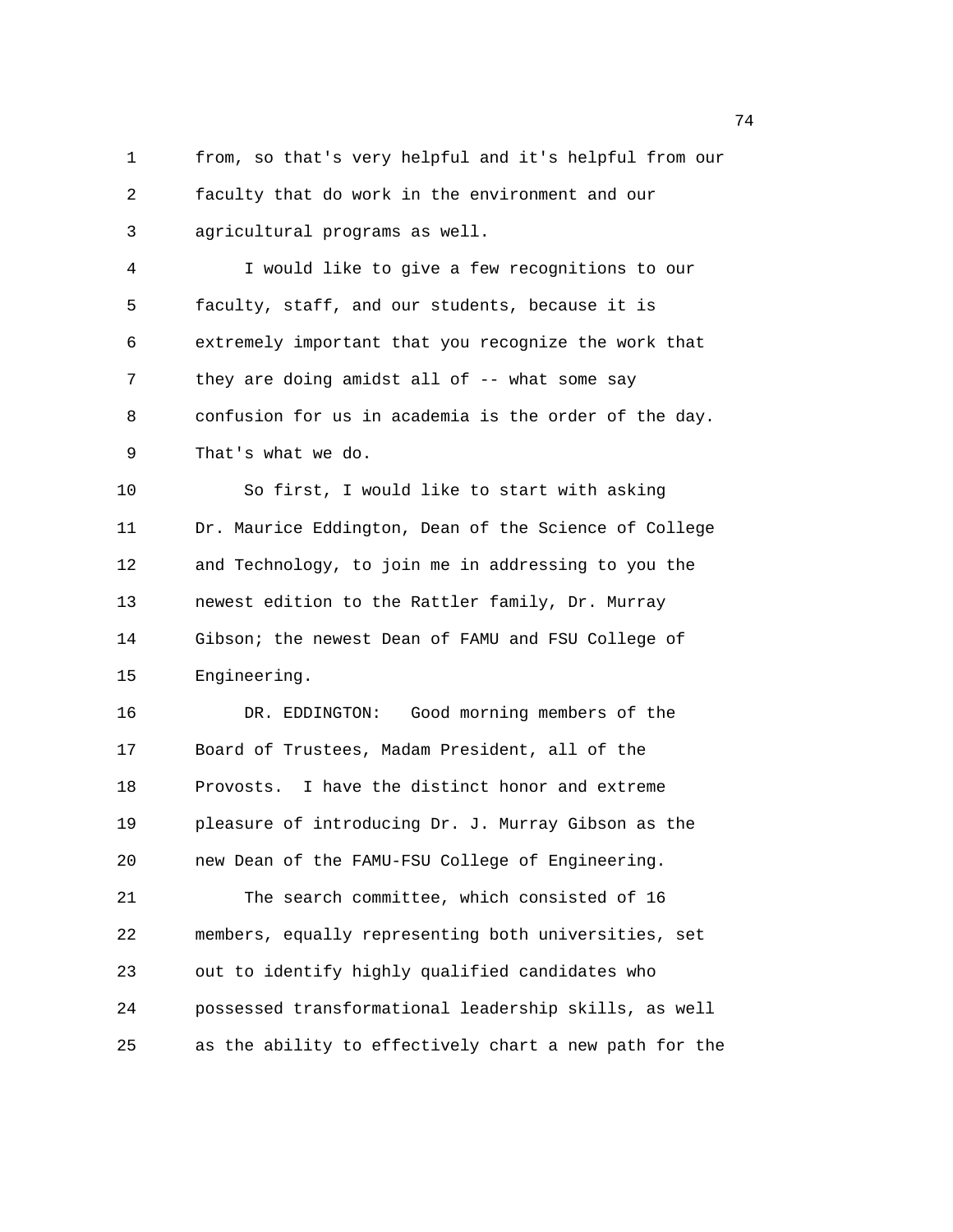1 from, so that's very helpful and it's helpful from our 2 faculty that do work in the environment and our 3 agricultural programs as well. 4 I would like to give a few recognitions to our 5 faculty, staff, and our students, because it is 6 extremely important that you recognize the work that 7 they are doing amidst all of -- what some say 8 confusion for us in academia is the order of the day. 9 That's what we do. 10 So first, I would like to start with asking 11 Dr. Maurice Eddington, Dean of the Science of College 12 and Technology, to join me in addressing to you the 13 newest edition to the Rattler family, Dr. Murray 14 Gibson; the newest Dean of FAMU and FSU College of 15 Engineering. 16 DR. EDDINGTON: Good morning members of the 17 Board of Trustees, Madam President, all of the 18 Provosts. I have the distinct honor and extreme 19 pleasure of introducing Dr. J. Murray Gibson as the 20 new Dean of the FAMU-FSU College of Engineering. 21 The search committee, which consisted of 16 22 members, equally representing both universities, set 23 out to identify highly qualified candidates who 24 possessed transformational leadership skills, as well 25 as the ability to effectively chart a new path for the

74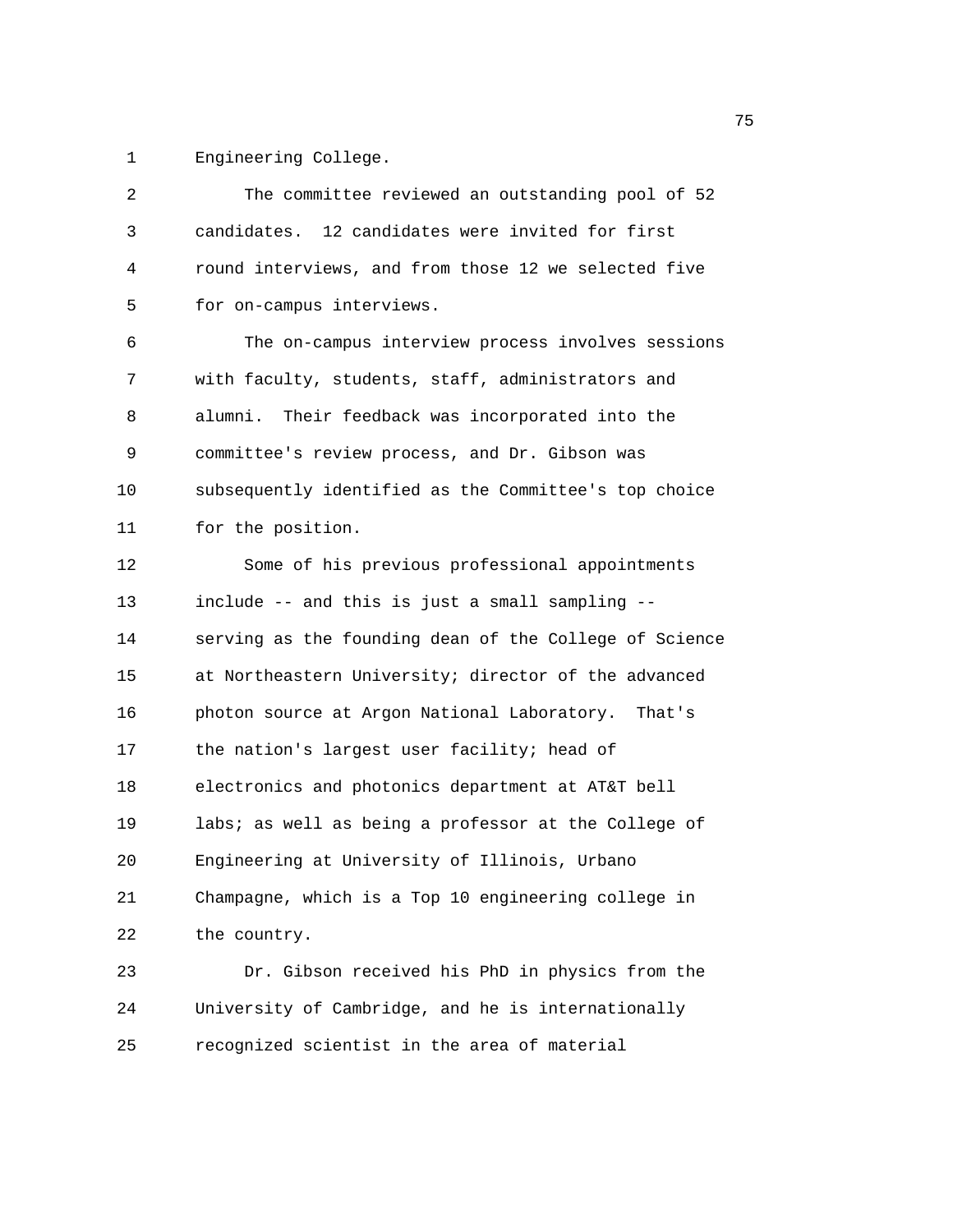1 Engineering College.

| 2  | The committee reviewed an outstanding pool of 52       |
|----|--------------------------------------------------------|
|    |                                                        |
| 3  | candidates. 12 candidates were invited for first       |
| 4  | round interviews, and from those 12 we selected five   |
| 5  | for on-campus interviews.                              |
| 6  | The on-campus interview process involves sessions      |
| 7  | with faculty, students, staff, administrators and      |
| 8  | alumni. Their feedback was incorporated into the       |
| 9  | committee's review process, and Dr. Gibson was         |
| 10 | subsequently identified as the Committee's top choice  |
| 11 | for the position.                                      |
| 12 | Some of his previous professional appointments         |
| 13 | include -- and this is just a small sampling --        |
| 14 | serving as the founding dean of the College of Science |
| 15 | at Northeastern University; director of the advanced   |
| 16 | photon source at Argon National Laboratory. That's     |
| 17 | the nation's largest user facility; head of            |
| 18 | electronics and photonics department at AT&T bell      |
| 19 | labs; as well as being a professor at the College of   |
| 20 | Engineering at University of Illinois, Urbano          |
| 21 | Champagne, which is a Top 10 engineering college in    |
| 22 | the country.                                           |
| 23 | Dr. Gibson received his PhD in physics from the        |
| 24 | University of Cambridge, and he is internationally     |
| 25 | recognized scientist in the area of material           |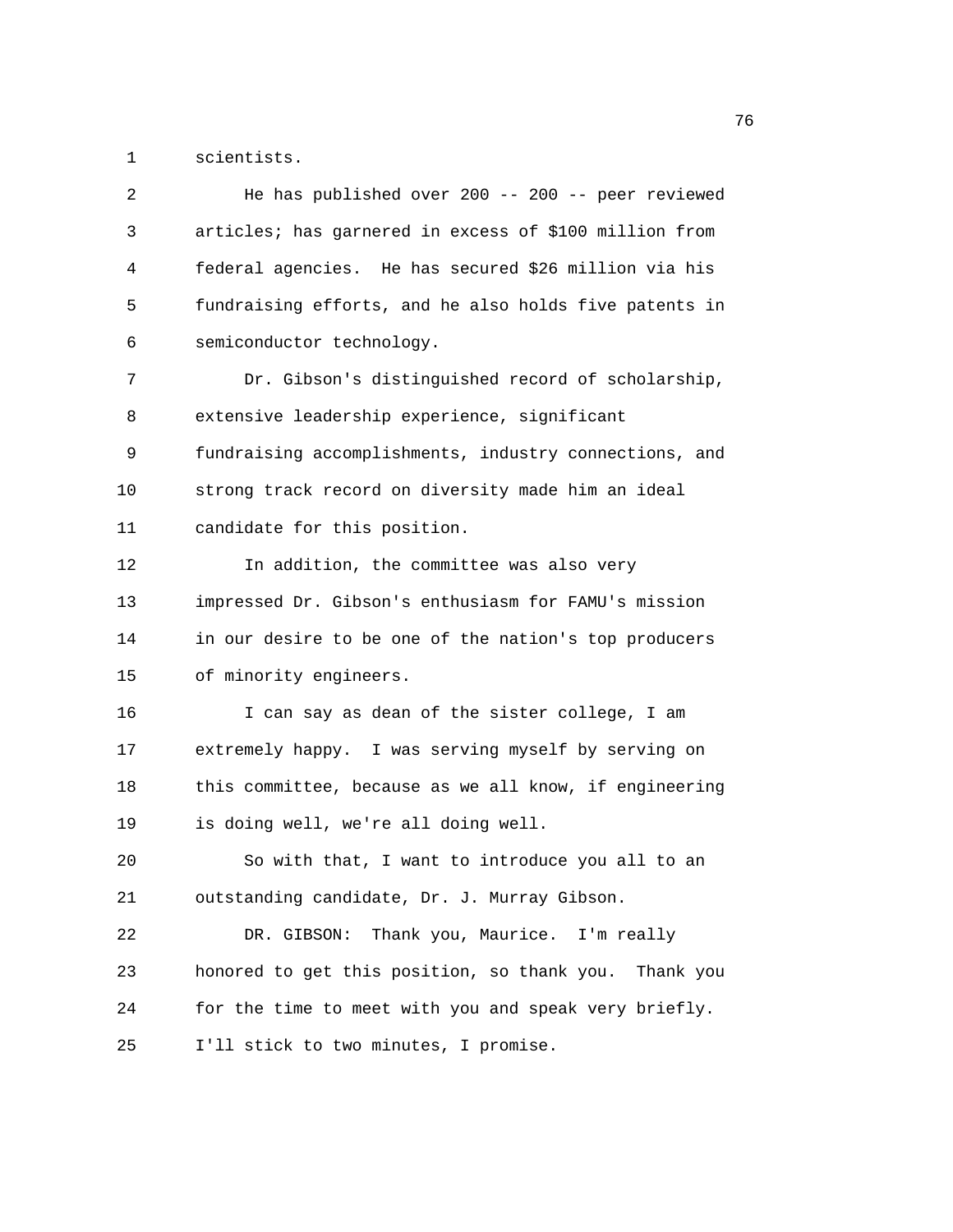1 scientists.

| 2  | He has published over 200 -- 200 -- peer reviewed      |
|----|--------------------------------------------------------|
| 3  | articles; has garnered in excess of \$100 million from |
| 4  | federal agencies. He has secured \$26 million via his  |
| 5  | fundraising efforts, and he also holds five patents in |
| 6  | semiconductor technology.                              |
| 7  | Dr. Gibson's distinguished record of scholarship,      |
| 8  | extensive leadership experience, significant           |
| 9  | fundraising accomplishments, industry connections, and |
| 10 | strong track record on diversity made him an ideal     |
| 11 | candidate for this position.                           |
| 12 | In addition, the committee was also very               |
| 13 | impressed Dr. Gibson's enthusiasm for FAMU's mission   |
| 14 | in our desire to be one of the nation's top producers  |
| 15 | of minority engineers.                                 |
| 16 | I can say as dean of the sister college, I am          |
| 17 | extremely happy. I was serving myself by serving on    |
| 18 | this committee, because as we all know, if engineering |
| 19 | is doing well, we're all doing well.                   |
| 20 | So with that, I want to introduce you all to an        |
| 21 | outstanding candidate, Dr. J. Murray Gibson.           |
| 22 | Thank you, Maurice. I'm really<br>DR. GIBSON:          |
| 23 | honored to get this position, so thank you. Thank you  |
| 24 | for the time to meet with you and speak very briefly.  |
| 25 | I'll stick to two minutes, I promise.                  |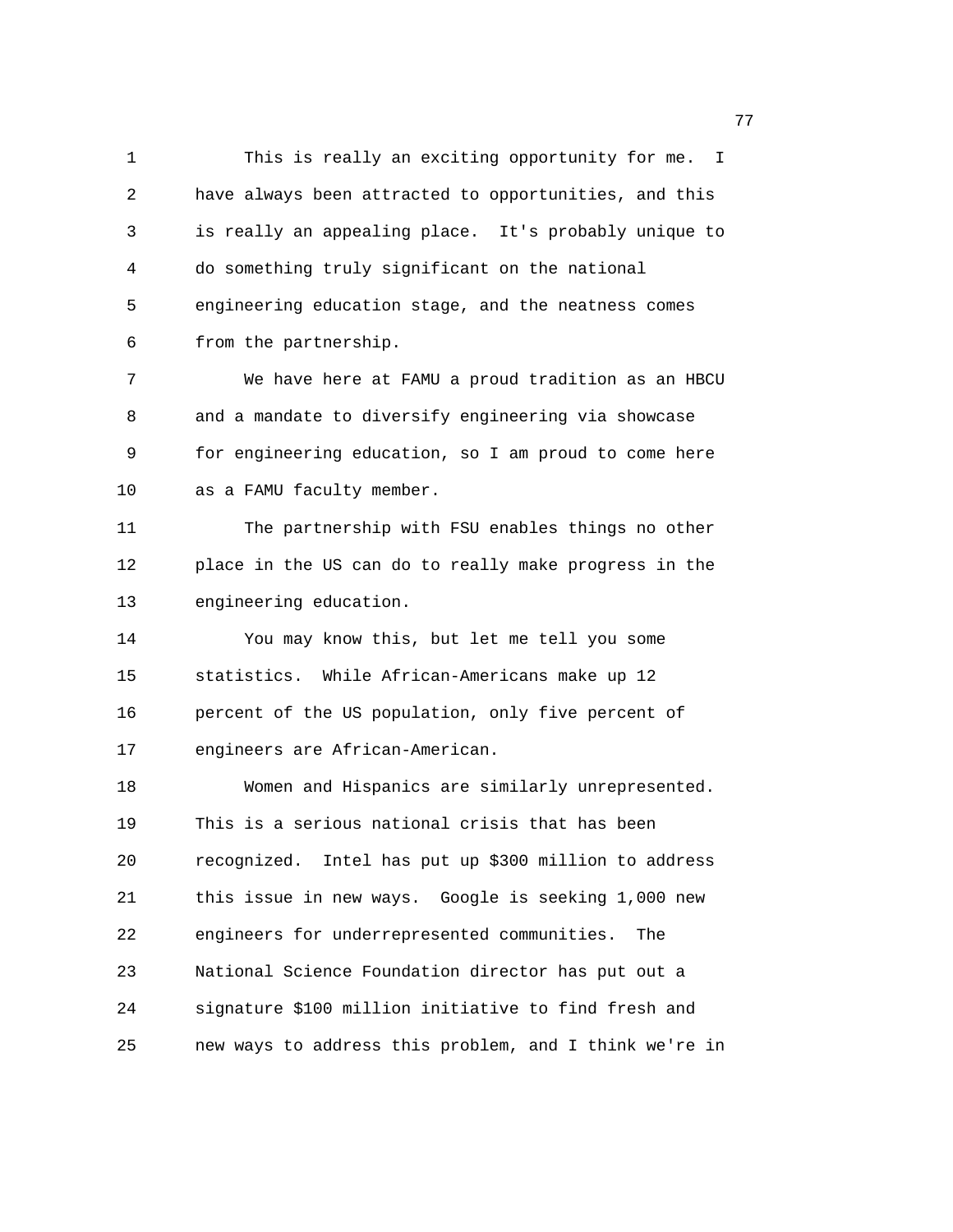1 This is really an exciting opportunity for me. I 2 have always been attracted to opportunities, and this 3 is really an appealing place. It's probably unique to 4 do something truly significant on the national 5 engineering education stage, and the neatness comes 6 from the partnership. 7 We have here at FAMU a proud tradition as an HBCU 8 and a mandate to diversify engineering via showcase 9 for engineering education, so I am proud to come here 10 as a FAMU faculty member. 11 The partnership with FSU enables things no other 12 place in the US can do to really make progress in the 13 engineering education. 14 You may know this, but let me tell you some 15 statistics. While African-Americans make up 12 16 percent of the US population, only five percent of 17 engineers are African-American. 18 Women and Hispanics are similarly unrepresented. 19 This is a serious national crisis that has been 20 recognized. Intel has put up \$300 million to address 21 this issue in new ways. Google is seeking 1,000 new 22 engineers for underrepresented communities. The 23 National Science Foundation director has put out a 24 signature \$100 million initiative to find fresh and 25 new ways to address this problem, and I think we're in

 $77$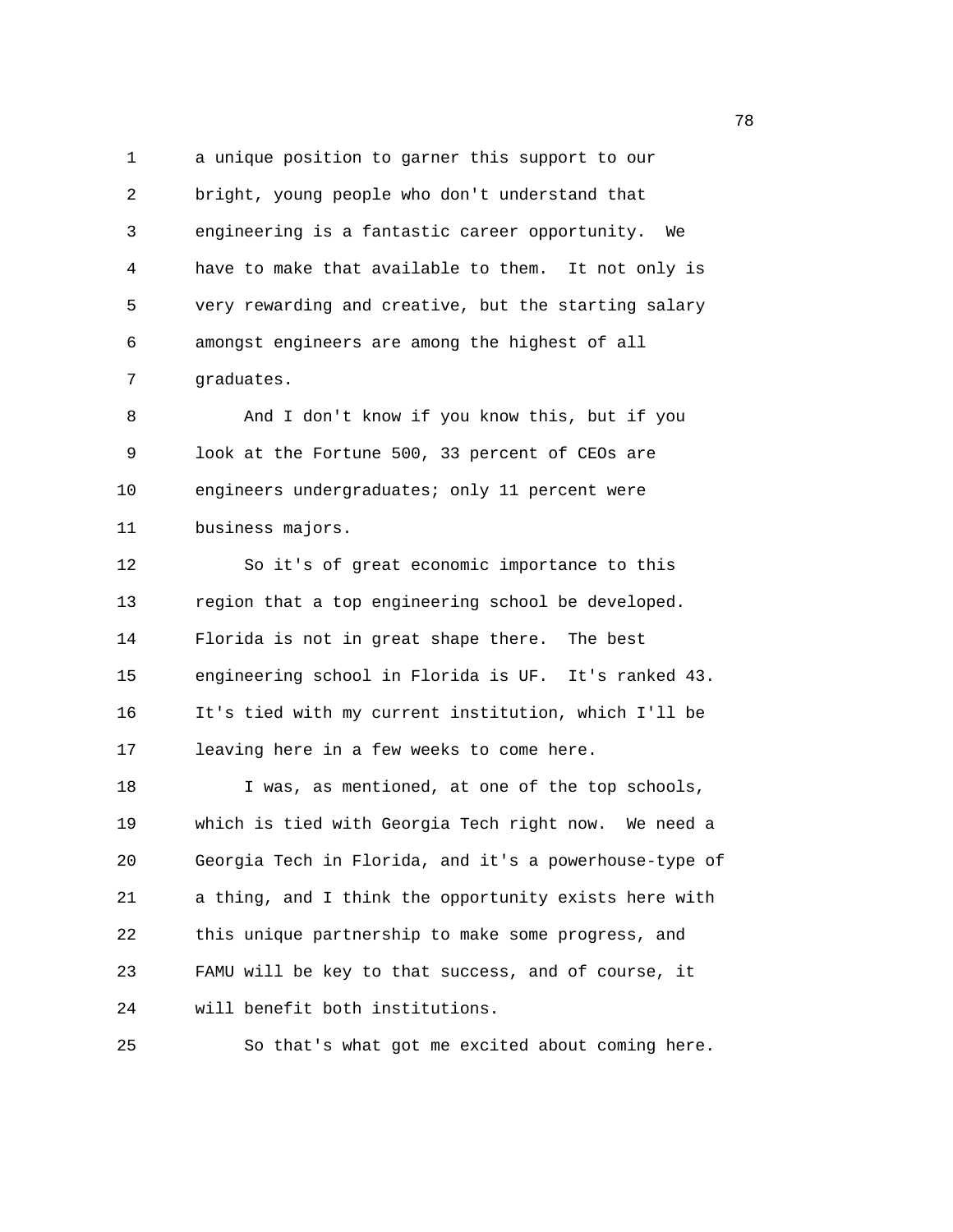1 a unique position to garner this support to our 2 bright, young people who don't understand that 3 engineering is a fantastic career opportunity. We 4 have to make that available to them. It not only is 5 very rewarding and creative, but the starting salary 6 amongst engineers are among the highest of all 7 graduates. 8 And I don't know if you know this, but if you 9 look at the Fortune 500, 33 percent of CEOs are 10 engineers undergraduates; only 11 percent were 11 business majors. 12 So it's of great economic importance to this 13 region that a top engineering school be developed. 14 Florida is not in great shape there. The best 15 engineering school in Florida is UF. It's ranked 43. 16 It's tied with my current institution, which I'll be 17 leaving here in a few weeks to come here. 18 I was, as mentioned, at one of the top schools, 19 which is tied with Georgia Tech right now. We need a 20 Georgia Tech in Florida, and it's a powerhouse-type of 21 a thing, and I think the opportunity exists here with 22 this unique partnership to make some progress, and 23 FAMU will be key to that success, and of course, it

24 will benefit both institutions.

25 So that's what got me excited about coming here.

na a shekara ta 1972 a 1972 a 1972 a 1972 a 1972 a 1972 a 1972 a 1972 a 1972 a 1972 a 1972 a 1972 a 1972 a 19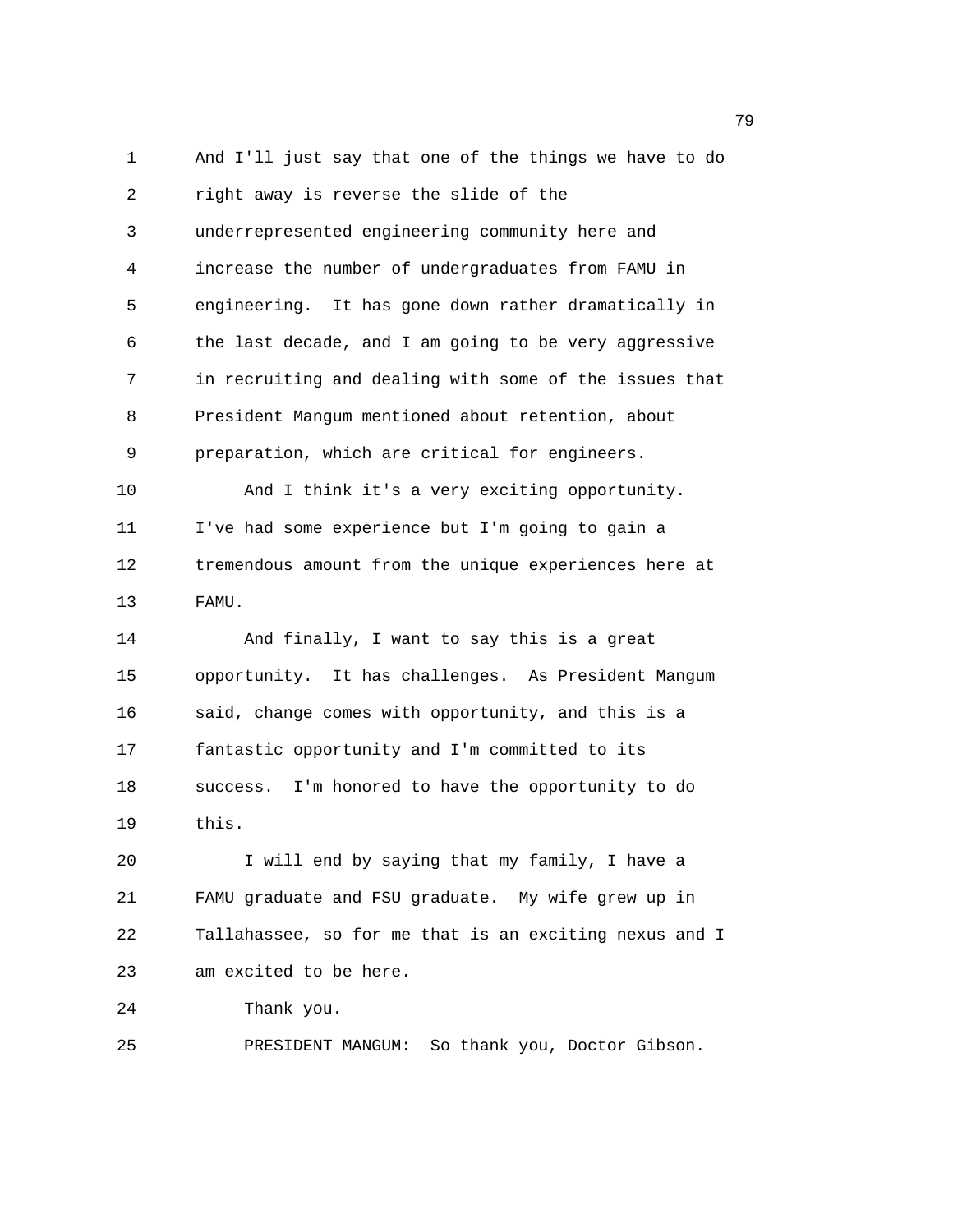1 And I'll just say that one of the things we have to do 2 right away is reverse the slide of the 3 underrepresented engineering community here and 4 increase the number of undergraduates from FAMU in 5 engineering. It has gone down rather dramatically in 6 the last decade, and I am going to be very aggressive 7 in recruiting and dealing with some of the issues that 8 President Mangum mentioned about retention, about 9 preparation, which are critical for engineers. 10 And I think it's a very exciting opportunity. 11 I've had some experience but I'm going to gain a 12 tremendous amount from the unique experiences here at 13 FAMU. 14 And finally, I want to say this is a great 15 opportunity. It has challenges. As President Mangum 16 said, change comes with opportunity, and this is a 17 fantastic opportunity and I'm committed to its 18 success. I'm honored to have the opportunity to do 19 this. 20 I will end by saying that my family, I have a 21 FAMU graduate and FSU graduate. My wife grew up in 22 Tallahassee, so for me that is an exciting nexus and I 23 am excited to be here. 24 Thank you. 25 PRESIDENT MANGUM: So thank you, Doctor Gibson.

ти в село во село во село во село во село во село во село во село во село во село во село во село во село во с<br>Постојат село во село во село во село во село во село во село во село во село во село во село во село во село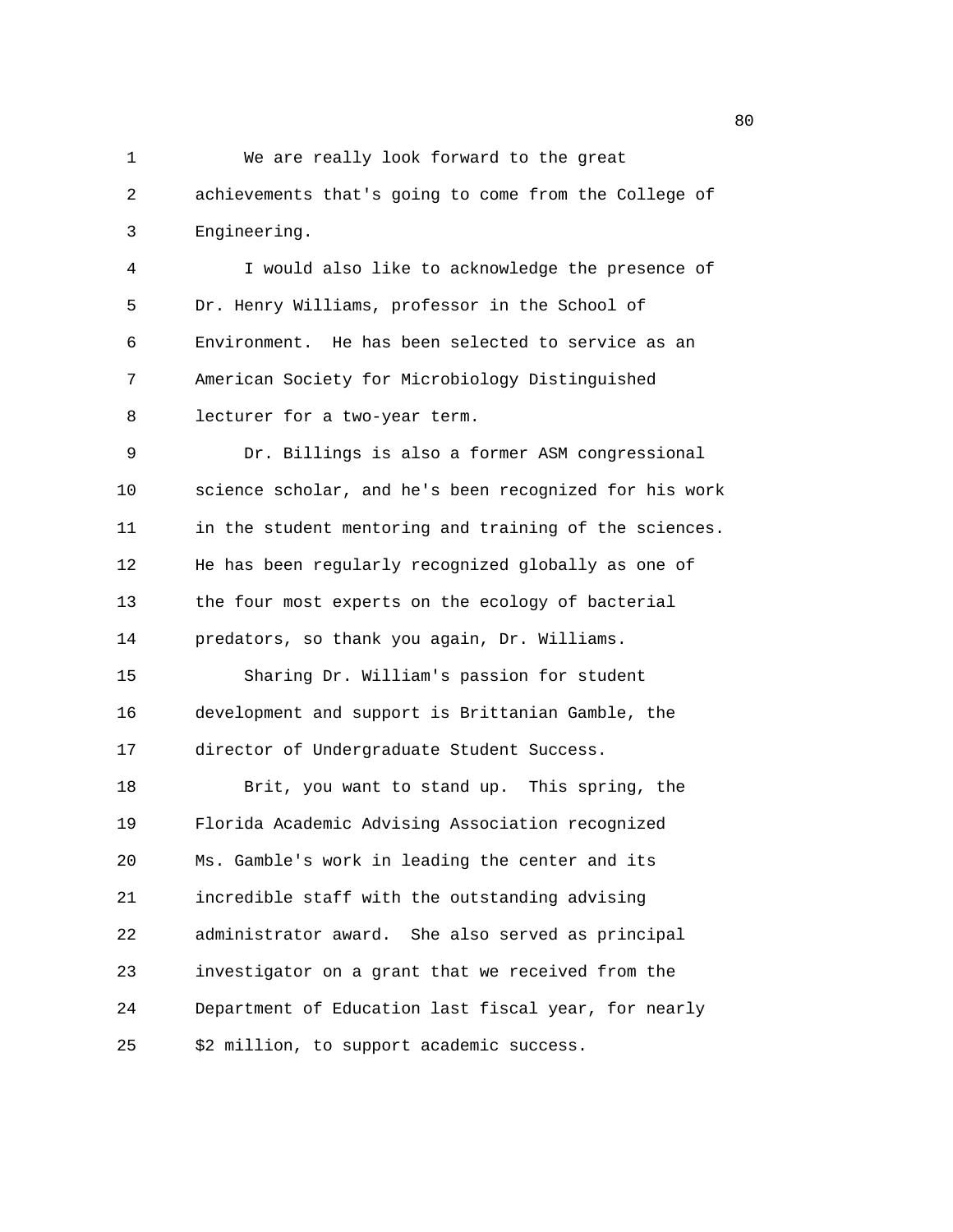1 We are really look forward to the great 2 achievements that's going to come from the College of 3 Engineering. 4 I would also like to acknowledge the presence of 5 Dr. Henry Williams, professor in the School of 6 Environment. He has been selected to service as an 7 American Society for Microbiology Distinguished 8 lecturer for a two-year term. 9 Dr. Billings is also a former ASM congressional 10 science scholar, and he's been recognized for his work 11 in the student mentoring and training of the sciences. 12 He has been regularly recognized globally as one of 13 the four most experts on the ecology of bacterial 14 predators, so thank you again, Dr. Williams. 15 Sharing Dr. William's passion for student 16 development and support is Brittanian Gamble, the 17 director of Undergraduate Student Success. 18 Brit, you want to stand up. This spring, the 19 Florida Academic Advising Association recognized 20 Ms. Gamble's work in leading the center and its 21 incredible staff with the outstanding advising 22 administrator award. She also served as principal 23 investigator on a grant that we received from the 24 Department of Education last fiscal year, for nearly 25 \$2 million, to support academic success.

en de la construction de la construction de la construction de la construction de la construction de la constr<br>Desenvolvements de la construction de la construction de la construction de la construction de la construction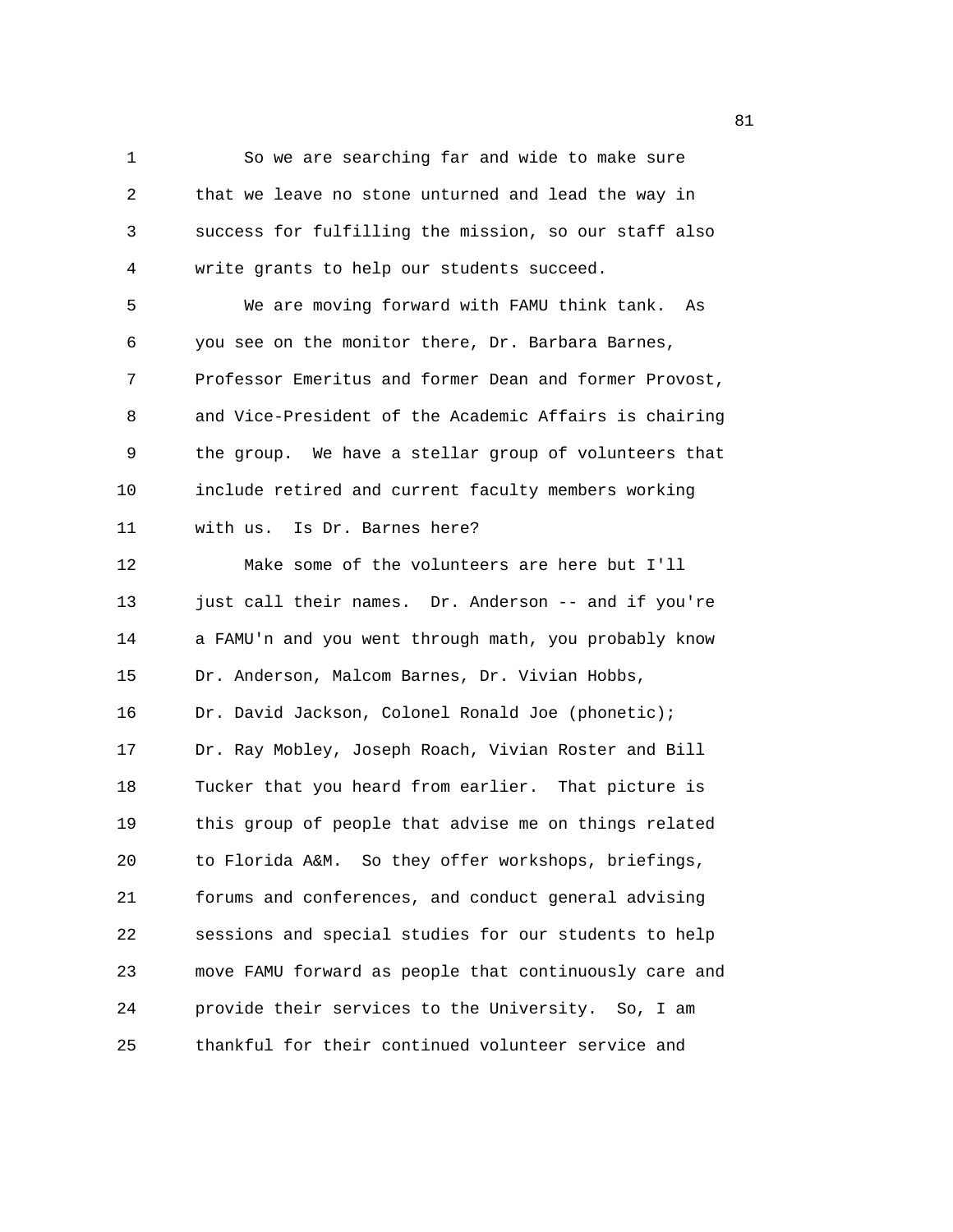1 So we are searching far and wide to make sure 2 that we leave no stone unturned and lead the way in 3 success for fulfilling the mission, so our staff also 4 write grants to help our students succeed.

5 We are moving forward with FAMU think tank. As 6 you see on the monitor there, Dr. Barbara Barnes, 7 Professor Emeritus and former Dean and former Provost, 8 and Vice-President of the Academic Affairs is chairing 9 the group. We have a stellar group of volunteers that 10 include retired and current faculty members working 11 with us. Is Dr. Barnes here?

12 Make some of the volunteers are here but I'll 13 just call their names. Dr. Anderson -- and if you're 14 a FAMU'n and you went through math, you probably know 15 Dr. Anderson, Malcom Barnes, Dr. Vivian Hobbs, 16 Dr. David Jackson, Colonel Ronald Joe (phonetic); 17 Dr. Ray Mobley, Joseph Roach, Vivian Roster and Bill 18 Tucker that you heard from earlier. That picture is 19 this group of people that advise me on things related 20 to Florida A&M. So they offer workshops, briefings, 21 forums and conferences, and conduct general advising 22 sessions and special studies for our students to help 23 move FAMU forward as people that continuously care and 24 provide their services to the University. So, I am 25 thankful for their continued volunteer service and

experience of the state of the state of the state of the state of the state of the state of the state of the s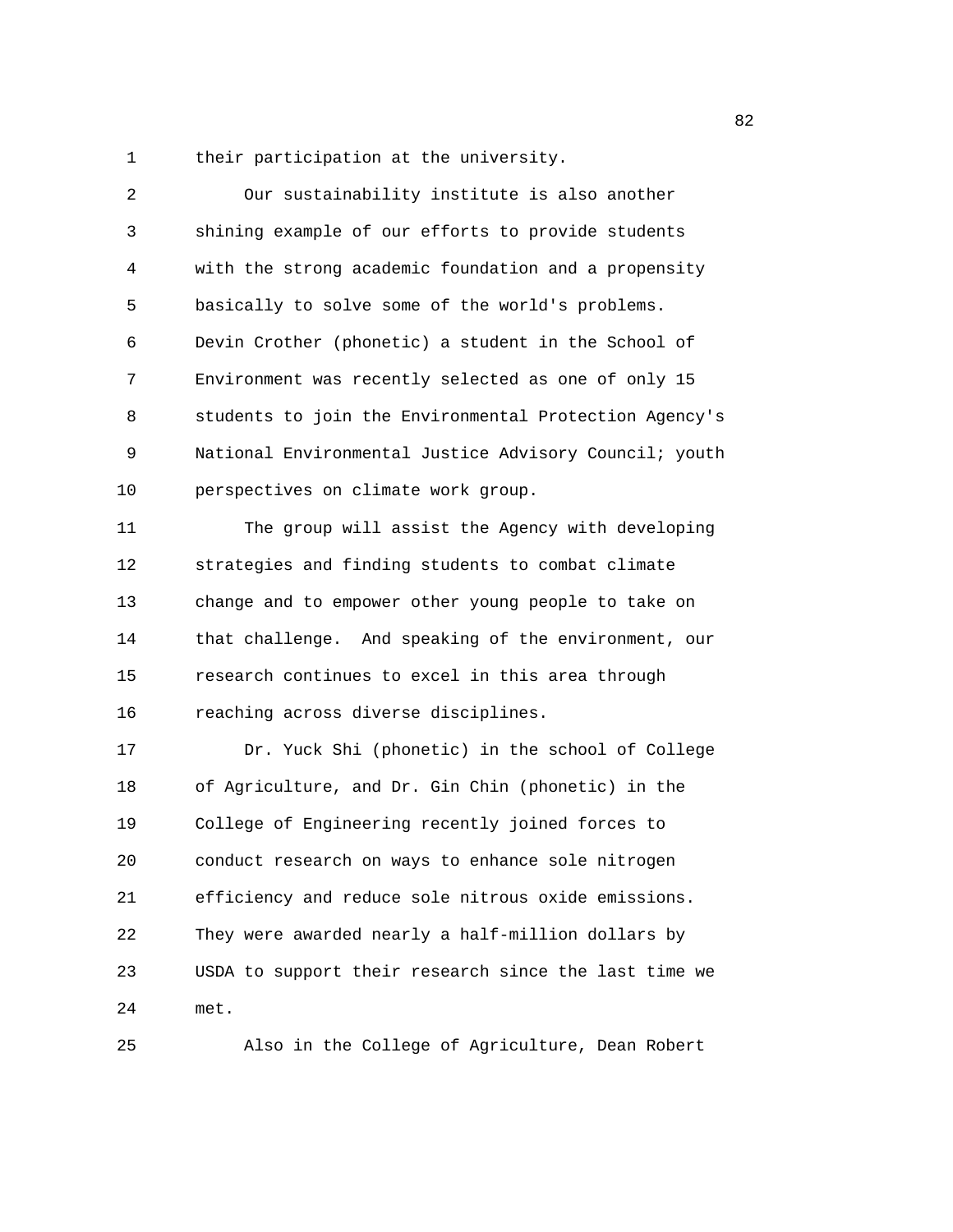1 their participation at the university.

| 2  | Our sustainability institute is also another           |
|----|--------------------------------------------------------|
| 3  | shining example of our efforts to provide students     |
| 4  | with the strong academic foundation and a propensity   |
| 5  | basically to solve some of the world's problems.       |
| 6  | Devin Crother (phonetic) a student in the School of    |
| 7  | Environment was recently selected as one of only 15    |
| 8  | students to join the Environmental Protection Agency's |
| 9  | National Environmental Justice Advisory Council; youth |
| 10 | perspectives on climate work group.                    |
| 11 | The group will assist the Agency with developing       |
| 12 | strategies and finding students to combat climate      |
| 13 | change and to empower other young people to take on    |
| 14 | that challenge. And speaking of the environment, our   |
| 15 | research continues to excel in this area through       |
| 16 | reaching across diverse disciplines.                   |
| 17 | Dr. Yuck Shi (phonetic) in the school of College       |
| 18 | of Agriculture, and Dr. Gin Chin (phonetic) in the     |
| 19 | College of Engineering recently joined forces to       |
| 20 | conduct research on ways to enhance sole nitrogen      |
| 21 | efficiency and reduce sole nitrous oxide emissions.    |
| 22 | They were awarded nearly a half-million dollars by     |
| 23 | USDA to support their research since the last time we  |
| 24 | met.                                                   |
| 25 | Also in the College of Agriculture, Dean Robert        |

experience of the state of the state of the state of the state of the state of the state of the state of the s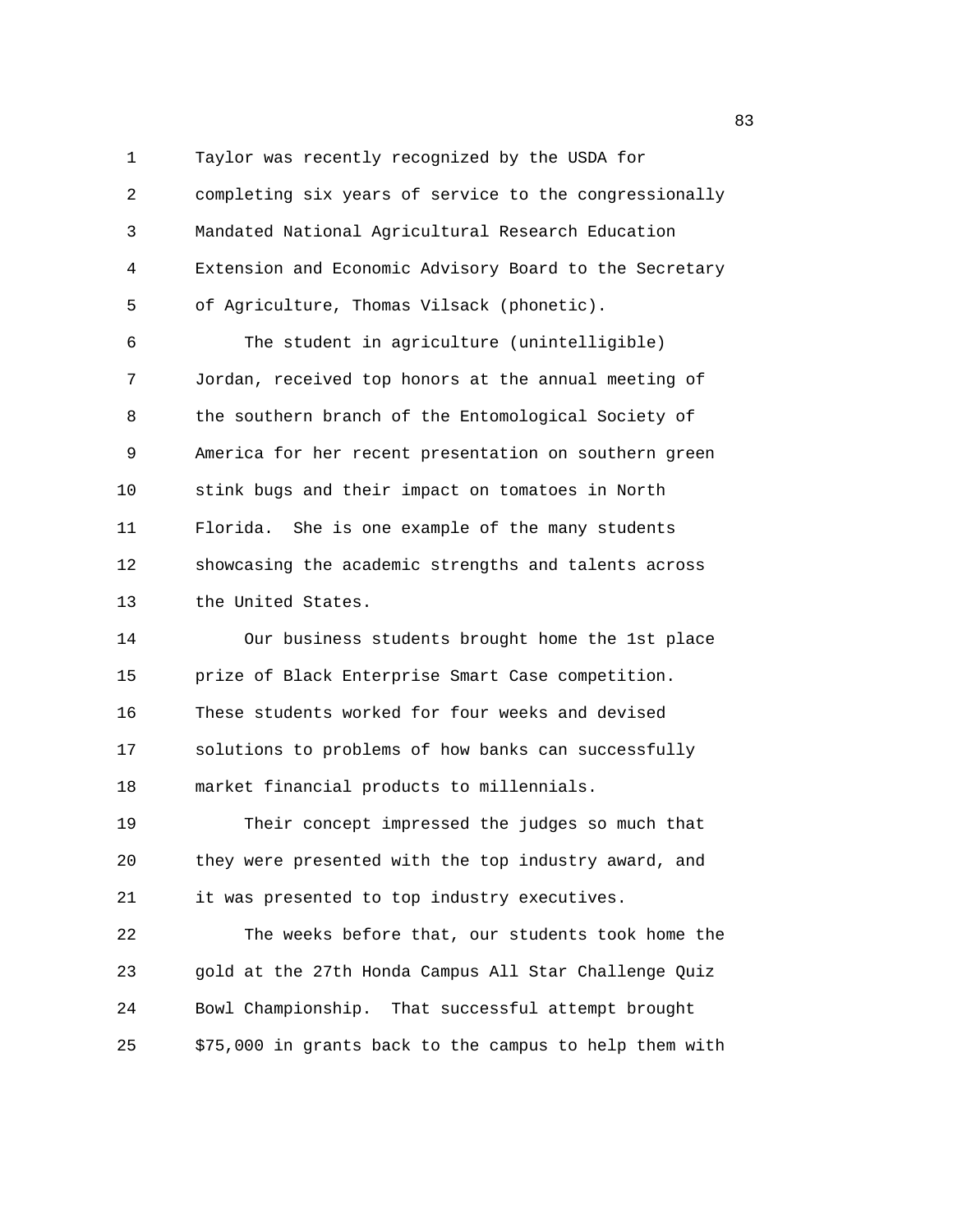1 Taylor was recently recognized by the USDA for 2 completing six years of service to the congressionally 3 Mandated National Agricultural Research Education 4 Extension and Economic Advisory Board to the Secretary 5 of Agriculture, Thomas Vilsack (phonetic).

6 The student in agriculture (unintelligible) 7 Jordan, received top honors at the annual meeting of 8 the southern branch of the Entomological Society of 9 America for her recent presentation on southern green 10 stink bugs and their impact on tomatoes in North 11 Florida. She is one example of the many students 12 showcasing the academic strengths and talents across 13 the United States.

14 Our business students brought home the 1st place 15 prize of Black Enterprise Smart Case competition. 16 These students worked for four weeks and devised 17 solutions to problems of how banks can successfully 18 market financial products to millennials.

19 Their concept impressed the judges so much that 20 they were presented with the top industry award, and 21 it was presented to top industry executives.

22 The weeks before that, our students took home the 23 gold at the 27th Honda Campus All Star Challenge Quiz 24 Bowl Championship. That successful attempt brought 25 \$75,000 in grants back to the campus to help them with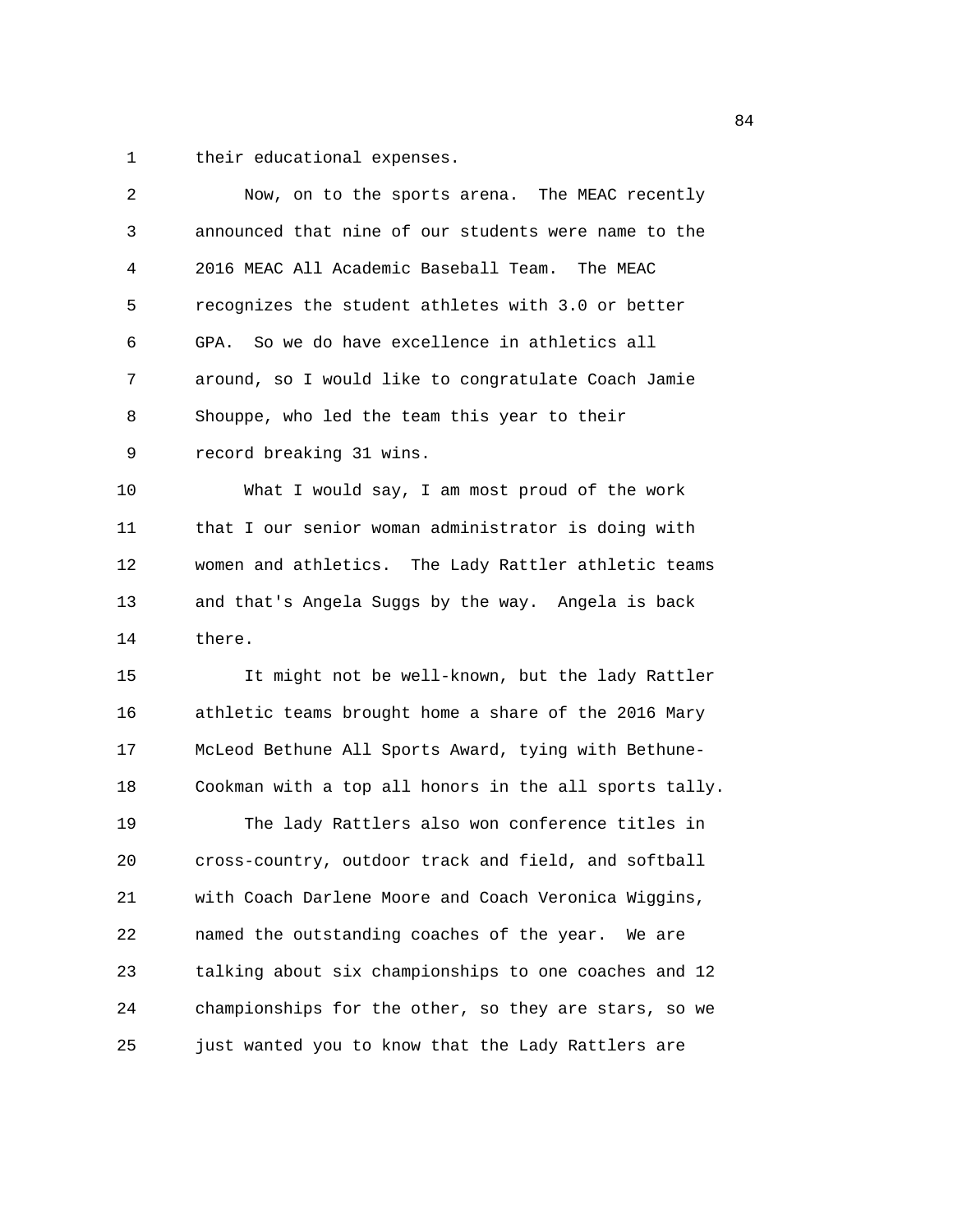1 their educational expenses.

| 2  | Now, on to the sports arena. The MEAC recently         |
|----|--------------------------------------------------------|
| 3  | announced that nine of our students were name to the   |
| 4  | 2016 MEAC All Academic Baseball Team. The MEAC         |
| 5  | recognizes the student athletes with 3.0 or better     |
| 6  | GPA. So we do have excellence in athletics all         |
| 7  | around, so I would like to congratulate Coach Jamie    |
| 8  | Shouppe, who led the team this year to their           |
| 9  | record breaking 31 wins.                               |
| 10 | What I would say, I am most proud of the work          |
| 11 | that I our senior woman administrator is doing with    |
| 12 | women and athletics. The Lady Rattler athletic teams   |
| 13 | and that's Angela Suggs by the way. Angela is back     |
| 14 | there.                                                 |
| 15 | It might not be well-known, but the lady Rattler       |
| 16 | athletic teams brought home a share of the 2016 Mary   |
| 17 | McLeod Bethune All Sports Award, tying with Bethune-   |
| 18 | Cookman with a top all honors in the all sports tally. |
| 19 | The lady Rattlers also won conference titles in        |
| 20 | cross-country, outdoor track and field, and softball   |
| 21 | with Coach Darlene Moore and Coach Veronica Wiggins,   |
| 22 | named the outstanding coaches of the year. We are      |
| 23 | talking about six championships to one coaches and 12  |
| 24 | championships for the other, so they are stars, so we  |
|    |                                                        |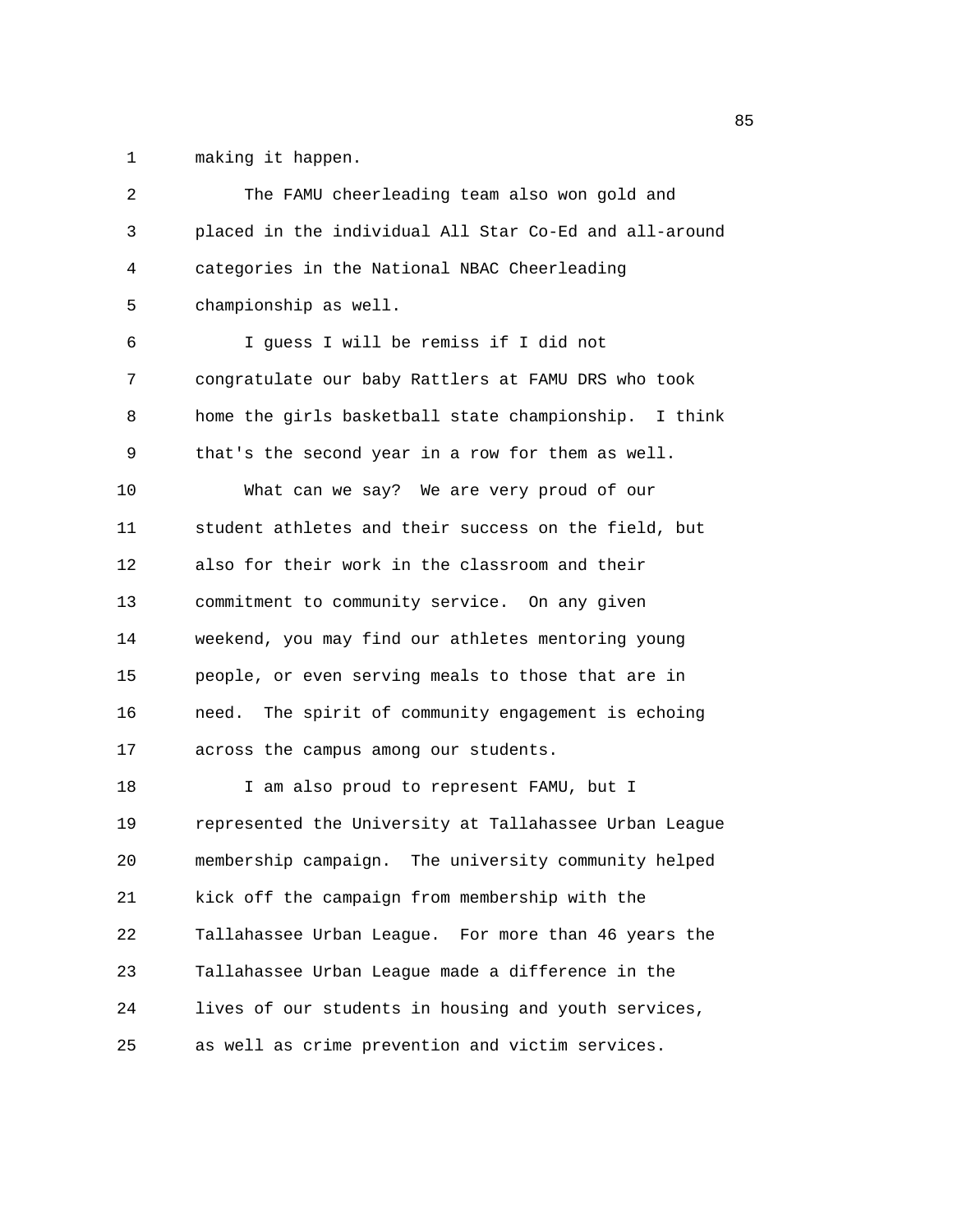1 making it happen.

| 2  | The FAMU cheerleading team also won gold and           |
|----|--------------------------------------------------------|
| 3  | placed in the individual All Star Co-Ed and all-around |
| 4  | categories in the National NBAC Cheerleading           |
| 5  | championship as well.                                  |
| 6  | I guess I will be remiss if I did not                  |
| 7  | congratulate our baby Rattlers at FAMU DRS who took    |
| 8  | home the girls basketball state championship. I think  |
| 9  | that's the second year in a row for them as well.      |
| 10 | What can we say? We are very proud of our              |
| 11 | student athletes and their success on the field, but   |
| 12 | also for their work in the classroom and their         |
| 13 | commitment to community service. On any given          |
| 14 | weekend, you may find our athletes mentoring young     |
| 15 | people, or even serving meals to those that are in     |
| 16 | need. The spirit of community engagement is echoing    |
| 17 | across the campus among our students.                  |
| 18 | I am also proud to represent FAMU, but I               |
| 19 | represented the University at Tallahassee Urban League |
| 20 | membership campaign. The university community helped   |
| 21 | kick off the campaign from membership with the         |
| 22 | Tallahassee Urban League. For more than 46 years the   |
| 23 | Tallahassee Urban League made a difference in the      |
| 24 | lives of our students in housing and youth services,   |
| 25 | as well as crime prevention and victim services.       |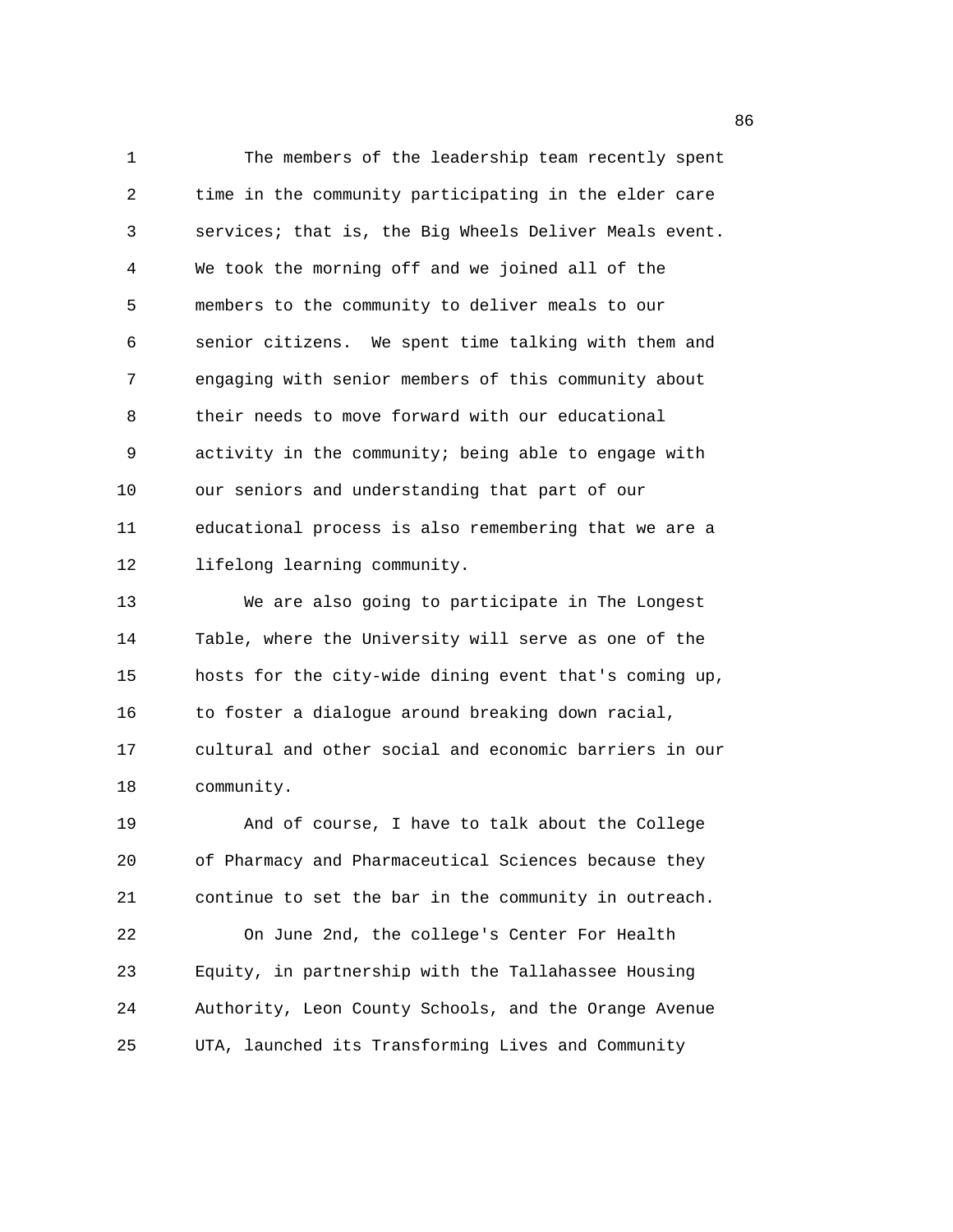1 The members of the leadership team recently spent 2 time in the community participating in the elder care 3 services; that is, the Big Wheels Deliver Meals event. 4 We took the morning off and we joined all of the 5 members to the community to deliver meals to our 6 senior citizens. We spent time talking with them and 7 engaging with senior members of this community about 8 their needs to move forward with our educational 9 activity in the community; being able to engage with 10 our seniors and understanding that part of our 11 educational process is also remembering that we are a 12 lifelong learning community.

13 We are also going to participate in The Longest 14 Table, where the University will serve as one of the 15 hosts for the city-wide dining event that's coming up, 16 to foster a dialogue around breaking down racial, 17 cultural and other social and economic barriers in our 18 community.

19 And of course, I have to talk about the College 20 of Pharmacy and Pharmaceutical Sciences because they 21 continue to set the bar in the community in outreach. 22 On June 2nd, the college's Center For Health 23 Equity, in partnership with the Tallahassee Housing 24 Authority, Leon County Schools, and the Orange Avenue 25 UTA, launched its Transforming Lives and Community

en de la construcción de la construcción de la construcción de la construcción de la construcción de la constr<br>En la construcción de la construcción de la construcción de la construcción de la construcción de la construcc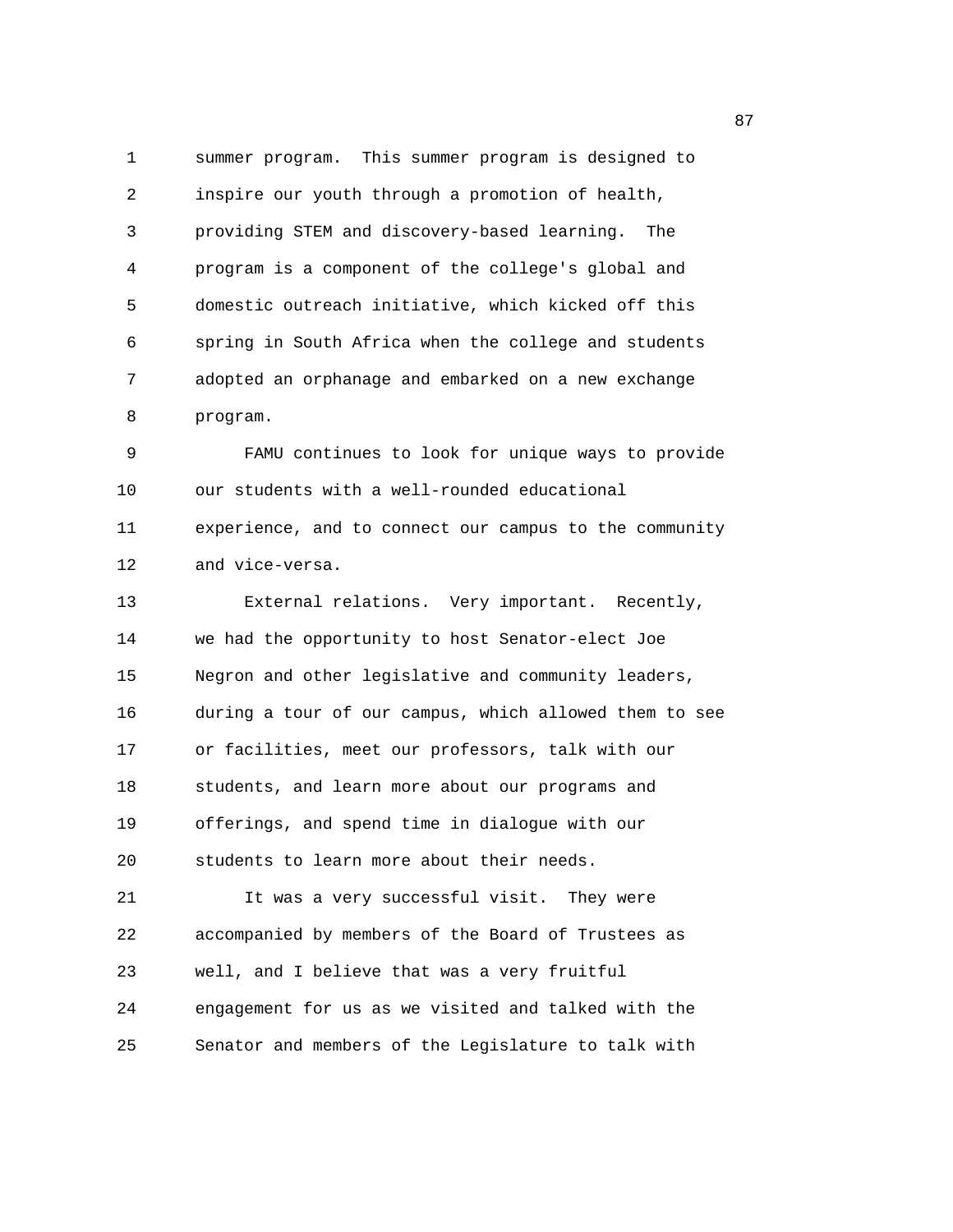1 summer program. This summer program is designed to 2 inspire our youth through a promotion of health, 3 providing STEM and discovery-based learning. The 4 program is a component of the college's global and 5 domestic outreach initiative, which kicked off this 6 spring in South Africa when the college and students 7 adopted an orphanage and embarked on a new exchange 8 program. 9 FAMU continues to look for unique ways to provide 10 our students with a well-rounded educational 11 experience, and to connect our campus to the community 12 and vice-versa. 13 External relations. Very important. Recently, 14 we had the opportunity to host Senator-elect Joe 15 Negron and other legislative and community leaders, 16 during a tour of our campus, which allowed them to see 17 or facilities, meet our professors, talk with our 18 students, and learn more about our programs and 19 offerings, and spend time in dialogue with our 20 students to learn more about their needs. 21 It was a very successful visit. They were 22 accompanied by members of the Board of Trustees as 23 well, and I believe that was a very fruitful 24 engagement for us as we visited and talked with the 25 Senator and members of the Legislature to talk with

en and the state of the state of the state of the state of the state of the state of the state of the state of the state of the state of the state of the state of the state of the state of the state of the state of the sta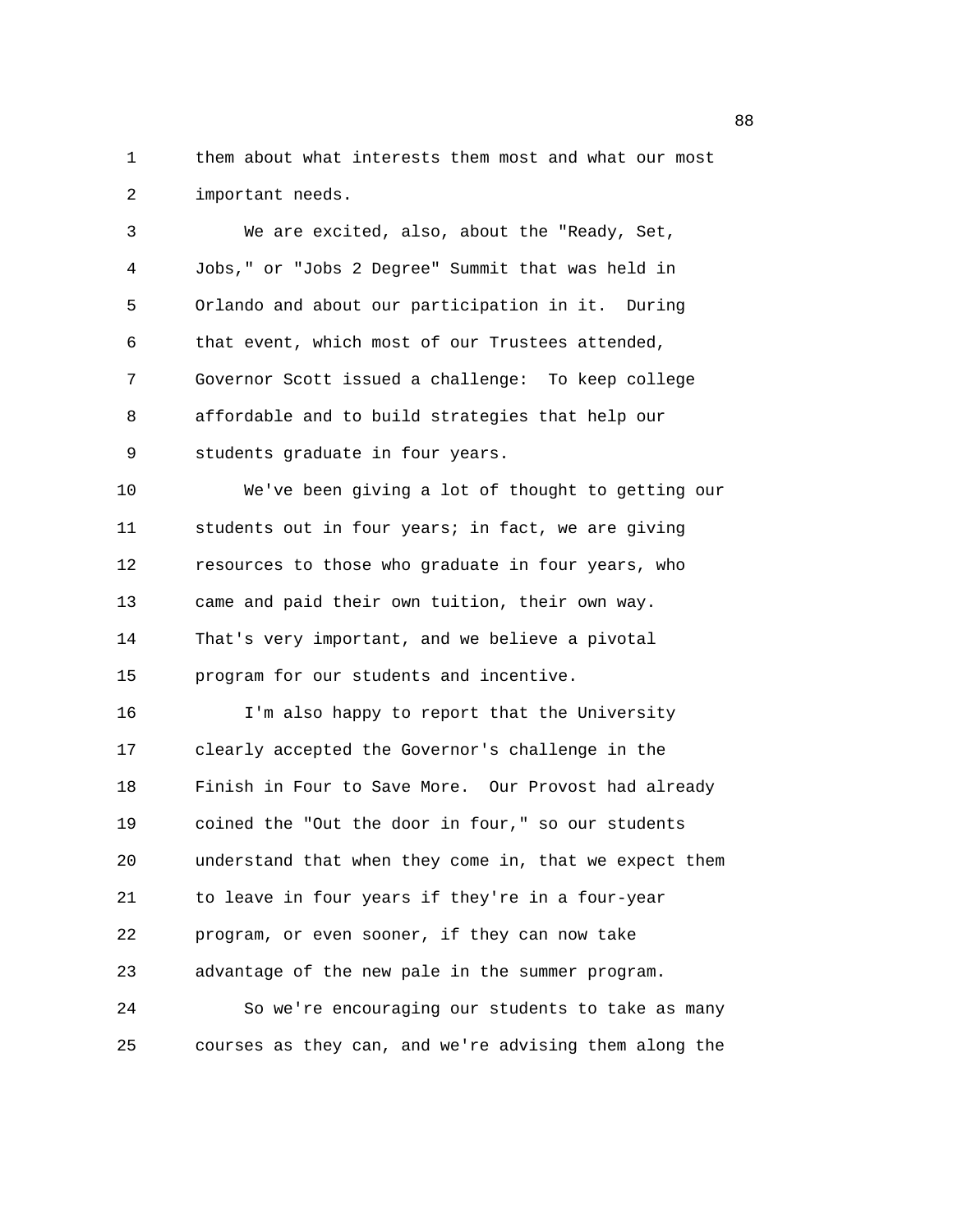1 them about what interests them most and what our most 2 important needs.

3 We are excited, also, about the "Ready, Set, 4 Jobs," or "Jobs 2 Degree" Summit that was held in 5 Orlando and about our participation in it. During 6 that event, which most of our Trustees attended, 7 Governor Scott issued a challenge: To keep college 8 affordable and to build strategies that help our 9 students graduate in four years.

10 We've been giving a lot of thought to getting our 11 students out in four years; in fact, we are giving 12 resources to those who graduate in four years, who 13 came and paid their own tuition, their own way. 14 That's very important, and we believe a pivotal 15 program for our students and incentive.

16 I'm also happy to report that the University 17 clearly accepted the Governor's challenge in the 18 Finish in Four to Save More. Our Provost had already 19 coined the "Out the door in four," so our students 20 understand that when they come in, that we expect them 21 to leave in four years if they're in a four-year 22 program, or even sooner, if they can now take 23 advantage of the new pale in the summer program. 24 So we're encouraging our students to take as many

25 courses as they can, and we're advising them along the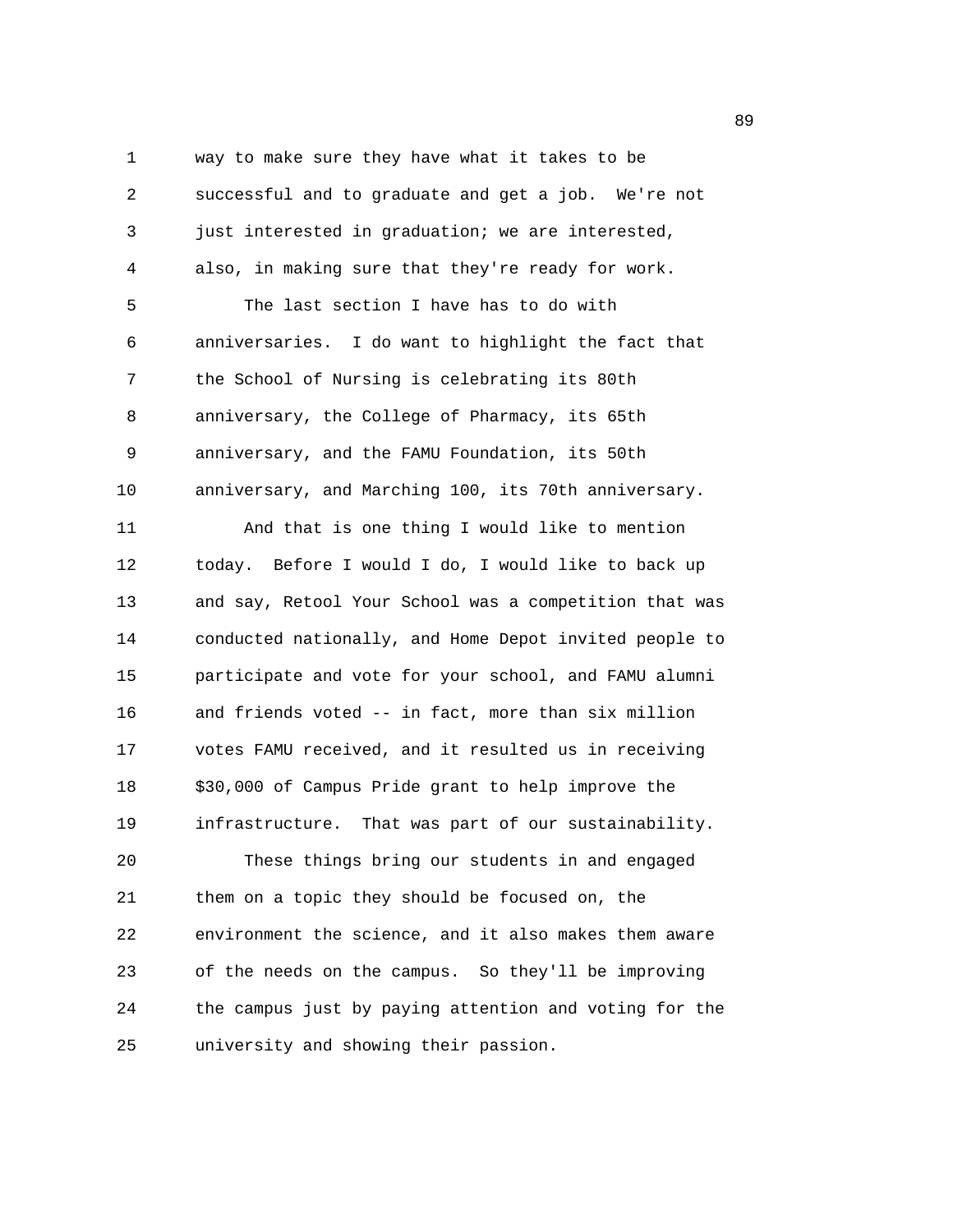1 way to make sure they have what it takes to be 2 successful and to graduate and get a job. We're not 3 just interested in graduation; we are interested, 4 also, in making sure that they're ready for work. 5 The last section I have has to do with 6 anniversaries. I do want to highlight the fact that 7 the School of Nursing is celebrating its 80th 8 anniversary, the College of Pharmacy, its 65th 9 anniversary, and the FAMU Foundation, its 50th 10 anniversary, and Marching 100, its 70th anniversary. 11 And that is one thing I would like to mention 12 today. Before I would I do, I would like to back up 13 and say, Retool Your School was a competition that was 14 conducted nationally, and Home Depot invited people to 15 participate and vote for your school, and FAMU alumni 16 and friends voted -- in fact, more than six million 17 votes FAMU received, and it resulted us in receiving 18 \$30,000 of Campus Pride grant to help improve the 19 infrastructure. That was part of our sustainability. 20 These things bring our students in and engaged 21 them on a topic they should be focused on, the 22 environment the science, and it also makes them aware 23 of the needs on the campus. So they'll be improving 24 the campus just by paying attention and voting for the 25 university and showing their passion.

en de la construction de la construction de la construction de la construction de la construction de la constr<br>De la construction de la construction de la construction de la construction de la construction de la construct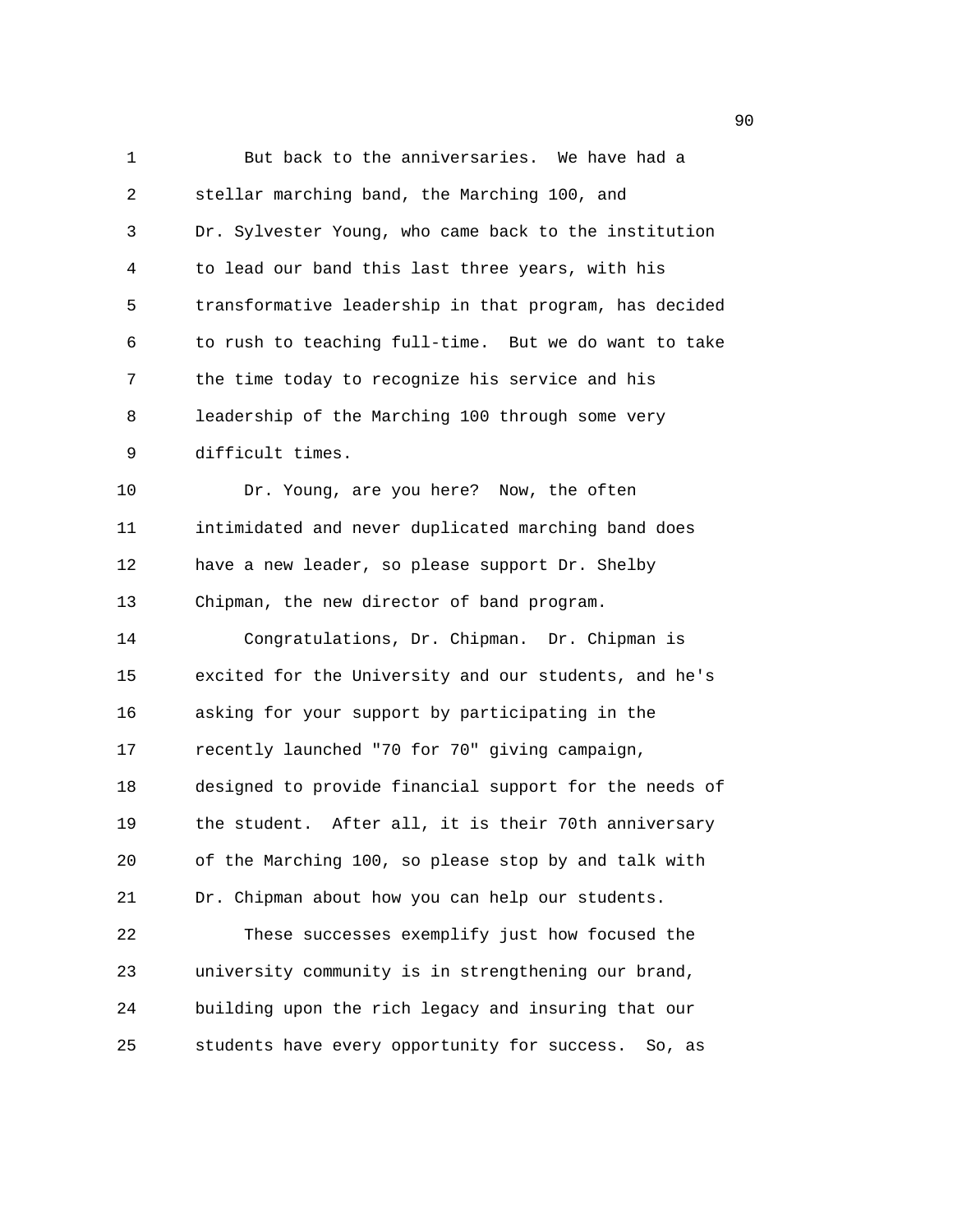1 But back to the anniversaries. We have had a 2 stellar marching band, the Marching 100, and 3 Dr. Sylvester Young, who came back to the institution 4 to lead our band this last three years, with his 5 transformative leadership in that program, has decided 6 to rush to teaching full-time. But we do want to take 7 the time today to recognize his service and his 8 leadership of the Marching 100 through some very 9 difficult times. 10 Dr. Young, are you here? Now, the often 11 intimidated and never duplicated marching band does 12 have a new leader, so please support Dr. Shelby 13 Chipman, the new director of band program. 14 Congratulations, Dr. Chipman. Dr. Chipman is 15 excited for the University and our students, and he's 16 asking for your support by participating in the 17 recently launched "70 for 70" giving campaign, 18 designed to provide financial support for the needs of 19 the student. After all, it is their 70th anniversary 20 of the Marching 100, so please stop by and talk with 21 Dr. Chipman about how you can help our students. 22 These successes exemplify just how focused the 23 university community is in strengthening our brand, 24 building upon the rich legacy and insuring that our 25 students have every opportunity for success. So, as

en de la construction de la construction de la construction de la construction de la construction de la constr<br>1900 : la construction de la construction de la construction de la construction de la construction de la const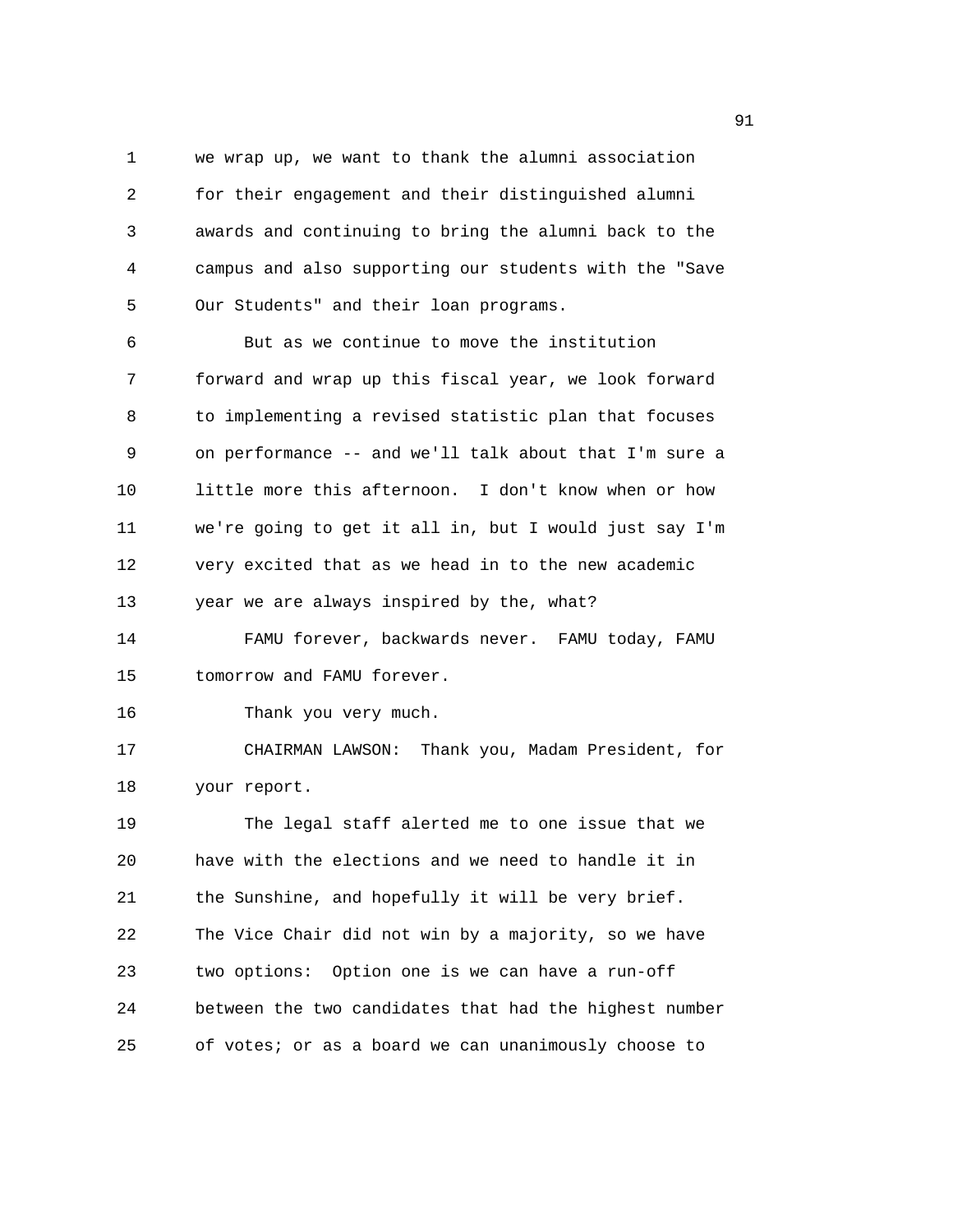1 we wrap up, we want to thank the alumni association 2 for their engagement and their distinguished alumni 3 awards and continuing to bring the alumni back to the 4 campus and also supporting our students with the "Save 5 Our Students" and their loan programs.

6 But as we continue to move the institution 7 forward and wrap up this fiscal year, we look forward 8 to implementing a revised statistic plan that focuses 9 on performance -- and we'll talk about that I'm sure a 10 little more this afternoon. I don't know when or how 11 we're going to get it all in, but I would just say I'm 12 very excited that as we head in to the new academic 13 year we are always inspired by the, what?

14 FAMU forever, backwards never. FAMU today, FAMU 15 tomorrow and FAMU forever.

16 Thank you very much.

17 CHAIRMAN LAWSON: Thank you, Madam President, for 18 your report.

19 The legal staff alerted me to one issue that we 20 have with the elections and we need to handle it in 21 the Sunshine, and hopefully it will be very brief. 22 The Vice Chair did not win by a majority, so we have 23 two options: Option one is we can have a run-off 24 between the two candidates that had the highest number 25 of votes; or as a board we can unanimously choose to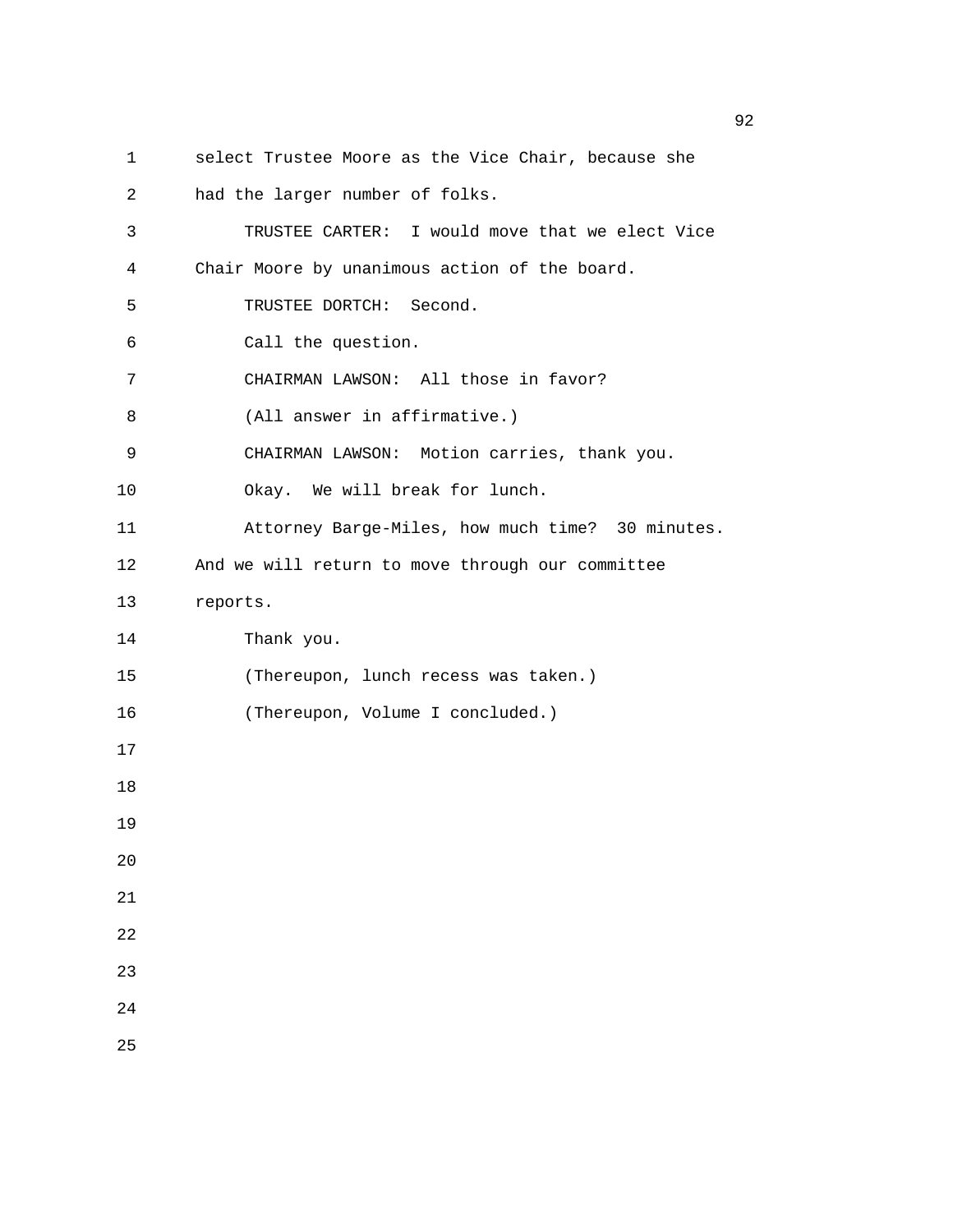- 1 select Trustee Moore as the Vice Chair, because she 2 had the larger number of folks. 3 TRUSTEE CARTER: I would move that we elect Vice 4 Chair Moore by unanimous action of the board. 5 TRUSTEE DORTCH: Second. 6 Call the question. 7 CHAIRMAN LAWSON: All those in favor? 8 (All answer in affirmative.) 9 CHAIRMAN LAWSON: Motion carries, thank you. 10 Okay. We will break for lunch. 11 Attorney Barge-Miles, how much time? 30 minutes. 12 And we will return to move through our committee 13 reports. 14 Thank you. 15 (Thereupon, lunch recess was taken.) 16 (Thereupon, Volume I concluded.) 17 18 19 20 21 22 23 24
- 25